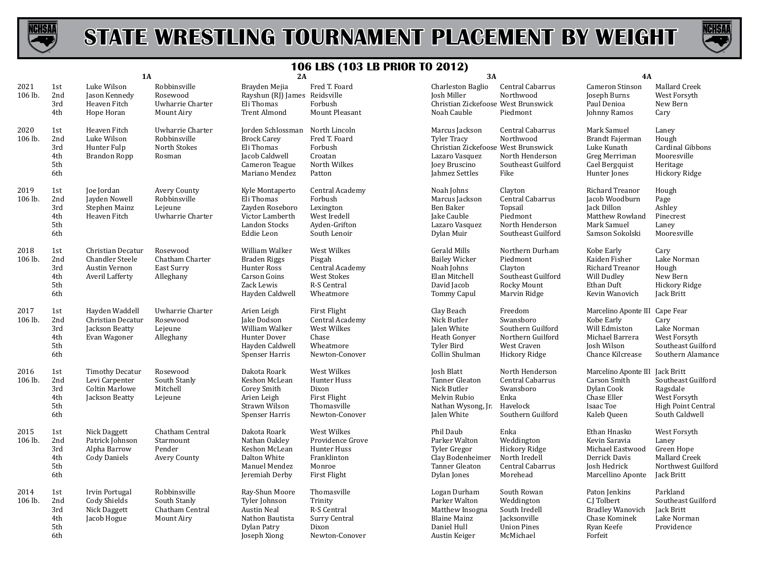



|                 |                                        | 1A                                                                                  |                                                               | 2A                                                                                                                        |                                                                                          | 3A                                                                                                                               |                                                                                                | <b>4A</b>                                                                                                           |                                                                                                        |
|-----------------|----------------------------------------|-------------------------------------------------------------------------------------|---------------------------------------------------------------|---------------------------------------------------------------------------------------------------------------------------|------------------------------------------------------------------------------------------|----------------------------------------------------------------------------------------------------------------------------------|------------------------------------------------------------------------------------------------|---------------------------------------------------------------------------------------------------------------------|--------------------------------------------------------------------------------------------------------|
| 2021<br>106 lb. | 1st<br>2nd<br>3rd<br>4th               | Luke Wilson<br>Jason Kennedy<br>Heaven Fitch<br>Hope Horan                          | Robbinsville<br>Rosewood<br>Uwharrie Charter<br>Mount Airy    | Brayden Mejia<br>Rayshun (RJ) James Reidsville<br>Eli Thomas<br><b>Trent Almond</b>                                       | Fred T. Foard<br>Forbush<br><b>Mount Pleasant</b>                                        | Charleston Baglio<br><b>Josh Miller</b><br>Christian Zickefoose West Brunswick<br>Noah Cauble                                    | Central Cabarrus<br>Northwood<br>Piedmont                                                      | Cameron Stinson<br>Joseph Burns<br>Paul Denioa<br>Johnny Ramos                                                      | Mallard Creek<br>West Forsyth<br>New Bern<br>Cary                                                      |
| 2020<br>106 lb. | 1st<br>2nd<br>3rd<br>4th<br>5th<br>6th | Heaven Fitch<br>Luke Wilson<br>Hunter Fulp<br><b>Brandon Ropp</b>                   | Uwharrie Charter<br>Robbinsville<br>North Stokes<br>Rosman    | Jorden Schlossman North Lincoln<br><b>Brock Carey</b><br>Eli Thomas<br>Jacob Caldwell<br>Cameron Teague<br>Mariano Mendez | Fred T. Foard<br>Forbush<br>Croatan<br>North Wilkes<br>Patton                            | Marcus Jackson<br><b>Tyler Tracy</b><br>Christian Zickefoose West Brunswick<br>Lazaro Vasquez<br>Joey Bruscino<br>Jahmez Settles | Central Cabarrus<br>Northwood<br>North Henderson<br>Southeast Guilford<br>Fike                 | Mark Samuel<br>Brandt Fajerman<br>Luke Kunath<br>Greg Merriman<br>Cael Bergquist<br>Hunter Jones                    | Laney<br>Hough<br>Cardinal Gibbons<br>Mooresville<br>Heritage<br>Hickory Ridge                         |
| 2019<br>106 lb. | 1st<br>2nd<br>3rd<br>4th<br>5th<br>6th | Joe Jordan<br>Jayden Nowell<br>Stephen Mainz<br>Heaven Fitch                        | Avery County<br>Robbinsville<br>Lejeune<br>Uwharrie Charter   | Kyle Montaperto<br>Eli Thomas<br>Zayden Roseboro<br>Victor Lamberth<br>Landon Stocks<br>Eddie Leon                        | Central Academy<br>Forbush<br>Lexington<br>West Iredell<br>Ayden-Grifton<br>South Lenoir | Noah Johns<br>Marcus Jackson<br>Ben Baker<br>Jake Cauble<br>Lazaro Vasquez<br>Dylan Muir                                         | Clayton<br>Central Cabarrus<br>Topsail<br>Piedmont<br>North Henderson<br>Southeast Guilford    | Richard Treanor<br>Jacob Woodburn<br>Jack Dillon<br>Matthew Rowland<br>Mark Samuel<br>Samson Sokolski               | Hough<br>Page<br>Ashley<br>Pinecrest<br>Laney<br>Mooresville                                           |
| 2018<br>106 lb. | 1st<br>2nd<br>3rd<br>4th<br>5th<br>6th | Christian Decatur<br><b>Chandler Steele</b><br>Austin Vernon<br>Averil Lafferty     | Rosewood<br>Chatham Charter<br>East Surry<br>Alleghany        | William Walker<br>Braden Riggs<br>Hunter Ross<br>Carson Goins<br>Zack Lewis<br>Hayden Caldwell                            | West Wilkes<br>Pisgah<br>Central Academy<br>West Stokes<br>R-S Central<br>Wheatmore      | <b>Gerald Mills</b><br><b>Bailey Wicker</b><br>Noah Johns<br>Elan Mitchell<br>David Jacob<br><b>Tommy Capul</b>                  | Northern Durham<br>Piedmont<br>Clayton<br>Southeast Guilford<br>Rocky Mount<br>Marvin Ridge    | Kobe Early<br>Kaiden Fisher<br>Richard Treanor<br>Will Dudley<br>Ethan Duft<br>Kevin Wanovich                       | Cary<br>Lake Norman<br>Hough<br>New Bern<br>Hickory Ridge<br>Jack Britt                                |
| 2017<br>106 lb. | 1st<br>2nd<br>3rd<br>4th<br>5th<br>6th | Hayden Waddell<br>Christian Decatur<br>Jackson Beatty<br>Evan Wagoner               | Uwharrie Charter<br>Rosewood<br>Lejeune<br>Alleghany          | Arien Leigh<br>Jake Dodson<br>William Walker<br>Hunter Dover<br>Hayden Caldwell<br><b>Spenser Harris</b>                  | First Flight<br>Central Academy<br>West Wilkes<br>Chase<br>Wheatmore<br>Newton-Conover   | Clay Beach<br>Nick Butler<br>Jalen White<br>Heath Gonyer<br><b>Tyler Bird</b><br>Collin Shulman                                  | Freedom<br>Swansboro<br>Southern Guilford<br>Northern Guilford<br>West Craven<br>Hickory Ridge | Marcelino Aponte III Cape Fear<br>Kobe Early<br>Will Edmiston<br>Michael Barrera<br>Josh Wilson<br>Chance Kilcrease | Cary<br>Lake Norman<br>West Forsyth<br>Southeast Guilford<br>Southern Alamance                         |
| 2016<br>106 lb. | 1st<br>2nd<br>3rd<br>4th<br>5th<br>6th | <b>Timothy Decatur</b><br>Levi Carpenter<br><b>Coltin Marlowe</b><br>Jackson Beatty | Rosewood<br>South Stanly<br>Mitchell<br>Lejeune               | Dakota Roark<br>Keshon McLean<br>Corey Smith<br>Arien Leigh<br>Strawn Wilson<br><b>Spenser Harris</b>                     | West Wilkes<br>Hunter Huss<br>Dixon<br>First Flight<br>Thomasville<br>Newton-Conover     | <b>Josh Blatt</b><br>Tanner Gleaton<br>Nick Butler<br>Melvin Rubio<br>Nathan Wysong, Jr.<br>Jalen White                          | North Henderson<br>Central Cabarrus<br>Swansboro<br>Enka<br>Havelock<br>Southern Guilford      | Marcelino Aponte III<br>Carson Smith<br>Dylan Cook<br>Chase Eller<br>Isaac Toe<br>Kaleb Queen                       | Jack Britt<br>Southeast Guilford<br>Ragsdale<br>West Forsyth<br>High Point Central<br>South Caldwell   |
| 2015<br>106 lb. | 1st<br>2nd<br>3rd<br>4th<br>5th<br>6th | Nick Daggett<br>Patrick Johnson<br>Alpha Barrow<br><b>Cody Daniels</b>              | Chatham Central<br>Starmount<br>Pender<br><b>Avery County</b> | Dakota Roark<br>Nathan Oakley<br>Keshon McLean<br>Dalton White<br>Manuel Mendez<br>Jeremiah Derby                         | West Wilkes<br>Providence Grove<br>Hunter Huss<br>Franklinton<br>Monroe<br>First Flight  | Phil Daub<br>Parker Walton<br>Tyler Gregor<br>Clay Bodenheimer<br><b>Tanner Gleaton</b><br>Dylan Jones                           | Enka<br>Weddington<br>Hickory Ridge<br>North Iredell<br>Central Cabarrus<br>Morehead           | Ethan Hnasko<br>Kevin Saravia<br>Michael Eastwood<br>Derrick Davis<br>Josh Hedrick<br>Marcellino Aponte             | West Forsyth<br>Laney<br>Green Hope<br><b>Mallard Creek</b><br>Northwest Guilford<br><b>Jack Britt</b> |
| 2014<br>106 lb. | 1st<br>2nd<br>3rd<br>4th<br>5th<br>6th | Irvin Portugal<br>Cody Shields<br>Nick Daggett<br>Jacob Hogue                       | Robbinsville<br>South Stanly<br>Chatham Central<br>Mount Airy | Ray-Shun Moore<br>Tyler Johnson<br><b>Austin Neal</b><br>Nathon Bautista<br>Dylan Patry<br>Joseph Xiong                   | Thomasville<br>Trinity<br>R-S Central<br>Surry Central<br>Dixon<br>Newton-Conover        | Logan Durham<br>Parker Walton<br>Matthew Insogna<br><b>Blaine Mainz</b><br>Daniel Hull<br>Austin Keiger                          | South Rowan<br>Weddington<br>South Iredell<br>Jacksonville<br><b>Union Pines</b><br>McMichael  | Paton Jenkins<br>C.J Tolbert<br><b>Bradley Wanovich</b><br>Chase Kominek<br>Ryan Keefe<br>Forfeit                   | Parkland<br>Southeast Guilford<br><b>Jack Britt</b><br>Lake Norman<br>Providence                       |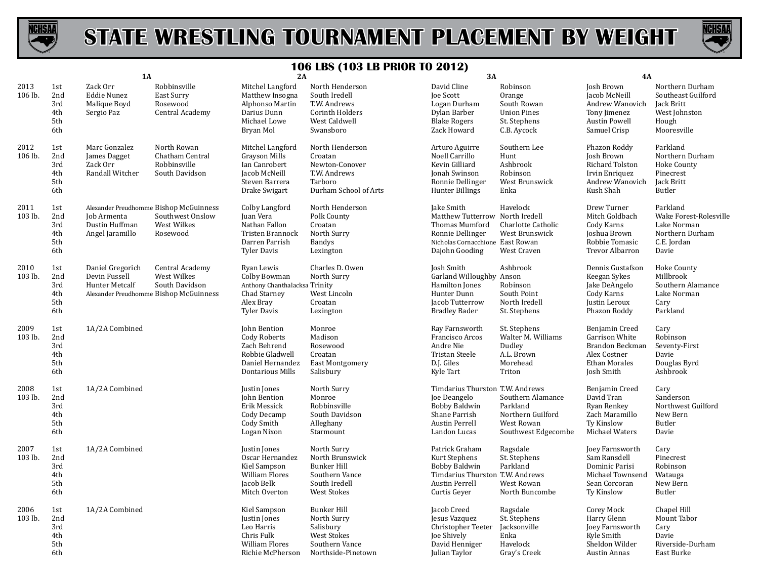



|                 | <b>1A</b>                              |                                                              | 199 L0 (199<br>3A<br>2A                                                                    |                                                                                                                       |                                                                                                               |                                                                                                                                           | <b>4A</b>                                                                               |                                                                                                           |                                                                                              |
|-----------------|----------------------------------------|--------------------------------------------------------------|--------------------------------------------------------------------------------------------|-----------------------------------------------------------------------------------------------------------------------|---------------------------------------------------------------------------------------------------------------|-------------------------------------------------------------------------------------------------------------------------------------------|-----------------------------------------------------------------------------------------|-----------------------------------------------------------------------------------------------------------|----------------------------------------------------------------------------------------------|
| 2013<br>106 lb. | 1st<br>2nd<br>3rd<br>4th<br>5th<br>6th | Zack Orr<br><b>Eddie Nunez</b><br>Malique Boyd<br>Sergio Paz | Robbinsville<br>East Surry<br>Rosewood<br>Central Academy                                  | Mitchel Langford<br>Matthew Insogna<br>Alphonso Martin<br>Darius Dunn<br>Michael Lowe<br>Bryan Mol                    | North Henderson<br>South Iredell<br>T.W. Andrews<br><b>Corinth Holders</b><br>West Caldwell<br>Swansboro      | David Cline<br>Joe Scott<br>Logan Durham<br>Dylan Barber<br><b>Blake Rogers</b><br>Zack Howard                                            | Robinson<br>Orange<br>South Rowan<br><b>Union Pines</b><br>St. Stephens<br>C.B. Aycock  | Josh Brown<br>Jacob McNeill<br>Andrew Wanovich<br>Tony Jimenez<br>Austin Powell<br>Samuel Crisp           | Northern Durham<br>Southeast Guilford<br>Jack Britt<br>West Johnston<br>Hough<br>Mooresville |
| 2012<br>106 lb. | 1st<br>2nd<br>3rd<br>4th<br>5th<br>6th | Marc Gonzalez<br>James Dagget<br>Zack Orr<br>Randall Witcher | North Rowan<br>Chatham Central<br>Robbinsville<br>South Davidson                           | Mitchel Langford<br><b>Grayson Mills</b><br>Ian Canrobert<br>Jacob McNeill<br>Steven Barrera<br>Drake Swigart         | North Henderson<br>Croatan<br>Newton-Conover<br>T.W. Andrews<br>Tarboro<br>Durham School of Arts              | Arturo Aguirre<br>Noell Carrillo<br>Kevin Gilliard<br>Jonah Swinson<br>Ronnie Dellinger<br><b>Hunter Billings</b>                         | Southern Lee<br>Hunt<br>Ashbrook<br>Robinson<br>West Brunswick<br>Enka                  | Phazon Roddy<br>Josh Brown<br><b>Richard Tolston</b><br>Irvin Enriquez<br>Andrew Wanovich<br>Kush Shah    | Parkland<br>Northern Durham<br>Hoke County<br>Pinecrest<br>Jack Britt<br>Butler              |
| 2011<br>103 lb. | 1st<br>2nd<br>3rd<br>4th<br>5th<br>6th | Job Armenta<br>Dustin Huffman<br>Angel Jaramillo             | Alexander Preudhomme Bishop McGuinness<br>Southwest Onslow<br>West Wilkes<br>Rosewood      | Colby Langford<br>Juan Vera<br>Nathan Fallon<br>Tristen Brannock<br>Darren Parrish<br><b>Tyler Davis</b>              | North Henderson<br>Polk County<br>Croatan<br>North Surry<br><b>Bandys</b><br>Lexington                        | Jake Smith<br>Matthew Tutterrow North Iredell<br>Thomas Mumford<br>Ronnie Dellinger<br>Nicholas Cornacchione East Rowan<br>Dajohn Gooding | Havelock<br>Charlotte Catholic<br>West Brunswick<br>West Craven                         | Drew Turner<br>Mitch Goldbach<br>Cody Karns<br>Joshua Brown<br>Robbie Tomasic<br>Trevor Albarron          | Parkland<br>Wake Forest-Rolesville<br>Lake Norman<br>Northern Durham<br>C.E. Jordan<br>Davie |
| 2010<br>103 lb. | 1st<br>2nd<br>3rd<br>4th<br>5th<br>6th | Daniel Gregorich<br>Devin Fussell<br>Hunter Metcalf          | Central Academy<br>West Wilkes<br>South Davidson<br>Alexander Preudhomme Bishop McGuinness | Ryan Lewis<br>Colby Bowman<br>Anthony Chanthalacksa Trinity<br>Chad Starney<br>Alex Bray<br><b>Tyler Davis</b>        | Charles D. Owen<br>North Surry<br>West Lincoln<br>Croatan<br>Lexington                                        | Josh Smith<br>Garland Willoughby Anson<br>Hamilton Jones<br>Hunter Dunn<br>Jacob Tutterrow<br><b>Bradley Bader</b>                        | Ashbrook<br>Robinson<br>South Point<br>North Iredell<br>St. Stephens                    | Dennis Gustafson<br>Keegan Sykes<br>Jake DeAngelo<br>Cody Karns<br>Justin Leroux<br>Phazon Roddy          | Hoke County<br>Millbrook<br>Southern Alamance<br>Lake Norman<br>Cary<br>Parkland             |
| 2009<br>103 lb. | 1st<br>2nd<br>3rd<br>4th<br>5th<br>6th | 1A/2A Combined                                               |                                                                                            | John Bention<br><b>Cody Roberts</b><br>Zach Behrend<br>Robbie Gladwell<br>Daniel Hernandez<br><b>Dontarious Mills</b> | Monroe<br>Madison<br>Rosewood<br>Croatan<br>East Montgomery<br>Salisbury                                      | Ray Farnsworth<br>Francisco Arcos<br>Andre Nie<br>Tristan Steele<br>D.J. Giles<br>Kyle Tart                                               | St. Stephens<br>Walter M. Williams<br>Dudley<br>A.L. Brown<br>Morehead<br>Triton        | Benjamin Creed<br>Garrison White<br>Brandon Beckman<br>Alex Costner<br><b>Ethan Morales</b><br>Josh Smith | Cary<br>Robinson<br>Seventy-First<br>Davie<br>Douglas Byrd<br>Ashbrook                       |
| 2008<br>103 lb. | 1st<br>2nd<br>3rd<br>4th<br>5th<br>6th | 1A/2A Combined                                               |                                                                                            | Justin Jones<br>John Bention<br>Erik Messick<br>Cody Decamp<br>Cody Smith<br>Logan Nixon                              | North Surry<br>Monroe<br>Robbinsville<br>South Davidson<br>Alleghany<br>Starmount                             | Timdarius Thurston T.W. Andrews<br>Joe Deangelo<br><b>Bobby Baldwin</b><br>Shane Parrish<br>Austin Perrell<br>Landon Lucas                | Southern Alamance<br>Parkland<br>Northern Guilford<br>West Rowan<br>Southwest Edgecombe | Benjamin Creed<br>David Tran<br>Ryan Renkey<br>Zach Maramillo<br>Ty Kinslow<br>Michael Waters             | Cary<br>Sanderson<br>Northwest Guilford<br>New Bern<br>Butler<br>Davie                       |
| 2007<br>103 lb. | 1st<br>2nd<br>3rd<br>4th<br>5th<br>6th | 1A/2A Combined                                               |                                                                                            | Justin Jones<br>Oscar Hernandez<br>Kiel Sampson<br><b>William Flores</b><br>Jacob Belk<br>Mitch Overton               | North Surry<br>North Brunswick<br><b>Bunker Hill</b><br>Southern Vance<br>South Iredell<br><b>West Stokes</b> | Patrick Graham<br>Kurt Stephens<br><b>Bobby Baldwin</b><br>Timdarius Thurston T.W. Andrews<br>Austin Perrell<br>Curtis Geyer              | Ragsdale<br>St. Stephens<br>Parkland<br>West Rowan<br>North Buncombe                    | Joey Farnsworth<br>Sam Ransdell<br>Dominic Parisi<br>Michael Townsend<br>Sean Corcoran<br>Ty Kinslow      | Cary<br>Pinecrest<br>Robinson<br>Watauga<br>New Bern<br>Butler                               |
| 2006<br>103 lb. | 1st<br>2nd<br>3rd<br>4th<br>5th<br>6th | 1A/2A Combined                                               |                                                                                            | Kiel Sampson<br>Justin Jones<br>Leo Harris<br>Chris Fulk<br>William Flores<br>Richie McPherson                        | <b>Bunker Hill</b><br>North Surry<br>Salisbury<br><b>West Stokes</b><br>Southern Vance<br>Northside-Pinetown  | Jacob Creed<br>Jesus Vazquez<br>Christopher Teeter<br>Joe Shively<br>David Henniger<br>Julian Taylor                                      | Ragsdale<br>St. Stephens<br>Jacksonville<br>Enka<br>Havelock<br>Gray's Creek            | Corey Mock<br>Harry Glenn<br>Joey Farnsworth<br>Kyle Smith<br>Sheldon Wilder<br>Austin Annas              | Chapel Hill<br>Mount Tabor<br>Cary<br>Davie<br>Riverside-Durham<br>East Burke                |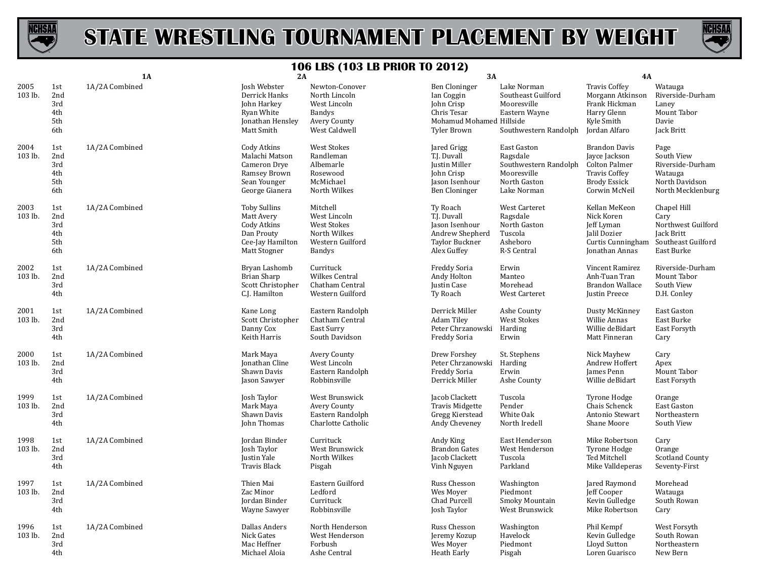



|                 |                                        | <b>1A</b>      | 2A                                                                                                 | 1 VV LDV (1                                                                                         | <b>3A</b>                                                                                                  |                                                                                                | <b>4A</b>                                                                                                                     |                                                                                             |
|-----------------|----------------------------------------|----------------|----------------------------------------------------------------------------------------------------|-----------------------------------------------------------------------------------------------------|------------------------------------------------------------------------------------------------------------|------------------------------------------------------------------------------------------------|-------------------------------------------------------------------------------------------------------------------------------|---------------------------------------------------------------------------------------------|
| 2005<br>103 lb. | 1st<br>2nd<br>3rd<br>4th<br>5th<br>6th | 1A/2A Combined | Josh Webster<br>Derrick Hanks<br>John Harkey<br>Ryan White<br>Jonathan Hensley<br>Matt Smith       | Newton-Conover<br>North Lincoln<br>West Lincoln<br><b>Bandys</b><br>Avery County<br>West Caldwell   | Ben Cloninger<br>Ian Coggin<br>John Crisp<br>Chris Tesar<br>Mohamud Mohamed Hillside<br><b>Tyler Brown</b> | Lake Norman<br>Southeast Guilford<br>Mooresville<br>Eastern Wayne<br>Southwestern Randolph     | <b>Travis Coffey</b><br>Morgann Atkinson<br>Frank Hickman<br>Harry Glenn<br>Kyle Smith<br>Jordan Alfaro                       | Watauga<br>Riverside-Durham<br>Laney<br>Mount Tabor<br>Davie<br>Jack Britt                  |
| 2004<br>103 lb. | 1st<br>2nd<br>3rd<br>4th<br>5th<br>6th | 1A/2A Combined | Cody Atkins<br>Malachi Matson<br>Cameron Drye<br>Ramsey Brown<br>Sean Younger<br>George Gianera    | <b>West Stokes</b><br>Randleman<br>Albemarle<br>Rosewood<br>McMichael<br>North Wilkes               | Jared Grigg<br>T.J. Duvall<br>Justin Miller<br>John Crisp<br>Jason Isenhour<br><b>Ben Cloninger</b>        | East Gaston<br>Ragsdale<br>Southwestern Randolph<br>Mooresville<br>North Gaston<br>Lake Norman | <b>Brandon Davis</b><br>Jayce Jackson<br><b>Colton Palmer</b><br><b>Travis Coffey</b><br><b>Brody Essick</b><br>Corwin McNeil | Page<br>South View<br>Riverside-Durham<br>Watauga<br>North Davidson<br>North Mecklenburg    |
| 2003<br>103 lb. | 1st<br>2nd<br>3rd<br>4th<br>5th<br>6th | 1A/2A Combined | <b>Toby Sullins</b><br>Matt Avery<br>Cody Atkins<br>Dan Prouty<br>Cee-Jay Hamilton<br>Matt Stogner | Mitchell<br>West Lincoln<br><b>West Stokes</b><br>North Wilkes<br>Western Guilford<br><b>Bandys</b> | <b>Ty Roach</b><br>T.J. Duvall<br>Jason Isenhour<br>Andrew Shepherd<br>Taylor Buckner<br>Alex Guffey       | West Carteret<br>Ragsdale<br>North Gaston<br>Tuscola<br>Asheboro<br>R-S Central                | Kellan MeKeon<br>Nick Koren<br>Jeff Lyman<br>Jalil Dozier<br>Curtis Cunningham<br>Jonathan Annas                              | Chapel Hill<br>Cary<br>Northwest Guilford<br>Jack Britt<br>Southeast Guilford<br>East Burke |
| 2002<br>103 lb. | 1st<br>2nd<br>3rd<br>4th               | 1A/2A Combined | Bryan Lashomb<br>Brian Sharp<br>Scott Christopher<br>C.J. Hamilton                                 | Currituck<br><b>Wilkes Central</b><br>Chatham Central<br>Western Guilford                           | Freddy Soria<br>Andy Holton<br>Justin Case<br>Ty Roach                                                     | Erwin<br>Manteo<br>Morehead<br>West Carteret                                                   | Vincent Ramirez<br>Anh-Tuan Tran<br><b>Brandon Wallace</b><br>Justin Preece                                                   | Riverside-Durham<br>Mount Tabor<br>South View<br>D.H. Conley                                |
| 2001<br>103 lb. | 1st<br>2nd<br>3rd<br>4th               | 1A/2A Combined | Kane Long<br>Scott Christopher<br>Danny Cox<br>Keith Harris                                        | Eastern Randolph<br>Chatham Central<br>East Surry<br>South Davidson                                 | Derrick Miller<br>Adam Tiley<br>Peter Chrzanowski<br><b>Freddy Soria</b>                                   | Ashe County<br>West Stokes<br>Harding<br>Erwin                                                 | Dusty McKinney<br>Willie Annas<br>Willie deBidart<br>Matt Finneran                                                            | East Gaston<br>East Burke<br>East Forsyth<br>Cary                                           |
| 2000<br>103 lb. | 1st<br>2nd<br>3rd<br>4th               | 1A/2A Combined | Mark Maya<br>Jonathan Cline<br>Shawn Davis<br>Jason Sawyer                                         | Avery County<br>West Lincoln<br>Eastern Randolph<br>Robbinsville                                    | Drew Forshey<br>Peter Chrzanowski<br>Freddy Soria<br>Derrick Miller                                        | St. Stephens<br>Harding<br>Erwin<br>Ashe County                                                | Nick Mayhew<br>Andrew Hoffert<br>James Penn<br>Willie deBidart                                                                | Cary<br>Apex<br>Mount Tabor<br>East Forsyth                                                 |
| 1999<br>103 lb. | 1st<br>2nd<br>3rd<br>4th               | 1A/2A Combined | Josh Taylor<br>Mark Maya<br>Shawn Davis<br>John Thomas                                             | West Brunswick<br>Avery County<br>Eastern Randolph<br>Charlotte Catholic                            | Jacob Clackett<br>Travis Midgette<br>Gregg Kierstead<br>Andy Cheveney                                      | Tuscola<br>Pender<br>White Oak<br>North Iredell                                                | Tyrone Hodge<br>Chais Schenck<br>Antonio Stewart<br>Shane Moore                                                               | Orange<br>East Gaston<br>Northeastern<br>South View                                         |
| 1998<br>103 lb. | 1st<br>2nd<br>3rd<br>4th               | 1A/2A Combined | Jordan Binder<br>Josh Taylor<br>Justin Yale<br><b>Travis Black</b>                                 | Currituck<br>West Brunswick<br>North Wilkes<br>Pisgah                                               | Andy King<br><b>Brandon Gates</b><br>Jacob Clackett<br>Vinh Nguyen                                         | East Henderson<br>West Henderson<br>Tuscola<br>Parkland                                        | Mike Robertson<br>Tyrone Hodge<br>Ted Mitchell<br>Mike Valldeperas                                                            | Cary<br>Orange<br><b>Scotland County</b><br>Seventy-First                                   |
| 1997<br>103 lb. | 1st<br>2nd<br>3rd<br>4th               | 1A/2A Combined | Thien Mai<br>Zac Minor<br>Jordan Binder<br>Wayne Sawyer                                            | Eastern Guilford<br>Ledford<br>Currituck<br>Robbinsville                                            | Russ Chesson<br>Wes Moyer<br>Chad Purcell<br>Josh Taylor                                                   | Washington<br>Piedmont<br>Smoky Mountain<br>West Brunswick                                     | Jared Raymond<br>Jeff Cooper<br>Kevin Gulledge<br>Mike Robertson                                                              | Morehead<br>Watauga<br>South Rowan<br>Cary                                                  |
| 1996<br>103 lb. | 1st<br>2nd<br>3rd<br>4th               | 1A/2A Combined | <b>Dallas Anders</b><br>Nick Gates<br>Mac Heffner<br>Michael Aloia                                 | North Henderson<br>West Henderson<br>Forbush<br>Ashe Central                                        | Russ Chesson<br>Jeremy Kozup<br>Wes Moyer<br>Heath Early                                                   | Washington<br>Havelock<br>Piedmont<br>Pisgah                                                   | Phil Kempf<br>Kevin Gulledge<br>Lloyd Sutton<br>Loren Guarisco                                                                | West Forsyth<br>South Rowan<br>Northeastern<br>New Bern                                     |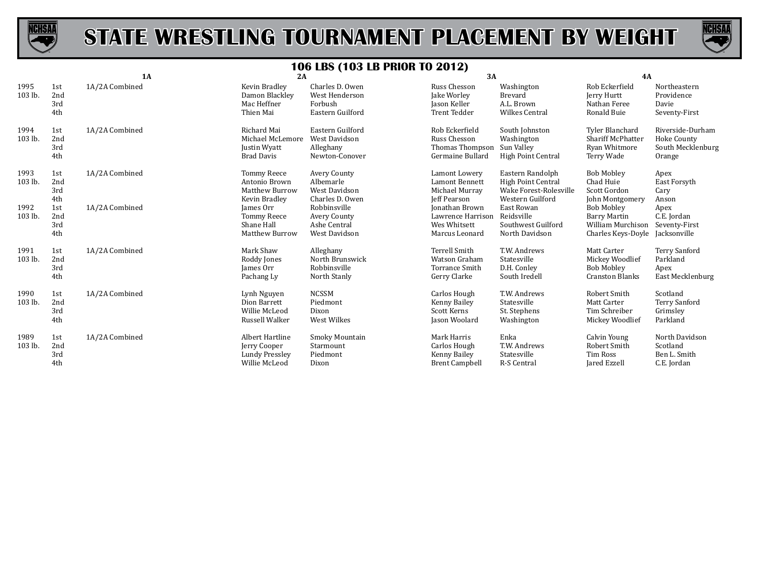



|                 |                          | 1A             | 2A                                                                            |                                                                         | 3A                                                                              |                                                                                      | 4A                                                                            |                                                                |
|-----------------|--------------------------|----------------|-------------------------------------------------------------------------------|-------------------------------------------------------------------------|---------------------------------------------------------------------------------|--------------------------------------------------------------------------------------|-------------------------------------------------------------------------------|----------------------------------------------------------------|
| 1995<br>103 lb. | 1st<br>2nd<br>3rd<br>4th | 1A/2A Combined | Kevin Bradley<br>Damon Blackley<br>Mac Heffner<br>Thien Mai                   | Charles D. Owen<br>West Henderson<br>Forbush<br>Eastern Guilford        | Russ Chesson<br>Jake Worley<br>Jason Keller<br><b>Trent Tedder</b>              | Washington<br>Brevard<br>A.L. Brown<br><b>Wilkes Central</b>                         | Rob Eckerfield<br>Jerry Hurtt<br>Nathan Feree<br>Ronald Buie                  | Northeastern<br>Providence<br>Davie<br>Seventy-First           |
| 1994<br>103 lb. | 1st<br>2nd<br>3rd<br>4th | 1A/2A Combined | Richard Mai<br>Michael McLemore<br>Justin Wyatt<br><b>Brad Davis</b>          | Eastern Guilford<br><b>West Davidson</b><br>Alleghany<br>Newton-Conover | Rob Eckerfield<br>Russ Chesson<br>Thomas Thompson<br>Germaine Bullard           | South Johnston<br>Washington<br>Sun Valley<br>High Point Central                     | Tyler Blanchard<br><b>Shariff McPhatter</b><br>Ryan Whitmore<br>Terry Wade    | Riverside-Durham<br>Hoke County<br>South Mecklenburg<br>Orange |
| 1993<br>103 lb. | 1st<br>2nd<br>3rd<br>4th | 1A/2A Combined | <b>Tommy Reece</b><br>Antonio Brown<br><b>Matthew Burrow</b><br>Kevin Bradley | Avery County<br>Albemarle<br>West Davidson<br>Charles D. Owen           | Lamont Lowery<br><b>Lamont Bennett</b><br>Michael Murray<br><b>Jeff Pearson</b> | Eastern Randolph<br>High Point Central<br>Wake Forest-Rolesville<br>Western Guilford | <b>Bob Mobley</b><br>Chad Huie<br>Scott Gordon<br>John Montgomery             | Apex<br>East Forsyth<br>Cary<br>Anson                          |
| 1992<br>103 lb. | 1st<br>2nd<br>3rd<br>4th | 1A/2A Combined | James Orr<br><b>Tommy Reece</b><br>Shane Hall<br><b>Matthew Burrow</b>        | Robbinsville<br>Avery County<br>Ashe Central<br>West Davidson           | Jonathan Brown<br>Lawrence Harrison<br>Wes Whitsett<br>Marcus Leonard           | East Rowan<br>Reidsville<br>Southwest Guilford<br>North Davidson                     | <b>Bob Mobley</b><br>Barry Martin<br>William Murchison<br>Charles Keys-Doyle  | Apex<br>C.E. Jordan<br>Seventy-First<br>Jacksonville           |
| 1991<br>103 lb. | 1st<br>2nd<br>3rd<br>4th | 1A/2A Combined | Mark Shaw<br>Roddy Jones<br>James Orr<br>Pachang Ly                           | Alleghany<br>North Brunswick<br>Robbinsville<br>North Stanly            | <b>Terrell Smith</b><br>Watson Graham<br>Torrance Smith<br>Gerry Clarke         | T.W. Andrews<br>Statesville<br>D.H. Conley<br>South Iredell                          | Matt Carter<br>Mickey Woodlief<br><b>Bob Mobley</b><br><b>Cranston Blanks</b> | <b>Terry Sanford</b><br>Parkland<br>Apex<br>East Mecklenburg   |
| 1990<br>103 lb. | 1st<br>2nd<br>3rd<br>4th | 1A/2A Combined | Lynh Nguyen<br>Dion Barrett<br>Willie McLeod<br>Russell Walker                | <b>NCSSM</b><br>Piedmont<br>Dixon<br>West Wilkes                        | Carlos Hough<br>Kenny Bailey<br>Scott Kerns<br>Jason Woolard                    | T.W. Andrews<br>Statesville<br>St. Stephens<br>Washington                            | Robert Smith<br>Matt Carter<br>Tim Schreiber<br>Mickey Woodlief               | Scotland<br><b>Terry Sanford</b><br>Grimsley<br>Parkland       |
| 1989<br>103 lb. | 1st<br>2nd<br>3rd<br>4th | 1A/2A Combined | Albert Hartline<br>Jerry Cooper<br><b>Lundy Pressley</b><br>Willie McLeod     | Smoky Mountain<br>Starmount<br>Piedmont<br>Dixon                        | Mark Harris<br>Carlos Hough<br>Kenny Bailey<br><b>Brent Campbell</b>            | Enka<br>T.W. Andrews<br>Statesville<br>R-S Central                                   | Calvin Young<br>Robert Smith<br><b>Tim Ross</b><br>Jared Ezzell               | North Davidson<br>Scotland<br>Ben L. Smith<br>C.E. Jordan      |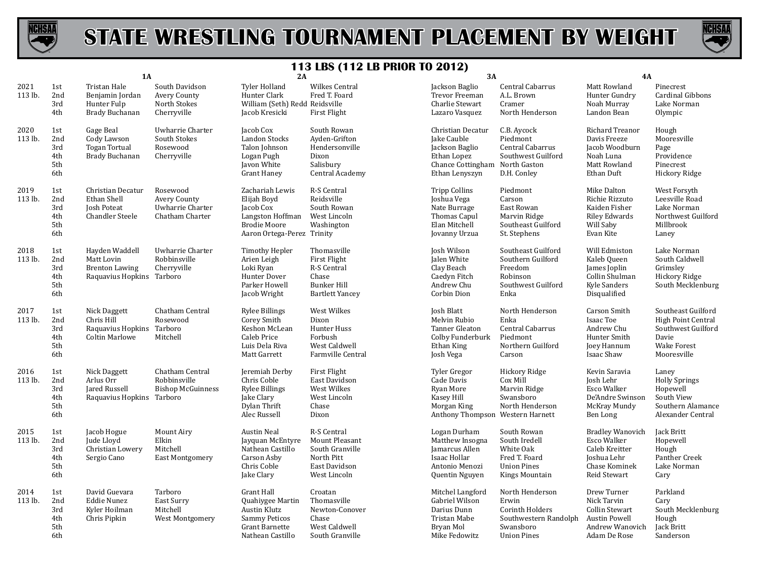



|                 | 1A                                     |                                                                                    | $\sim$<br>2A<br>3A                                              |                                                                                                                      |                                                                                                     | 4A                                                                                                                    |                                                                                                         |                                                                                                          |                                                                                                                     |
|-----------------|----------------------------------------|------------------------------------------------------------------------------------|-----------------------------------------------------------------|----------------------------------------------------------------------------------------------------------------------|-----------------------------------------------------------------------------------------------------|-----------------------------------------------------------------------------------------------------------------------|---------------------------------------------------------------------------------------------------------|----------------------------------------------------------------------------------------------------------|---------------------------------------------------------------------------------------------------------------------|
| 2021<br>113 lb. | 1st<br>2nd<br>3rd<br>4th               | Tristan Hale<br>Benjamin Jordan<br>Hunter Fulp<br>Brady Buchanan                   | South Davidson<br>Avery County<br>North Stokes<br>Cherryville   | <b>Tyler Holland</b><br>Hunter Clark<br>William (Seth) Redd Reidsville<br>Jacob Kresicki                             | Wilkes Central<br>Fred T. Foard<br><b>First Flight</b>                                              | Jackson Baglio<br>Trevor Freeman<br>Charlie Stewart<br>Lazaro Vasquez                                                 | Central Cabarrus<br>A.L. Brown<br>Cramer<br>North Henderson                                             | Matt Rowland<br>Hunter Gundry<br>Noah Murray<br>Landon Bean                                              | Pinecrest<br>Cardinal Gibbons<br>Lake Norman<br>Olympic                                                             |
| 2020<br>113 lb. | 1st<br>2nd<br>3rd<br>4th<br>5th<br>6th | Gage Beal<br>Cody Lawson<br>Togan Tortual<br>Brady Buchanan                        | Uwharrie Charter<br>South Stokes<br>Rosewood<br>Cherryville     | Jacob Cox<br>Landon Stocks<br>Talon Johnson<br>Logan Pugh<br>Javon White<br><b>Grant Haney</b>                       | South Rowan<br>Ayden-Grifton<br>Hendersonville<br>Dixon<br>Salisbury<br>Central Academy             | Christian Decatur<br>Jake Cauble<br>Jackson Baglio<br>Ethan Lopez<br>Chance Cottingham North Gaston<br>Ethan Lenyszyn | C.B. Aycock<br>Piedmont<br>Central Cabarrus<br>Southwest Guilford<br>D.H. Conley                        | Richard Treanor<br>Davis Freeze<br>Jacob Woodburn<br>Noah Luna<br>Matt Rowland<br>Ethan Duft             | Hough<br>Mooresville<br>Page<br>Providence<br>Pinecrest<br>Hickory Ridge                                            |
| 2019<br>113 lb. | 1st<br>2nd<br>3rd<br>4th<br>5th<br>6th | Christian Decatur<br>Ethan Shell<br><b>Josh Poteat</b><br><b>Chandler Steele</b>   | Rosewood<br>Avery County<br>Uwharrie Charter<br>Chatham Charter | Zachariah Lewis<br>Elijah Boyd<br>Jacob Cox<br>Langston Hoffman<br><b>Brodie Moore</b><br>Aaron Ortega-Perez Trinity | <b>R-S Central</b><br>Reidsville<br>South Rowan<br>West Lincoln<br>Washington                       | <b>Tripp Collins</b><br>Joshua Vega<br>Nate Burrage<br>Thomas Capul<br>Elan Mitchell<br>Jovanny Urzua                 | Piedmont<br>Carson<br>East Rowan<br>Marvin Ridge<br>Southeast Guilford<br>St. Stephens                  | Mike Dalton<br>Richie Rizzuto<br>Kaiden Fisher<br>Riley Edwards<br>Will Saby<br>Evan Kite                | West Forsyth<br>Leesville Road<br>Lake Norman<br>Northwest Guilford<br>Millbrook<br>Laney                           |
| 2018<br>113 lb. | 1st<br>2nd<br>3rd<br>4th<br>5th<br>6th | Hayden Waddell<br>Matt Lovin<br><b>Brenton Lawing</b><br>Raquavius Hopkins Tarboro | Uwharrie Charter<br>Robbinsville<br>Cherryville                 | <b>Timothy Hepler</b><br>Arien Leigh<br>Loki Ryan<br>Hunter Dover<br>Parker Howell<br>Jacob Wright                   | Thomasville<br>First Flight<br>R-S Central<br>Chase<br><b>Bunker Hill</b><br><b>Bartlett Yancey</b> | Josh Wilson<br>Jalen White<br>Clay Beach<br>Caedyn Fitch<br>Andrew Chu<br>Corbin Dion                                 | Southeast Guilford<br>Southern Guilford<br>Freedom<br>Robinson<br>Southwest Guilford<br>Enka            | Will Edmiston<br>Kaleb Queen<br>James Joplin<br>Collin Shulman<br>Kyle Sanders<br>Disqualified           | Lake Norman<br>South Caldwell<br>Grimsley<br>Hickory Ridge<br>South Mecklenburg                                     |
| 2017<br>113 lb. | 1st<br>2nd<br>3rd<br>4th<br>5th<br>6th | Nick Daggett<br>Chris Hill<br>Raquavius Hopkins Tarboro<br><b>Coltin Marlowe</b>   | Chatham Central<br>Rosewood<br>Mitchell                         | <b>Rylee Billings</b><br>Corey Smith<br>Keshon McLean<br>Caleb Price<br>Luis Dela Riva<br>Matt Garrett               | West Wilkes<br>Dixon<br>Hunter Huss<br>Forbush<br>West Caldwell<br>Farmville Central                | Josh Blatt<br>Melvin Rubio<br>Tanner Gleaton<br>Colby Funderburk<br>Ethan King<br>Josh Vega                           | North Henderson<br>Enka<br>Central Cabarrus<br>Piedmont<br>Northern Guilford<br>Carson                  | Carson Smith<br>Isaac Toe<br>Andrew Chu<br>Hunter Smith<br>Joey Hannum<br>Isaac Shaw                     | Southeast Guilford<br><b>High Point Central</b><br>Southwest Guilford<br>Davie<br><b>Wake Forest</b><br>Mooresville |
| 2016<br>113 lb. | 1st<br>2nd<br>3rd<br>4th<br>5th<br>6th | Nick Daggett<br>Arlus Orr<br>Jared Russell<br>Raquavius Hopkins Tarboro            | Chatham Central<br>Robbinsville<br><b>Bishop McGuinness</b>     | Jeremiah Derby<br>Chris Coble<br><b>Rylee Billings</b><br>Jake Clary<br>Dylan Thrift<br>Alec Russell                 | First Flight<br>East Davidson<br>West Wilkes<br>West Lincoln<br>Chase<br>Dixon                      | Tyler Gregor<br>Cade Davis<br>Ryan More<br>Kasey Hill<br>Morgan King<br>Anthony Thompson Western Harnett              | Hickory Ridge<br>Cox Mill<br>Marvin Ridge<br>Swansboro<br>North Henderson                               | Kevin Saravia<br>Josh Lehr<br>Esco Walker<br>De'Andre Swinson<br>McKray Mundy<br>Ben Long                | Laney<br><b>Holly Springs</b><br>Hopewell<br>South View<br>Southern Alamance<br>Alexander Central                   |
| 2015<br>113 lb. | 1st<br>2nd<br>3rd<br>4th<br>5th<br>6th | Jacob Hogue<br>Jude Lloyd<br>Christian Lowery<br>Sergio Cano                       | Mount Airy<br>Elkin<br>Mitchell<br><b>East Montgomery</b>       | <b>Austin Neal</b><br>Jayquan McEntyre<br>Nathean Castillo<br>Carson Asby<br>Chris Coble<br>Jake Clary               | R-S Central<br>Mount Pleasant<br>South Granville<br>North Pitt<br>East Davidson<br>West Lincoln     | Logan Durham<br>Matthew Insogna<br>Jamarcus Allen<br>Isaac Hollar<br>Antonio Menozi<br>Quentin Nguyen                 | South Rowan<br>South Iredell<br>White Oak<br>Fred T. Foard<br><b>Union Pines</b><br>Kings Mountain      | <b>Bradley Wanovich</b><br>Esco Walker<br>Caleb Kreitter<br>Joshua Lehr<br>Chase Kominek<br>Reid Stewart | Jack Britt<br>Hopewell<br>Hough<br>Panther Creek<br>Lake Norman<br>Cary                                             |
| 2014<br>113 lb. | 1st<br>2nd<br>3rd<br>4th<br>5th<br>6th | David Guevara<br><b>Eddie Nunez</b><br>Kyler Hoilman<br>Chris Pipkin               | Tarboro<br>East Surry<br>Mitchell<br>West Montgomery            | Grant Hall<br>Quahiygee Martin<br>Austin Klutz<br><b>Sammy Peticos</b><br><b>Grant Barnette</b><br>Nathean Castillo  | Croatan<br>Thomasville<br>Newton-Conover<br>Chase<br>West Caldwell<br>South Granville               | Mitchel Langford<br>Gabriel Wilson<br>Darius Dunn<br>Tristan Mabe<br>Bryan Mol<br>Mike Fedowitz                       | North Henderson<br>Erwin<br>Corinth Holders<br>Southwestern Randolph<br>Swansboro<br><b>Union Pines</b> | Drew Turner<br>Nick Tarvin<br>Collin Stewart<br>Austin Powell<br>Andrew Wanovich<br>Adam De Rose         | Parkland<br>Cary<br>South Mecklenburg<br>Hough<br>Jack Britt<br>Sanderson                                           |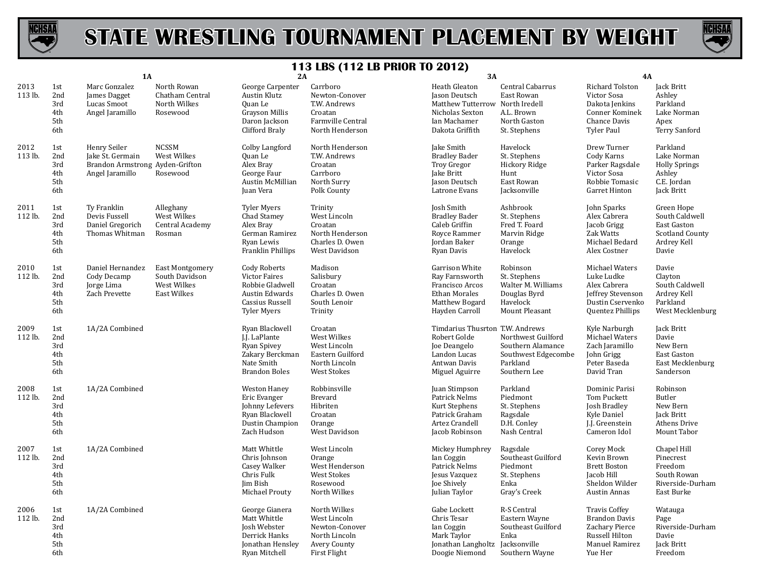



|                 |                                        | <b>1A</b>                                                                              |                                                                        |                                                                                                                    | $113 \text{ LDS}$ (114 LB 1 MOR 10 2012)<br>3A<br>2A                                              |                                                                                                                         |                                                                                              | 4A                                                                                                            |                                                                                               |  |
|-----------------|----------------------------------------|----------------------------------------------------------------------------------------|------------------------------------------------------------------------|--------------------------------------------------------------------------------------------------------------------|---------------------------------------------------------------------------------------------------|-------------------------------------------------------------------------------------------------------------------------|----------------------------------------------------------------------------------------------|---------------------------------------------------------------------------------------------------------------|-----------------------------------------------------------------------------------------------|--|
| 2013<br>113 lb. | 1st<br>2nd<br>3rd<br>4th<br>5th<br>6th | Marc Gonzalez<br>James Dagget<br>Lucas Smoot<br>Angel Jaramillo                        | North Rowan<br>Chatham Central<br>North Wilkes<br>Rosewood             | George Carpenter<br>Austin Klutz<br>Quan Le<br>Grayson Millis<br>Daron Jackson<br>Clifford Braly                   | Carrboro<br>Newton-Conover<br>T.W. Andrews<br>Croatan<br>Farmville Central<br>North Henderson     | Heath Gleaton<br>Jason Deutsch<br>Matthew Tutterrow North Iredell<br>Nicholas Sexton<br>Ian Machamer<br>Dakota Griffith | Central Cabarrus<br>East Rowan<br>A.L. Brown<br>North Gaston<br>St. Stephens                 | Richard Tolston<br>Victor Sosa<br>Dakota Jenkins<br>Conner Kominek<br>Chance Davis<br><b>Tyler Paul</b>       | Jack Britt<br>Ashley<br>Parkland<br>Lake Norman<br>Apex<br>Terry Sanford                      |  |
| 2012<br>113 lb. | 1st<br>2nd<br>3rd<br>4th<br>5th<br>6th | Henry Seiler<br>Jake St. Germain<br>Brandon Armstrong Ayden-Grifton<br>Angel Jaramillo | <b>NCSSM</b><br>West Wilkes<br>Rosewood                                | Colby Langford<br>Quan Le<br>Alex Bray<br>George Faur<br>Austin McMillian<br>Juan Vera                             | North Henderson<br>T.W. Andrews<br>Croatan<br>Carrboro<br>North Surry<br>Polk County              | Jake Smith<br><b>Bradley Bader</b><br>Troy Gregor<br>Jake Britt<br>Jason Deutsch<br>Latrone Evans                       | Havelock<br>St. Stephens<br>Hickory Ridge<br>Hunt<br>East Rowan<br>Jacksonville              | Drew Turner<br>Cody Karns<br>Parker Ragsdale<br>Victor Sosa<br>Robbie Tomasic<br>Garret Hinton                | Parkland<br>Lake Norman<br><b>Holly Springs</b><br>Ashley<br>C.E. Jordan<br>Jack Britt        |  |
| 2011<br>112 lb. | 1st<br>2nd<br>3rd<br>4th<br>5th<br>6th | Ty Franklin<br>Devis Fussell<br>Daniel Gregorich<br>Thomas Whitman                     | Alleghany<br>West Wilkes<br>Central Academy<br>Rosman                  | <b>Tyler Myers</b><br>Chad Stamey<br>Alex Bray<br>German Ramirez<br>Ryan Lewis<br>Franklin Phillips                | Trinity<br>West Lincoln<br>Croatan<br>North Henderson<br>Charles D. Owen<br><b>West Davidson</b>  | Josh Smith<br><b>Bradley Bader</b><br>Caleb Griffin<br>Royce Rammer<br>Jordan Baker<br>Ryan Davis                       | Ashbrook<br>St. Stephens<br>Fred T. Foard<br>Marvin Ridge<br>Orange<br>Havelock              | John Sparks<br>Alex Cabrera<br>Jacob Grigg<br>Zak Watts<br>Michael Bedard<br>Alex Costner                     | Green Hope<br>South Caldwell<br>East Gaston<br><b>Scotland County</b><br>Ardrey Kell<br>Davie |  |
| 2010<br>112 lb. | 1st<br>2nd<br>3rd<br>4th<br>5th<br>6th | Daniel Hernandez<br>Cody Decamp<br>Jorge Lima<br>Zach Prevette                         | <b>East Montgomery</b><br>South Davidson<br>West Wilkes<br>East Wilkes | <b>Cody Roberts</b><br>Victor Faires<br>Robbie Gladwell<br>Austin Edwards<br>Cassius Russell<br><b>Tyler Myers</b> | Madison<br>Salisbury<br>Croatan<br>Charles D. Owen<br>South Lenoir<br>Trinity                     | Garrison White<br>Ray Farnsworth<br>Francisco Arcos<br><b>Ethan Morales</b><br>Matthew Bogard<br>Hayden Carroll         | Robinson<br>St. Stephens<br>Walter M. Williams<br>Douglas Byrd<br>Havelock<br>Mount Pleasant | Michael Waters<br>Luke Ludke<br>Alex Cabrera<br>Jeffrey Stevenson<br>Dustin Cservenko<br>Quentez Phillips     | Davie<br>Clayton<br>South Caldwell<br>Ardrey Kell<br>Parkland<br>West Mecklenburg             |  |
| 2009<br>112 lb. | 1st<br>2nd<br>3rd<br>4th<br>5th<br>6th | 1A/2A Combined                                                                         |                                                                        | Ryan Blackwell<br>J.J. LaPlante<br>Ryan Spivey<br>Zakary Berckman<br>Nate Smith<br><b>Brandon Boles</b>            | Croatan<br>West Wilkes<br>West Lincoln<br>Eastern Guilford<br>North Lincoln<br><b>West Stokes</b> | Timdarius Thusrton T.W. Andrews<br>Robert Golde<br>Joe Deangelo<br>Landon Lucas<br>Antwan Davis<br>Miguel Aguirre       | Northwest Guilford<br>Southern Alamance<br>Southwest Edgecombe<br>Parkland<br>Southern Lee   | Kyle Narburgh<br>Michael Waters<br>Zach Jaramillo<br>John Grigg<br>Peter Baseda<br>David Tran                 | Jack Britt<br>Davie<br>New Bern<br>East Gaston<br>East Mecklenburg<br>Sanderson               |  |
| 2008<br>112 lb. | 1st<br>2nd<br>3rd<br>4th<br>5th<br>6th | 1A/2A Combined                                                                         |                                                                        | <b>Weston Haney</b><br>Eric Evanger<br>Johnny Lefevers<br>Ryan Blackwell<br>Dustin Champion<br>Zach Hudson         | Robbinsville<br><b>Brevard</b><br>Hibriten<br>Croatan<br>Orange<br>West Davidson                  | Juan Stimpson<br>Patrick Nelms<br>Kurt Stephens<br>Patrick Graham<br>Artez Crandell<br>Jacob Robinson                   | Parkland<br>Piedmont<br>St. Stephens<br>Ragsdale<br>D.H. Conley<br>Nash Central              | Dominic Parisi<br>Tom Puckett<br>Josh Bradley<br>Kyle Daniel<br>J.J. Greenstein<br>Cameron Idol               | Robinson<br>Butler<br>New Bern<br>Jack Britt<br>Athens Drive<br>Mount Tabor                   |  |
| 2007<br>112 lb. | 1st<br>2nd<br>3rd<br>4th<br>5th<br>6th | 1A/2A Combined                                                                         |                                                                        | Matt Whittle<br>Chris Johnson<br>Casey Walker<br>Chris Fulk<br>Jim Bish<br>Michael Prouty                          | West Lincoln<br>Orange<br>West Henderson<br><b>West Stokes</b><br>Rosewood<br>North Wilkes        | Mickey Humphrey<br>Ian Coggin<br>Patrick Nelms<br>Jesus Vazquez<br>Joe Shively<br>Julian Taylor                         | Ragsdale<br>Southeast Guilford<br>Piedmont<br>St. Stephens<br>Enka<br>Gray's Creek           | Corey Mock<br>Kevin Brown<br><b>Brett Boston</b><br>Jacob Hill<br>Sheldon Wilder<br>Austin Annas              | Chapel Hill<br>Pinecrest<br>Freedom<br>South Rowan<br>Riverside-Durham<br>East Burke          |  |
| 2006<br>112 lb. | 1st<br>2nd<br>3rd<br>4th<br>5th<br>6th | 1A/2A Combined                                                                         |                                                                        | George Gianera<br>Matt Whittle<br>Josh Webster<br>Derrick Hanks<br>Jonathan Hensley<br>Ryan Mitchell               | North Wilkes<br>West Lincoln<br>Newton-Conover<br>North Lincoln<br>Avery County<br>First Flight   | Gabe Lockett<br>Chris Tesar<br>Ian Coggin<br>Mark Taylor<br>Jonathan Langholtz Jacksonville<br>Doogie Niemond           | R-S Central<br>Eastern Wayne<br>Southeast Guilford<br>Enka<br>Southern Wayne                 | <b>Travis Coffey</b><br><b>Brandon Davis</b><br>Zachary Pierce<br>Russell Hilton<br>Manuel Ramirez<br>Yue Her | Watauga<br>Page<br>Riverside-Durham<br>Davie<br>Jack Britt<br>Freedom                         |  |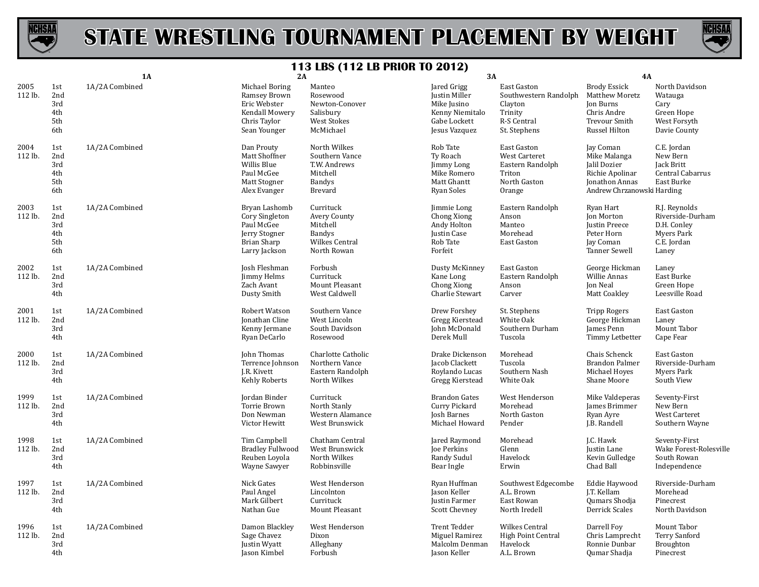



|                 |                                        | <b>1A</b>      | 2A                                                                                               |                                                                                        | 3A                                                                                                     |                                                                                             | 4A                                                                                                           |                                                                                        |
|-----------------|----------------------------------------|----------------|--------------------------------------------------------------------------------------------------|----------------------------------------------------------------------------------------|--------------------------------------------------------------------------------------------------------|---------------------------------------------------------------------------------------------|--------------------------------------------------------------------------------------------------------------|----------------------------------------------------------------------------------------|
| 2005<br>112 lb. | 1st<br>2nd<br>3rd<br>4th<br>5th<br>6th | 1A/2A Combined | Michael Boring<br>Ramsey Brown<br>Eric Webster<br>Kendall Mowery<br>Chris Taylor<br>Sean Younger | Manteo<br>Rosewood<br>Newton-Conover<br>Salisbury<br><b>West Stokes</b><br>McMichael   | Jared Grigg<br><b>Justin Miller</b><br>Mike Jusino<br>Kenny Niemitalo<br>Gabe Lockett<br>Jesus Vazquez | East Gaston<br>Southwestern Randolph<br>Clayton<br>Trinity<br>R-S Central<br>St. Stephens   | <b>Brody Essick</b><br>Matthew Moretz<br>Jon Burns<br>Chris Andre<br>Trevour Smith<br>Russel Hilton          | North Davidson<br>Watauga<br>Cary<br>Green Hope<br>West Forsyth<br>Davie County        |
| 2004<br>112 lb. | 1st<br>2nd<br>3rd<br>4th<br>5th<br>6th | 1A/2A Combined | Dan Prouty<br>Matt Shoffner<br>Willis Blue<br>Paul McGee<br>Matt Stogner<br>Alex Evanger         | North Wilkes<br>Southern Vance<br>T.W. Andrews<br>Mitchell<br>Bandys<br><b>Brevard</b> | Rob Tate<br>Ty Roach<br>Jimmy Long<br>Mike Romero<br>Matt Ghantt<br>Ryan Soles                         | East Gaston<br><b>West Carteret</b><br>Eastern Randolph<br>Triton<br>North Gaston<br>Orange | Jay Coman<br>Mike Malanga<br>Jalil Dozier<br>Richie Apolinar<br>Jonathon Annas<br>Andrew Chrzanowski Harding | C.E. Jordan<br>New Bern<br>Jack Britt<br>Central Cabarrus<br>East Burke                |
| 2003<br>112 lb. | 1st<br>2nd<br>3rd<br>4th<br>5th<br>6th | 1A/2A Combined | Bryan Lashomb<br>Cory Singleton<br>Paul McGee<br>Jerry Stogner<br>Brian Sharp<br>Larry Jackson   | Currituck<br>Avery County<br>Mitchell<br>Bandys<br>Wilkes Central<br>North Rowan       | Jimmie Long<br>Chong Xiong<br>Andy Holton<br>Justin Case<br>Rob Tate<br>Forfeit                        | Eastern Randolph<br>Anson<br>Manteo<br>Morehead<br>East Gaston                              | Ryan Hart<br>Jon Morton<br><b>Justin Preece</b><br>Peter Horn<br>Jay Coman<br><b>Tanner Sewell</b>           | R.J. Reynolds<br>Riverside-Durham<br>D.H. Conley<br>Myers Park<br>C.E. Jordan<br>Laney |
| 2002<br>112 lb. | 1st<br>2nd<br>3rd<br>4th               | 1A/2A Combined | Josh Fleshman<br>Jimmy Helms<br>Zach Avant<br>Dusty Smith                                        | Forbush<br>Currituck<br>Mount Pleasant<br>West Caldwell                                | Dusty McKinney<br>Kane Long<br>Chong Xiong<br>Charlie Stewart                                          | East Gaston<br>Eastern Randolph<br>Anson<br>Carver                                          | George Hickman<br>Willie Annas<br><b>Jon Neal</b><br>Matt Coakley                                            | Laney<br>East Burke<br>Green Hope<br>Leesville Road                                    |
| 2001<br>112 lb. | 1st<br>2nd<br>3rd<br>4th               | 1A/2A Combined | Robert Watson<br><b>Jonathan Cline</b><br>Kenny Jermane<br>Ryan DeCarlo                          | Southern Vance<br>West Lincoln<br>South Davidson<br>Rosewood                           | Drew Forshey<br>Gregg Kierstead<br>John McDonald<br>Derek Mull                                         | St. Stephens<br>White Oak<br>Southern Durham<br>Tuscola                                     | <b>Tripp Rogers</b><br>George Hickman<br>James Penn<br>Timmy Letbetter                                       | East Gaston<br>Laney<br>Mount Tabor<br>Cape Fear                                       |
| 2000<br>112 lb. | 1st<br>2nd<br>3rd<br>4th               | 1A/2A Combined | John Thomas<br>Terrence Johnson<br>J.R. Kivett<br>Kehly Roberts                                  | Charlotte Catholic<br>Northern Vance<br>Eastern Randolph<br>North Wilkes               | Drake Dickenson<br>Jacob Clackett<br>Roylando Lucas<br>Gregg Kierstead                                 | Morehead<br>Tuscola<br>Southern Nash<br>White Oak                                           | Chais Schenck<br>Brandon Palmer<br>Michael Hoyes<br>Shane Moore                                              | East Gaston<br>Riverside-Durham<br>Myers Park<br>South View                            |
| 1999<br>112 lb. | 1st<br>2nd<br>3rd<br>4th               | 1A/2A Combined | Jordan Binder<br>Torrie Brown<br>Don Newman<br>Victor Hewitt                                     | Currituck<br>North Stanly<br>Western Alamance<br>West Brunswick                        | <b>Brandon Gates</b><br>Curry Pickard<br>Josh Barnes<br>Michael Howard                                 | West Henderson<br>Morehead<br>North Gaston<br>Pender                                        | Mike Valdeperas<br>James Brimmer<br>Ryan Ayre<br>J.B. Randell                                                | Seventy-First<br>New Bern<br>West Carteret<br>Southern Wayne                           |
| 1998<br>112 lb. | 1st<br>2nd<br>3rd<br>4th               | 1A/2A Combined | Tim Campbell<br><b>Bradley Fullwood</b><br>Reuben Loyola<br>Wayne Sawyer                         | Chatham Central<br>West Brunswick<br>North Wilkes<br>Robbinsville                      | Jared Raymond<br>Joe Perkins<br>Randy Sudul<br>Bear Ingle                                              | Morehead<br>Glenn<br>Havelock<br>Erwin                                                      | J.C. Hawk<br>Justin Lane<br>Kevin Gulledge<br>Chad Ball                                                      | Seventy-First<br>Wake Forest-Rolesville<br>South Rowan<br>Independence                 |
| 1997<br>112 lb. | 1st<br>2nd<br>3rd<br>4th               | 1A/2A Combined | Nick Gates<br>Paul Angel<br>Mark Gilbert<br>Nathan Gue                                           | West Henderson<br>Lincolnton<br>Currituck<br>Mount Pleasant                            | Ryan Huffman<br>Jason Keller<br>Justin Farmer<br><b>Scott Chevney</b>                                  | Southwest Edgecombe<br>A.L. Brown<br>East Rowan<br>North Iredell                            | Eddie Haywood<br>I.T. Kellam<br>Qumars Shodja<br>Derrick Scales                                              | Riverside-Durham<br>Morehead<br>Pinecrest<br>North Davidson                            |
| 1996<br>112 lb. | 1st<br>2nd<br>3rd<br>4th               | 1A/2A Combined | Damon Blackley<br>Sage Chavez<br><b>Justin Wyatt</b><br>Jason Kimbel                             | West Henderson<br>Dixon<br>Alleghany<br>Forbush                                        | Trent Tedder<br>Miguel Ramirez<br>Malcolm Denman<br>Jason Keller                                       | <b>Wilkes Central</b><br>High Point Central<br>Havelock<br>A.L. Brown                       | Darrell Foy<br>Chris Lamprecht<br>Ronnie Dunbar<br>Qumar Shadja                                              | Mount Tabor<br>Terry Sanford<br>Broughton<br>Pinecrest                                 |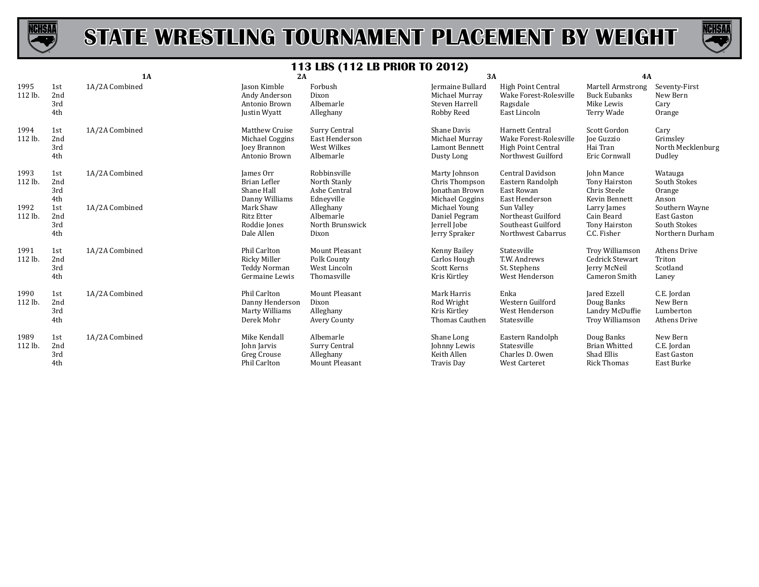



|                 |                          | 1A             | 2A                                                                     |                                                                  | 3A                                                                   |                                                                                       | 4A                                                                      |                                                                         |
|-----------------|--------------------------|----------------|------------------------------------------------------------------------|------------------------------------------------------------------|----------------------------------------------------------------------|---------------------------------------------------------------------------------------|-------------------------------------------------------------------------|-------------------------------------------------------------------------|
| 1995<br>112 lb. | 1st<br>2nd<br>3rd<br>4th | 1A/2A Combined | Jason Kimble<br>Andy Anderson<br>Antonio Brown<br>Justin Wyatt         | Forbush<br>Dixon<br>Albemarle<br>Alleghany                       | Jermaine Bullard<br>Michael Murray<br>Steven Harrell<br>Robby Reed   | High Point Central<br>Wake Forest-Rolesville<br>Ragsdale<br>East Lincoln              | Martell Armstrong<br><b>Buck Eubanks</b><br>Mike Lewis<br>Terry Wade    | Seventy-First<br>New Bern<br>Cary<br>Orange                             |
| 1994<br>112 lb. | 1st<br>2nd<br>3rd<br>4th | 1A/2A Combined | Matthew Cruise<br>Michael Coggins<br>Joey Brannon<br>Antonio Brown     | Surry Central<br>East Henderson<br>West Wilkes<br>Albemarle      | Shane Davis<br>Michael Murray<br>Lamont Bennett<br>Dusty Long        | Harnett Central<br>Wake Forest-Rolesville<br>High Point Central<br>Northwest Guilford | Scott Gordon<br>Joe Guzzio<br>Hai Tran<br>Eric Cornwall                 | Cary<br>Grimslev<br>North Mecklenburg<br>Dudley                         |
| 1993<br>112 lb. | 1st<br>2nd<br>3rd<br>4th | 1A/2A Combined | James Orr<br>Brian Lefler<br>Shane Hall<br>Danny Williams              | Robbinsville<br>North Stanly<br>Ashe Central<br>Edneyville       | Marty Johnson<br>Chris Thompson<br>Jonathan Brown<br>Michael Coggins | Central Davidson<br>Eastern Randolph<br>East Rowan<br>East Henderson                  | John Mance<br>Tony Hairston<br>Chris Steele<br>Kevin Bennett            | Watauga<br>South Stokes<br>Orange<br>Anson                              |
| 1992<br>112 lb. | 1st<br>2nd<br>3rd<br>4th | 1A/2A Combined | Mark Shaw<br><b>Ritz Etter</b><br>Roddie Jones<br>Dale Allen           | Alleghany<br>Albemarle<br>North Brunswick<br>Dixon               | Michael Young<br>Daniel Pegram<br>Jerrell Jobe<br>Jerry Spraker      | Sun Valley<br>Northeast Guilford<br>Southeast Guilford<br>Northwest Cabarrus          | Larry James<br>Cain Beard<br>Tony Hairston<br>C.C. Fisher               | Southern Wayne<br><b>East Gaston</b><br>South Stokes<br>Northern Durham |
| 1991<br>112 lb. | 1st<br>2nd<br>3rd<br>4th | 1A/2A Combined | <b>Phil Carlton</b><br>Ricky Miller<br>Teddy Norman<br>Germaine Lewis  | Mount Pleasant<br>Polk County<br>West Lincoln<br>Thomasville     | Kenny Bailey<br>Carlos Hough<br>Scott Kerns<br>Kris Kirtley          | Statesville<br>T.W. Andrews<br>St. Stephens<br>West Henderson                         | Troy Williamson<br>Cedrick Stewart<br>Jerry McNeil<br>Cameron Smith     | <b>Athens Drive</b><br>Triton<br>Scotland<br>Laney                      |
| 1990<br>112 lb. | 1st<br>2nd<br>3rd<br>4th | 1A/2A Combined | <b>Phil Carlton</b><br>Danny Henderson<br>Marty Williams<br>Derek Mohr | Mount Pleasant<br>Dixon<br>Alleghany<br>Avery County             | Mark Harris<br>Rod Wright<br>Kris Kirtley<br>Thomas Cauthen          | Enka<br>Western Guilford<br>West Henderson<br>Statesville                             | Jared Ezzell<br>Doug Banks<br>Landry McDuffie<br><b>Troy Williamson</b> | C.E. Jordan<br>New Bern<br>Lumberton<br>Athens Drive                    |
| 1989<br>112 lb. | 1st<br>2nd<br>3rd<br>4th | 1A/2A Combined | Mike Kendall<br>John Jarvis<br>Greg Crouse<br><b>Phil Carlton</b>      | Albemarle<br>Surry Central<br>Alleghany<br><b>Mount Pleasant</b> | Shane Long<br>Johnny Lewis<br>Keith Allen<br><b>Travis Day</b>       | Eastern Randolph<br>Statesville<br>Charles D. Owen<br><b>West Carteret</b>            | Doug Banks<br><b>Brian Whitted</b><br>Shad Ellis<br><b>Rick Thomas</b>  | New Bern<br>C.E. Jordan<br><b>East Gaston</b><br>East Burke             |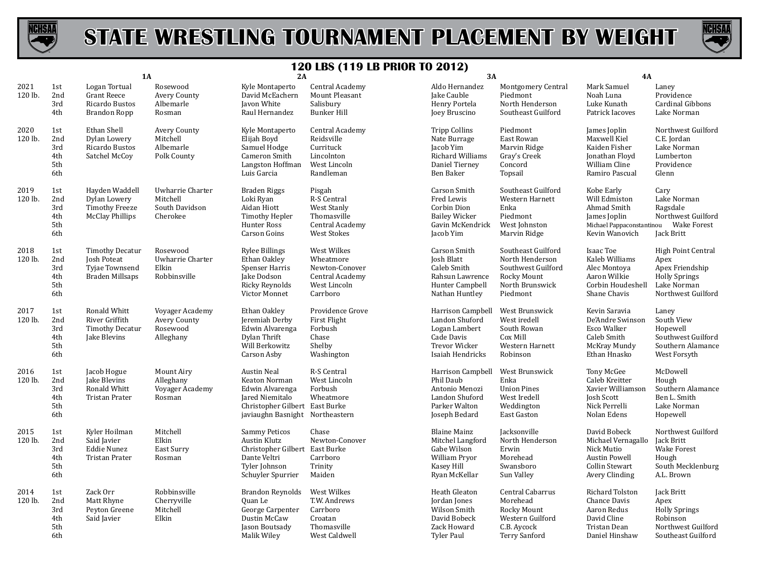



|                 |                                        | <b>1A</b>                                                                         |                                                            | 2A                                                                                                                                             |                                                                                              | 3A                                                                                                             |                                                                                                           | <b>4A</b>                                                                                                    |                                                                                                            |
|-----------------|----------------------------------------|-----------------------------------------------------------------------------------|------------------------------------------------------------|------------------------------------------------------------------------------------------------------------------------------------------------|----------------------------------------------------------------------------------------------|----------------------------------------------------------------------------------------------------------------|-----------------------------------------------------------------------------------------------------------|--------------------------------------------------------------------------------------------------------------|------------------------------------------------------------------------------------------------------------|
| 2021<br>120 lb. | 1st<br>2nd<br>3rd<br>4th               | Logan Tortual<br><b>Grant Reece</b><br>Ricardo Bustos<br>Brandon Ropp             | Rosewood<br>Avery County<br>Albemarle<br>Rosman            | Kyle Montaperto<br>David McEachern<br><b>Javon White</b><br>Raul Hernandez                                                                     | Central Academy<br>Mount Pleasant<br>Salisbury<br><b>Bunker Hill</b>                         | Aldo Hernandez<br>Jake Cauble<br>Henry Portela<br>Joey Bruscino                                                | <b>Montgomery Central</b><br>Piedmont<br>North Henderson<br>Southeast Guilford                            | Mark Samuel<br>Noah Luna<br>Luke Kunath<br>Patrick Iacoves                                                   | Laney<br>Providence<br>Cardinal Gibbons<br>Lake Norman                                                     |
| 2020<br>120 lb. | 1st<br>2nd<br>3rd<br>4th<br>5th<br>6th | Ethan Shell<br>Dylan Lowery<br>Ricardo Bustos<br>Satchel McCoy                    | Avery County<br>Mitchell<br>Albemarle<br>Polk County       | Kyle Montaperto<br>Elijah Boyd<br>Samuel Hodge<br>Cameron Smith<br>Langston Hoffman<br>Luis Garcia                                             | Central Academy<br>Reidsville<br>Currituck<br>Lincolnton<br>West Lincoln<br>Randleman        | <b>Tripp Collins</b><br>Nate Burrage<br>Jacob Yim<br>Richard Williams<br>Daniel Tierney<br>Ben Baker           | Piedmont<br>East Rowan<br>Marvin Ridge<br>Gray's Creek<br>Concord<br>Topsail                              | James Joplin<br>Maxwell Kiel<br>Kaiden Fisher<br>Jonathan Floyd<br>William Cline<br>Ramiro Pascual           | Northwest Guilford<br>C.E. Jordan<br>Lake Norman<br>Lumberton<br>Providence<br>Glenn                       |
| 2019<br>120 lb. | 1st<br>2nd<br>3rd<br>4th<br>5th<br>6th | Hayden Waddell<br>Dylan Lowery<br><b>Timothy Freeze</b><br><b>McClay Phillips</b> | Uwharrie Charter<br>Mitchell<br>South Davidson<br>Cherokee | Braden Riggs<br>Loki Ryan<br>Aidan Hiott<br>Timothy Hepler<br>Hunter Ross<br><b>Carson Goins</b>                                               | Pisgah<br>R-S Central<br>West Stanly<br>Thomasville<br>Central Academy<br><b>West Stokes</b> | Carson Smith<br>Fred Lewis<br>Corbin Dion<br><b>Bailey Wicker</b><br>Gavin McKendrick<br>Jacob Yim             | Southeast Guilford<br>Western Harnett<br>Enka<br>Piedmont<br>West Johnston<br>Marvin Ridge                | Kobe Early<br>Will Edmiston<br>Ahmad Smith<br>James Joplin<br>Michael Pappaconstantinou<br>Kevin Wanovich    | Cary<br>Lake Norman<br>Ragsdale<br>Northwest Guilford<br><b>Wake Forest</b><br>Jack Britt                  |
| 2018<br>120 lb. | 1st<br>2nd<br>3rd<br>4th<br>5th<br>6th | <b>Timothy Decatur</b><br>Josh Poteat<br>Tyjae Townsend<br><b>Braden Millsaps</b> | Rosewood<br>Uwharrie Charter<br>Elkin<br>Robbinsville      | <b>Rylee Billings</b><br>Ethan Oakley<br>Spenser Harris<br>Jake Dodson<br><b>Ricky Reynolds</b><br>Victor Monnet                               | West Wilkes<br>Wheatmore<br>Newton-Conover<br>Central Academy<br>West Lincoln<br>Carrboro    | Carson Smith<br>Josh Blatt<br>Caleb Smith<br>Rahsun Lawrence<br>Hunter Campbell<br>Nathan Huntley              | Southeast Guilford<br>North Henderson<br>Southwest Guilford<br>Rocky Mount<br>North Brunswick<br>Piedmont | Isaac Toe<br>Kaleb Williams<br>Alec Montova<br>Aaron Wilkie<br>Corbin Houdeshell<br>Shane Chavis             | High Point Central<br>Apex<br>Apex Friendship<br><b>Holly Springs</b><br>Lake Norman<br>Northwest Guilford |
| 2017<br>120 lb. | 1st<br>2nd<br>3rd<br>4th<br>5th<br>6th | Ronald Whitt<br>River Griffith<br><b>Timothy Decatur</b><br>Jake Blevins          | Voyager Academy<br>Avery County<br>Rosewood<br>Alleghany   | Ethan Oakley<br>Jeremiah Derby<br>Edwin Alvarenga<br>Dylan Thrift<br>Will Berkowitz<br>Carson Asby                                             | Providence Grove<br>First Flight<br>Forbush<br>Chase<br>Shelby<br>Washington                 | Harrison Campbell<br>Landon Shuford<br>Logan Lambert<br>Cade Davis<br><b>Trevor Wicker</b><br>Isaiah Hendricks | West Brunswick<br>West iredell<br>South Rowan<br>Cox Mill<br>Western Harnett<br>Robinson                  | Kevin Saravia<br>De'Andre Swinson<br>Esco Walker<br>Caleb Smith<br>McKray Mundy<br>Ethan Hnasko              | Laney<br>South View<br>Hopewell<br>Southwest Guilford<br>Southern Alamance<br>West Forsyth                 |
| 2016<br>120 lb. | 1st<br>2nd<br>3rd<br>4th<br>5th<br>6th | Jacob Hogue<br>Jake Blevins<br>Ronald Whitt<br><b>Tristan Prater</b>              | Mount Airy<br>Alleghany<br>Voyager Academy<br>Rosman       | <b>Austin Neal</b><br>Keaton Norman<br>Edwin Alvarenga<br>Jared Niemitalo<br>Christopher Gilbert East Burke<br>javiaughn Basnight Northeastern | R-S Central<br>West Lincoln<br>Forbush<br>Wheatmore                                          | Harrison Campbell<br>Phil Daub<br>Antonio Menozi<br>Landon Shuford<br>Parker Walton<br>Joseph Bedard           | West Brunswick<br>Enka<br><b>Union Pines</b><br>West Iredell<br>Weddington<br><b>East Gaston</b>          | Tony McGee<br>Caleb Kreitter<br>Xavier Williamson<br>Josh Scott<br>Nick Perrelli<br>Nolan Edens              | McDowell<br>Hough<br>Southern Alamance<br>Ben L. Smith<br>Lake Norman<br>Hopewell                          |
| 2015<br>120 lb. | 1st<br>2nd<br>3rd<br>4th<br>5th<br>6th | Kyler Hoilman<br>Said Javier<br>Eddie Nunez<br><b>Tristan Prater</b>              | Mitchell<br>Elkin<br>East Surry<br>Rosman                  | <b>Sammy Peticos</b><br>Austin Klutz<br>Christopher Gilbert East Burke<br>Dante Veltri<br>Tyler Johnson<br>Schuyler Spurrier                   | Chase<br>Newton-Conover<br>Carrboro<br>Trinity<br>Maiden                                     | <b>Blaine Mainz</b><br>Mitchel Langford<br>Gabe Wilson<br>William Pryor<br>Kasey Hill<br>Ryan McKellar         | Jacksonville<br>North Henderson<br>Erwin<br>Morehead<br>Swansboro<br>Sun Valley                           | David Bobeck<br>Michael Vernagallo<br>Nick Mutio<br><b>Austin Powell</b><br>Collin Stewart<br>Avery Clinding | Northwest Guilford<br>Jack Britt<br><b>Wake Forest</b><br>Hough<br>South Mecklenburg<br>A.L. Brown         |
| 2014<br>120 lb. | 1st<br>2nd<br>3rd<br>4th<br>5th<br>6th | Zack Orr<br>Matt Rhyne<br>Peyton Greene<br>Said Javier                            | Robbinsville<br>Cherryville<br>Mitchell<br>Elkin           | <b>Brandon Reynolds</b><br><b>Ouan</b> Le<br>George Carpenter<br>Dustin McCaw<br>Jason Boutsady<br>Malik Wiley                                 | West Wilkes<br>T.W. Andrews<br>Carrboro<br>Croatan<br>Thomasville<br>West Caldwell           | Heath Gleaton<br>Jordan Jones<br>Wilson Smith<br>David Bobeck<br>Zack Howard<br>Tyler Paul                     | Central Cabarrus<br>Morehead<br>Rocky Mount<br>Western Guilford<br>C.B. Aycock<br><b>Terry Sanford</b>    | Richard Tolston<br>Chance Davis<br>Aaron Redus<br>David Cline<br>Tristan Dean<br>Daniel Hinshaw              | Jack Britt<br>Apex<br><b>Holly Springs</b><br>Robinson<br>Northwest Guilford<br>Southeast Guilford         |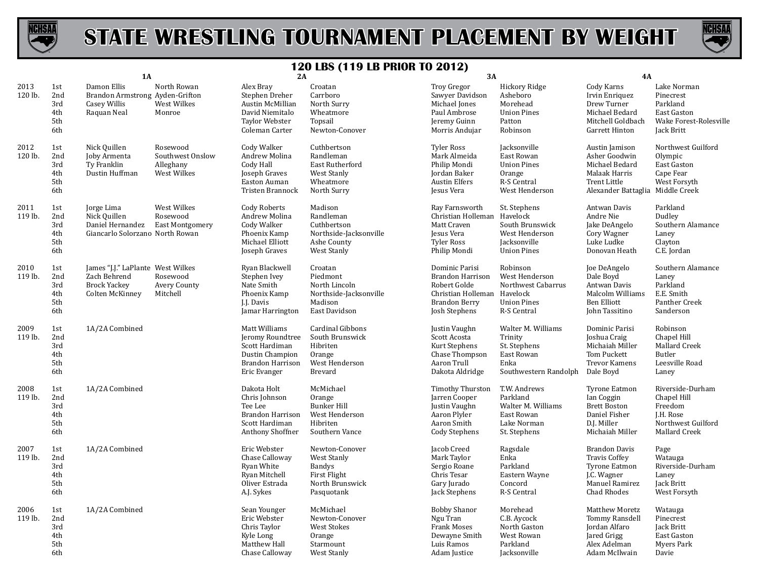



|                 |                                        |                                                                                             |                                                          | 120 LBS (119 LB PRIUR 10 2012)                                                                             |                                                                                                 |                                                                                                                                   |                                                                                              |                                                                                                                               |                                                                                                |
|-----------------|----------------------------------------|---------------------------------------------------------------------------------------------|----------------------------------------------------------|------------------------------------------------------------------------------------------------------------|-------------------------------------------------------------------------------------------------|-----------------------------------------------------------------------------------------------------------------------------------|----------------------------------------------------------------------------------------------|-------------------------------------------------------------------------------------------------------------------------------|------------------------------------------------------------------------------------------------|
|                 |                                        | <b>1A</b>                                                                                   |                                                          | 2A                                                                                                         |                                                                                                 | 3A                                                                                                                                |                                                                                              | 4A                                                                                                                            |                                                                                                |
| 2013<br>120 lb. | 1st<br>2nd<br>3rd<br>4th<br>5th<br>6th | Damon Ellis<br>Brandon Armstrong Ayden-Grifton<br><b>Casey Willis</b><br>Raquan Neal        | North Rowan<br>West Wilkes<br>Monroe                     | Alex Bray<br>Stephen Dreher<br>Austin McMillian<br>David Niemitalo<br>Taylor Webster<br>Coleman Carter     | Croatan<br>Carrboro<br>North Surry<br>Wheatmore<br>Topsail<br>Newton-Conover                    | Troy Gregor<br>Sawyer Davidson<br>Michael Jones<br>Paul Ambrose<br>Jeremy Guinn<br>Morris Andujar                                 | Hickory Ridge<br>Asheboro<br>Morehead<br><b>Union Pines</b><br>Patton<br>Robinson            | Cody Karns<br>Irvin Enriquez<br>Drew Turner<br>Michael Bedard<br>Mitchell Goldbach<br>Garrett Hinton                          | Lake Norman<br>Pinecrest<br>Parkland<br>East Gaston<br>Wake Forest-Rolesville<br>Jack Britt    |
| 2012<br>120 lb. | 1st<br>2nd<br>3rd<br>4th<br>5th<br>6th | Nick Quillen<br>Joby Armenta<br>Ty Franklin<br>Dustin Huffman                               | Rosewood<br>Southwest Onslow<br>Alleghany<br>West Wilkes | Cody Walker<br>Andrew Molina<br>Cody Hall<br>Joseph Graves<br>Easton Auman<br><b>Tristen Brannock</b>      | Cuthbertson<br>Randleman<br>East Rutherford<br>West Stanly<br>Wheatmore<br>North Surry          | <b>Tyler Ross</b><br>Mark Almeida<br>Philip Mondi<br>Jordan Baker<br><b>Austin Elfers</b><br><b>Jesus Vera</b>                    | Jacksonville<br>East Rowan<br><b>Union Pines</b><br>Orange<br>R-S Central<br>West Henderson  | Austin Jamison<br>Asher Goodwin<br>Michael Bedard<br>Malaak Harris<br><b>Trent Little</b><br>Alexander Battaglia Middle Creek | Northwest Guilford<br>Olympic<br>East Gaston<br>Cape Fear<br>West Forsyth                      |
| 2011<br>119 lb. | 1st<br>2nd<br>3rd<br>4th<br>5th<br>6th | Jorge Lima<br>Nick Quillen<br>Daniel Hernandez<br>Giancarlo Solorzano North Rowan           | West Wilkes<br>Rosewood<br>East Montgomery               | Cody Roberts<br>Andrew Molina<br>Cody Walker<br>Phoenix Kamp<br>Michael Elliott<br>Joseph Graves           | Madison<br>Randleman<br>Cuthbertson<br>Northside-Jacksonville<br>Ashe County<br>West Stanly     | Ray Farnsworth<br>Christian Holleman Havelock<br>Matt Craven<br><b>Jesus Vera</b><br><b>Tyler Ross</b><br>Philip Mondi            | St. Stephens<br>South Brunswick<br>West Henderson<br>Jacksonville<br><b>Union Pines</b>      | Antwan Davis<br>Andre Nie<br>Jake DeAngelo<br>Cory Wagner<br>Luke Ludke<br>Donovan Heath                                      | Parkland<br>Dudley<br>Southern Alamance<br>Laney<br>Clayton<br>C.E. Jordan                     |
| 2010<br>119 lb. | 1st<br>2nd<br>3rd<br>4th<br>5th<br>6th | James "J.J." LaPlante West Wilkes<br>Zach Behrend<br><b>Brock Yackey</b><br>Colten McKinney | Rosewood<br><b>Avery County</b><br>Mitchell              | Ryan Blackwell<br>Stephen Ivey<br>Nate Smith<br>Phoenix Kamp<br>I.I. Davis<br>Jamar Harrington             | Croatan<br>Piedmont<br>North Lincoln<br>Northside-Jacksonville<br>Madison<br>East Davidson      | Dominic Parisi<br><b>Brandon Harrison</b><br>Robert Golde<br>Christian Holleman Havelock<br><b>Brandon Berry</b><br>Josh Stephens | Robinson<br>West Henderson<br>Northwest Cabarrus<br><b>Union Pines</b><br>R-S Central        | Joe DeAngelo<br>Dale Boyd<br>Antwan Davis<br>Malcolm Williams<br>Ben Elliott<br>John Tassitino                                | Southern Alamance<br>Laney<br>Parkland<br>E.E. Smith<br>Panther Creek<br>Sanderson             |
| 2009<br>119 lb. | 1st<br>2nd<br>3rd<br>4th<br>5th<br>6th | 1A/2A Combined                                                                              |                                                          | Matt Williams<br>Jeromy Roundtree<br>Scott Hardiman<br>Dustin Champion<br>Brandon Harrison<br>Eric Evanger | Cardinal Gibbons<br>South Brunswick<br>Hibriten<br>Orange<br>West Henderson<br>Brevard          | Justin Vaughn<br>Scott Acosta<br>Kurt Stephens<br>Chase Thompson<br>Aaron Trull<br>Dakota Aldridge                                | Walter M. Williams<br>Trinity<br>St. Stephens<br>East Rowan<br>Enka<br>Southwestern Randolph | Dominic Parisi<br>Joshua Craig<br>Michaiah Miller<br>Tom Puckett<br><b>Trevor Kamens</b><br>Dale Boyd                         | Robinson<br>Chapel Hill<br>Mallard Creek<br>Butler<br>Leesville Road<br>Laney                  |
| 2008<br>119 lb. | 1st<br>2nd<br>3rd<br>4th<br>5th<br>6th | 1A/2A Combined                                                                              |                                                          | Dakota Holt<br>Chris Johnson<br>Tee Lee<br>Brandon Harrison<br>Scott Hardiman<br>Anthony Shoffner          | McMichael<br>Orange<br><b>Bunker Hill</b><br>West Henderson<br>Hibriten<br>Southern Vance       | Timothy Thurston<br>Jarren Cooper<br>Justin Vaughn<br>Aaron Plyler<br>Aaron Smith<br>Cody Stephens                                | T.W. Andrews<br>Parkland<br>Walter M. Williams<br>East Rowan<br>Lake Norman<br>St. Stephens  | <b>Tyrone Eatmon</b><br>Ian Coggin<br><b>Brett Boston</b><br>Daniel Fisher<br>D.J. Miller<br>Michaiah Miller                  | Riverside-Durham<br>Chapel Hill<br>Freedom<br>J.H. Rose<br>Northwest Guilford<br>Mallard Creek |
| 2007<br>119 lb. | 1st<br>2nd<br>3rd<br>4th<br>5th<br>6th | 1A/2A Combined                                                                              |                                                          | Eric Webster<br>Chase Calloway<br>Ryan White<br>Ryan Mitchell<br>Oliver Estrada<br>A.J. Sykes              | Newton-Conover<br>West Stanly<br><b>Bandys</b><br>First Flight<br>North Brunswick<br>Pasquotank | Jacob Creed<br>Mark Taylor<br>Sergio Roane<br>Chris Tesar<br>Gary Jurado<br>Jack Stephens                                         | Ragsdale<br>Enka<br>Parkland<br>Eastern Wayne<br>Concord<br>R-S Central                      | <b>Brandon Davis</b><br><b>Travis Coffey</b><br><b>Tyrone Eatmon</b><br>J.C. Wagner<br>Manuel Ramirez<br>Chad Rhodes          | Page<br>Watauga<br>Riverside-Durham<br>Laney<br>Jack Britt<br>West Forsyth                     |
| 2006<br>119 lb. | 1st<br>2nd<br>3rd<br>4th<br>5th<br>6th | 1A/2A Combined                                                                              |                                                          | Sean Younger<br>Eric Webster<br>Chris Taylor<br>Kyle Long<br>Matthew Hall<br>Chase Calloway                | McMichael<br>Newton-Conover<br>West Stokes<br>Orange<br>Starmount<br>West Stanly                | <b>Bobby Shanor</b><br>Ngu Tran<br><b>Frank Moses</b><br>Dewayne Smith<br>Luis Ramos<br>Adam Justice                              | Morehead<br>C.B. Aycock<br>North Gaston<br>West Rowan<br>Parkland<br>Jacksonville            | Matthew Moretz<br>Tommy Ransdell<br>Jordan Alfaro<br>Jared Grigg<br>Alex Adelman<br>Adam McIlwain                             | Watauga<br>Pinecrest<br>Jack Britt<br>East Gaston<br>Myers Park<br>Davie                       |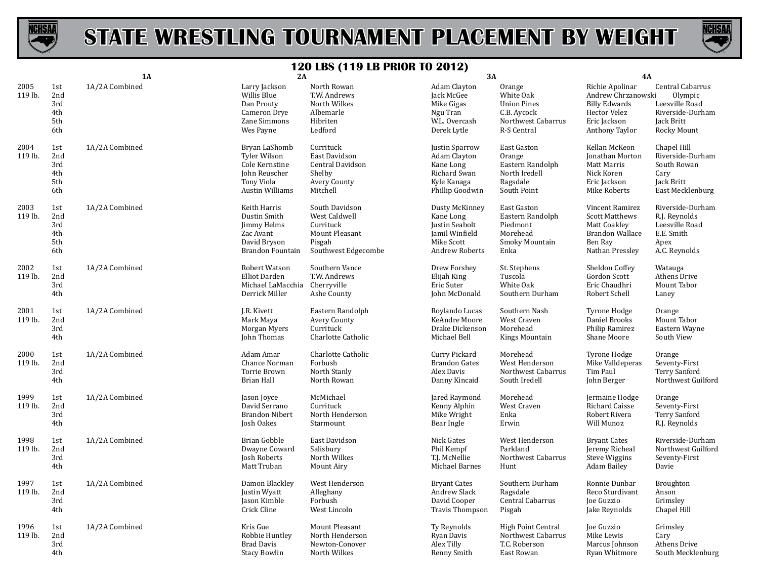



|                 |                                        | 1A             | 2A                                                                                                       |                                                                                                 | 3A                                                                                                     |                                                                                               | <b>4A</b>                                                                                                        |                                                                                                |
|-----------------|----------------------------------------|----------------|----------------------------------------------------------------------------------------------------------|-------------------------------------------------------------------------------------------------|--------------------------------------------------------------------------------------------------------|-----------------------------------------------------------------------------------------------|------------------------------------------------------------------------------------------------------------------|------------------------------------------------------------------------------------------------|
| 2005<br>119 lb. | 1st<br>2nd<br>3rd<br>4th<br>5th<br>6th | 1A/2A Combined | Larry Jackson<br>Willis Blue<br>Dan Prouty<br>Cameron Drye<br>Zane Simmons<br>Wes Payne                  | North Rowan<br>T.W. Andrews<br>North Wilkes<br>Albemarle<br>Hibriten<br>Ledford                 | Adam Clayton<br>Jack McGee<br>Mike Gigas<br>Ngu Tran<br>W.L. Overcash<br>Derek Lytle                   | Orange<br>White Oak<br><b>Union Pines</b><br>C.B. Aycock<br>Northwest Cabarrus<br>R-S Central | Richie Apolinar<br>Andrew Chrzanowski<br><b>Billy Edwards</b><br>Hector Velez<br>Eric Jackson<br>Anthony Taylor  | Central Cabarrus<br>Olympic<br>Leesville Road<br>Riverside-Durham<br>Jack Britt<br>Rocky Mount |
| 2004<br>119 lb. | 1st<br>2nd<br>3rd<br>4th<br>5th<br>6th | 1A/2A Combined | Bryan LaShomb<br>Tyler Wilson<br>Cole Kernstine<br>John Reuscher<br>Tony Viola<br><b>Austin Williams</b> | Currituck<br>East Davidson<br>Central Davidson<br>Shelby<br><b>Avery County</b><br>Mitchell     | Justin Sparrow<br>Adam Clayton<br>Kane Long<br>Richard Swan<br>Kyle Kanaga<br>Phillip Goodwin          | East Gaston<br>Orange<br>Eastern Randolph<br>North Iredell<br>Ragsdale<br>South Point         | Kellan McKeon<br>Jonathan Morton<br>Matt Marris<br>Nick Koren<br>Eric Jackson<br>Mike Roberts                    | Chapel Hill<br>Riverside-Durham<br>South Rowan<br>Cary<br>Jack Britt<br>East Mecklenburg       |
| 2003<br>119 lb. | 1st<br>2nd<br>3rd<br>4th<br>5th<br>6th | 1A/2A Combined | Keith Harris<br>Dustin Smith<br>Jimmy Helms<br>Zac Avant<br>David Bryson<br>Brandon Fountain             | South Davidson<br>West Caldwell<br>Currituck<br>Mount Pleasant<br>Pisgah<br>Southwest Edgecombe | Dusty McKinney<br>Kane Long<br>Justin Seabolt<br>Jamil Winfield<br>Mike Scott<br><b>Andrew Roberts</b> | East Gaston<br>Eastern Randolph<br>Piedmont<br>Morehead<br>Smoky Mountain<br>Enka             | Vincent Ramirez<br><b>Scott Matthews</b><br>Matt Coakley<br><b>Brandon Wallace</b><br>Ben Ray<br>Nathan Presslev | Riverside-Durham<br>R.J. Reynolds<br>Leesville Road<br>E.E. Smith<br>Apex<br>A.C. Reynolds     |
| 2002<br>119 lb. | 1st<br>2nd<br>3rd<br>4th               | 1A/2A Combined | Robert Watson<br>Elliot Darden<br>Michael LaMacchia<br>Derrick Miller                                    | Southern Vance<br>T.W. Andrews<br>Cherryville<br>Ashe County                                    | Drew Forshey<br>Elijah King<br>Eric Suter<br>John McDonald                                             | St. Stephens<br>Tuscola<br>White Oak<br>Southern Durham                                       | Sheldon Coffey<br>Gordon Scott<br>Eric Chaudhri<br>Robert Schell                                                 | Watauga<br>Athens Drive<br>Mount Tabor<br>Laney                                                |
| 2001<br>119 lb. | 1st<br>2nd<br>3rd<br>4th               | 1A/2A Combined | J.R. Kivett<br>Mark Maya<br>Morgan Myers<br>John Thomas                                                  | Eastern Randolph<br>Avery County<br>Currituck<br>Charlotte Catholic                             | Roylando Lucas<br>KeAndre Moore<br>Drake Dickenson<br>Michael Bell                                     | Southern Nash<br>West Craven<br>Morehead<br>Kings Mountain                                    | Tyrone Hodge<br>Daniel Brooks<br>Philip Ramirez<br>Shane Moore                                                   | Orange<br>Mount Tabor<br>Eastern Wayne<br>South View                                           |
| 2000<br>119 lb. | 1st<br>2nd<br>3rd<br>4th               | 1A/2A Combined | Adam Amar<br>Chance Norman<br>Torrie Brown<br><b>Brian Hall</b>                                          | Charlotte Catholic<br>Forbush<br>North Stanly<br>North Rowan                                    | Curry Pickard<br><b>Brandon Gates</b><br>Alex Davis<br>Danny Kincaid                                   | Morehead<br>West Henderson<br>Northwest Cabarrus<br>South Iredell                             | Tyrone Hodge<br>Mike Valldeperas<br>Tim Paul<br>John Berger                                                      | Orange<br>Seventy-First<br><b>Terry Sanford</b><br>Northwest Guilford                          |
| 1999<br>119 lb. | 1st<br>2nd<br>3rd<br>4th               | 1A/2A Combined | Jason Joyce<br>David Serrano<br><b>Brandon Nibert</b><br>Josh Oakes                                      | McMichael<br>Currituck<br>North Henderson<br>Starmount                                          | Jared Raymond<br>Kenny Alphin<br>Mike Wright<br>Bear Ingle                                             | Morehead<br>West Craven<br>Enka<br>Erwin                                                      | Jermaine Hodge<br>Richard Caisse<br>Robert Rivera<br>Will Munoz                                                  | Orange<br>Seventy-First<br><b>Terry Sanford</b><br>R.J. Reynolds                               |
| 1998<br>119 lb. | 1st<br>2nd<br>3rd<br>4th               | 1A/2A Combined | Brian Gobble<br>Dwayne Coward<br>Josh Roberts<br>Matt Truban                                             | East Davidson<br>Salisbury<br>North Wilkes<br>Mount Airy                                        | Nick Gates<br>Phil Kempf<br>T.J. McNellie<br>Michael Barnes                                            | West Henderson<br>Parkland<br>Northwest Cabarrus<br>Hunt                                      | <b>Bryant Cates</b><br>Jeremy Richeal<br><b>Steve Wiggins</b><br>Adam Bailey                                     | Riverside-Durham<br>Northwest Guilford<br>Seventy-First<br>Davie                               |
| 1997<br>119 lb. | 1st<br>2nd<br>3rd<br>4th               | 1A/2A Combined | Damon Blackley<br>Justin Wyatt<br>Jason Kimble<br>Crick Cline                                            | West Henderson<br>Alleghany<br>Forbush<br>West Lincoln                                          | <b>Bryant Cates</b><br>Andrew Slack<br>David Cooper<br><b>Travis Thompson</b>                          | Southern Durham<br>Ragsdale<br>Central Cabarrus<br>Pisgah                                     | Ronnie Dunbar<br>Reco Sturdivant<br>Joe Guzzio<br>Jake Reynolds                                                  | <b>Broughton</b><br>Anson<br>Grimsley<br>Chapel Hill                                           |
| 1996<br>119 lb. | 1st<br>2nd<br>3rd<br>4th               | 1A/2A Combined | Kris Gue<br>Robbie Huntley<br><b>Brad Davis</b><br><b>Stacy Bowlin</b>                                   | Mount Pleasant<br>North Henderson<br>Newton-Conover<br>North Wilkes                             | Ty Reynolds<br>Ryan Davis<br>Alex Tilly<br>Renny Smith                                                 | <b>High Point Central</b><br>Northwest Cabarrus<br>T.C. Roberson<br>East Rowan                | Joe Guzzio<br>Mike Lewis<br>Marcus Johnson<br>Ryan Whitmore                                                      | Grimsley<br>Cary<br>Athens Drive<br>South Mecklenburg                                          |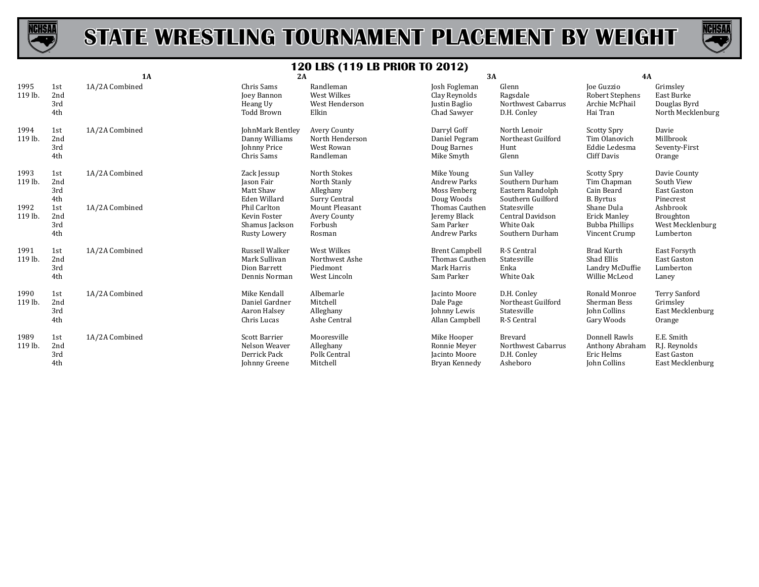



|                 |                          | 1A             | 2A                                                                      |                                                            | 3A                                                                   |                                                                        | <b>4A</b>                                                            |                                                                |
|-----------------|--------------------------|----------------|-------------------------------------------------------------------------|------------------------------------------------------------|----------------------------------------------------------------------|------------------------------------------------------------------------|----------------------------------------------------------------------|----------------------------------------------------------------|
| 1995<br>119 lb. | 1st<br>2nd<br>3rd<br>4th | 1A/2A Combined | Chris Sams<br><b>Joey Bannon</b><br>Heang Uy<br>Todd Brown              | Randleman<br>West Wilkes<br>West Henderson<br>Elkin        | Josh Fogleman<br>Clay Reynolds<br>Justin Baglio<br>Chad Sawyer       | Glenn<br>Ragsdale<br>Northwest Cabarrus<br>D.H. Conley                 | Joe Guzzio<br>Robert Stephens<br>Archie McPhail<br>Hai Tran          | Grimsley<br>East Burke<br>Douglas Byrd<br>North Mecklenburg    |
| 1994<br>119 lb. | 1st<br>2nd<br>3rd<br>4th | 1A/2A Combined | JohnMark Bentley<br>Danny Williams<br>Johnny Price<br>Chris Sams        | Avery County<br>North Henderson<br>West Rowan<br>Randleman | Darryl Goff<br>Daniel Pegram<br>Doug Barnes<br>Mike Smyth            | North Lenoir<br>Northeast Guilford<br>Hunt<br>Glenn                    | <b>Scotty Spry</b><br>Tim Olanovich<br>Eddie Ledesma<br>Cliff Davis  | Davie<br>Millbrook<br>Seventy-First<br>Orange                  |
| 1993<br>119 lb. | 1st<br>2nd<br>3rd<br>4th | 1A/2A Combined | Zack Jessup<br>Jason Fair<br>Matt Shaw<br>Eden Willard                  | North Stokes<br>North Stanly<br>Alleghany<br>Surry Central | Mike Young<br><b>Andrew Parks</b><br>Moss Fenberg<br>Doug Woods      | Sun Valley<br>Southern Durham<br>Eastern Randolph<br>Southern Guilford | <b>Scotty Spry</b><br>Tim Chapman<br>Cain Beard<br><b>B.</b> Byrtus  | Davie County<br>South View<br>East Gaston<br>Pinecrest         |
| 1992<br>119 lb. | 1st<br>2nd<br>3rd<br>4th | 1A/2A Combined | Phil Carlton<br>Kevin Foster<br>Shamus Jackson<br>Rusty Lowery          | Mount Pleasant<br>Avery County<br>Forbush<br>Rosman        | Thomas Cauthen<br>Jeremy Black<br>Sam Parker<br><b>Andrew Parks</b>  | Statesville<br>Central Davidson<br>White Oak<br>Southern Durham        | Shane Dula<br>Erick Manley<br><b>Bubba Phillips</b><br>Vincent Crump | Ashbrook<br>Broughton<br>West Mecklenburg<br>Lumberton         |
| 1991<br>119 lb. | 1st<br>2nd<br>3rd<br>4th | 1A/2A Combined | <b>Russell Walker</b><br>Mark Sullivan<br>Dion Barrett<br>Dennis Norman | West Wilkes<br>Northwest Ashe<br>Piedmont<br>West Lincoln  | <b>Brent Campbell</b><br>Thomas Cauthen<br>Mark Harris<br>Sam Parker | R-S Central<br>Statesville<br>Enka<br>White Oak                        | <b>Brad Kurth</b><br>Shad Ellis<br>Landry McDuffie<br>Willie McLeod  | East Forsyth<br>East Gaston<br>Lumberton<br>Laney              |
| 1990<br>119 lb. | 1st<br>2nd<br>3rd<br>4th | 1A/2A Combined | Mike Kendall<br>Daniel Gardner<br>Aaron Halsey<br>Chris Lucas           | Albemarle<br>Mitchell<br>Alleghany<br>Ashe Central         | Jacinto Moore<br>Dale Page<br>Johnny Lewis<br>Allan Campbell         | D.H. Conley<br>Northeast Guilford<br>Statesville<br>R-S Central        | Ronald Monroe<br>Sherman Bess<br>John Collins<br>Gary Woods          | <b>Terry Sanford</b><br>Grimsley<br>East Mecklenburg<br>Orange |
| 1989<br>119 lb. | 1st<br>2nd<br>3rd<br>4th | 1A/2A Combined | <b>Scott Barrier</b><br>Nelson Weaver<br>Derrick Pack<br>Johnny Greene  | Mooresville<br>Alleghany<br>Polk Central<br>Mitchell       | Mike Hooper<br>Ronnie Meyer<br>Jacinto Moore<br>Bryan Kennedy        | <b>Brevard</b><br>Northwest Cabarrus<br>D.H. Conley<br>Asheboro        | Donnell Rawls<br>Anthony Abraham<br>Eric Helms<br>John Collins       | E.E. Smith<br>R.J. Reynolds<br>East Gaston<br>East Mecklenburg |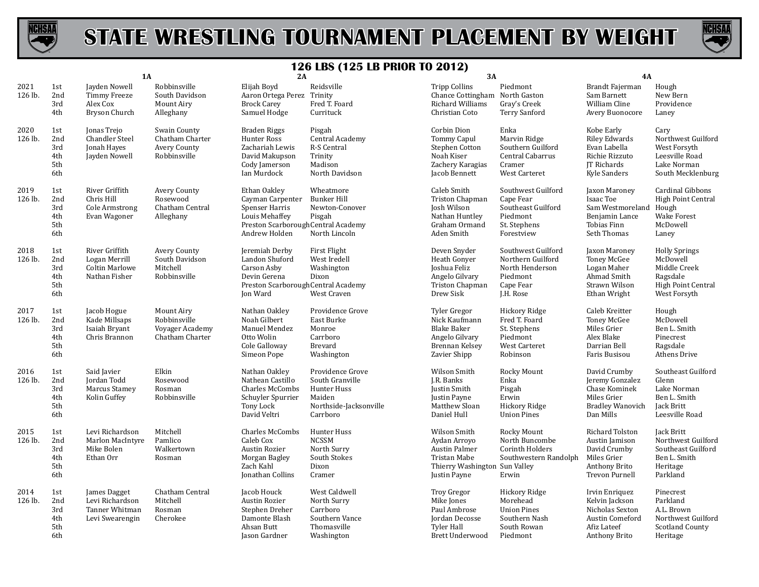



|                 |                                        | <b>1A</b>                                                                 |                                                                  | 2A                                                                                                                           |                                                                                                    | 3A                                                                                                             |                                                                                                  | 4A                                                                                                      |                                                                                                           |
|-----------------|----------------------------------------|---------------------------------------------------------------------------|------------------------------------------------------------------|------------------------------------------------------------------------------------------------------------------------------|----------------------------------------------------------------------------------------------------|----------------------------------------------------------------------------------------------------------------|--------------------------------------------------------------------------------------------------|---------------------------------------------------------------------------------------------------------|-----------------------------------------------------------------------------------------------------------|
| 2021<br>126 lb. | 1st<br>2nd<br>3rd<br>4th               | Jayden Nowell<br>Timmy Freeze<br>Alex Cox<br>Bryson Church                | Robbinsville<br>South Davidson<br>Mount Airy<br>Alleghany        | Elijah Boyd<br>Aaron Ortega Perez Trinity<br><b>Brock Carey</b><br>Samuel Hodge                                              | Reidsville<br>Fred T. Foard<br>Currituck                                                           | <b>Tripp Collins</b><br>Chance Cottingham North Gaston<br>Richard Williams<br>Christian Coto                   | Piedmont<br>Gray's Creek<br><b>Terry Sanford</b>                                                 | Brandt Fajerman<br>Sam Barnett<br>William Cline<br>Avery Buonocore                                      | Hough<br>New Bern<br>Providence<br>Laney                                                                  |
| 2020<br>126 lb. | 1st<br>2nd<br>3rd<br>4th<br>5th<br>6th | Jonas Trejo<br><b>Chandler Steel</b><br>Jonah Hayes<br>Jayden Nowell      | Swain County<br>Chatham Charter<br>Avery County<br>Robbinsville  | <b>Braden Riggs</b><br>Hunter Ross<br>Zachariah Lewis<br>David Makupson<br>Cody Jamerson<br>Ian Murdock                      | Pisgah<br>Central Academy<br>R-S Central<br>Trinity<br>Madison<br>North Davidson                   | Corbin Dion<br>Tommy Capul<br>Stephen Cotton<br>Noah Kiser<br>Zachery Karagias<br>Jacob Bennett                | Enka<br>Marvin Ridge<br>Southern Guilford<br>Central Cabarrus<br>Cramer<br>West Carteret         | Kobe Early<br>Riley Edwards<br>Evan Labella<br>Richie Rizzuto<br>JT Richards<br>Kyle Sanders            | Cary<br>Northwest Guilford<br>West Forsyth<br>Leesville Road<br>Lake Norman<br>South Mecklenburg          |
| 2019<br>126 lb. | 1st<br>2nd<br>3rd<br>4th<br>5th<br>6th | River Griffith<br>Chris Hill<br>Cole Armstrong<br>Evan Wagoner            | Avery County<br>Rosewood<br>Chatham Central<br>Alleghany         | Ethan Oakley<br>Cayman Carpenter<br>Spenser Harris<br>Louis Mehaffey<br>Preston Scarborough Central Academy<br>Andrew Holden | Wheatmore<br>Bunker Hill<br>Newton-Conover<br>Pisgah<br>North Lincoln                              | Caleb Smith<br>Triston Chapman<br>Josh Wilson<br>Nathan Huntley<br>Graham Ormand<br>Aden Smith                 | Southwest Guilford<br>Cape Fear<br>Southeast Guilford<br>Piedmont<br>St. Stephens<br>Forestview  | Jaxon Maroney<br>Isaac Toe<br>Sam Westmoreland<br>Benjamin Lance<br><b>Tobias Finn</b><br>Seth Thomas   | <b>Cardinal Gibbons</b><br><b>High Point Central</b><br>Hough<br>Wake Forest<br>McDowell<br>Laney         |
| 2018<br>126 lb. | 1st<br>2nd<br>3rd<br>4th<br>5th<br>6th | River Griffith<br>Logan Merrill<br><b>Coltin Marlowe</b><br>Nathan Fisher | Avery County<br>South Davidson<br>Mitchell<br>Robbinsville       | Jeremiah Derby<br>Landon Shuford<br>Carson Asby<br>Devin Gerena<br>Preston Scarborough Central Academy<br>Jon Ward           | First Flight<br>West Iredell<br>Washington<br>Dixon<br>West Craven                                 | Deven Snyder<br>Heath Gonyer<br>Joshua Feliz<br>Angelo Gilvary<br>Triston Chapman<br>Drew Sisk                 | Southwest Guilford<br>Northern Guilford<br>North Henderson<br>Piedmont<br>Cape Fear<br>J.H. Rose | Jaxon Maroney<br>Toney McGee<br>Logan Maher<br>Ahmad Smith<br>Strawn Wilson<br>Ethan Wright             | <b>Holly Springs</b><br>McDowell<br>Middle Creek<br>Ragsdale<br><b>High Point Central</b><br>West Forsyth |
| 2017<br>126 lb. | 1st<br>2nd<br>3rd<br>4th<br>5th<br>6th | Jacob Hogue<br>Kade Millsaps<br>Isaiah Bryant<br>Chris Brannon            | Mount Airy<br>Robbinsville<br>Voyager Academy<br>Chatham Charter | Nathan Oakley<br>Noah Gilbert<br>Manuel Mendez<br>Otto Wolin<br>Cole Galloway<br>Simeon Pope                                 | Providence Grove<br>East Burke<br>Monroe<br>Carrboro<br>Brevard<br>Washington                      | Tyler Gregor<br>Nick Kaufmann<br><b>Blake Baker</b><br>Angelo Gilvary<br>Brennan Kelsey<br>Zavier Shipp        | Hickory Ridge<br>Fred T. Foard<br>St. Stephens<br>Piedmont<br><b>West Carteret</b><br>Robinson   | Caleb Kreitter<br>Toney McGee<br>Miles Grier<br>Alex Blake<br>Darrian Bell<br>Faris Busisou             | Hough<br>McDowell<br>Ben L. Smith<br>Pinecrest<br>Ragsdale<br>Athens Drive                                |
| 2016<br>126 lb. | 1st<br>2nd<br>3rd<br>4th<br>5th<br>6th | Said Javier<br>Jordan Todd<br>Marcus Stamey<br>Kolin Guffey               | Elkin<br>Rosewood<br>Rosman<br>Robbinsville                      | Nathan Oakley<br>Nathean Castillo<br>Charles McCombs<br>Schuyler Spurrier<br>Tony Lock<br>David Veltri                       | Providence Grove<br>South Granville<br>Hunter Huss<br>Maiden<br>Northside-Jacksonville<br>Carrboro | Wilson Smith<br>J.R. Banks<br>Justin Smith<br>Justin Payne<br>Matthew Sloan<br>Daniel Hull                     | Rocky Mount<br>Enka<br>Pisgah<br>Erwin<br>Hickory Ridge<br><b>Union Pines</b>                    | David Crumby<br>Jeremy Gonzalez<br>Chase Kominek<br>Miles Grier<br><b>Bradley Wanovich</b><br>Dan Mills | Southeast Guilford<br>Glenn<br>Lake Norman<br>Ben L. Smith<br>Jack Britt<br>Leesville Road                |
| 2015<br>126 lb. | 1st<br>2nd<br>3rd<br>4th<br>5th<br>6th | Levi Richardson<br>Marlon MacIntyre<br>Mike Bolen<br>Ethan Orr            | Mitchell<br>Pamlico<br>Walkertown<br>Rosman                      | <b>Charles McCombs</b><br>Caleb Cox<br>Austin Rozier<br>Morgan Bagley<br>Zach Kahl<br>Jonathan Collins                       | Hunter Huss<br><b>NCSSM</b><br>North Surry<br>South Stokes<br>Dixon<br>Cramer                      | Wilson Smith<br>Aydan Arroyo<br>Austin Palmer<br>Tristan Mabe<br>Thierry Washington Sun Valley<br>Justin Payne | Rocky Mount<br>North Buncombe<br>Corinth Holders<br>Southwestern Randolph<br>Erwin               | Richard Tolston<br>Austin Jamison<br>David Crumby<br>Miles Grier<br>Anthony Brito<br>Trevon Purnell     | Jack Britt<br>Northwest Guilford<br>Southeast Guilford<br>Ben L. Smith<br>Heritage<br>Parkland            |
| 2014<br>126 lb. | 1st<br>2nd<br>3rd<br>4th<br>5th<br>6th | James Dagget<br>Levi Richardson<br>Tanner Whitman<br>Levi Swearengin      | Chatham Central<br>Mitchell<br>Rosman<br>Cherokee                | Jacob Houck<br>Austin Rozier<br>Stephen Dreher<br>Damonte Blash<br>Ahsan Butt<br>Jason Gardner                               | West Caldwell<br>North Surry<br>Carrboro<br>Southern Vance<br>Thomasville<br>Washington            | <b>Troy Gregor</b><br>Mike Jones<br>Paul Ambrose<br>Jordan Decosse<br><b>Tyler Hall</b><br>Brett Underwood     | Hickory Ridge<br>Morehead<br><b>Union Pines</b><br>Southern Nash<br>South Rowan<br>Piedmont      | Irvin Enriquez<br>Kelvin Jackson<br>Nicholas Sexton<br>Austin Comeford<br>Afiz Lateef<br>Anthony Brito  | Pinecrest<br>Parkland<br>A.L. Brown<br>Northwest Guilford<br><b>Scotland County</b><br>Heritage           |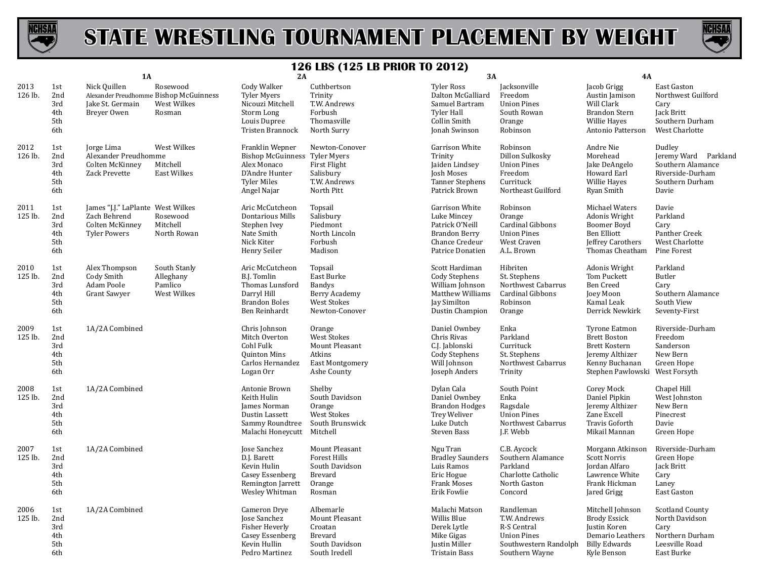



|                 |                                        | <b>1A</b>                                                                                   |                                                     | 2A                                                                                                                            |                                                                                               | 3A                                                                                                        |                                                                                                           | <b>4A</b>                                                                                                                     |                                                                                                     |
|-----------------|----------------------------------------|---------------------------------------------------------------------------------------------|-----------------------------------------------------|-------------------------------------------------------------------------------------------------------------------------------|-----------------------------------------------------------------------------------------------|-----------------------------------------------------------------------------------------------------------|-----------------------------------------------------------------------------------------------------------|-------------------------------------------------------------------------------------------------------------------------------|-----------------------------------------------------------------------------------------------------|
| 2013<br>126 lb. | 1st<br>2nd<br>3rd<br>4th<br>5th<br>6th | Nick Quillen<br>Alexander Preudhomme Bishop McGuinness<br>Jake St. Germain<br>Brever Owen   | Rosewood<br>West Wilkes<br>Rosman                   | Cody Walker<br><b>Tyler Myers</b><br>Nicouzi Mitchell<br>Storm Long<br>Louis Dupree<br>Tristen Brannock                       | Cuthbertson<br>Trinity<br>T.W. Andrews<br>Forbush<br>Thomasville<br>North Surry               | Tyler Ross<br>Dalton McGalliard<br>Samuel Bartram<br><b>Tyler Hall</b><br>Collin Smith<br>Jonah Swinson   | Jacksonville<br>Freedom<br><b>Union Pines</b><br>South Rowan<br>Orange<br>Robinson                        | Jacob Grigg<br>Austin Jamison<br>Will Clark<br><b>Brandon Stern</b><br>Willie Hayes<br>Antonio Patterson                      | East Gaston<br>Northwest Guilford<br>Cary<br>Jack Britt<br>Southern Durham<br>West Charlotte        |
| 2012<br>126 lb. | 1st<br>2nd<br>3rd<br>4th<br>5th<br>6th | Jorge Lima<br>Alexander Preudhomme<br>Colten McKinney<br><b>Zack Prevette</b>               | West Wilkes<br>Mitchell<br><b>East Wilkes</b>       | Franklin Wepner<br><b>Bishop McGuinness Tyler Myers</b><br>Alex Monaco<br>D'Andre Hunter<br><b>Tyler Miles</b><br>Angel Najar | Newton-Conover<br>First Flight<br>Salisbury<br>T.W. Andrews<br>North Pitt                     | Garrison White<br>Trinity<br>Jaiden Lindsey<br>Josh Moses<br><b>Tanner Stephens</b><br>Patrick Brown      | Robinson<br>Dillon Sulkosky<br><b>Union Pines</b><br>Freedom<br>Currituck<br>Northeast Guilford           | Andre Nie<br>Morehead<br>Jake DeAngelo<br>Howard Earl<br>Willie Hayes<br>Ryan Smith                                           | Dudley<br>Jeremy Ward Parkland<br>Southern Alamance<br>Riverside-Durham<br>Southern Durham<br>Davie |
| 2011<br>125 lb. | 1st<br>2nd<br>3rd<br>4th<br>5th<br>6th | James "J.J." LaPlante West Wilkes<br>Zach Behrend<br>Colten McKinney<br><b>Tyler Powers</b> | Rosewood<br>Mitchell<br>North Rowan                 | Aric McCutcheon<br>Dontarious Mills<br>Stephen Ivey<br>Nate Smith<br>Nick Kiter<br>Henry Seiler                               | Topsail<br>Salisbury<br>Piedmont<br>North Lincoln<br>Forbush<br>Madison                       | Garrison White<br>Luke Mincey<br>Patrick O'Neill<br>Brandon Berry<br>Chance Credeur<br>Patrice Donatien   | Robinson<br>Orange<br>Cardinal Gibbons<br><b>Union Pines</b><br>West Craven<br>A.L. Brown                 | Michael Waters<br>Adonis Wright<br>Boomer Boyd<br>Ben Elliott<br>Jeffrey Carothers<br>Thomas Cheatham                         | Davie<br>Parkland<br>Cary<br>Panther Creek<br>West Charlotte<br>Pine Forest                         |
| 2010<br>125 lb. | 1st<br>2nd<br>3rd<br>4th<br>5th<br>6th | Alex Thompson<br>Cody Smith<br>Adam Poole<br>Grant Sawyer                                   | South Stanly<br>Alleghany<br>Pamlico<br>West Wilkes | Aric McCutcheon<br><b>B.J.</b> Tomlin<br>Thomas Lunsford<br>Darryl Hill<br><b>Brandon Boles</b><br>Ben Reinhardt              | Topsail<br>East Burke<br>Bandys<br>Berry Academy<br><b>West Stokes</b><br>Newton-Conover      | Scott Hardiman<br>Cody Stephens<br>William Johnson<br>Matthew Williams<br>Jay Similton<br>Dustin Champion | Hibriten<br>St. Stephens<br>Northwest Cabarrus<br>Cardinal Gibbons<br>Robinson<br>Orange                  | Adonis Wright<br>Tom Puckett<br><b>Ben Creed</b><br>Joey Moon<br>Kamal Leak<br>Derrick Newkirk                                | Parkland<br>Butler<br>Cary<br>Southern Alamance<br>South View<br>Seventy-First                      |
| 2009<br>125 lb. | 1st<br>2nd<br>3rd<br>4th<br>5th<br>6th | 1A/2A Combined                                                                              |                                                     | Chris Johnson<br>Mitch Overton<br>Cohl Fulk<br>Quinton Mins<br>Carlos Hernandez<br>Logan Orr                                  | Orange<br><b>West Stokes</b><br>Mount Pleasant<br>Atkins<br>East Montgomery<br>Ashe County    | Daniel Ownbey<br>Chris Rivas<br>C.J. Jablonski<br>Cody Stephens<br>Will Johnson<br>Joseph Anders          | Enka<br>Parkland<br>Currituck<br>St. Stephens<br>Northwest Cabarrus<br>Trinity                            | <b>Tyrone Eatmon</b><br><b>Brett Boston</b><br><b>Brett Kostern</b><br>Jeremy Althizer<br>Kenny Buchanan<br>Stephen Pawlowski | Riverside-Durham<br>Freedom<br>Sanderson<br>New Bern<br>Green Hope<br>West Forsyth                  |
| 2008<br>125 lb. | 1st<br>2nd<br>3rd<br>4th<br>5th<br>6th | 1A/2A Combined                                                                              |                                                     | Antonie Brown<br>Keith Hulin<br>James Norman<br>Dustin Lassett<br>Sammy Roundtree<br>Malachi Honeycutt                        | Shelby<br>South Davidson<br>Orange<br><b>West Stokes</b><br>South Brunswick<br>Mitchell       | Dylan Cala<br>Daniel Ownbey<br><b>Brandon Hodges</b><br><b>Trey Weliver</b><br>Luke Dutch<br>Steven Bass  | South Point<br>Enka<br>Ragsdale<br><b>Union Pines</b><br>Northwest Cabarrus<br>J.F. Webb                  | Corey Mock<br>Daniel Pipkin<br>Jeremy Althizer<br>Zane Excell<br>Travis Goforth<br>Mikail Mannan                              | Chapel Hill<br>West Johnston<br>New Bern<br>Pinecrest<br>Davie<br>Green Hope                        |
| 2007<br>125 lb. | 1st<br>2nd<br>3rd<br>4th<br>5th<br>6th | 1A/2A Combined                                                                              |                                                     | <b>Jose Sanchez</b><br>D.J. Barett<br>Kevin Hulin<br>Casey Essenberg<br>Remington Jarrett<br>Wesley Whitman                   | Mount Pleasant<br><b>Forest Hills</b><br>South Davidson<br><b>Brevard</b><br>Orange<br>Rosman | Ngu Tran<br><b>Bradley Saunders</b><br>Luis Ramos<br>Eric Hogue<br><b>Frank Moses</b><br>Erik Fowlie      | C.B. Aycock<br>Southern Alamance<br>Parkland<br>Charlotte Catholic<br>North Gaston<br>Concord             | Morgann Atkinson<br><b>Scott Norris</b><br>Jordan Alfaro<br>Lawrence White<br>Frank Hickman<br>Jared Grigg                    | Riverside-Durham<br>Green Hope<br>Jack Britt<br>Cary<br>Laney<br>East Gaston                        |
| 2006<br>125 lb. | 1st<br>2nd<br>3rd<br>4th<br>5th<br>6th | 1A/2A Combined                                                                              |                                                     | Cameron Drye<br>Jose Sanchez<br>Fisher Heverly<br>Casey Essenberg<br>Kevin Hullin<br>Pedro Martinez                           | Albemarle<br>Mount Pleasant<br>Croatan<br>Brevard<br>South Davidson<br>South Iredell          | Malachi Matson<br>Willis Blue<br>Derek Lytle<br>Mike Gigas<br>Justin Miller<br>Tristain Bass              | Randleman<br>T.W. Andrews<br>R-S Central<br><b>Union Pines</b><br>Southwestern Randolph<br>Southern Wayne | Mitchell Johnson<br><b>Brody Essick</b><br>Justin Koren<br>Demario Leathers<br><b>Billy Edwards</b><br>Kyle Benson            | <b>Scotland County</b><br>North Davidson<br>Cary<br>Northern Durham<br>Leesville Road<br>East Burke |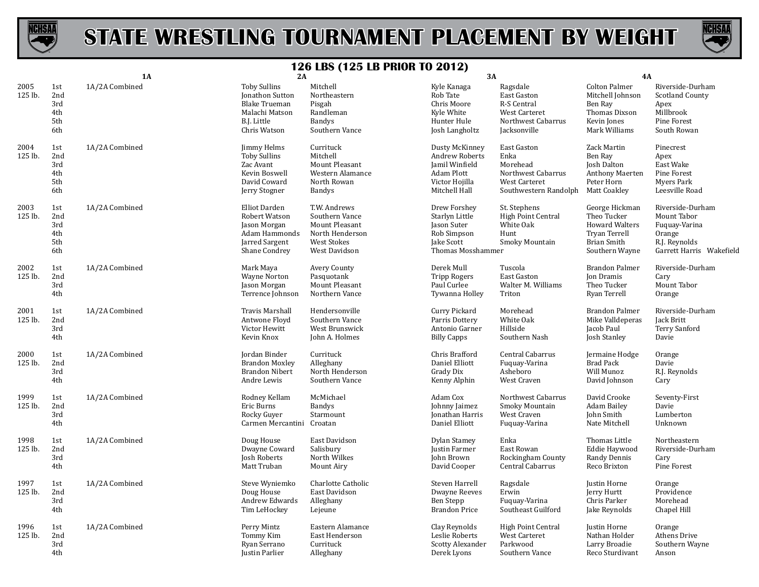



|                 |                                        | 1A             | 2A                                                                                                              |                                                                                                     | 3A                                                                                                         |                                                                                                 | <b>4A</b>                                                                                                |                                                                                                         |
|-----------------|----------------------------------------|----------------|-----------------------------------------------------------------------------------------------------------------|-----------------------------------------------------------------------------------------------------|------------------------------------------------------------------------------------------------------------|-------------------------------------------------------------------------------------------------|----------------------------------------------------------------------------------------------------------|---------------------------------------------------------------------------------------------------------|
| 2005<br>125 lb. | 1st<br>2nd<br>3rd<br>4th<br>5th<br>6th | 1A/2A Combined | <b>Toby Sullins</b><br>Jonathon Sutton<br><b>Blake Trueman</b><br>Malachi Matson<br>B.J. Little<br>Chris Watson | Mitchell<br>Northeastern<br>Pisgah<br>Randleman<br><b>Bandys</b><br>Southern Vance                  | Kyle Kanaga<br>Rob Tate<br>Chris Moore<br>Kyle White<br>Hunter Hule<br>Josh Langholtz                      | Ragsdale<br>East Gaston<br>R-S Central<br>West Carteret<br>Northwest Cabarrus<br>Jacksonville   | Colton Palmer<br>Mitchell Johnson<br>Ben Ray<br>Thomas Dixson<br>Kevin Jones<br>Mark Williams            | Riverside-Durham<br><b>Scotland County</b><br>Apex<br>Millbrook<br>Pine Forest<br>South Rowan           |
| 2004<br>125 lb. | 1st<br>2nd<br>3rd<br>4th<br>5th<br>6th | 1A/2A Combined | Jimmy Helms<br><b>Toby Sullins</b><br>Zac Avant<br>Kevin Boswell<br>David Coward<br>Jerry Stogner               | Currituck<br>Mitchell<br><b>Mount Pleasant</b><br>Western Alamance<br>North Rowan<br><b>Bandys</b>  | Dusty McKinney<br><b>Andrew Roberts</b><br>Jamil Winfield<br>Adam Plott<br>Victor Hojilla<br>Mitchell Hall | East Gaston<br>Enka<br>Morehead<br>Northwest Cabarrus<br>West Carteret<br>Southwestern Randolph | Zack Martin<br>Ben Ray<br>Josh Dalton<br><b>Anthony Maerten</b><br>Peter Horn<br>Matt Coakley            | Pinecrest<br>Apex<br>East Wake<br>Pine Forest<br>Myers Park<br>Leesville Road                           |
| 2003<br>125 lb. | 1st<br>2nd<br>3rd<br>4th<br>5th<br>6th | 1A/2A Combined | Elliot Darden<br>Robert Watson<br>Jason Morgan<br>Adam Hammonds<br>Jarred Sargent<br>Shane Condrey              | T.W. Andrews<br>Southern Vance<br>Mount Pleasant<br>North Henderson<br>West Stokes<br>West Davidson | Drew Forshey<br>Starlyn Little<br>Jason Suter<br>Rob Simpson<br>Jake Scott<br><b>Thomas Mosshammer</b>     | St. Stephens<br>High Point Central<br>White Oak<br>Hunt<br>Smoky Mountain                       | George Hickman<br>Theo Tucker<br><b>Howard Walters</b><br>Tryan Terrell<br>Brian Smith<br>Southern Wayne | Riverside-Durham<br>Mount Tabor<br>Fuquay-Varina<br>Orange<br>R.J. Reynolds<br>Garrett Harris Wakefield |
| 2002<br>125 lb. | 1st<br>2nd<br>3rd<br>4th               | 1A/2A Combined | Mark Maya<br>Wayne Norton<br>Jason Morgan<br>Terrence Johnson                                                   | Avery County<br>Pasquotank<br>Mount Pleasant<br>Northern Vance                                      | Derek Mull<br><b>Tripp Rogers</b><br>Paul Curlee<br>Tywanna Holley                                         | Tuscola<br>East Gaston<br>Walter M. Williams<br>Triton                                          | <b>Brandon Palmer</b><br>Jon Dramis<br>Theo Tucker<br>Ryan Terrell                                       | Riverside-Durham<br>Cary<br>Mount Tabor<br>Orange                                                       |
| 2001<br>125 lb. | 1st<br>2nd<br>3rd<br>4th               | 1A/2A Combined | Travis Marshall<br>Antwone Floyd<br>Victor Hewitt<br>Kevin Knox                                                 | Hendersonville<br>Southern Vance<br>West Brunswick<br>John A. Holmes                                | Curry Pickard<br>Parris Dottery<br>Antonio Garner<br><b>Billy Capps</b>                                    | Morehead<br>White Oak<br>Hillside<br>Southern Nash                                              | <b>Brandon Palmer</b><br>Mike Valldeperas<br>Jacob Paul<br>Josh Stanley                                  | Riverside-Durham<br>Jack Britt<br>Terry Sanford<br>Davie                                                |
| 2000<br>125 lb. | 1st<br>2nd<br>3rd<br>4th               | 1A/2A Combined | Jordan Binder<br><b>Brandon Moxley</b><br><b>Brandon Nibert</b><br>Andre Lewis                                  | Currituck<br>Alleghany<br>North Henderson<br>Southern Vance                                         | Chris Brafford<br>Daniel Elliott<br>Grady Dix<br>Kenny Alphin                                              | Central Cabarrus<br>Fuquay-Varina<br>Asheboro<br>West Craven                                    | Jermaine Hodge<br><b>Brad Pack</b><br>Will Munoz<br>David Johnson                                        | Orange<br>Davie<br>R.J. Reynolds<br>Cary                                                                |
| 1999<br>125 lb. | 1st<br>2nd<br>3rd<br>4th               | 1A/2A Combined | Rodney Kellam<br>Eric Burns<br>Rocky Guyer<br>Carmen Mercantini                                                 | McMichael<br><b>Bandys</b><br>Starmount<br>Croatan                                                  | Adam Cox<br>Johnny Jaimez<br>Jonathan Harris<br>Daniel Elliott                                             | Northwest Cabarrus<br>Smoky Mountain<br>West Craven<br>Fuquay-Varina                            | David Crooke<br>Adam Bailey<br>John Smith<br>Nate Mitchell                                               | Seventy-First<br>Davie<br>Lumberton<br>Unknown                                                          |
| 1998<br>125 lb. | 1st<br>2nd<br>3rd<br>4th               | 1A/2A Combined | Doug House<br>Dwayne Coward<br><b>Josh Roberts</b><br>Matt Truban                                               | East Davidson<br>Salisbury<br>North Wilkes<br>Mount Airy                                            | Dylan Stamey<br>Justin Farmer<br>John Brown<br>David Cooper                                                | Enka<br>East Rowan<br>Rockingham County<br>Central Cabarrus                                     | Thomas Little<br>Eddie Haywood<br>Randy Dennis<br>Reco Brixton                                           | Northeastern<br>Riverside-Durham<br>Cary<br>Pine Forest                                                 |
| 1997<br>125 lb. | 1st<br>2nd<br>3rd<br>4th               | 1A/2A Combined | Steve Wyniemko<br>Doug House<br>Andrew Edwards<br>Tim LeHockey                                                  | Charlotte Catholic<br>East Davidson<br>Alleghany<br>Lejeune                                         | Steven Harrell<br><b>Dwayne Reeves</b><br>Ben Stepp<br><b>Brandon Price</b>                                | Ragsdale<br>Erwin<br>Fuquay-Varina<br>Southeast Guilford                                        | Justin Horne<br>Jerry Hurtt<br>Chris Parker<br>Jake Reynolds                                             | Orange<br>Providence<br>Morehead<br>Chapel Hill                                                         |
| 1996<br>125 lb. | 1st<br>2nd<br>3rd<br>4th               | 1A/2A Combined | Perry Mintz<br>Tommy Kim<br>Ryan Serrano<br>Justin Parlier                                                      | Eastern Alamance<br>East Henderson<br>Currituck<br>Alleghany                                        | Clay Reynolds<br>Leslie Roberts<br><b>Scotty Alexander</b><br>Derek Lyons                                  | <b>High Point Central</b><br>West Carteret<br>Parkwood<br>Southern Vance                        | Justin Horne<br>Nathan Holder<br>Larry Broadie<br>Reco Sturdivant                                        | Orange<br>Athens Drive<br>Southern Wayne<br>Anson                                                       |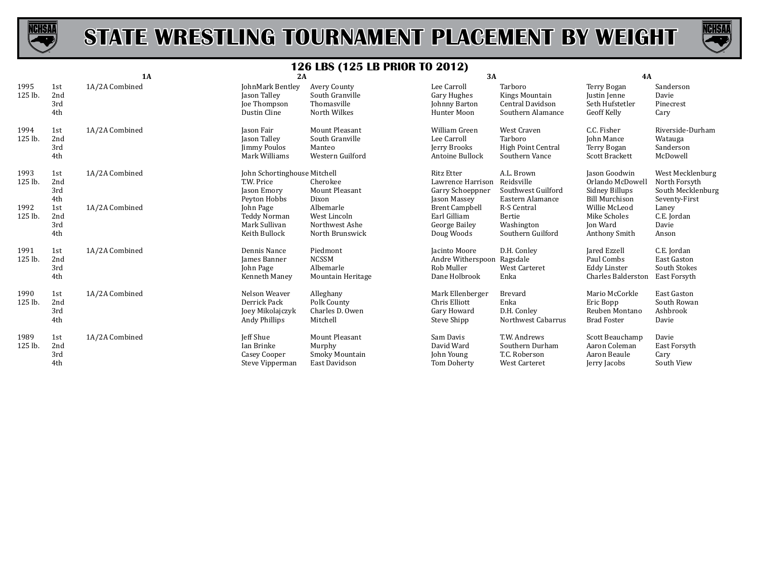



|                 |                          | 1A             | 2A                                                                        |                                                                        | 3A                                                                         |                                                                       | 4A                                                                                  |                                                                         |
|-----------------|--------------------------|----------------|---------------------------------------------------------------------------|------------------------------------------------------------------------|----------------------------------------------------------------------------|-----------------------------------------------------------------------|-------------------------------------------------------------------------------------|-------------------------------------------------------------------------|
| 1995<br>125 lb. | 1st<br>2nd<br>3rd<br>4th | 1A/2A Combined | JohnMark Bentley<br>Jason Talley<br>Joe Thompson<br>Dustin Cline          | Avery County<br>South Granville<br>Thomasville<br>North Wilkes         | Lee Carroll<br>Gary Hughes<br>Johnny Barton<br>Hunter Moon                 | Tarboro<br>Kings Mountain<br>Central Davidson<br>Southern Alamance    | <b>Terry Bogan</b><br>Justin Jenne<br>Seth Hufstetler<br>Geoff Kelly                | Sanderson<br>Davie<br>Pinecrest<br>Cary                                 |
| 1994<br>125 lb. | 1st<br>2nd<br>3rd<br>4th | 1A/2A Combined | Jason Fair<br>Jason Talley<br>Jimmy Poulos<br>Mark Williams               | <b>Mount Pleasant</b><br>South Granville<br>Manteo<br>Western Guilford | William Green<br>Lee Carroll<br>Jerry Brooks<br>Antoine Bullock            | West Craven<br>Tarboro<br><b>High Point Central</b><br>Southern Vance | C.C. Fisher<br>John Mance<br>Terry Bogan<br>Scott Brackett                          | Riverside-Durham<br>Watauga<br>Sanderson<br>McDowell                    |
| 1993<br>125 lb. | 1st<br>2nd<br>3rd<br>4th | 1A/2A Combined | John Schortinghouse Mitchell<br>T.W. Price<br>Jason Emory<br>Peyton Hobbs | Cherokee<br>Mount Pleasant<br>Dixon                                    | <b>Ritz Etter</b><br>Lawrence Harrison<br>Garry Schoeppner<br>Jason Massey | A.L. Brown<br>Reidsville<br>Southwest Guilford<br>Eastern Alamance    | <b>Jason Goodwin</b><br>Orlando McDowell<br>Sidney Billups<br><b>Bill Murchison</b> | West Mecklenburg<br>North Forsyth<br>South Mecklenburg<br>Seventy-First |
| 1992<br>125 lb. | 1st<br>2nd<br>3rd<br>4th | 1A/2A Combined | John Page<br>Teddy Norman<br>Mark Sullivan<br>Keith Bullock               | Albemarle<br>West Lincoln<br>Northwest Ashe<br>North Brunswick         | <b>Brent Campbell</b><br>Earl Gilliam<br>George Bailey<br>Doug Woods       | R-S Central<br>Bertie<br>Washington<br>Southern Guilford              | Willie McLeod<br>Mike Scholes<br><b>Jon Ward</b><br>Anthony Smith                   | Laney<br>C.E. Jordan<br>Davie<br>Anson                                  |
| 1991<br>125 lb. | 1st<br>2nd<br>3rd<br>4th | 1A/2A Combined | Dennis Nance<br>James Banner<br>John Page<br>Kenneth Maney                | Piedmont<br><b>NCSSM</b><br>Albemarle<br>Mountain Heritage             | Jacinto Moore<br>Andre Witherspoon<br>Rob Muller<br>Dane Holbrook          | D.H. Conley<br>Ragsdale<br><b>West Carteret</b><br>Enka               | Jared Ezzell<br>Paul Combs<br><b>Eddy Linster</b><br>Charles Balderston             | C.E. Jordan<br>East Gaston<br>South Stokes<br>East Forsyth              |
| 1990<br>125 lb. | 1st<br>2nd<br>3rd<br>4th | 1A/2A Combined | Nelson Weaver<br>Derrick Pack<br>Joey Mikolajczyk<br>Andy Phillips        | Alleghany<br>Polk County<br>Charles D. Owen<br>Mitchell                | Mark Ellenberger<br>Chris Elliott<br>Gary Howard<br>Steve Shipp            | Brevard<br>Enka<br>D.H. Conley<br>Northwest Cabarrus                  | Mario McCorkle<br>Eric Bopp<br>Reuben Montano<br><b>Brad Foster</b>                 | <b>East Gaston</b><br>South Rowan<br>Ashbrook<br>Davie                  |
| 1989<br>125 lb. | 1st<br>2nd<br>3rd<br>4th | 1A/2A Combined | <b>Jeff Shue</b><br>Ian Brinke<br>Casey Cooper<br>Steve Vipperman         | Mount Pleasant<br>Murphy<br>Smoky Mountain<br>East Davidson            | Sam Davis<br>David Ward<br>John Young<br>Tom Doherty                       | T.W. Andrews<br>Southern Durham<br>T.C. Roberson<br>West Carteret     | Scott Beauchamp<br>Aaron Coleman<br>Aaron Beaule<br>Jerry Jacobs                    | Davie<br>East Forsyth<br>Cary<br>South View                             |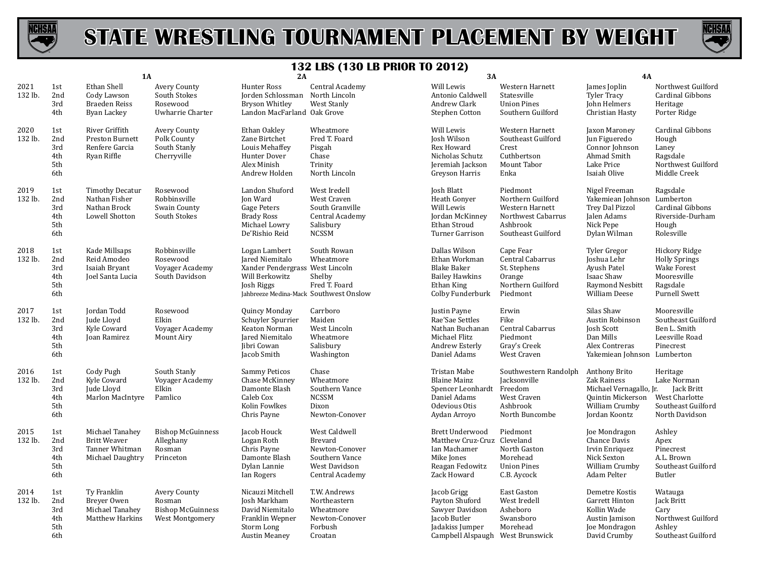



|                 |                                        | 1A                                                                           |                                                                              | 2A                                                                                                                                            |                                                                                                         | 3A                                                                                                                      |                                                                                                          | <b>4A</b>                                                                                                       |                                                                                                         |
|-----------------|----------------------------------------|------------------------------------------------------------------------------|------------------------------------------------------------------------------|-----------------------------------------------------------------------------------------------------------------------------------------------|---------------------------------------------------------------------------------------------------------|-------------------------------------------------------------------------------------------------------------------------|----------------------------------------------------------------------------------------------------------|-----------------------------------------------------------------------------------------------------------------|---------------------------------------------------------------------------------------------------------|
| 2021<br>132 lb. | 1st<br>2nd<br>3rd<br>4th               | Ethan Shell<br>Cody Lawson<br><b>Braeden Reiss</b><br>Byan Lackey            | Avery County<br>South Stokes<br>Rosewood<br>Uwharrie Charter                 | Hunter Ross<br>Jorden Schlossman North Lincoln<br><b>Bryson Whitley</b><br>Landon MacFarland Oak Grove                                        | Central Academy<br>West Stanly                                                                          | Will Lewis<br>Antonio Caldwell<br>Andrew Clark<br>Stephen Cotton                                                        | Western Harnett<br>Statesville<br><b>Union Pines</b><br>Southern Guilford                                | James Joplin<br><b>Tyler Tracy</b><br>John Helmers<br>Christian Hasty                                           | Northwest Guilford<br>Cardinal Gibbons<br>Heritage<br>Porter Ridge                                      |
| 2020<br>132 lb. | 1st<br>2nd<br>3rd<br>4th<br>5th<br>6th | River Griffith<br>Preston Burnett<br>Renfere Garcia<br>Ryan Riffle           | Avery County<br>Polk County<br>South Stanly<br>Cherryville                   | Ethan Oakley<br>Zane Birtchet<br>Louis Mehaffey<br>Hunter Dover<br>Alex Minish<br>Andrew Holden                                               | Wheatmore<br>Fred T. Foard<br>Pisgah<br>Chase<br>Trinity<br>North Lincoln                               | Will Lewis<br>Josh Wilson<br>Rex Howard<br>Nicholas Schutz<br>Jeremiah Jackson<br>Greyson Harris                        | Western Harnett<br>Southeast Guilford<br>Crest<br>Cuthbertson<br>Mount Tabor<br>Enka                     | Jaxon Maroney<br>Jun Figueredo<br>Connor Johnson<br>Ahmad Smith<br>Lake Price<br>Isaiah Olive                   | Cardinal Gibbons<br>Hough<br>Laney<br>Ragsdale<br>Northwest Guilford<br>Middle Creek                    |
| 2019<br>132 lb. | 1st<br>2nd<br>3rd<br>4th<br>5th<br>6th | <b>Timothy Decatur</b><br>Nathan Fisher<br>Nathan Brock<br>Lowell Shotton    | Rosewood<br>Robbinsville<br>Swain County<br>South Stokes                     | Landon Shuford<br>Jon Ward<br>Gage Peters<br><b>Brady Ross</b><br>Michael Lowry<br>De'Rishio Reid                                             | West Iredell<br>West Craven<br>South Granville<br>Central Academy<br>Salisbury<br><b>NCSSM</b>          | Josh Blatt<br>Heath Gonyer<br>Will Lewis<br>Jordan McKinney<br>Ethan Stroud<br>Turner Garrison                          | Piedmont<br>Northern Guilford<br>Western Harnett<br>Northwest Cabarrus<br>Ashbrook<br>Southeast Guilford | Nigel Freeman<br>Yakemiean Johnson Lumberton<br>Trey Dal Pizzol<br>Jalen Adams<br>Nick Pepe<br>Dylan Wilman     | Ragsdale<br>Cardinal Gibbons<br>Riverside-Durham<br>Hough<br>Rolesville                                 |
| 2018<br>132 lb. | 1st<br>2nd<br>3rd<br>4th<br>5th<br>6th | Kade Millsaps<br>Reid Amodeo<br>Isaiah Bryant<br>Joel Santa Lucia            | Robbinsville<br>Rosewood<br>Voyager Academy<br>South Davidson                | Logan Lambert<br>Jared Niemitalo<br>Xander Pendergrass West Lincoln<br>Will Berkowitz<br>Josh Riggs<br>Jahbreeze Medina-Mack Southwest Onslow | South Rowan<br>Wheatmore<br>Shelby<br>Fred T. Foard                                                     | Dallas Wilson<br>Ethan Workman<br><b>Blake Baker</b><br><b>Bailey Hawkins</b><br>Ethan King<br>Colby Funderburk         | Cape Fear<br>Central Cabarrus<br>St. Stephens<br>Orange<br>Northern Guilford<br>Piedmont                 | Tyler Gregor<br>Joshua Lehr<br>Ayush Patel<br>Isaac Shaw<br>Raymond Nesbitt<br><b>William Deese</b>             | Hickory Ridge<br><b>Holly Springs</b><br>Wake Forest<br>Mooresville<br>Ragsdale<br><b>Purnell Swett</b> |
| 2017<br>132 lb. | 1st<br>2nd<br>3rd<br>4th<br>5th<br>6th | Jordan Todd<br>Jude Lloyd<br>Kyle Coward<br>Joan Ramirez                     | Rosewood<br>Elkin<br>Voyager Academy<br>Mount Airy                           | Quincy Monday<br>Schuyler Spurrier<br>Keaton Norman<br>Jared Niemitalo<br>Jibri Cowan<br>Jacob Smith                                          | Carrboro<br>Maiden<br>West Lincoln<br>Wheatmore<br>Salisbury<br>Washington                              | Justin Payne<br>Rae'Sae Settles<br>Nathan Buchanan<br>Michael Flitz<br>Andrew Esterly<br>Daniel Adams                   | Erwin<br>Fike<br>Central Cabarrus<br>Piedmont<br>Gray's Creek<br>West Craven                             | Silas Shaw<br>Austin Robinson<br>Josh Scott<br>Dan Mills<br>Alex Contreras<br>Yakemiean Johnson Lumberton       | Mooresville<br>Southeast Guilford<br>Ben L. Smith<br>Leesville Road<br>Pinecrest                        |
| 2016<br>132 lb. | 1st<br>2nd<br>3rd<br>4th<br>5th<br>6th | Cody Pugh<br>Kyle Coward<br>Jude Lloyd<br><b>Marlon MacIntyre</b>            | South Stanly<br>Voyager Academy<br>Elkin<br>Pamlico                          | <b>Sammy Peticos</b><br>Chase McKinney<br>Damonte Blash<br>Caleb Cox<br>Kolin Fowlkes<br>Chris Payne                                          | Chase<br>Wheatmore<br>Southern Vance<br><b>NCSSM</b><br>Dixon<br>Newton-Conover                         | Tristan Mabe<br><b>Blaine Mainz</b><br>Spencer Leonhardt Freedom<br>Daniel Adams<br>Odevious Otis<br>Aydan Arroyo       | Southwestern Randolph<br>Jacksonville<br>West Craven<br>Ashbrook<br>North Buncombe                       | Anthony Brito<br>Zak Rainess<br>Michael Vernagallo, Jr.<br>Quintin Mickerson<br>William Crumby<br>Jordan Koontz | Heritage<br>Lake Norman<br><b>Jack Britt</b><br>West Charlotte<br>Southeast Guilford<br>North Davidson  |
| 2015<br>132 lb. | 1st<br>2nd<br>3rd<br>4th<br>5th<br>6th | Michael Tanahey<br><b>Britt Weaver</b><br>Tanner Whitman<br>Michael Daughtry | <b>Bishop McGuinness</b><br>Alleghany<br>Rosman<br>Princeton                 | Jacob Houck<br>Logan Roth<br>Chris Payne<br>Damonte Blash<br>Dylan Lannie<br>Ian Rogers                                                       | West Caldwell<br><b>Brevard</b><br>Newton-Conover<br>Southern Vance<br>West Davidson<br>Central Academy | <b>Brett Underwood</b><br>Matthew Cruz-Cruz Cleveland<br>Ian Machamer<br>Mike Jones<br>Reagan Fedowitz<br>Zack Howard   | Piedmont<br>North Gaston<br>Morehead<br><b>Union Pines</b><br>C.B. Aycock                                | Joe Mondragon<br>Chance Davis<br>Irvin Enriquez<br>Nick Sexton<br>William Crumby<br>Adam Pelter                 | Ashley<br>Apex<br>Pinecrest<br>A.L. Brown<br>Southeast Guilford<br>Butler                               |
| 2014<br>132 lb. | 1st<br>2nd<br>3rd<br>4th<br>5th<br>6th | Ty Franklin<br>Breyer Owen<br>Michael Tanahey<br>Matthew Harkins             | <b>Avery County</b><br>Rosman<br><b>Bishop McGuinness</b><br>West Montgomery | Nicauzi Mitchell<br>Josh Markham<br>David Niemitalo<br>Franklin Wepner<br><b>Storm Long</b><br><b>Austin Meaney</b>                           | T.W. Andrews<br>Northeastern<br>Wheatmore<br>Newton-Conover<br>Forbush<br>Croatan                       | Jacob Grigg<br>Payton Shuford<br>Sawyer Davidson<br>Jacob Butler<br>Jadakiss Jumper<br>Campbell Alspaugh West Brunswick | East Gaston<br>West Iredell<br>Asheboro<br>Swansboro<br>Morehead                                         | Demetre Kostis<br>Garrett Hinton<br>Kollin Wade<br>Austin Jamison<br>Joe Mondragon<br>David Crumby              | Watauga<br>Jack Britt<br>Cary<br>Northwest Guilford<br>Ashley<br>Southeast Guilford                     |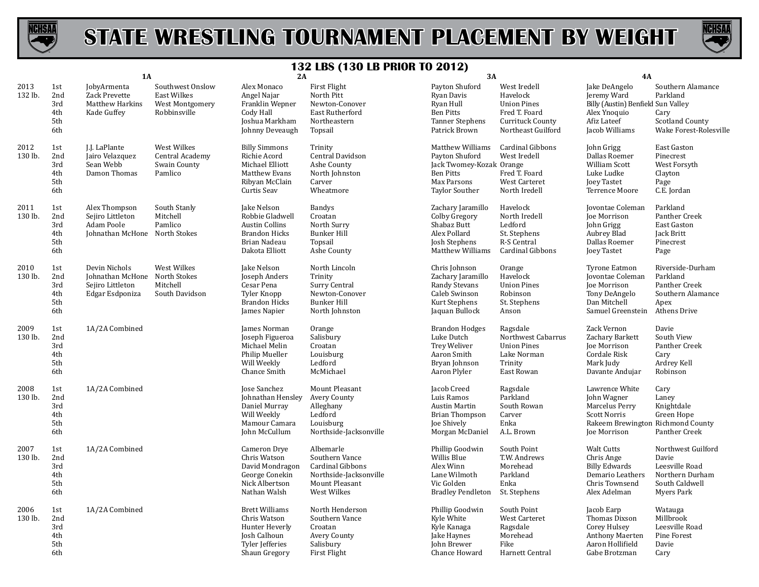



|                 |                                        | 1A                                                                                    |                                                                    | 2A                                                                                                                |                                                                                                            | 3A                                                                                                                         |                                                                                                           | <b>4A</b>                                                                                                                   |                                                                                                  |
|-----------------|----------------------------------------|---------------------------------------------------------------------------------------|--------------------------------------------------------------------|-------------------------------------------------------------------------------------------------------------------|------------------------------------------------------------------------------------------------------------|----------------------------------------------------------------------------------------------------------------------------|-----------------------------------------------------------------------------------------------------------|-----------------------------------------------------------------------------------------------------------------------------|--------------------------------------------------------------------------------------------------|
| 2013<br>132 lb. | 1st<br>2nd<br>3rd<br>4th<br>5th<br>6th | JobyArmenta<br>Zack Prevette<br><b>Matthew Harkins</b><br>Kade Guffey                 | Southwest Onslow<br>East Wilkes<br>West Montgomery<br>Robbinsville | Alex Monaco<br>Angel Najar<br>Franklin Wepner<br>Cody Hall<br>Joshua Markham<br>Johnny Deveaugh                   | First Flight<br>North Pitt<br>Newton-Conover<br>East Rutherford<br>Northeastern<br>Topsail                 | Payton Shuford<br>Ryan Davis<br>Ryan Hull<br><b>Ben Pitts</b><br><b>Tanner Stephens</b><br>Patrick Brown                   | West Iredell<br>Havelock<br><b>Union Pines</b><br>Fred T. Foard<br>Currituck County<br>Northeast Guilford | Jake DeAngelo<br>Jeremy Ward<br>Billy (Austin) Benfield Sun Valley<br>Alex Ynoquio<br>Afiz Lateef<br>Jacob Williams         | Southern Alamance<br>Parkland<br>Cary<br><b>Scotland County</b><br>Wake Forest-Rolesville        |
| 2012<br>130 lb. | 1st<br>2nd<br>3rd<br>4th<br>5th<br>6th | J.J. LaPlante<br>Jairo Velazquez<br>Sean Webb<br>Damon Thomas                         | West Wilkes<br>Central Academy<br>Swain County<br>Pamlico          | <b>Billy Simmons</b><br>Richie Acord<br>Michael Elliott<br>Matthew Evans<br>Ribyan McClain<br>Curtis Seav         | Trinity<br>Central Davidson<br>Ashe County<br>North Johnston<br>Carver<br>Wheatmore                        | Matthew Williams<br>Payton Shuford<br>Jack Twomey-Kozak Orange<br><b>Ben Pitts</b><br>Max Parsons<br><b>Taylor Souther</b> | Cardinal Gibbons<br>West Iredell<br>Fred T. Foard<br><b>West Carteret</b><br>North Iredell                | John Grigg<br>Dallas Roemer<br>William Scott<br>Luke Ludke<br>Joey Tastet<br>Terrence Moore                                 | East Gaston<br>Pinecrest<br>West Forsyth<br>Clayton<br>Page<br>C.E. Jordan                       |
| 2011<br>130 lb. | 1st<br>2nd<br>3rd<br>4th<br>5th<br>6th | Alex Thompson<br>Sejiro Littleton<br>Adam Poole<br>Johnathan McHone North Stokes      | South Stanly<br>Mitchell<br>Pamlico                                | Jake Nelson<br>Robbie Gladwell<br><b>Austin Collins</b><br><b>Brandon Hicks</b><br>Brian Nadeau<br>Dakota Elliott | <b>Bandys</b><br>Croatan<br>North Surry<br><b>Bunker Hill</b><br>Topsail<br>Ashe County                    | Zachary Jaramillo<br>Colby Gregory<br>Shabaz Butt<br>Alex Pollard<br>Josh Stephens<br>Matthew Williams                     | Havelock<br>North Iredell<br>Ledford<br>St. Stephens<br>R-S Central<br>Cardinal Gibbons                   | Jovontae Coleman<br>Joe Morrison<br>John Grigg<br>Aubrey Blad<br>Dallas Roemer<br>Joey Tastet                               | Parkland<br>Panther Creek<br>East Gaston<br>Jack Britt<br>Pinecrest<br>Page                      |
| 2010<br>130 lb. | 1st<br>2nd<br>3rd<br>4th<br>5th<br>6th | Devin Nichols<br>Johnathan McHone North Stokes<br>Sejiro Littleton<br>Edgar Esdponiza | West Wilkes<br>Mitchell<br>South Davidson                          | Jake Nelson<br>Joseph Anders<br>Cesar Pena<br>Tyler Knopp<br><b>Brandon Hicks</b><br>James Napier                 | North Lincoln<br>Trinity<br>Surry Central<br>Newton-Conover<br><b>Bunker Hill</b><br>North Johnston        | Chris Johnson<br>Zachary Jaramillo<br>Randy Stevans<br>Caleb Swinson<br>Kurt Stephens<br>Jaquan Bullock                    | Orange<br>Havelock<br><b>Union Pines</b><br>Robinson<br>St. Stephens<br>Anson                             | <b>Tyrone Eatmon</b><br>Jovontae Coleman<br>Joe Morrison<br>Tony DeAngelo<br>Dan Mitchell<br>Samuel Greenstein              | Riverside-Durham<br>Parkland<br>Panther Creek<br>Southern Alamance<br>Apex<br>Athens Drive       |
| 2009<br>130 lb. | 1st<br>2nd<br>3rd<br>4th<br>5th<br>6th | 1A/2A Combined                                                                        |                                                                    | James Norman<br>Joseph Figueroa<br>Michael Melin<br>Philip Mueller<br>Will Weekly<br>Chance Smith                 | Orange<br>Salisbury<br>Croatan<br>Louisburg<br>Ledford<br>McMichael                                        | <b>Brandon Hodges</b><br>Luke Dutch<br><b>Trey Weliver</b><br>Aaron Smith<br>Bryan Johnson<br>Aaron Plyler                 | Ragsdale<br>Northwest Cabarrus<br><b>Union Pines</b><br>Lake Norman<br>Trinity<br>East Rowan              | Zack Vernon<br>Zachary Barkett<br><b>Joe Morrison</b><br>Cordale Risk<br>Mark Judy<br>Davante Andujar                       | Davie<br>South View<br>Panther Creek<br>Cary<br>Ardrey Kell<br>Robinson                          |
| 2008<br>130 lb. | 1st<br>2nd<br>3rd<br>4th<br>5th<br>6th | 1A/2A Combined                                                                        |                                                                    | Jose Sanchez<br>Johnathan Hensley<br>Daniel Murray<br>Will Weekly<br>Mamour Camara<br>John McCullum               | Mount Pleasant<br>Avery County<br>Alleghany<br>Ledford<br>Louisburg<br>Northside-Jacksonville              | Jacob Creed<br>Luis Ramos<br>Austin Martin<br>Brian Thompson<br><b>Joe Shively</b><br>Morgan McDaniel                      | Ragsdale<br>Parkland<br>South Rowan<br>Carver<br>Enka<br>A.L. Brown                                       | Lawrence White<br>John Wagner<br>Marcelus Perry<br><b>Scott Norris</b><br>Rakeem Brewington Richmond County<br>Joe Morrison | Cary<br>Laney<br>Knightdale<br>Green Hope<br>Panther Creek                                       |
| 2007<br>130 lb. | 1st<br>2nd<br>3rd<br>4th<br>5th<br>6th | 1A/2A Combined                                                                        |                                                                    | Cameron Drye<br>Chris Watson<br>David Mondragon<br>George Conekin<br>Nick Albertson<br>Nathan Walsh               | Albemarle<br>Southern Vance<br>Cardinal Gibbons<br>Northside-Jacksonville<br>Mount Pleasant<br>West Wilkes | Phillip Goodwin<br>Willis Blue<br>Alex Winn<br>Lane Wilmoth<br>Vic Golden<br><b>Bradley Pendleton</b>                      | South Point<br>T.W. Andrews<br>Morehead<br>Parkland<br>Enka<br>St. Stephens                               | <b>Walt Cutts</b><br>Chris Ange<br><b>Billy Edwards</b><br>Demario Leathers<br>Chris Townsend<br>Alex Adelman               | Northwest Guilford<br>Davie<br>Leesville Road<br>Northern Durham<br>South Caldwell<br>Myers Park |
| 2006<br>130 lb. | 1st<br>2nd<br>3rd<br>4th<br>5th<br>6th | 1A/2A Combined                                                                        |                                                                    | <b>Brett Williams</b><br>Chris Watson<br>Hunter Heverly<br>Josh Calhoun<br>Tyler Jefferies<br>Shaun Gregory       | North Henderson<br>Southern Vance<br>Croatan<br>Avery County<br>Salisbury<br><b>First Flight</b>           | Phillip Goodwin<br>Kyle White<br>Kyle Kanaga<br>Jake Haynes<br><b>Iohn Brewer</b><br>Chance Howard                         | South Point<br>West Carteret<br>Ragsdale<br>Morehead<br>Fike<br>Harnett Central                           | Jacob Earp<br>Thomas Dixson<br>Corey Hulsey<br><b>Anthony Maerten</b><br>Aaron Hollifield<br>Gabe Brotzman                  | Watauga<br>Millbrook<br>Leesville Road<br>Pine Forest<br>Davie<br>Cary                           |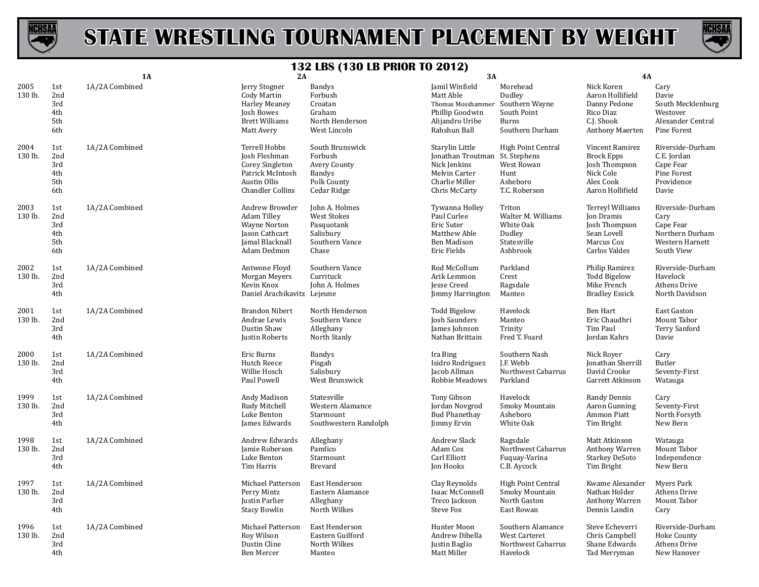



|                 |                                        | 1A             | 2A                                                                                                               |                                                                                            | 3A                                                                                                                    |                                                                                 | 4A                                                                                                  |                                                                                           |
|-----------------|----------------------------------------|----------------|------------------------------------------------------------------------------------------------------------------|--------------------------------------------------------------------------------------------|-----------------------------------------------------------------------------------------------------------------------|---------------------------------------------------------------------------------|-----------------------------------------------------------------------------------------------------|-------------------------------------------------------------------------------------------|
| 2005<br>130 lb. | 1st<br>2nd<br>3rd<br>4th<br>5th<br>6th | 1A/2A Combined | Jerry Stogner<br>Cody Martin<br><b>Harley Meaney</b><br>Josh Bowes<br><b>Brett Williams</b><br>Matt Avery        | <b>Bandys</b><br>Forbush<br>Croatan<br>Graham<br>North Henderson<br>West Lincoln           | Jamil Winfield<br>Matt Able<br>Thomas Mosshamme<br>Phillip Goodwin<br>Alijandro Uribe<br>Rahshun Ball                 | Morehead<br>Dudley<br>Southern Wayne<br>South Point<br>Burns<br>Southern Durham | Nick Koren<br>Aaron Hollifield<br>Danny Pedone<br>Rico Diaz<br>C.J. Shook<br><b>Anthony Maerten</b> | Cary<br>Davie<br>South Mecklenburg<br>Westover<br>Alexander Central<br>Pine Forest        |
| 2004<br>130 lb. | 1st<br>2nd<br>3rd<br>4th<br>5th<br>6th | 1A/2A Combined | Terrell Hobbs<br>Josh Fleshman<br>Corey Singleton<br>Patrick McIntosh<br>Austin Ollis<br><b>Chandler Collins</b> | South Brunswick<br>Forbush<br>Avery County<br>Bandys<br>Polk County<br>Cedar Ridge         | Starylin Little<br>Jonathan Troutman St. Stephens<br>Nick Jenkins<br>Melvin Carter<br>Charlie Miller<br>Chris McCarty | <b>High Point Central</b><br>West Rowan<br>Hunt<br>Asheboro<br>T.C. Roberson    | Vincent Ramirez<br><b>Brock Epps</b><br>Josh Thompson<br>Nick Cole<br>Alex Cook<br>Aaron Hollifield | Riverside-Durham<br>C.E. Jordan<br>Cape Fear<br>Pine Forest<br>Providence<br>Davie        |
| 2003<br>130 lb. | 1st<br>2nd<br>3rd<br>4th<br>5th<br>6th | 1A/2A Combined | Andrew Browder<br>Adam Tilley<br><b>Wayne Norton</b><br>Jason Cathcart<br>Jamal Blacknall<br>Adam Dedmon         | John A. Holmes<br><b>West Stokes</b><br>Pasquotank<br>Salisbury<br>Southern Vance<br>Chase | Tywanna Holley<br>Paul Curlee<br>Eric Suter<br>Matthew Able<br>Ben Madison<br>Eric Fields                             | Triton<br>Walter M. Williams<br>White Oak<br>Dudley<br>Statesville<br>Ashbrook  | Terreyl Williams<br>Jon Dramis<br>Josh Thompson<br>Sean Lovell<br>Marcus Cox<br>Carlos Valdes       | Riverside-Durham<br>Cary<br>Cape Fear<br>Northern Durham<br>Western Harnett<br>South View |
| 2002<br>130 lb. | 1st<br>2nd<br>3rd<br>4th               | 1A/2A Combined | Antwone Floyd<br>Morgan Meyers<br>Kevin Knox<br>Daniel Arachikavitz Lejeune                                      | Southern Vance<br>Currituck<br>John A. Holmes                                              | Rod McCollum<br>Arik Lemmon<br><b>Iesse Creed</b><br><b>Jimmy Harrington</b>                                          | Parkland<br>Crest<br>Ragsdale<br>Manteo                                         | Philip Ramirez<br><b>Todd Bigelow</b><br>Mike French<br><b>Bradley Essick</b>                       | Riverside-Durham<br>Havelock<br><b>Athens Drive</b><br>North Davidson                     |
| 2001<br>130 lb. | 1st<br>2nd<br>3rd<br>4th               | 1A/2A Combined | <b>Brandon Nibert</b><br>Andrae Lewis<br>Dustin Shaw<br>Justin Roberts                                           | North Henderson<br>Southern Vance<br>Alleghany<br>North Stanly                             | <b>Todd Bigelow</b><br>Josh Saunders<br>James Johnson<br>Nathan Brittain                                              | Havelock<br>Manteo<br>Trinity<br>Fred T. Foard                                  | Ben Hart<br>Eric Chaudhri<br>Tim Paul<br>Jordan Kahrs                                               | East Gaston<br>Mount Tabor<br><b>Terry Sanford</b><br>Davie                               |
| 2000<br>130 lb. | 1st<br>2nd<br>3rd<br>4th               | 1A/2A Combined | Eric Burns<br>Hutch Reece<br>Willie Hosch<br>Paul Powell                                                         | Bandys<br>Pisgah<br>Salisbury<br>West Brunswick                                            | Ira Bing<br>Isidro Rodriguez<br>Jacob Allman<br>Robbie Meadows                                                        | Southern Nash<br>I.F. Webb<br>Northwest Cabarrus<br>Parkland                    | Nick Royer<br>Jonathan Sherrill<br>David Crooke<br>Garrett Atkinson                                 | Cary<br>Butler<br>Seventy-First<br>Watauga                                                |
| 1999<br>130 lb. | 1st<br>2nd<br>3rd<br>4th               | 1A/2A Combined | Andy Madison<br>Rudy Mitchell<br>Luke Benton<br>James Edwards                                                    | Statesville<br>Western Alamance<br>Starmount<br>Southwestern Randolph                      | Tony Gibson<br>Jordan Novgrod<br><b>Bud Phanethay</b><br>Jimmy Ervin                                                  | Havelock<br>Smoky Mountain<br>Asheboro<br>White Oak                             | Randy Dennis<br>Aaron Gunning<br>Ammon Piatt<br>Tim Bright                                          | Cary<br>Seventy-First<br>North Forsyth<br>New Bern                                        |
| 1998<br>130 lb. | 1st<br>2nd<br>3rd<br>4th               | 1A/2A Combined | Andrew Edwards<br>Jamie Roberson<br>Luke Benton<br>Tim Harris                                                    | Alleghany<br>Pamlico<br>Starmount<br>Brevard                                               | <b>Andrew Slack</b><br>Adam Cox<br>Carl Elliott<br>Jon Hooks                                                          | Ragsdale<br>Northwest Cabarrus<br>Fuquay-Varina<br>C.B. Aycock                  | Matt Atkinson<br>Anthony Warren<br><b>Starkey DeSoto</b><br>Tim Bright                              | Watauga<br>Mount Tabor<br>Independence<br>New Bern                                        |
| 1997<br>130 lb. | 1st<br>2nd<br>3rd<br>4th               | 1A/2A Combined | Michael Patterson<br>Perry Mintz<br>Justin Parlier<br><b>Stacy Bowlin</b>                                        | East Henderson<br>Eastern Alamance<br>Alleghany<br>North Wilkes                            | Clay Reynolds<br>Isaac McConnell<br>Treco Jackson<br><b>Steve Fox</b>                                                 | High Point Central<br>Smoky Mountain<br>North Gaston<br>East Rowan              | Kwame Alexander<br>Nathan Holder<br>Anthony Warren<br>Dennis Landin                                 | Myers Park<br>Athens Drive<br>Mount Tabor<br>Cary                                         |
| 1996<br>130 lb. | 1st<br>2nd<br>3rd<br>4th               | 1A/2A Combined | Michael Patterson<br>Roy Wilson<br>Dustin Cline<br>Ben Mercer                                                    | East Henderson<br>Eastern Guilford<br>North Wilkes<br>Manteo                               | Hunter Moon<br>Andrew Dibella<br>Justin Baglio<br>Matt Miller                                                         | Southern Alamance<br><b>West Carteret</b><br>Northwest Cabarrus<br>Havelock     | Steve Echeverri<br>Chris Campbell<br>Shane Edwards<br>Tad Merryman                                  | Riverside-Durham<br><b>Hoke County</b><br>Athens Drive<br>New Hanover                     |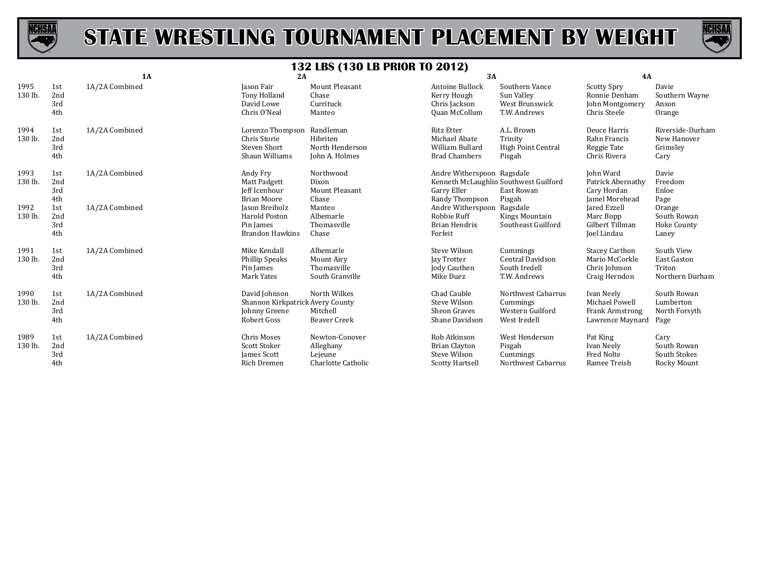



|                 |                          | 1A             | 2A                                                                                  |                                                              | 3A                                                                                                   |                                                                    | 4A                                                                         |                                                               |
|-----------------|--------------------------|----------------|-------------------------------------------------------------------------------------|--------------------------------------------------------------|------------------------------------------------------------------------------------------------------|--------------------------------------------------------------------|----------------------------------------------------------------------------|---------------------------------------------------------------|
| 1995<br>130 lb. | 1st<br>2nd<br>3rd<br>4th | 1A/2A Combined | Jason Fair<br><b>Tony Holland</b><br>David Lowe<br>Chris O'Neal                     | <b>Mount Pleasant</b><br>Chase<br>Currituck<br>Manteo        | Antoine Bullock<br>Kerry Hough<br>Chris Jackson<br>Quan McCollum                                     | Southern Vance<br>Sun Valley<br>West Brunswick<br>T.W. Andrews     | <b>Scotty Spry</b><br>Ronnie Denham<br>John Montgomery<br>Chris Steele     | Davie<br>Southern Wayne<br>Anson<br>Orange                    |
| 1994<br>130 lb. | 1st<br>2nd<br>3rd<br>4th | 1A/2A Combined | Lorenzo Thompson Randleman<br>Chris Storie<br><b>Steven Short</b><br>Shaun Williams | Hibriten<br>North Henderson<br>John A. Holmes                | <b>Ritz Etter</b><br>Michael Abate<br>William Bullard<br><b>Brad Chambers</b>                        | A.L. Brown<br>Trinity<br><b>High Point Central</b><br>Pisgah       | Deuce Harris<br>Rahn Francis<br>Reggie Tate<br>Chris Rivera                | Riverside-Durham<br>New Hanover<br>Grimsley<br>Cary           |
| 1993<br>130 lb. | 1st<br>2nd<br>3rd<br>4th | 1A/2A Combined | Andy Fry<br>Matt Padgett<br>Jeff Icenhour<br><b>Brian Moore</b>                     | Northwood<br>Dixon<br>Mount Pleasant<br>Chase                | Andre Witherspoon Ragsdale<br>Kenneth McLaughlin Southwest Guilford<br>Garry Eller<br>Randy Thompson | East Rowan<br>Pisgah                                               | John Ward<br>Patrick Abernathy<br>Cary Hordan<br><b>Jamel Morehead</b>     | Davie<br>Freedom<br>Enloe<br>Page                             |
| 1992<br>130 lb. | 1st<br>2nd<br>3rd<br>4th | 1A/2A Combined | Jason Breiholz<br>Harold Poston<br>Pin James<br><b>Brandon Hawkins</b>              | Manteo<br>Albemarle<br>Thomasville<br>Chase                  | Andre Witherspoon Ragsdale<br>Robbie Ruff<br>Brian Hendrix<br>Forfeit                                | Kings Mountain<br>Southeast Guilford                               | Jared Ezzell<br>Marc Bopp<br>Gilbert Tillman<br>Joel Lindau                | Orange<br>South Rowan<br>Hoke County<br>Laney                 |
| 1991<br>130 lb. | 1st<br>2nd<br>3rd<br>4th | 1A/2A Combined | Mike Kendall<br>Phillip Speaks<br>Pin James<br>Mark Yates                           | Albemarle<br>Mount Airy<br>Thomasville<br>South Granville    | Steve Wilson<br><b>Jay Trotter</b><br><b>Jody Cauthen</b><br>Mike Duez                               | Cummings<br>Central Davidson<br>South Iredell<br>T.W. Andrews      | <b>Stacey Carthon</b><br>Mario McCorkle<br>Chris Johnson<br>Craig Herndon  | South View<br><b>East Gaston</b><br>Triton<br>Northern Durham |
| 1990<br>130 lb. | 1st<br>2nd<br>3rd<br>4th | 1A/2A Combined | David Johnson<br>Shannon Kirkpatrick Avery County<br>Johnny Greene<br>Robert Goss   | North Wilkes<br>Mitchell<br><b>Beaver Creek</b>              | Chad Cauble<br><b>Steve Wilson</b><br>Sheon Graves<br>Shane Davidson                                 | Northwest Cabarrus<br>Cummings<br>Western Guilford<br>West Iredell | Ivan Neely<br>Michael Powell<br><b>Frank Armstrong</b><br>Lawrence Maynard | South Rowan<br>Lumberton<br>North Forsyth<br>Page             |
| 1989<br>130 lb. | 1st<br>2nd<br>3rd<br>4th | 1A/2A Combined | Chris Moses<br>Scott Stoker<br>James Scott<br>Rich Dremen                           | Newton-Conover<br>Alleghany<br>Lejeune<br>Charlotte Catholic | Rob Atkinson<br><b>Brian Clayton</b><br>Steve Wilson<br><b>Scotty Hartsell</b>                       | West Henderson<br>Pisgah<br>Cummings<br>Northwest Cabarrus         | Pat King<br>Ivan Neely<br><b>Fred Nolte</b><br>Ramee Treish                | Cary<br>South Rowan<br>South Stokes<br>Rocky Mount            |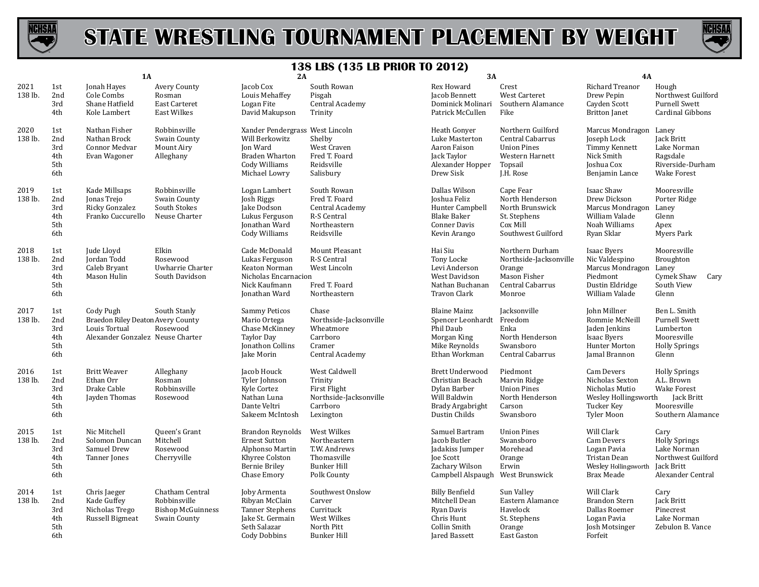



|                 |                                        | <b>1A</b>                                                                                           |                                                                             | 2A                                                                                                                       |                                                                                                 | 3A                                                                                                                          |                                                                                                        | <b>4A</b>                                                                                                      |                                                                                                            |
|-----------------|----------------------------------------|-----------------------------------------------------------------------------------------------------|-----------------------------------------------------------------------------|--------------------------------------------------------------------------------------------------------------------------|-------------------------------------------------------------------------------------------------|-----------------------------------------------------------------------------------------------------------------------------|--------------------------------------------------------------------------------------------------------|----------------------------------------------------------------------------------------------------------------|------------------------------------------------------------------------------------------------------------|
| 2021<br>138 lb. | 1st<br>2nd<br>3rd<br>4th               | Jonah Hayes<br>Cole Combs<br>Shane Hatfield<br>Kole Lambert                                         | Avery County<br>Rosman<br>East Carteret<br><b>East Wilkes</b>               | Jacob Cox<br>Louis Mehaffey<br>Logan Fite<br>David Makupson                                                              | South Rowan<br>Pisgah<br>Central Academy<br>Trinity                                             | Rex Howard<br>Jacob Bennett<br>Dominick Molinari<br>Patrick McCullen                                                        | Crest<br>West Carteret<br>Southern Alamance<br>Fike                                                    | Richard Treanor<br>Drew Pepin<br>Cayden Scott<br><b>Britton</b> Janet                                          | Hough<br>Northwest Guilford<br><b>Purnell Swett</b><br>Cardinal Gibbons                                    |
| 2020<br>138 lb. | 1st<br>2nd<br>3rd<br>4th<br>5th<br>6th | Nathan Fisher<br>Nathan Brock<br>Connor Medvar<br>Evan Wagoner                                      | Robbinsville<br>Swain County<br>Mount Airy<br>Alleghany                     | Xander Pendergrass West Lincoln<br>Will Berkowitz<br>Ion Ward<br><b>Braden Wharton</b><br>Cody Williams<br>Michael Lowry | Shelby<br>West Craven<br>Fred T. Foard<br>Reidsville<br>Salisbury                               | Heath Gonyer<br>Luke Masterton<br>Aaron Faison<br>Jack Taylor<br>Alexander Hopper<br>Drew Sisk                              | Northern Guilford<br>Central Cabarrus<br><b>Union Pines</b><br>Western Harnett<br>Topsail<br>J.H. Rose | Marcus Mondragon Laney<br>Joseph Lock<br>Timmy Kennett<br>Nick Smith<br><b>Joshua Cox</b><br>Benjamin Lance    | Jack Britt<br>Lake Norman<br>Ragsdale<br>Riverside-Durham<br><b>Wake Forest</b>                            |
| 2019<br>138 lb. | 1st<br>2nd<br>3rd<br>4th<br>5th<br>6th | Kade Millsaps<br>Jonas Trejo<br>Ricky Gonzalez<br>Franko Cuccurello                                 | Robbinsville<br>Swain County<br>South Stokes<br>Neuse Charter               | Logan Lambert<br>Josh Riggs<br>Jake Dodson<br>Lukus Ferguson<br>Jonathan Ward<br>Cody Williams                           | South Rowan<br>Fred T. Foard<br>Central Academy<br>R-S Central<br>Northeastern<br>Reidsville    | Dallas Wilson<br>Joshua Feliz<br>Hunter Campbell<br><b>Blake Baker</b><br><b>Conner Davis</b><br>Kevin Arango               | Cape Fear<br>North Henderson<br>North Brunswick<br>St. Stephens<br>Cox Mill<br>Southwest Guilford      | Isaac Shaw<br>Drew Dickson<br>Marcus Mondragon Laney<br>William Valade<br>Noah Williams<br>Ryan Sklar          | Mooresville<br>Porter Ridge<br>Glenn<br>Apex<br>Myers Park                                                 |
| 2018<br>138 lb. | 1st<br>2nd<br>3rd<br>4th<br>5th<br>6th | Jude Lloyd<br>Jordan Todd<br>Caleb Bryant<br>Mason Hulin                                            | Elkin<br>Rosewood<br>Uwharrie Charter<br>South Davidson                     | Cade McDonald<br>Lukas Ferguson<br>Keaton Norman<br>Nicholas Encarnacion<br>Nick Kaufmann<br>Jonathan Ward               | Mount Pleasant<br>R-S Central<br>West Lincoln<br>Fred T. Foard<br>Northeastern                  | Hai Siu<br>Tony Locke<br>Levi Anderson<br>West Davidson<br>Nathan Buchanan<br><b>Travon Clark</b>                           | Northern Durham<br>Northside-Jacksonville<br>Orange<br>Mason Fisher<br>Central Cabarrus<br>Monroe      | Isaac Byers<br>Nic Valdespino<br>Marcus Mondragon Laney<br>Piedmont<br>Dustin Eldridge<br>William Valade       | Mooresville<br>Broughton<br>Cymek Shaw<br>Cary<br>South View<br>Glenn                                      |
| 2017<br>138 lb. | 1st<br>2nd<br>3rd<br>4th<br>5th<br>6th | Cody Pugh<br>Braedon Riley Deaton Avery County<br>Louis Tortual<br>Alexander Gonzalez Neuse Charter | South Stanly<br>Rosewood                                                    | <b>Sammy Peticos</b><br>Mario Ortega<br>Chase McKinney<br><b>Taylor Day</b><br>Jonathon Collins<br>Jake Morin            | Chase<br>Northside-Jacksonville<br>Wheatmore<br>Carrboro<br>Cramer<br>Central Academy           | <b>Blaine Mainz</b><br>Spencer Leonhardt Freedom<br>Phil Daub<br>Morgan King<br>Mike Reynolds<br>Ethan Workman              | Jacksonville<br>Enka<br>North Henderson<br>Swansboro<br>Central Cabarrus                               | John Millner<br>Rommie McNeill<br>Jaden Jenkins<br><b>Isaac Byers</b><br><b>Hunter Morton</b><br>Jamal Brannon | Ben L. Smith<br><b>Purnell Swett</b><br>Lumberton<br>Mooresville<br><b>Holly Springs</b><br>Glenn          |
| 2016<br>138 lb. | 1st<br>2nd<br>3rd<br>4th<br>5th<br>6th | <b>Britt Weaver</b><br>Ethan Orr<br>Drake Cable<br>Jayden Thomas                                    | Alleghany<br>Rosman<br>Robbinsville<br>Rosewood                             | Jacob Houck<br>Tyler Johnson<br>Kyle Cortez<br>Nathan Luna<br>Dante Veltri<br>Sakeem McIntosh                            | West Caldwell<br>Trinity<br>First Flight<br>Northside-Jacksonville<br>Carrboro<br>Lexington     | <b>Brett Underwood</b><br>Christian Beach<br>Dylan Barber<br>Will Baldwin<br>Brady Argabright<br>Dustin Childs              | Piedmont<br>Marvin Ridge<br><b>Union Pines</b><br>North Henderson<br>Carson<br>Swansboro               | Cam Devers<br>Nicholas Sexton<br>Nicholas Mutio<br>Wesley Hollingsworth<br>Tucker Key<br><b>Tyler Moon</b>     | <b>Holly Springs</b><br>A.L. Brown<br><b>Wake Forest</b><br>Jack Britt<br>Mooresville<br>Southern Alamance |
| 2015<br>138 lb. | 1st<br>2nd<br>3rd<br>4th<br>5th<br>6th | Nic Mitchell<br>Solomon Duncan<br>Samuel Drew<br>Tanner Jones                                       | Queen's Grant<br>Mitchell<br>Rosewood<br>Cherryville                        | <b>Brandon Reynolds</b><br><b>Ernest Sutton</b><br>Alphonso Martin<br>Khyree Colston<br>Bernie Briley<br>Chase Emory     | West Wilkes<br>Northeastern<br>T.W. Andrews<br>Thomasville<br><b>Bunker Hill</b><br>Polk County | Samuel Bartram<br>Jacob Butler<br>Jadakiss Jumper<br><b>Joe Scott</b><br>Zachary Wilson<br>Campbell Alspaugh West Brunswick | <b>Union Pines</b><br>Swansboro<br>Morehead<br>Orange<br>Erwin                                         | Will Clark<br>Cam Devers<br>Logan Pavia<br>Tristan Dean<br>Wesley Hollingsworth Jack Britt<br>Brax Meade       | Cary<br><b>Holly Springs</b><br>Lake Norman<br>Northwest Guilford<br>Alexander Central                     |
| 2014<br>138 lb. | 1st<br>2nd<br>3rd<br>4th<br>5th<br>6th | Chris Jaeger<br>Kade Guffey<br>Nicholas Trego<br>Russell Bigmeat                                    | Chatham Central<br>Robbinsville<br><b>Bishop McGuinness</b><br>Swain County | Joby Armenta<br>Ribyan McClain<br>Tanner Stephens<br>Jake St. Germain<br>Seth Salazar<br><b>Cody Dobbins</b>             | Southwest Onslow<br>Carver<br>Currituck<br>West Wilkes<br>North Pitt<br><b>Bunker Hill</b>      | <b>Billy Benfield</b><br>Mitchell Dean<br>Ryan Davis<br>Chris Hunt<br>Collin Smith<br>Jared Bassett                         | Sun Valley<br>Eastern Alamance<br>Havelock<br>St. Stephens<br>Orange<br>East Gaston                    | Will Clark<br>Brandon Stern<br>Dallas Roemer<br>Logan Pavia<br>Josh Motsinger<br>Forfeit                       | Cary<br>Jack Britt<br>Pinecrest<br>Lake Norman<br>Zebulon B. Vance                                         |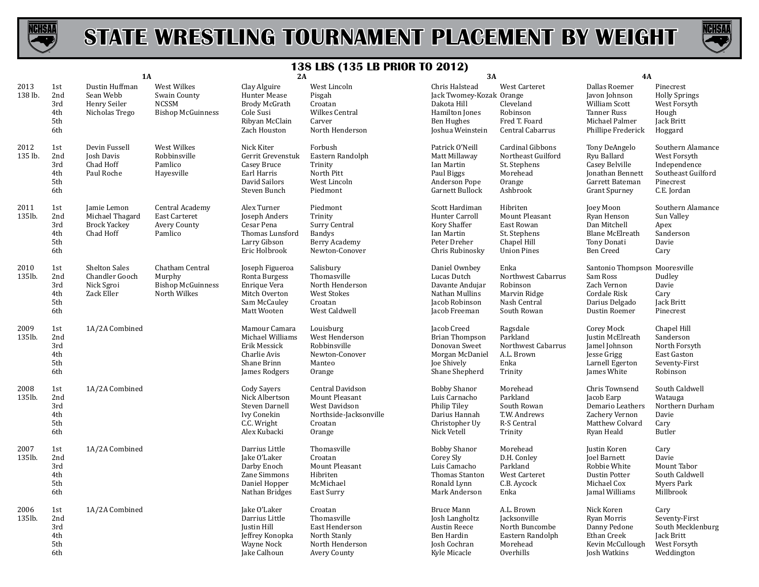



|                 |                                        | <b>1A</b>                                                          |                                                                         | 2A                                                                                                    |                                                                                                    | 3A                                                                                                                   |                                                                                               | 4A                                                                                                            |                                                                                                     |
|-----------------|----------------------------------------|--------------------------------------------------------------------|-------------------------------------------------------------------------|-------------------------------------------------------------------------------------------------------|----------------------------------------------------------------------------------------------------|----------------------------------------------------------------------------------------------------------------------|-----------------------------------------------------------------------------------------------|---------------------------------------------------------------------------------------------------------------|-----------------------------------------------------------------------------------------------------|
| 2013<br>138 lb. | 1st<br>2nd<br>3rd<br>4th<br>5th<br>6th | Dustin Huffman<br>Sean Webb<br>Henry Seiler<br>Nicholas Trego      | West Wilkes<br>Swain County<br><b>NCSSM</b><br><b>Bishop McGuinness</b> | Clay Alguire<br>Hunter Mease<br><b>Brody McGrath</b><br>Cole Susi<br>Ribyan McClain<br>Zach Houston   | West Lincoln<br>Pisgah<br>Croatan<br>Wilkes Central<br>Carver<br>North Henderson                   | Chris Halstead<br>Jack Twomey-Kozak Orange<br>Dakota Hill<br>Hamilton Jones<br><b>Ben Hughes</b><br>Joshua Weinstein | West Carteret<br>Cleveland<br>Robinson<br>Fred T. Foard<br>Central Cabarrus                   | Dallas Roemer<br>Javon Johnson<br>William Scott<br>Tanner Russ<br>Michael Palmer<br>Phillipe Frederick        | Pinecrest<br><b>Holly Springs</b><br>West Forsyth<br>Hough<br>Jack Britt<br>Hoggard                 |
| 2012<br>135 lb. | 1st<br>2nd<br>3rd<br>4th<br>5th<br>6th | Devin Fussell<br>Josh Davis<br>Chad Hoff<br>Paul Roche             | West Wilkes<br>Robbinsville<br>Pamlico<br>Hayesville                    | Nick Kiter<br>Gerrit Grevenstuk<br>Casey Bruce<br>Earl Harris<br>David Sailors<br>Steven Bunch        | Forbush<br>Eastern Randolph<br>Trinity<br>North Pitt<br>West Lincoln<br>Piedmont                   | Patrick O'Neill<br>Matt Millaway<br>Ian Martin<br>Paul Biggs<br>Anderson Pope<br><b>Garnett Bullock</b>              | Cardinal Gibbons<br>Northeast Guilford<br>St. Stephens<br>Morehead<br>Orange<br>Ashbrook      | Tony DeAngelo<br>Ryu Ballard<br>Casey Belville<br>Jonathan Bennett<br>Garrett Bateman<br><b>Grant Spurney</b> | Southern Alamance<br>West Forsyth<br>Independence<br>Southeast Guilford<br>Pinecrest<br>C.E. Jordan |
| 2011<br>135lb.  | 1st<br>2nd<br>3rd<br>4th<br>5th<br>6th | Jamie Lemon<br>Michael Thagard<br><b>Brock Yackey</b><br>Chad Hoff | Central Academy<br>East Carteret<br><b>Avery County</b><br>Pamlico      | Alex Turner<br>Joseph Anders<br>Cesar Pena<br>Thomas Lunsford<br>Larry Gibson<br>Eric Holbrook        | Piedmont<br>Trinity<br>Surry Central<br><b>Bandys</b><br>Berry Academy<br>Newton-Conover           | Scott Hardiman<br>Hunter Carroll<br>Kory Shaffer<br>Ian Martin<br>Peter Dreher<br>Chris Rubinosky                    | Hibriten<br>Mount Pleasant<br>East Rowan<br>St. Stephens<br>Chapel Hill<br><b>Union Pines</b> | Joey Moon<br>Ryan Henson<br>Dan Mitchell<br>Blane McElreath<br>Tony Donati<br><b>Ben Creed</b>                | Southern Alamance<br>Sun Valley<br>Apex<br>Sanderson<br>Davie<br>Cary                               |
| 2010<br>135lb.  | 1st<br>2nd<br>3rd<br>4th<br>5th<br>6th | <b>Shelton Sales</b><br>Chandler Gooch<br>Nick Sgroi<br>Zack Eller | Chatham Central<br>Murphy<br><b>Bishop McGuinness</b><br>North Wilkes   | Joseph Figueroa<br>Ronta Burgess<br>Enrique Vera<br>Mitch Overton<br>Sam McCauley<br>Matt Wooten      | Salisbury<br>Thomasville<br>North Henderson<br><b>West Stokes</b><br>Croatan<br>West Caldwell      | Daniel Ownbey<br>Lucas Dutch<br>Davante Andujar<br>Nathan Mullins<br>Jacob Robinson<br>Jacob Freeman                 | Enka<br>Northwest Cabarrus<br>Robinson<br>Marvin Ridge<br>Nash Central<br>South Rowan         | Santonio Thompson Mooresville<br>Sam Ross<br>Zach Vernon<br>Cordale Risk<br>Darius Delgado<br>Dustin Roemer   | Dudley<br>Davie<br>Cary<br>Jack Britt<br>Pinecrest                                                  |
| 2009<br>135lb.  | 1st<br>2nd<br>3rd<br>4th<br>5th<br>6th | 1A/2A Combined                                                     |                                                                         | Mamour Camara<br>Michael Williams<br>Erik Messick<br>Charlie Avis<br>Shane Brinn<br>James Rodgers     | Louisburg<br>West Henderson<br>Robbinsville<br>Newton-Conover<br>Manteo<br>Orange                  | Jacob Creed<br><b>Brian Thompson</b><br>Donovan Sweet<br>Morgan McDaniel<br>Joe Shively<br>Shane Shepherd            | Ragsdale<br>Parkland<br>Northwest Cabarrus<br>A.L. Brown<br>Enka<br>Trinity                   | Corey Mock<br>Justin McElreath<br>Jamel Johnson<br>Jesse Grigg<br>Larnell Egerton<br>James White              | Chapel Hill<br>Sanderson<br>North Forsyth<br>East Gaston<br>Seventy-First<br>Robinson               |
| 2008<br>135lb.  | 1st<br>2nd<br>3rd<br>4th<br>5th<br>6th | 1A/2A Combined                                                     |                                                                         | <b>Cody Savers</b><br>Nick Albertson<br>Steven Darnell<br>Ivy Conekin<br>C.C. Wright<br>Alex Kubacki  | Central Davidson<br>Mount Pleasant<br>West Davidson<br>Northside-Jacksonville<br>Croatan<br>Orange | <b>Bobby Shanor</b><br>Luis Carnacho<br>Philip Tiley<br>Darius Hannah<br>Christopher Uy<br>Nick Vetell               | Morehead<br>Parkland<br>South Rowan<br>T.W. Andrews<br>R-S Central<br>Trinity                 | Chris Townsend<br>Jacob Earp<br>Demario Leathers<br>Zachery Vernon<br>Matthew Colvard<br>Ryan Heald           | South Caldwell<br>Watauga<br>Northern Durham<br>Davie<br>Cary<br>Butler                             |
| 2007<br>135lb.  | 1st<br>2nd<br>3rd<br>4th<br>5th<br>6th | 1A/2A Combined                                                     |                                                                         | Darrius Little<br>Jake O'Laker<br>Darby Enoch<br>Zane Simmons<br>Daniel Hopper<br>Nathan Bridges      | Thomasville<br>Croatan<br>Mount Pleasant<br>Hibriten<br>McMichael<br>East Surry                    | <b>Bobby Shanor</b><br>Corey Sly<br>Luis Camacho<br>Thomas Stanton<br>Ronald Lynn<br>Mark Anderson                   | Morehead<br>D.H. Conley<br>Parkland<br><b>West Carteret</b><br>C.B. Aycock<br>Enka            | Justin Koren<br><b>Joel Barnett</b><br>Robbie White<br>Dustin Potter<br>Michael Cox<br>Jamal Williams         | Cary<br>Davie<br>Mount Tabor<br>South Caldwell<br>Myers Park<br>Millbrook                           |
| 2006<br>135lb.  | 1st<br>2nd<br>3rd<br>4th<br>5th<br>6th | 1A/2A Combined                                                     |                                                                         | Jake O'Laker<br>Darrius Little<br>Justin Hill<br>Jeffrey Konopka<br><b>Wayne Nock</b><br>Jake Calhoun | Croatan<br>Thomasville<br>East Henderson<br>North Stanly<br>North Henderson<br>Avery County        | <b>Bruce Mann</b><br>Josh Langholtz<br>Austin Reece<br>Ben Hardin<br>Josh Cochran<br>Kyle Micacle                    | A.L. Brown<br>Jacksonville<br>North Buncombe<br>Eastern Randolph<br>Morehead<br>Overhills     | Nick Koren<br>Ryan Morris<br>Danny Pedone<br>Ethan Creek<br>Kevin McCullough<br>Josh Watkins                  | Cary<br>Seventy-First<br>South Mecklenburg<br>Jack Britt<br>West Forsyth<br>Weddington              |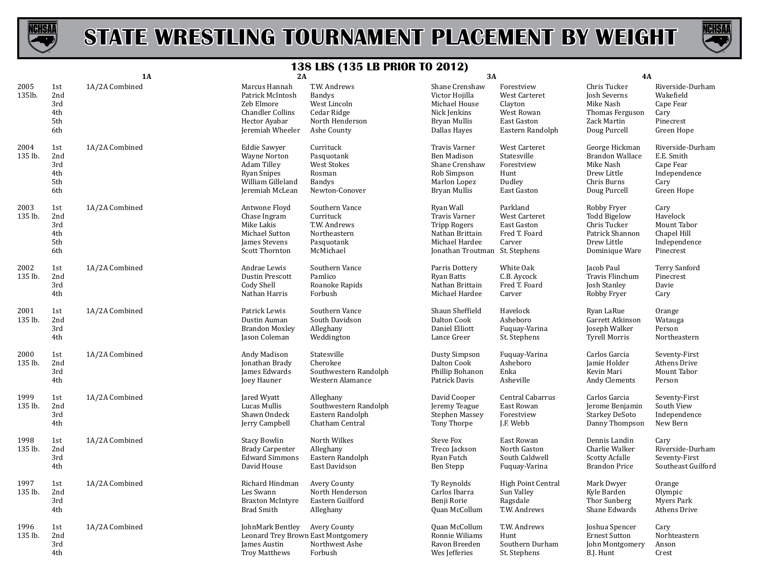



|                 |                                        | <b>1A</b>      | 2A                                                                                                                             | $190$ $190$ $190$ $110$                                                                    | 3A                                                                                                                              |                                                                                                | 4A                                                                                              |                                                                                   |
|-----------------|----------------------------------------|----------------|--------------------------------------------------------------------------------------------------------------------------------|--------------------------------------------------------------------------------------------|---------------------------------------------------------------------------------------------------------------------------------|------------------------------------------------------------------------------------------------|-------------------------------------------------------------------------------------------------|-----------------------------------------------------------------------------------|
| 2005<br>135lb.  | 1st<br>2nd<br>3rd<br>4th<br>5th<br>6th | 1A/2A Combined | Marcus Hannah<br>Patrick McIntosh<br>Zeb Elmore<br><b>Chandler Collins</b><br>Hector Ayabar<br>Jeremiah Wheeler                | T.W. Andrews<br>Bandys<br>West Lincoln<br>Cedar Ridge<br>North Henderson<br>Ashe County    | Shane Crenshaw<br>Victor Hojilla<br>Michael House<br>Nick Jenkins<br>Bryan Mullis<br>Dallas Hayes                               | Forestview<br>West Carteret<br>Clayton<br>West Rowan<br><b>East Gaston</b><br>Eastern Randolph | Chris Tucker<br>Josh Severns<br>Mike Nash<br>Thomas Ferguson<br>Zack Martin<br>Doug Purcell     | Riverside-Durham<br>Wakefield<br>Cape Fear<br>Cary<br>Pinecrest<br>Green Hope     |
| 2004<br>135 lb. | 1st<br>2nd<br>3rd<br>4th<br>5th<br>6th | 1A/2A Combined | <b>Eddie Sawyer</b><br><b>Wayne Norton</b><br><b>Adam Tilley</b><br><b>Ryan Snipes</b><br>William Gilleland<br>Jeremiah McLean | Currituck<br>Pasquotank<br><b>West Stokes</b><br>Rosman<br><b>Bandys</b><br>Newton-Conover | Travis Varner<br><b>Ben Madison</b><br>Shane Crenshaw<br>Rob Simpson<br>Marlon Lopez<br>Bryan Mullis                            | West Carteret<br>Statesville<br>Forestview<br>Hunt<br>Dudley<br>East Gaston                    | George Hickman<br>Brandon Wallace<br>Mike Nash<br>Drew Little<br>Chris Burns<br>Doug Purcell    | Riverside-Durham<br>E.E. Smith<br>Cape Fear<br>Independence<br>Cary<br>Green Hope |
| 2003<br>135 lb. | 1st<br>2nd<br>3rd<br>4th<br>5th<br>6th | 1A/2A Combined | Antwone Floyd<br>Chase Ingram<br>Mike Lakis<br>Michael Sutton<br><b>James Stevens</b><br>Scott Thornton                        | Southern Vance<br>Currituck<br>T.W. Andrews<br>Northeastern<br>Pasquotank<br>McMichael     | Ryan Wall<br><b>Travis Varner</b><br><b>Tripp Rogers</b><br>Nathan Brittain<br>Michael Hardee<br>Jonathan Troutman St. Stephens | Parkland<br>West Carteret<br>East Gaston<br>Fred T. Foard<br>Carver                            | Robby Fryer<br>Todd Bigelow<br>Chris Tucker<br>Patrick Shannon<br>Drew Little<br>Dominique Ware | Cary<br>Havelock<br>Mount Tabor<br>Chapel Hill<br>Independence<br>Pinecrest       |
| 2002<br>135 lb. | 1st<br>2nd<br>3rd<br>4th               | 1A/2A Combined | Andrae Lewis<br>Dustin Prescott<br>Cody Shell<br>Nathan Harris                                                                 | Southern Vance<br>Pamlico<br>Roanoke Rapids<br>Forbush                                     | Parris Dottery<br><b>Ryan Batts</b><br>Nathan Brittain<br>Michael Hardee                                                        | White Oak<br>C.B. Aycock<br>Fred T. Foard<br>Carver                                            | Jacob Paul<br>Travis Flinchum<br>Josh Stanley<br>Robby Fryer                                    | Terry Sanford<br>Pinecrest<br>Davie<br>Cary                                       |
| 2001<br>135 lb. | 1st<br>2nd<br>3rd<br>4th               | 1A/2A Combined | Patrick Lewis<br>Dustin Auman<br><b>Brandon Moxley</b><br>Jason Coleman                                                        | Southern Vance<br>South Davidson<br>Alleghany<br>Weddington                                | Shaun Sheffield<br>Dalton Cook<br>Daniel Elliott<br>Lance Greer                                                                 | Havelock<br>Asheboro<br>Fuquay-Varina<br>St. Stephens                                          | Ryan LaRue<br>Garrett Atkinson<br>Joseph Walker<br><b>Tyrell Morris</b>                         | Orange<br>Watauga<br>Person<br>Northeastern                                       |
| 2000<br>135 lb. | 1st<br>2nd<br>3rd<br>4th               | 1A/2A Combined | Andy Madison<br>Jonathan Brady<br>James Edwards<br>Joey Hauner                                                                 | Statesville<br>Cherokee<br>Southwestern Randolph<br>Western Alamance                       | <b>Dusty Simpson</b><br>Dalton Cook<br>Phillip Bohanon<br>Patrick Davis                                                         | Fuquay-Varina<br>Asheboro<br>Enka<br>Asheville                                                 | Carlos Garcia<br>Jamie Holder<br>Kevin Mari<br>Andy Clements                                    | Seventy-First<br>Athens Drive<br>Mount Tabor<br>Person                            |
| 1999<br>135 lb. | 1st<br>2nd<br>3rd<br>4th               | 1A/2A Combined | Jared Wyatt<br>Lucas Mullis<br>Shawn Ondeck<br>Jerry Campbell                                                                  | Alleghany<br>Southwestern Randolph<br>Eastern Randolph<br>Chatham Central                  | David Cooper<br>Jeremy Teague<br>Stephen Massey<br>Tony Thorpe                                                                  | Central Cabarrus<br>East Rowan<br>Forestview<br>J.F. Webb                                      | Carlos Garcia<br>Jerome Benjamin<br><b>Starkey DeSoto</b><br>Danny Thompson                     | Seventy-First<br>South View<br>Independence<br>New Bern                           |
| 1998<br>135 lb. | 1st<br>2nd<br>3rd<br>4th               | 1A/2A Combined | <b>Stacy Bowlin</b><br><b>Brady Carpenter</b><br><b>Edward Simmons</b><br>David House                                          | North Wilkes<br>Alleghany<br>Eastern Randolph<br>East Davidson                             | Steve Fox<br>Treco Jackson<br>Ryan Futch<br>Ben Stepp                                                                           | East Rowan<br>North Gaston<br>South Caldwell<br>Fuguay-Varina                                  | Dennis Landin<br>Charlie Walker<br><b>Scotty Acfalle</b><br><b>Brandon Price</b>                | Cary<br>Riverside-Durham<br>Seventy-First<br>Southeast Guilford                   |
| 1997<br>135 lb. | 1st<br>2nd<br>3rd<br>4th               | 1A/2A Combined | Richard Hindman<br>Les Swann<br><b>Braxton McIntyre</b><br><b>Brad Smith</b>                                                   | Avery County<br>North Henderson<br>Eastern Guilford<br>Alleghany                           | Ty Reynolds<br>Carlos Ibarra<br>Benji Rorie<br>Quan McCollum                                                                    | High Point Central<br>Sun Valley<br>Ragsdale<br>T.W. Andrews                                   | Mark Dwyer<br>Kyle Barden<br>Thor Sunberg<br>Shane Edwards                                      | Orange<br>Olympic<br>Myers Park<br><b>Athens Drive</b>                            |
| 1996<br>135 lb. | 1st<br>2nd<br>3rd<br>4th               | 1A/2A Combined | JohnMark Bentley<br>Leonard Trey Brown East Montgomery<br>James Austin<br><b>Troy Matthews</b>                                 | Avery County<br>Northwest Ashe<br>Forbush                                                  | Quan McCollum<br>Ronnie Wiliams<br>Ravon Breeden<br>Wes Jefferies                                                               | T.W. Andrews<br>Hunt<br>Southern Durham<br>St. Stephens                                        | Joshua Spencer<br><b>Ernest Sutton</b><br>John Montgomery<br>B.J. Hunt                          | Cary<br>Norhteastern<br>Anson<br>Crest                                            |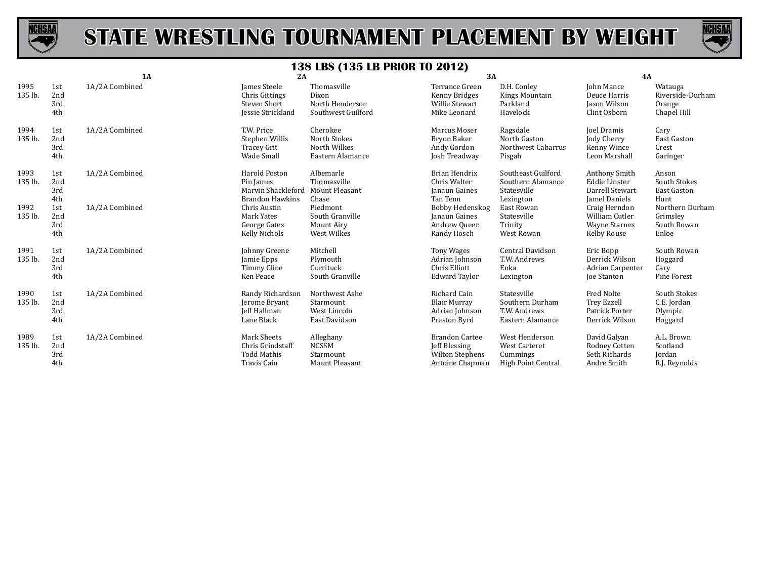



|                 |                          | 1A             | 2A                                                                                |                                                               | 3A                                                                                         |                                                                          | 4A                                                                          |                                                      |
|-----------------|--------------------------|----------------|-----------------------------------------------------------------------------------|---------------------------------------------------------------|--------------------------------------------------------------------------------------------|--------------------------------------------------------------------------|-----------------------------------------------------------------------------|------------------------------------------------------|
| 1995<br>135 lb. | 1st<br>2nd<br>3rd<br>4th | 1A/2A Combined | James Steele<br><b>Chris Gittings</b><br>Steven Short<br>Jessie Strickland        | Thomasville<br>Dixon<br>North Henderson<br>Southwest Guilford | Terrance Green<br>Kenny Bridges<br>Willie Stewart<br>Mike Leonard                          | D.H. Conley<br>Kings Mountain<br>Parkland<br>Havelock                    | <b>John Mance</b><br>Deuce Harris<br>Jason Wilson<br>Clint Osborn           | Watauga<br>Riverside-Durham<br>Orange<br>Chapel Hill |
| 1994<br>135 lb. | 1st<br>2nd<br>3rd<br>4th | 1A/2A Combined | T.W. Price<br>Stephen Willis<br>Tracey Grit<br>Wade Small                         | Cherokee<br>North Stokes<br>North Wilkes<br>Eastern Alamance  | Marcus Moser<br>Bryon Baker<br>Andy Gordon<br>Josh Treadway                                | Ragsdale<br>North Gaston<br>Northwest Cabarrus<br>Pisgah                 | Joel Dramis<br>Jody Cherry<br>Kenny Wince<br>Leon Marshall                  | Cary<br><b>East Gaston</b><br>Crest<br>Garinger      |
| 1993<br>135 lb. | 1st<br>2nd<br>3rd<br>4th | 1A/2A Combined | <b>Harold Poston</b><br>Pin James<br>Marvin Shackleford<br><b>Brandon Hawkins</b> | Albemarle<br>Thomasville<br><b>Mount Pleasant</b><br>Chase    | <b>Brian Hendrix</b><br>Chris Walter<br>Janaun Gaines<br>Tan Tenn                          | Southeast Guilford<br>Southern Alamance<br>Statesville<br>Lexington      | Anthony Smith<br><b>Eddie Linster</b><br>Darrell Stewart<br>Jamel Daniels   | Anson<br>South Stokes<br>East Gaston<br>Hunt         |
| 1992<br>135 lb. | 1st<br>2nd<br>3rd<br>4th | 1A/2A Combined | Chris Austin<br>Mark Yates<br>George Gates<br>Kelly Nichols                       | Piedmont<br>South Granville<br>Mount Airy<br>West Wilkes      | Bobby Hedenskog<br>Janaun Gaines<br>Andrew Queen<br>Randy Hosch                            | East Rowan<br>Statesville<br>Trinity<br>West Rowan                       | Craig Herndon<br>William Cutler<br><b>Wayne Starnes</b><br>Kelby Rouse      | Northern Durham<br>Grimsley<br>South Rowan<br>Enloe  |
| 1991<br>135 lb. | 1st<br>2nd<br>3rd<br>4th | 1A/2A Combined | Johnny Greene<br>Jamie Epps<br>Timmy Cline<br>Ken Peace                           | Mitchell<br>Plymouth<br>Currituck<br>South Granville          | <b>Tony Wages</b><br>Adrian Johnson<br>Chris Elliott<br><b>Edward Taylor</b>               | Central Davidson<br>T.W. Andrews<br>Enka<br>Lexington                    | Eric Bopp<br>Derrick Wilson<br>Adrian Carpenter<br>Joe Stanton              | South Rowan<br>Hoggard<br>Cary<br>Pine Forest        |
| 1990<br>135 lb. | 1st<br>2nd<br>3rd<br>4th | 1A/2A Combined | Randy Richardson<br>Jerome Bryant<br><b>Jeff Hallman</b><br>Lane Black            | Northwest Ashe<br>Starmount<br>West Lincoln<br>East Davidson  | Richard Cain<br><b>Blair Murray</b><br>Adrian Johnson<br>Preston Byrd                      | Statesville<br>Southern Durham<br>T.W. Andrews<br>Eastern Alamance       | <b>Fred Nolte</b><br><b>Trey Ezzell</b><br>Patrick Porter<br>Derrick Wilson | South Stokes<br>C.E. Jordan<br>Olympic<br>Hoggard    |
| 1989<br>135 lb. | 1st<br>2nd<br>3rd<br>4th | 1A/2A Combined | <b>Mark Sheets</b><br>Chris Grindstaff<br><b>Todd Mathis</b><br>Travis Cain       | Alleghany<br><b>NCSSM</b><br>Starmount<br>Mount Pleasant      | <b>Brandon Cartee</b><br><b>Jeff Blessing</b><br><b>Wilton Stephens</b><br>Antoine Chapman | West Henderson<br><b>West Carteret</b><br>Cummings<br>High Point Central | David Galyan<br>Rodney Cotten<br>Seth Richards<br>Andre Smith               | A.L. Brown<br>Scotland<br>Jordan<br>R.J. Reynolds    |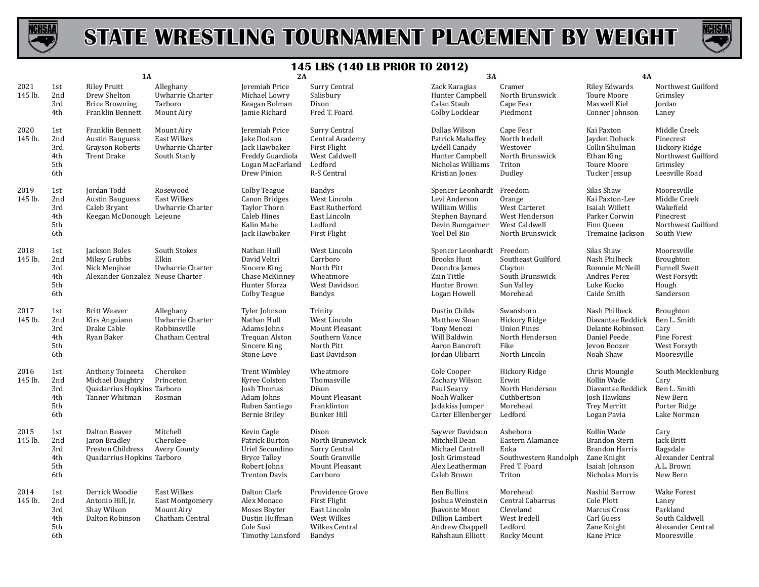



|                 |                                        | 1A                                                                                         |                                                                               | 2A                                                                                                              |                                                                                             | 3A                                                                                                                 |                                                                                              | 4A                                                                                                               |                                                                                                |
|-----------------|----------------------------------------|--------------------------------------------------------------------------------------------|-------------------------------------------------------------------------------|-----------------------------------------------------------------------------------------------------------------|---------------------------------------------------------------------------------------------|--------------------------------------------------------------------------------------------------------------------|----------------------------------------------------------------------------------------------|------------------------------------------------------------------------------------------------------------------|------------------------------------------------------------------------------------------------|
| 2021<br>145 lb. | 1st<br>2nd<br>3rd<br>4th               | <b>Riley Pruitt</b><br>Drew Shelton<br><b>Brice Browning</b><br>Franklin Bennett           | Alleghany<br>Uwharrie Charter<br>Tarboro<br>Mount Airy                        | Jeremiah Price<br>Michael Lowry<br>Keagan Bolman<br>Jamie Richard                                               | Surry Central<br>Salisbury<br>Dixon<br>Fred T. Foard                                        | Zack Karagias<br>Hunter Campbell<br>Calan Staub<br>Colby Locklear                                                  | Cramer<br>North Brunswick<br>Cape Fear<br>Piedmont                                           | <b>Riley Edwards</b><br>Toure Moore<br>Maxwell Kiel<br>Conner Johnson                                            | Northwest Guilford<br>Grimsley<br>Jordan<br>Laney                                              |
| 2020<br>145 lb. | 1st<br>2nd<br>3rd<br>4th<br>5th<br>6th | Franklin Bennett<br><b>Austin Bauguess</b><br><b>Grayson Roberts</b><br><b>Trent Drake</b> | Mount Airy<br>East Wilkes<br>Uwharrie Charter<br>South Stanly                 | Jeremiah Price<br>Jake Dodson<br>Jack Hawbaker<br>Freddy Guardiola<br>Logan MacFarland<br>Drew Pinion           | Surry Central<br>Central Academy<br>First Flight<br>West Caldwell<br>Ledford<br>R-S Central | Dallas Wilson<br>Patrick Mahaffey<br>Lydell Canady<br>Hunter Campbell<br>Nicholas Williams<br>Kristian Jones       | Cape Fear<br>North Iredell<br>Westover<br>North Brunswick<br>Triton<br>Dudley                | Kai Paxton<br>Jayden Dobeck<br>Collin Shulman<br>Ethan King<br><b>Toure Moore</b><br>Tucker Jessup               | Middle Creek<br>Pinecrest<br>Hickory Ridge<br>Northwest Guilford<br>Grimslev<br>Leesville Road |
| 2019<br>145 lb. | 1st<br>2nd<br>3rd<br>4th<br>5th<br>6th | Jordan Todd<br><b>Austin Bauguess</b><br>Caleb Bryant<br>Keegan McDonough Lejeune          | Rosewood<br><b>East Wilkes</b><br>Uwharrie Charter                            | Colby Teague<br>Canon Bridges<br><b>Taylor Thorn</b><br><b>Caleb Hines</b><br>Kalin Mabe<br>Jack Hawbaker       | <b>Bandys</b><br>West Lincoln<br>East Rutherford<br>East Lincoln<br>Ledford<br>First Flight | Spencer Leonhardt Freedom<br>Levi Anderson<br>William Willis<br>Stephen Baynard<br>Devin Bumgarner<br>Yoel Del Rio | Orange<br>West Carteret<br>West Henderson<br>West Caldwell<br>North Brunswick                | Silas Shaw<br>Kai Paxton-Lee<br>Isaiah Willett<br>Parker Corwin<br>Finn Queen<br>Tremaine Jackson                | Mooresville<br>Middle Creek<br>Wakefield<br>Pinecrest<br>Northwest Guilford<br>South View      |
| 2018<br>145 lb. | 1st<br>2nd<br>3rd<br>4th<br>5th<br>6th | Jackson Boles<br>Mikey Grubbs<br>Nick Menjivar<br>Alexander Gonzalez Neuse Charter         | South Stokes<br>Elkin<br>Uwharrie Charter                                     | Nathan Hull<br>David Veltri<br>Sincere King<br>Chase McKinney<br><b>Hunter Sforza</b><br>Colby Teague           | West Lincoln<br>Carrboro<br>North Pitt<br>Wheatmore<br>West Davidson<br>Bandys              | Spencer Leonhardt Freedom<br><b>Brooks Hunt</b><br>Deondra James<br>Zain Tittle<br>Hunter Brown<br>Logan Howell    | Southeast Guilford<br>Clayton<br>South Brunswick<br>Sun Valley<br>Morehead                   | Silas Shaw<br>Nash Philbeck<br>Rommie McNeill<br>Andres Perez<br>Luke Kucko<br>Caide Smith                       | Mooresville<br>Broughton<br><b>Purnell Swett</b><br>West Forsyth<br>Hough<br>Sanderson         |
| 2017<br>145 lb. | 1st<br>2nd<br>3rd<br>4th<br>5th<br>6th | <b>Britt Weaver</b><br>Kirs Anguiano<br>Drake Cable<br>Ryan Baker                          | Alleghany<br>Uwharrie Charter<br>Robbinsville<br>Chatham Central              | Tyler Johnson<br>Nathan Hull<br>Adams Johns<br>Trequan Alston<br>Sincere King<br>Stone Love                     | Trinity<br>West Lincoln<br>Mount Pleasant<br>Southern Vance<br>North Pitt<br>East Davidson  | Dustin Childs<br>Matthew Sloan<br><b>Tony Menozi</b><br>Will Baldwin<br>Aaron Bancroft<br>Jordan Ulibarri          | Swansboro<br>Hickory Ridge<br><b>Union Pines</b><br>North Henderson<br>Fike<br>North Lincoln | Nash Philbeck<br>Diavantae Reddick<br>Delante Robinson<br>Daniel Peede<br>Jevon Boozer<br>Noah Shaw              | Broughton<br>Ben L. Smith<br>Cary<br>Pine Forest<br>West Forsyth<br>Mooresville                |
| 2016<br>145 lb. | 1st<br>2nd<br>3rd<br>4th<br>5th<br>6th | Anthony Toineeta<br>Michael Daughtry<br>Quadarrius Hopkins Tarboro<br>Tanner Whitman       | Cherokee<br>Princeton<br>Rosman                                               | <b>Trent Wimbley</b><br>Kyree Colston<br>Josh Thomas<br>Adam Johns<br>Ruben Santiago<br><b>Bernie Briley</b>    | Wheatmore<br>Thomasville<br>Dixon<br>Mount Pleasant<br>Franklinton<br><b>Bunker Hill</b>    | Cole Cooper<br>Zachary Wilson<br>Paul Searcy<br>Noah Walker<br>Jadakiss Jumper<br>Carter Ellenberger               | Hickory Ridge<br>Erwin<br>North Henderson<br>Cuthbertson<br>Morehead<br>Ledford              | Chris Moungle<br>Kollin Wade<br>Diavantae Reddick<br>Josh Hawkins<br><b>Trey Merritt</b><br>Logan Pavia          | South Mecklenburg<br>Cary<br>Ben L. Smith<br>New Bern<br>Porter Ridge<br>Lake Norman           |
| 2015<br>145 lb. | 1st<br>2nd<br>3rd<br>4th<br>5th<br>6th | Dalton Beaver<br>Jaron Bradley<br>Preston Childress<br>Quadarrius Hopkins Tarboro          | Mitchell<br>Cherokee<br>Avery County                                          | Kevin Cagle<br>Patrick Burton<br>Uriel Secundino<br><b>Bryce Talley</b><br>Robert Johns<br><b>Trenton Davis</b> | Dixon<br>North Brunswick<br>Surry Central<br>South Granville<br>Mount Pleasant<br>Carrboro  | Saywer Davidson<br>Mitchell Dean<br>Michael Cantrell<br>Josh Grimstead<br>Alex Leatherman<br>Caleb Brown           | Asheboro<br>Eastern Alamance<br>Enka<br>Southwestern Randolph<br>Fred T. Foard<br>Triton     | Kollin Wade<br><b>Brandon Stern</b><br><b>Brandon Harris</b><br>Zane Knight<br>Isaiah Johnson<br>Nicholas Morris | Cary<br>Jack Britt<br>Ragsdale<br>Alexander Central<br>A.L. Brown<br>New Bern                  |
| 2014<br>145 lb. | 1st<br>2nd<br>3rd<br>4th<br>5th<br>6th | Derrick Woodie<br>Antonio Hill, Jr.<br>Shay Wilson<br>Dalton Robinson                      | <b>East Wilkes</b><br><b>East Montgomery</b><br>Mount Airy<br>Chatham Central | Dalton Clark<br>Alex Monaco<br>Moses Boyter<br>Dustin Huffman<br>Cole Susi<br>Timothy Lunsford                  | Providence Grove<br>First Flight<br>East Lincoln<br>West Wilkes<br>Wilkes Central<br>Bandys | Ben Bullins<br>Joshua Weinstein<br>Jhavonte Moon<br>Dillion Lambert<br>Andrew Chappell<br>Rahshaun Elliott         | Morehead<br>Central Cabarrus<br>Cleveland<br>West Iredell<br>Ledford<br>Rocky Mount          | Nashid Barrow<br>Cole Plott<br>Marcus Cross<br>Carl Guess<br>Zane Knight<br>Kane Price                           | <b>Wake Forest</b><br>Laney<br>Parkland<br>South Caldwell<br>Alexander Central<br>Mooresville  |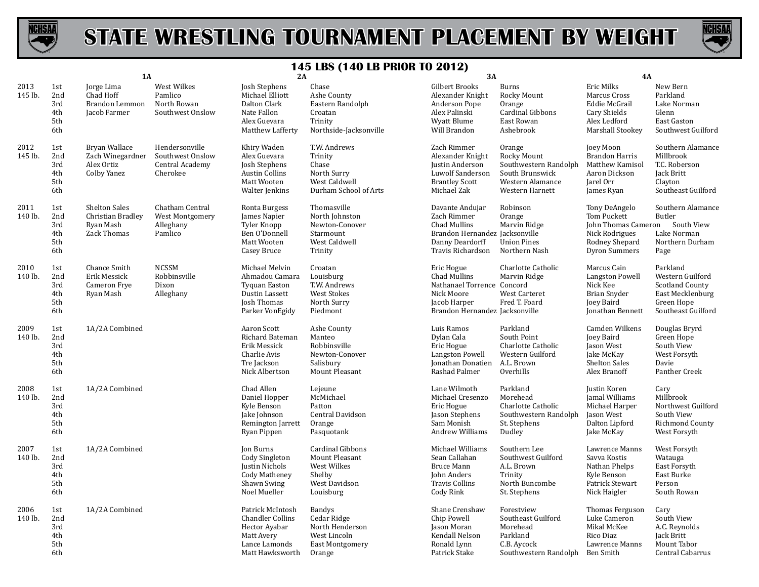



|                 |                                        | 1A                                                                    |                                                                   | 2A                                                                                                                  |                                                                                                  | 3A                                                                                                                       |                                                                                                            | 4A                                                                                                              |                                                                                                         |
|-----------------|----------------------------------------|-----------------------------------------------------------------------|-------------------------------------------------------------------|---------------------------------------------------------------------------------------------------------------------|--------------------------------------------------------------------------------------------------|--------------------------------------------------------------------------------------------------------------------------|------------------------------------------------------------------------------------------------------------|-----------------------------------------------------------------------------------------------------------------|---------------------------------------------------------------------------------------------------------|
| 2013<br>145 lb. | 1st<br>2nd<br>3rd<br>4th<br>5th<br>6th | Jorge Lima<br>Chad Hoff<br>Brandon Lemmon<br>Jacob Farmer             | West Wilkes<br>Pamlico<br>North Rowan<br>Southwest Onslow         | Josh Stephens<br>Michael Elliott<br>Dalton Clark<br>Nate Fallon<br>Alex Guevara<br>Matthew Lafferty                 | Chase<br>Ashe County<br>Eastern Randolph<br>Croatan<br>Trinity<br>Northside-Jacksonville         | Gilbert Brooks<br>Alexander Knight<br>Anderson Pope<br>Alex Palinski<br>Wyatt Blume<br>Will Brandon                      | <b>Burns</b><br>Rocky Mount<br>Orange<br>Cardinal Gibbons<br>East Rowan<br>Ashebrook                       | Eric Milks<br>Marcus Cross<br>Eddie McGrail<br>Cary Shields<br>Alex Ledford<br>Marshall Stookey                 | New Bern<br>Parkland<br>Lake Norman<br>Glenn<br>East Gaston<br>Southwest Guilford                       |
| 2012<br>145 lb. | 1st<br>2nd<br>3rd<br>4th<br>5th<br>6th | Bryan Wallace<br>Zach Winegardner<br>Alex Ortiz<br>Colby Yanez        | Hendersonville<br>Southwest Onslow<br>Central Academy<br>Cherokee | Khiry Waden<br>Alex Guevara<br>Josh Stephens<br><b>Austin Collins</b><br>Matt Wooten<br>Walter Jenkins              | T.W. Andrews<br>Trinity<br>Chase<br>North Surry<br>West Caldwell<br>Durham School of Arts        | Zach Rimmer<br>Alexander Knight<br>Justin Anderson<br>Luwolf Sanderson<br><b>Brantley Scott</b><br>Michael Zak           | Orange<br>Rocky Mount<br>Southwestern Randolph<br>South Brunswick<br>Western Alamance<br>Western Harnett   | Joey Moon<br><b>Brandon Harris</b><br>Matthew Kamisol<br>Aaron Dickson<br>Jarel Orr<br>James Ryan               | Southern Alamance<br>Millbrook<br>T.C. Roberson<br>Jack Britt<br>Clayton<br>Southeast Guilford          |
| 2011<br>140 lb. | 1st<br>2nd<br>3rd<br>4th<br>5th<br>6th | <b>Shelton Sales</b><br>Christian Bradley<br>Ryan Mash<br>Zack Thomas | Chatham Central<br>West Montgomery<br>Alleghany<br>Pamlico        | Ronta Burgess<br>James Napier<br>Tyler Knopp<br>Ben O'Donnell<br>Matt Wooten<br>Casey Bruce                         | Thomasville<br>North Johnston<br>Newton-Conover<br>Starmount<br>West Caldwell<br>Trinity         | Davante Andujar<br>Zach Rimmer<br>Chad Mullins<br>Brandon Hernandez Jacksonville<br>Danny Deardorff<br>Travis Richardson | Robinson<br>Orange<br>Marvin Ridge<br><b>Union Pines</b><br>Northern Nash                                  | Tony DeAngelo<br>Tom Puckett<br>John Thomas Cameron<br>Nick Rodrigues<br>Rodney Shepard<br><b>Dyron Summers</b> | Southern Alamance<br>Butler<br>South View<br>Lake Norman<br>Northern Durham<br>Page                     |
| 2010<br>140 lb. | 1st<br>2nd<br>3rd<br>4th<br>5th<br>6th | Chance Smith<br>Erik Messick<br>Cameron Frye<br>Ryan Mash             | <b>NCSSM</b><br>Robbinsville<br>Dixon<br>Alleghany                | Michael Melvin<br>Ahmadou Camara<br><b>Tyquan Easton</b><br>Dustin Lassett<br><b>Josh Thomas</b><br>Parker VonEgidy | Croatan<br>Louisburg<br>T.W. Andrews<br><b>West Stokes</b><br>North Surry<br>Piedmont            | Eric Hogue<br>Chad Mullins<br>Nathanael Torrence Concord<br>Nick Moore<br>Jacob Harper<br>Brandon Hernandez Jacksonville | Charlotte Catholic<br>Marvin Ridge<br><b>West Carteret</b><br>Fred T. Foard                                | Marcus Cain<br>Langston Powell<br>Nick Kee<br><b>Brian Snyder</b><br>Joey Baird<br>Jonathan Bennett             | Parkland<br>Western Guilford<br>Scotland County<br>East Mecklenburg<br>Green Hope<br>Southeast Guilford |
| 2009<br>140 lb. | 1st<br>2nd<br>3rd<br>4th<br>5th<br>6th | 1A/2A Combined                                                        |                                                                   | Aaron Scott<br>Richard Bateman<br>Erik Messick<br>Charlie Avis<br>Tre Jackson<br>Nick Albertson                     | Ashe County<br>Manteo<br>Robbinsville<br>Newton-Conover<br>Salisbury<br>Mount Pleasant           | Luis Ramos<br>Dylan Cala<br>Eric Hogue<br>Langston Powell<br>Jonathan Donatien<br>Rashad Palmer                          | Parkland<br>South Point<br>Charlotte Catholic<br>Western Guilford<br>A.L. Brown<br>Overhills               | Camden Wilkens<br>Joey Baird<br>Jason West<br>Jake McKay<br>Shelton Sales<br>Alex Branoff                       | Douglas Bryrd<br>Green Hope<br>South View<br>West Forsyth<br>Davie<br>Panther Creek                     |
| 2008<br>140 lb. | 1st<br>2nd<br>3rd<br>4th<br>5th<br>6th | 1A/2A Combined                                                        |                                                                   | Chad Allen<br>Daniel Hopper<br>Kyle Benson<br>Jake Johnson<br>Remington Jarrett<br>Ryan Pippen                      | Lejeune<br>McMichael<br>Patton<br>Central Davidson<br>Orange<br>Pasquotank                       | Lane Wilmoth<br>Michael Cresenzo<br>Eric Hogue<br>Jason Stephens<br>Sam Monish<br>Andrew Williams                        | Parkland<br>Morehead<br>Charlotte Catholic<br>Southwestern Randolph<br>St. Stephens<br>Dudley              | Justin Koren<br>Jamal Williams<br>Michael Harper<br>Jason West<br>Dalton Lipford<br>Jake McKay                  | Cary<br>Millbrook<br>Northwest Guilford<br>South View<br>Richmond County<br>West Forsyth                |
| 2007<br>140 lb. | 1st<br>2nd<br>3rd<br>4th<br>5th<br>6th | 1A/2A Combined                                                        |                                                                   | <b>Jon Burns</b><br><b>Cody Singleton</b><br>Justin Nichols<br><b>Cody Matheney</b><br>Shawn Swing<br>Noel Mueller  | <b>Cardinal Gibbons</b><br>Mount Pleasant<br>West Wilkes<br>Shelby<br>West Davidson<br>Louisburg | Michael Williams<br>Sean Callahan<br><b>Bruce Mann</b><br>John Anders<br><b>Travis Collins</b><br>Cody Rink              | Southern Lee<br>Southwest Guilford<br>A.L. Brown<br>Trinity<br>North Buncombe<br>St. Stephens              | Lawrence Manns<br>Savva Kostis<br>Nathan Phelps<br>Kyle Benson<br>Patrick Stewart<br>Nick Haigler               | West Forsyth<br>Watauga<br>East Forsyth<br>East Burke<br>Person<br>South Rowan                          |
| 2006<br>140 lb. | 1st<br>2nd<br>3rd<br>4th<br>5th<br>6th | 1A/2A Combined                                                        |                                                                   | Patrick McIntosh<br><b>Chandler Collins</b><br>Hector Ayabar<br>Matt Avery<br>Lance Lamonds<br>Matt Hawksworth      | Bandys<br>Cedar Ridge<br>North Henderson<br>West Lincoln<br><b>East Montgomery</b><br>Orange     | Shane Crenshaw<br>Chip Powell<br>Jason Moran<br>Kendall Nelson<br>Ronald Lynn<br>Patrick Stake                           | Forestview<br>Southeast Guilford<br>Morehead<br>Parkland<br>C.B. Aycock<br>Southwestern Randolph Ben Smith | Thomas Ferguson<br>Luke Cameron<br>Mikal McKee<br>Rico Diaz<br>Lawrence Manns                                   | Cary<br>South View<br>A.C. Reynolds<br>Jack Britt<br>Mount Tabor<br>Central Cabarrus                    |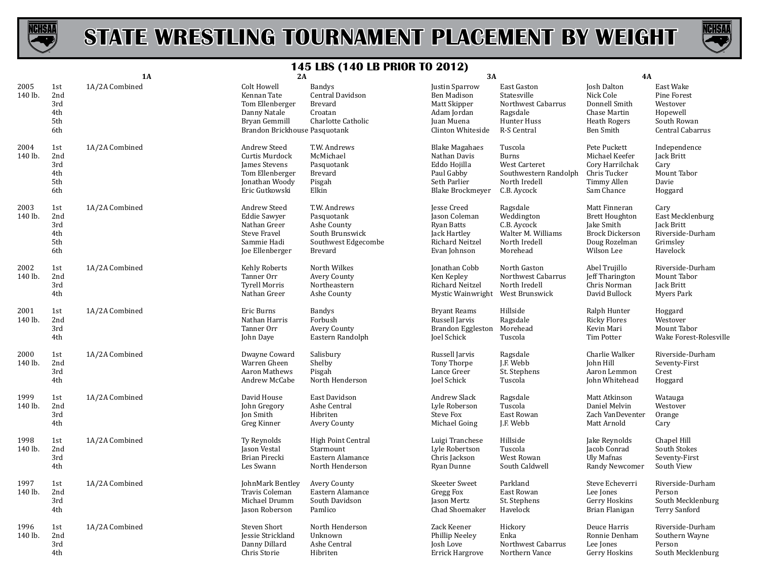



|                 |                                        | 1A             | 2A                                                                                                              | 170 LD0 (170 LD 1 MON TO                                                                       | 3A                                                                                                      |                                                                                                   | 4A                                                                                                            |                                                                                     |
|-----------------|----------------------------------------|----------------|-----------------------------------------------------------------------------------------------------------------|------------------------------------------------------------------------------------------------|---------------------------------------------------------------------------------------------------------|---------------------------------------------------------------------------------------------------|---------------------------------------------------------------------------------------------------------------|-------------------------------------------------------------------------------------|
| 2005<br>140 lb. | 1st<br>2nd<br>3rd<br>4th<br>5th<br>6th | 1A/2A Combined | Colt Howell<br>Kennan Tate<br>Tom Ellenberger<br>Danny Natale<br>Bryan Gemmill<br>Brandon Brickhouse Pasquotank | <b>Bandys</b><br>Central Davidson<br>Brevard<br>Croatan<br>Charlotte Catholic                  | Justin Sparrow<br>Ben Madison<br>Matt Skipper<br>Adam Jordan<br>Juan Muena<br>Clinton Whiteside         | East Gaston<br>Statesville<br>Northwest Cabarrus<br>Ragsdale<br>Hunter Huss<br>R-S Central        | Josh Dalton<br>Nick Cole<br>Donnell Smith<br>Chase Martin<br><b>Heath Rogers</b><br>Ben Smith                 | East Wake<br>Pine Forest<br>Westover<br>Hopewell<br>South Rowan<br>Central Cabarrus |
| 2004<br>140 lb. | 1st<br>2nd<br>3rd<br>4th<br>5th<br>6th | 1A/2A Combined | Andrew Steed<br>Curtis Murdock<br>James Stevens<br>Tom Ellenberger<br>Jonathan Woody<br>Eric Gutkowski          | T.W. Andrews<br>McMichael<br>Pasquotank<br>Brevard<br>Pisgah<br>Elkin                          | <b>Blake Magahaes</b><br>Nathan Davis<br>Eddo Hojilla<br>Paul Gabby<br>Seth Parlier<br>Blake Brockmeyer | Tuscola<br><b>Burns</b><br>West Carteret<br>Southwestern Randolph<br>North Iredell<br>C.B. Aycock | Pete Puckett<br>Michael Keefer<br>Cory Harrilchak<br>Chris Tucker<br>Timmy Allen<br>Sam Chance                | Independence<br>Jack Britt<br>Cary<br>Mount Tabor<br>Davie<br>Hoggard               |
| 2003<br>140 lb. | 1st<br>2nd<br>3rd<br>4th<br>5th<br>6th | 1A/2A Combined | Andrew Steed<br><b>Eddie Sawyer</b><br>Nathan Greer<br><b>Steve Fravel</b><br>Sammie Hadi<br>Joe Ellenberger    | T.W. Andrews<br>Pasquotank<br>Ashe County<br>South Brunswick<br>Southwest Edgecombe<br>Brevard | Jesse Creed<br>Jason Coleman<br>Ryan Batts<br>Jack Hartley<br>Richard Neitzel<br>Evan Johnson           | Ragsdale<br>Weddington<br>C.B. Aycock<br>Walter M. Williams<br>North Iredell<br>Morehead          | Matt Finneran<br><b>Brett Houghton</b><br>Jake Smith<br><b>Brock Dickerson</b><br>Doug Rozelman<br>Wilson Lee | Cary<br>East Mecklenburg<br>Jack Britt<br>Riverside-Durham<br>Grimsley<br>Havelock  |
| 2002<br>140 lb. | 1st<br>2nd<br>3rd<br>4th               | 1A/2A Combined | Kehly Roberts<br>Tanner Orr<br><b>Tyrell Morris</b><br>Nathan Greer                                             | North Wilkes<br>Avery County<br>Northeastern<br>Ashe County                                    | Jonathan Cobb<br>Ken Kepley<br>Richard Neitzel<br>Mystic Wainwright                                     | North Gaston<br>Northwest Cabarrus<br>North Iredell<br>West Brunswick                             | Abel Trujillo<br>Jeff Tharington<br>Chris Norman<br>David Bullock                                             | Riverside-Durham<br>Mount Tabor<br>Jack Britt<br><b>Myers Park</b>                  |
| 2001<br>140 lb. | 1st<br>2nd<br>3rd<br>4th               | 1A/2A Combined | Eric Burns<br>Nathan Harris<br>Tanner Orr<br>John Daye                                                          | <b>Bandys</b><br>Forbush<br>Avery County<br>Eastern Randolph                                   | <b>Bryant Reams</b><br>Russell Jarvis<br><b>Brandon Eggleston</b><br><b>Joel Schick</b>                 | Hillside<br>Ragsdale<br>Morehead<br>Tuscola                                                       | Ralph Hunter<br><b>Ricky Flores</b><br>Kevin Mari<br>Tim Potter                                               | Hoggard<br>Westover<br>Mount Tabor<br>Wake Forest-Rolesville                        |
| 2000<br>140 lb. | 1st<br>2nd<br>3rd<br>4th               | 1A/2A Combined | Dwayne Coward<br>Warren Gheen<br>Aaron Mathews<br>Andrew McCabe                                                 | Salisbury<br>Shelby<br>Pisgah<br>North Henderson                                               | Russell Jarvis<br>Tony Thorpe<br>Lance Greer<br>Joel Schick                                             | Ragsdale<br>J.F. Webb<br>St. Stephens<br>Tuscola                                                  | Charlie Walker<br>John Hill<br>Aaron Lemmon<br>John Whitehead                                                 | Riverside-Durham<br>Seventy-First<br>Crest<br>Hoggard                               |
| 1999<br>140 lb. | 1st<br>2nd<br>3rd<br>4th               | 1A/2A Combined | David House<br>John Gregory<br><b>Jon Smith</b><br>Greg Kinner                                                  | East Davidson<br>Ashe Central<br>Hibriten<br>Avery County                                      | Andrew Slack<br>Lyle Roberson<br><b>Steve Fox</b><br>Michael Going                                      | Ragsdale<br>Tuscola<br>East Rowan<br>J.F. Webb                                                    | Matt Atkinson<br>Daniel Melvin<br>Zach VanDeventer<br>Matt Arnold                                             | Watauga<br>Westover<br>Orange<br>Cary                                               |
| 1998<br>140 lb. | 1st<br>2nd<br>3rd<br>4th               | 1A/2A Combined | Ty Reynolds<br>Jason Vestal<br>Brian Pirecki<br>Les Swann                                                       | <b>High Point Central</b><br>Starmount<br>Eastern Alamance<br>North Henderson                  | Luigi Tranchese<br>Lyle Robertson<br>Chris Jackson<br>Ryan Dunne                                        | Hillside<br>Tuscola<br>West Rowan<br>South Caldwell                                               | Jake Reynolds<br>Jacob Conrad<br>Uly Mafnas<br>Randy Newcomer                                                 | Chapel Hill<br>South Stokes<br>Seventy-First<br>South View                          |
| 1997<br>140 lb. | 1st<br>2nd<br>3rd<br>4th               | 1A/2A Combined | JohnMark Bentley<br>Travis Coleman<br>Michael Drumm<br>Jason Roberson                                           | Avery County<br>Eastern Alamance<br>South Davidson<br>Pamlico                                  | <b>Skeeter Sweet</b><br><b>Gregg Fox</b><br>Jason Mertz<br>Chad Shoemaker                               | Parkland<br>East Rowan<br>St. Stephens<br>Havelock                                                | Steve Echeverri<br>Lee Jones<br>Gerry Hoskins<br>Brian Flanigan                                               | Riverside-Durham<br>Person<br>South Mecklenburg<br><b>Terry Sanford</b>             |
| 1996<br>140 lb. | 1st<br>2nd<br>3rd<br>4th               | 1A/2A Combined | Steven Short<br>Jessie Strickland<br>Danny Dillard<br>Chris Storie                                              | North Henderson<br>Unknown<br>Ashe Central<br>Hibriten                                         | Zack Keener<br>Phillip Neeley<br>Josh Love<br><b>Errick Hargrove</b>                                    | Hickory<br>Enka<br>Northwest Cabarrus<br>Northern Vance                                           | Deuce Harris<br>Ronnie Denham<br>Lee Jones<br>Gerry Hoskins                                                   | Riverside-Durham<br>Southern Wayne<br>Person<br>South Mecklenburg                   |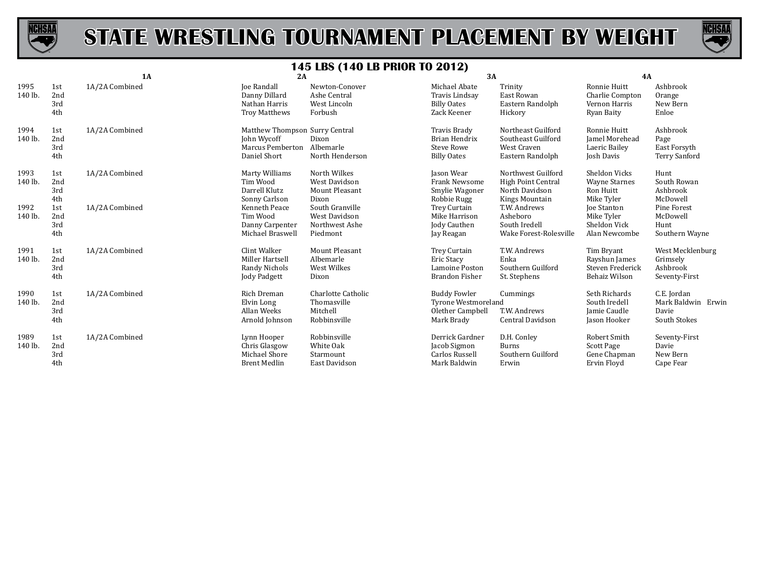



|                 |                          | 1A             | 2A                                                                                       |                                                                | 3A                                                                                  |                                                                              | 4A                                                                   |                                                            |
|-----------------|--------------------------|----------------|------------------------------------------------------------------------------------------|----------------------------------------------------------------|-------------------------------------------------------------------------------------|------------------------------------------------------------------------------|----------------------------------------------------------------------|------------------------------------------------------------|
| 1995<br>140 lb. | 1st<br>2nd<br>3rd<br>4th | 1A/2A Combined | <b>Joe Randall</b><br>Danny Dillard<br>Nathan Harris<br><b>Troy Matthews</b>             | Newton-Conover<br>Ashe Central<br>West Lincoln<br>Forbush      | Michael Abate<br>Travis Lindsay<br><b>Billy Oates</b><br>Zack Keener                | Trinity<br>East Rowan<br>Eastern Randolph<br>Hickory                         | Ronnie Huitt<br>Charlie Compton<br>Vernon Harris<br>Ryan Baity       | Ashbrook<br>Orange<br>New Bern<br>Enloe                    |
| 1994<br>140 lb. | 1st<br>2nd<br>3rd<br>4th | 1A/2A Combined | Matthew Thompson Surry Central<br>John Wycoff<br><b>Marcus Pemberton</b><br>Daniel Short | Dixon<br>Albemarle<br>North Henderson                          | <b>Travis Brady</b><br>Brian Hendrix<br><b>Steve Rowe</b><br><b>Billy Oates</b>     | Northeast Guilford<br>Southeast Guilford<br>West Craven<br>Eastern Randolph  | Ronnie Huitt<br><b>Iamel Morehead</b><br>Laeric Bailey<br>Josh Davis | Ashbrook<br>Page<br>East Forsyth<br><b>Terry Sanford</b>   |
| 1993<br>140 lb. | 1st<br>2nd<br>3rd<br>4th | 1A/2A Combined | Marty Williams<br>Tim Wood<br>Darrell Klutz<br>Sonny Carlson                             | North Wilkes<br>West Davidson<br>Mount Pleasant<br>Dixon       | Jason Wear<br><b>Frank Newsome</b><br>Smylie Wagoner<br>Robbie Rugg                 | Northwest Guilford<br>High Point Central<br>North Davidson<br>Kings Mountain | Sheldon Vicks<br><b>Wayne Starnes</b><br>Ron Huitt<br>Mike Tyler     | Hunt<br>South Rowan<br>Ashbrook<br>McDowell                |
| 1992<br>140 lb. | 1st<br>2nd<br>3rd<br>4th | 1A/2A Combined | Kenneth Peace<br>Tim Wood<br>Danny Carpenter<br>Michael Braswell                         | South Granville<br>West Davidson<br>Northwest Ashe<br>Piedmont | Trey Curtain<br>Mike Harrison<br>Jody Cauthen<br>Jay Reagan                         | T.W. Andrews<br>Asheboro<br>South Iredell<br>Wake Forest-Rolesville          | Joe Stanton<br>Mike Tyler<br>Sheldon Vick<br>Alan Newcombe           | Pine Forest<br>McDowell<br>Hunt<br>Southern Wayne          |
| 1991<br>140 lb. | 1st<br>2nd<br>3rd<br>4th | 1A/2A Combined | Clint Walker<br>Miller Hartsell<br>Randy Nichols<br>Jody Padgett                         | <b>Mount Pleasant</b><br>Albemarle<br>West Wilkes<br>Dixon     | Trey Curtain<br>Eric Stacy<br>Lamoine Poston<br>Brandon Fisher                      | T.W. Andrews<br>Enka<br>Southern Guilford<br>St. Stephens                    | Tim Bryant<br>Rayshun James<br>Steven Frederick<br>Behaiz Wilson     | West Mecklenburg<br>Grimsely<br>Ashbrook<br>Seventy-First  |
| 1990<br>140 lb. | 1st<br>2nd<br>3rd<br>4th | 1A/2A Combined | Rich Dreman<br>Elvin Long<br>Allan Weeks<br>Arnold Johnson                               | Charlotte Catholic<br>Thomasville<br>Mitchell<br>Robbinsville  | <b>Buddy Fowler</b><br><b>Tyrone Westmoreland</b><br>Olether Campbell<br>Mark Brady | Cummings<br>T.W. Andrews<br>Central Davidson                                 | Seth Richards<br>South Iredell<br>Jamie Caudle<br>Jason Hooker       | C.E. Jordan<br>Mark Baldwin Erwin<br>Davie<br>South Stokes |
| 1989<br>140 lb. | 1st<br>2nd<br>3rd<br>4th | 1A/2A Combined | Lynn Hooper<br>Chris Glasgow<br>Michael Shore<br><b>Brent Medlin</b>                     | Robbinsville<br>White Oak<br>Starmount<br>East Davidson        | Derrick Gardner<br>Jacob Sigmon<br>Carlos Russell<br>Mark Baldwin                   | D.H. Conley<br><b>Burns</b><br>Southern Guilford<br>Erwin                    | Robert Smith<br>Scott Page<br>Gene Chapman<br>Ervin Floyd            | Seventy-First<br>Davie<br>New Bern<br>Cape Fear            |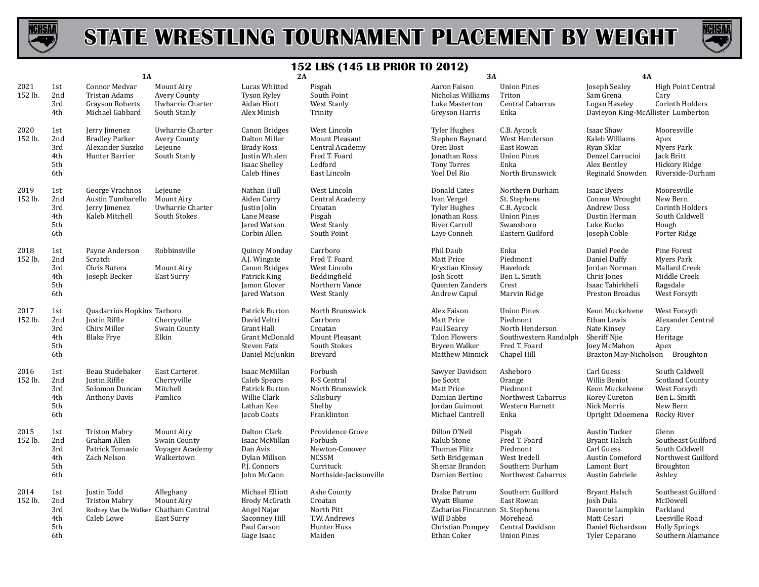



|                 |                                        | 1A                                                                                        |                                                                       | 2A                                                                                                   |                                                                                                      | 3A                                                                                                               |                                                                                                            | 4A                                                                                                            |                                                                                                           |
|-----------------|----------------------------------------|-------------------------------------------------------------------------------------------|-----------------------------------------------------------------------|------------------------------------------------------------------------------------------------------|------------------------------------------------------------------------------------------------------|------------------------------------------------------------------------------------------------------------------|------------------------------------------------------------------------------------------------------------|---------------------------------------------------------------------------------------------------------------|-----------------------------------------------------------------------------------------------------------|
| 2021<br>152 lb. | 1st<br>2nd<br>3rd<br>4th               | Connor Medvar<br>Tristan Adams<br><b>Grayson Roberts</b><br>Michael Gabbard               | Mount Airy<br><b>Avery County</b><br>Uwharrie Charter<br>South Stanly | Lucas Whitted<br><b>Tyson Ryley</b><br>Aidan Hiott<br>Alex Minish                                    | Pisgah<br>South Point<br>West Stanly<br>Trinity                                                      | Aaron Faison<br>Nicholas Williams<br>Luke Masterton<br>Greyson Harris                                            | <b>Union Pines</b><br>Triton<br>Central Cabarrus<br>Enka                                                   | Joseph Sealey<br>Sam Grena<br>Logan Haseley<br>Davieyon King-McAllister Lumberton                             | High Point Central<br>Cary<br>Corinth Holders                                                             |
| 2020<br>152 lb. | 1st<br>2nd<br>3rd<br>4th<br>5th<br>6th | Jerry Jimenez<br><b>Bradley Parker</b><br>Alexander Suszko<br>Hunter Barrier              | Uwharrie Charter<br>Avery County<br>Lejeune<br>South Stanly           | Canon Bridges<br>Dalton Miller<br><b>Brady Ross</b><br>Justin Whalen<br>Isaac Shelley<br>Caleb Hines | West Lincoln<br>Mount Pleasant<br>Central Academy<br>Fred T. Foard<br>Ledford<br>East Lincoln        | <b>Tyler Hughes</b><br>Stephen Baynard<br>Oren Bost<br>Jonathan Ross<br><b>Tony Torres</b><br>Yoel Del Rio       | C.B. Aycock<br>West Henderson<br>East Rowan<br><b>Union Pines</b><br>Enka<br>North Brunswick               | Isaac Shaw<br>Kaleb Williams<br>Ryan Sklar<br>Denzel Carrucini<br>Alex Bentley<br>Reginald Snowden            | Mooresville<br>Apex<br><b>Myers Park</b><br>Jack Britt<br>Hickory Ridge<br>Riverside-Durham               |
| 2019<br>152 lb. | 1st<br>2nd<br>3rd<br>4th<br>5th<br>6th | George Vrachnos<br>Austin Tumbarello<br>Jerry Jimenez<br>Kaleb Mitchell                   | Lejeune<br>Mount Airy<br>Uwharrie Charter<br>South Stokes             | Nathan Hull<br>Aiden Curry<br>Justin Jolin<br>Lane Mease<br>Jared Watson<br>Corbin Allen             | West Lincoln<br>Central Academy<br>Croatan<br>Pisgah<br>West Stanly<br>South Point                   | Donald Cates<br>Ivan Vergel<br><b>Tyler Hughes</b><br>Jonathan Ross<br>River Carroll<br>Laye Conneh              | Northern Durham<br>St. Stephens<br>C.B. Aycock<br><b>Union Pines</b><br>Swansboro<br>Eastern Guilford      | Isaac Byers<br>Connor Wrought<br><b>Andrew Doss</b><br>Dustin Herman<br>Luke Kucko<br>Joseph Coble            | Mooresville<br>New Bern<br>Corinth Holders<br>South Caldwell<br>Hough<br>Porter Ridge                     |
| 2018<br>152 lb. | 1st<br>2nd<br>3rd<br>4th<br>5th<br>6th | Payne Anderson<br>Scratch<br>Chris Butera<br>Joseph Becker                                | Robbinsville<br>Mount Airy<br>East Surry                              | Quincy Monday<br>A.J. Wingate<br>Canon Bridges<br>Patrick King<br>Jamon Glover<br>Jared Watson       | Carrboro<br>Fred T. Foard<br>West Lincoln<br>Beddingfield<br>Northern Vance<br>West Stanly           | Phil Daub<br>Matt Price<br>Krystian Kinsey<br><b>Josh Scott</b><br><b>Ouenten Zanders</b><br>Andrew Capul        | Enka<br>Piedmont<br>Havelock<br>Ben L. Smith<br>Crest<br>Marvin Ridge                                      | Daniel Peede<br>Daniel Duffy<br>Jordan Norman<br>Chris Jones<br>Isaac Tahirkheli<br>Preston Broadus           | Pine Forest<br><b>Myers Park</b><br>Mallard Creek<br>Middle Creek<br>Ragsdale<br>West Forsyth             |
| 2017<br>152 lb. | 1st<br>2nd<br>3rd<br>4th<br>5th<br>6th | Quadarrius Hopkins Tarboro<br><b>Justin Riffle</b><br>Chirs Miller<br><b>Blake Frye</b>   | Cherryville<br>Swain County<br>Elkin                                  | Patrick Burton<br>David Veltri<br>Grant Hall<br>Grant McDonald<br>Steven Fatz<br>Daniel McJunkin     | North Brunswick<br>Carrboro<br>Croatan<br>Mount Pleasant<br>South Stokes<br>Brevard                  | Alex Faison<br>Matt Price<br>Paul Searcy<br><b>Talon Flowers</b><br>Brycen Walker<br>Matthew Minnick             | <b>Union Pines</b><br>Piedmont<br>North Henderson<br>Southwestern Randolph<br>Fred T. Foard<br>Chapel Hill | Keon Muckelvene<br>Ethan Lewis<br>Nate Kinsey<br><b>Sheriff Njie</b><br>Joey McMahon<br>Braxton May-Nicholson | West Forsyth<br>Alexander Central<br>Cary<br>Heritage<br>Apex<br>Broughton                                |
| 2016<br>152 lb. | 1st<br>2nd<br>3rd<br>4th<br>5th<br>6th | Beau Studebaker<br>Justin Riffle<br>Solomon Duncan<br><b>Anthony Davis</b>                | East Carteret<br>Cherryville<br>Mitchell<br>Pamlico                   | Isaac McMillan<br>Caleb Spears<br>Patrick Burton<br>Willie Clark<br>Lathan Kee<br>Jacob Coats        | Forbush<br>R-S Central<br>North Brunswick<br>Salisbury<br>Shelby<br>Franklinton                      | Sawyer Davidson<br>Joe Scott<br>Matt Price<br>Damian Bertino<br>Jordan Guimont<br>Michael Cantrell               | Asheboro<br>Orange<br>Piedmont<br>Northwest Cabarrus<br>Western Harnett<br>Enka                            | Carl Guess<br>Willis Beniot<br>Keon Muckelvene<br>Korey Cureton<br>Nick Morris<br>Upright Odoemena            | South Caldwell<br><b>Scotland County</b><br>West Forsyth<br>Ben L. Smith<br>New Bern<br>Rocky River       |
| 2015<br>152 lb. | 1st<br>2nd<br>3rd<br>4th<br>5th<br>6th | <b>Triston Mabry</b><br>Graham Allen<br>Patrick Tomasic<br>Zach Nelson                    | Mount Airy<br>Swain County<br>Voyager Academy<br>Walkertown           | Dalton Clark<br>Isaac McMillan<br>Dan Avis<br>Dylan Millson<br>P.J. Connors<br>John McCann           | Providence Grove<br>Forbush<br>Newton-Conover<br><b>NCSSM</b><br>Currituck<br>Northside-Jacksonville | Dillon O'Neil<br>Kalub Stone<br>Thomas Flitz<br>Seth Bridgeman<br>Shemar Brandon<br>Damien Bertino               | Pisgah<br>Fred T. Foard<br>Piedmont<br>West Iredell<br>Southern Durham<br>Northwest Cabarrus               | Austin Tucker<br><b>Bryant Halsch</b><br>Carl Guess<br>Austin Comeford<br>Lamont Burt<br>Austin Gabriele      | Glenn<br>Southeast Guilford<br>South Caldwell<br>Northwest Guilford<br>Broughton<br>Ashley                |
| 2014<br>152 lb. | 1st<br>2nd<br>3rd<br>4th<br>5th<br>6th | Justin Todd<br><b>Triston Mabry</b><br>Rodney Van De Walker Chatham Central<br>Caleb Lowe | Alleghany<br>Mount Airy<br>East Surry                                 | Michael Elliott<br><b>Brody McGrath</b><br>Angel Najar<br>Saconney Hill<br>Paul Carson<br>Gage Isaac | Ashe County<br>Croatan<br>North Pitt<br>T.W. Andrews<br>Hunter Huss<br>Maiden                        | Drake Patrum<br>Wyatt Blume<br>Zacharias Fincannon St. Stephens<br>Will Dabbs<br>Christian Pompey<br>Ethan Coker | Southern Guilford<br>East Rowan<br>Morehead<br>Central Davidson<br><b>Union Pines</b>                      | <b>Bryant Halsch</b><br>Josh Dula<br>Davonte Lumpkin<br>Matt Cesari<br>Daniel Richardson<br>Tyler Ceparano    | Southeast Guilford<br>McDowell<br>Parkland<br>Leesville Road<br><b>Holly Springs</b><br>Southern Alamance |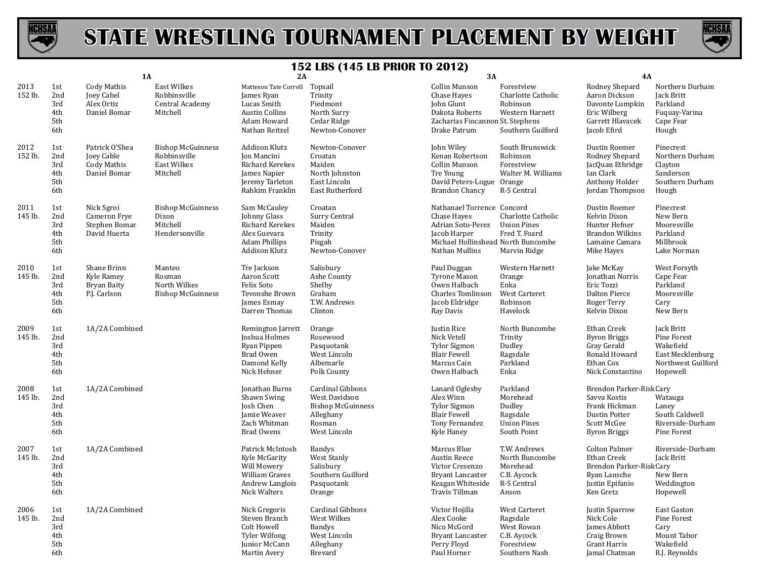



|                 |                                        | <b>1A</b>                                                          |                                                                            | 2A                                                                                                           |                                                                                                      | 3A                                                                                                                                     |                                                                                       | 4A                                                                                                              |                                                                                              |
|-----------------|----------------------------------------|--------------------------------------------------------------------|----------------------------------------------------------------------------|--------------------------------------------------------------------------------------------------------------|------------------------------------------------------------------------------------------------------|----------------------------------------------------------------------------------------------------------------------------------------|---------------------------------------------------------------------------------------|-----------------------------------------------------------------------------------------------------------------|----------------------------------------------------------------------------------------------|
| 2013<br>152 lb. | 1st<br>2nd<br>3rd<br>4th<br>5th<br>6th | Cody Mathis<br>Joey Cabel<br>Alex Ortiz<br>Daniel Bomar            | <b>East Wilkes</b><br>Robbinsville<br>Central Academy<br>Mitchell          | Matteson Tate Correll<br>James Ryan<br>Lucas Smith<br><b>Austin Collins</b><br>Adam Howard<br>Nathan Reitzel | Topsail<br>Trinity<br>Piedmont<br>North Surry<br>Cedar Ridge<br>Newton-Conover                       | Collin Munson<br>Chase Hayes<br>John Glunt<br>Dakota Roberts<br>Zacharias Fincannon St. Stephens<br>Drake Patrum                       | Forestview<br>Charlotte Catholic<br>Robinson<br>Western Harnett<br>Southern Guilford  | Rodney Shepard<br>Aaron Dickson<br>Davonte Lumpkin<br>Eric Wilberg<br>Garrett Hlavacek<br>Jacob Efird           | Northern Durham<br>Jack Britt<br>Parkland<br>Fuquay-Varina<br>Cape Fear<br>Hough             |
| 2012<br>152 lb. | 1st<br>2nd<br>3rd<br>4th<br>5th<br>6th | Patrick O'Shea<br>Joey Cable<br><b>Cody Mathis</b><br>Daniel Bomar | <b>Bishop McGuinness</b><br>Robbinsville<br><b>East Wilkes</b><br>Mitchell | Addison Klutz<br>Jon Mancini<br>Richard Kerekes<br>James Napier<br>Jeremy Tarleton<br>Rahkim Franklin        | Newton-Conover<br>Croatan<br>Maiden<br>North Johnston<br>East Lincoln<br><b>East Rutherford</b>      | John Wiley<br>Kenan Robertson<br>Collin Munson<br>Tre Young<br>David Peters-Logue Orange<br>Brandon Chancy                             | South Brunswick<br>Robinson<br>Forestview<br>Walter M. Williams<br>R-S Central        | Dustin Roemer<br>Rodney Shepard<br>JacQuan Ethridge<br>Ian Clark<br>Anthony Holder<br>Jordan Thompson           | Pinecrest<br>Northern Durham<br>Clayton<br>Sanderson<br>Southern Durham<br>Hough             |
| 2011<br>145 lb. | 1st<br>2nd<br>3rd<br>4th<br>5th<br>6th | Nick Sgroi<br>Cameron Frye<br>Stephen Bomar<br>David Huerta        | <b>Bishop McGuinness</b><br>Dixon<br>Mitchell<br>Hendersonville            | Sam McCauley<br>Johnny Glass<br>Richard Kerekes<br>Alex Guevara<br><b>Adam Phillips</b><br>Addison Klutz     | Croatan<br>Surry Central<br>Maiden<br>Trinity<br>Pisgah<br>Newton-Conover                            | Nathanael Torrence Concord<br>Chase Hayes<br>Adrian Soto-Perez<br>Jacob Harper<br>Michael Hollinshead North Buncombe<br>Nathan Mullins | Charlotte Catholic<br><b>Union Pines</b><br>Fred T. Foard<br>Marvin Ridge             | Dustin Roemer<br>Kelvin Dixon<br>Hunter Hefner<br><b>Brandon Wilkins</b><br>Lamaine Camara<br>Mike Hayes        | Pinecrest<br>New Bern<br>Mooresville<br>Parkland<br>Millbrook<br>Lake Norman                 |
| 2010<br>145 lb. | 1st<br>2nd<br>3rd<br>4th<br>5th<br>6th | Shane Brinn<br>Kyle Ramey<br><b>Bryan Baity</b><br>P.J. Carlson    | Manteo<br>Rosman<br>North Wilkes<br><b>Bishop McGuinness</b>               | Tre Jackson<br>Aaron Scott<br>Felix Soto<br>Tevonshe Brown<br>James Esmay<br>Darren Thomas                   | Salisbury<br>Ashe County<br>Shelby<br>Graham<br>T.W. Andrews<br>Clinton                              | Paul Duggan<br><b>Tyrone Mason</b><br>Owen Halbach<br><b>Charles Tomlinson</b><br>Jacob Eldridge<br>Ray Davis                          | Western Harnett<br>Orange<br>Enka<br>West Carteret<br>Robinson<br>Havelock            | Jake McKay<br><b>Jonathan Norris</b><br>Eric Tozzi<br><b>Dalton Pierce</b><br>Roger Terry<br>Kelvin Dixon       | West Forsyth<br>Cape Fear<br>Parkland<br>Mooresville<br>Cary<br>New Bern                     |
| 2009<br>145 lb. | 1st<br>2nd<br>3rd<br>4th<br>5th<br>6th | 1A/2A Combined                                                     |                                                                            | Remington Jarrett<br>Joshua Holmes<br>Ryan Pippen<br>Brad Owen<br>Damond Kelly<br>Nick Hehner                | Orange<br>Rosewood<br>Pasquotank<br>West Lincoln<br>Albemarle<br>Polk County                         | Justin Rice<br>Nick Vetell<br><b>Tylor Sigmon</b><br><b>Blair Fewell</b><br>Marcus Cain<br>Owen Halbach                                | North Buncombe<br>Trinity<br>Dudley<br>Ragsdale<br>Parkland<br>Enka                   | Ethan Creek<br><b>Byron Briggs</b><br>Gray Gerald<br>Ronald Howard<br>Ethan Cox<br>Nick Constantino             | Jack Britt<br>Pine Forest<br>Wakefield<br>East Mecklenburg<br>Northwest Guilford<br>Hopewell |
| 2008<br>145 lb. | 1st<br>2nd<br>3rd<br>4th<br>5th<br>6th | 1A/2A Combined                                                     |                                                                            | Jonathan Burns<br>Shawn Swing<br>Josh Chen<br>Jamie Weaver<br>Zach Whitman<br><b>Brad Owens</b>              | Cardinal Gibbons<br>West Davidson<br><b>Bishop McGuinness</b><br>Alleghany<br>Rosman<br>West Lincoln | Lanard Oglesby<br>Alex Winn<br><b>Tylor Sigmon</b><br><b>Blair Fewell</b><br>Tony Fernandez<br>Kyle Haney                              | Parkland<br>Morehead<br>Dudley<br>Ragsdale<br><b>Union Pines</b><br>South Point       | Brendon Parker-RiskCary<br>Savva Kostis<br>Frank Hickman<br>Dustin Potter<br>Scott McGee<br><b>Byron Briggs</b> | Watauga<br>Laney<br>South Caldwell<br>Riverside-Durham<br>Pine Forest                        |
| 2007<br>145 lb. | 1st<br>2nd<br>3rd<br>4th<br>5th<br>6th | 1A/2A Combined                                                     |                                                                            | Patrick McIntosh<br>Kyle McGarity<br>Will Mowery<br>William Graves<br>Andrew Langlois<br>Nick Walters        | Bandys<br>West Stanly<br>Salisbury<br>Southern Guilford<br>Pasquotank<br>Orange                      | Marcus Blue<br>Austin Reece<br>Victor Cresenzo<br><b>Bryant Lancaster</b><br>Keagan Whiteside<br>Travis Tillman                        | T.W. Andrews<br>North Buncombe<br>Morehead<br>C.B. Aycock<br>R-S Central<br>Anson     | <b>Colton Palmer</b><br>Ethan Creek<br>Brendon Parker-RiskCary<br>Ryan Lansche<br>Justin Epifanio<br>Ken Gretz  | Riverside-Durham<br>Jack Britt<br>New Bern<br>Weddington<br>Hopewell                         |
| 2006<br>145 lb. | 1st<br>2nd<br>3rd<br>4th<br>5th<br>6th | 1A/2A Combined                                                     |                                                                            | Nick Gregoris<br>Steven Branch<br>Colt Howell<br><b>Tyler Wilfong</b><br>Junior McCann<br>Martin Avery       | Cardinal Gibbons<br>West Wilkes<br><b>Bandys</b><br>West Lincoln<br>Alleghany<br>Brevard             | Victor Hojilla<br>Alex Cooke<br>Nico McGord<br><b>Bryant Lancaster</b><br>Perry Floyd<br>Paul Horner                                   | West Carteret<br>Ragsdale<br>West Rowan<br>C.B. Aycock<br>Forestview<br>Southern Nash | Justin Sparrow<br>Nick Cole<br>James Abbott<br>Craig Brown<br>Grant Harris<br>Jamal Chatman                     | East Gaston<br>Pine Forest<br>Cary<br>Mount Tabor<br>Wakefield<br>R.J. Reynolds              |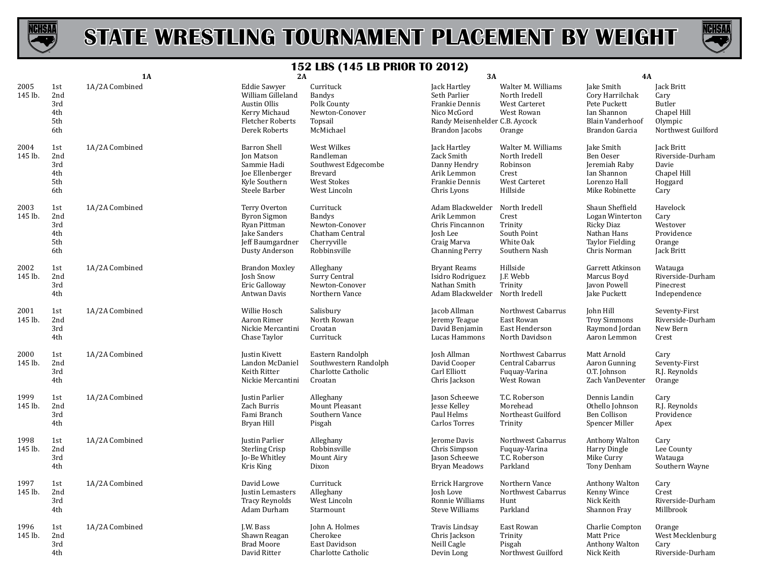



|                 |                                        | 1A             | 2A                                                                                                                    | -- 00<br>то LD I IIIон IV 2012,                                                                | <b>3A</b>                                                                                                                |                                                                                       | 4A                                                                                                        |                                                                                     |
|-----------------|----------------------------------------|----------------|-----------------------------------------------------------------------------------------------------------------------|------------------------------------------------------------------------------------------------|--------------------------------------------------------------------------------------------------------------------------|---------------------------------------------------------------------------------------|-----------------------------------------------------------------------------------------------------------|-------------------------------------------------------------------------------------|
| 2005<br>145 lb. | 1st<br>2nd<br>3rd<br>4th<br>5th<br>6th | 1A/2A Combined | <b>Eddie Sawyer</b><br>William Gilleland<br>Austin Ollis<br>Kerry Michaud<br><b>Fletcher Roberts</b><br>Derek Roberts | Currituck<br><b>Bandys</b><br>Polk County<br>Newton-Conover<br>Topsail<br>McMichael            | Jack Hartley<br>Seth Parlier<br>Frankie Dennis<br>Nico McGord<br>Randy Meisenhelder C.B. Aycock<br><b>Brandon</b> Jacobs | Walter M. Williams<br>North Iredell<br><b>West Carteret</b><br>West Rowan<br>Orange   | Jake Smith<br>Cory Harrilchak<br>Pete Puckett<br>Ian Shannon<br><b>Blain Vanderhoof</b><br>Brandon Garcia | Jack Britt<br>Cary<br><b>Butler</b><br>Chapel Hill<br>Olympic<br>Northwest Guilford |
| 2004<br>145 lb. | 1st<br>2nd<br>3rd<br>4th<br>5th<br>6th | 1A/2A Combined | <b>Barron Shell</b><br><b>Jon Matson</b><br>Sammie Hadi<br>Joe Ellenberger<br>Kyle Southern<br>Steele Barber          | West Wilkes<br>Randleman<br>Southwest Edgecombe<br>Brevard<br>West Stokes<br>West Lincoln      | Jack Hartley<br>Zack Smith<br>Danny Hendry<br>Arik Lemmon<br>Frankie Dennis<br>Chris Lyons                               | Walter M. Williams<br>North Iredell<br>Robinson<br>Crest<br>West Carteret<br>Hillside | Jake Smith<br>Ben Oeser<br>Jeremiah Raby<br>Ian Shannon<br>Lorenzo Hall<br>Mike Robinette                 | Jack Britt<br>Riverside-Durham<br>Davie<br>Chapel Hill<br>Hoggard<br>Cary           |
| 2003<br>145 lb. | 1st<br>2nd<br>3rd<br>4th<br>5th<br>6th | 1A/2A Combined | Terry Overton<br><b>Byron Sigmon</b><br>Ryan Pittman<br>Jake Sanders<br>Jeff Baumgardner<br>Dusty Anderson            | Currituck<br><b>Bandys</b><br>Newton-Conover<br>Chatham Central<br>Cherryville<br>Robbinsville | Adam Blackwelder<br>Arik Lemmon<br>Chris Fincannon<br>Josh Lee<br>Craig Marva<br><b>Channing Perry</b>                   | North Iredell<br>Crest<br>Trinity<br>South Point<br>White Oak<br>Southern Nash        | Shaun Sheffield<br>Logan Winterton<br>Ricky Diaz<br>Nathan Hans<br><b>Taylor Fielding</b><br>Chris Norman | Havelock<br>Cary<br>Westover<br>Providence<br>Orange<br>Jack Britt                  |
| 2002<br>145 lb. | 1st<br>2nd<br>3rd<br>4th               | 1A/2A Combined | <b>Brandon Moxley</b><br>Josh Snow<br>Eric Galloway<br>Antwan Davis                                                   | Alleghany<br>Surry Central<br>Newton-Conover<br>Northern Vance                                 | <b>Bryant Reams</b><br>Isidro Rodriguez<br>Nathan Smith<br>Adam Blackwelder North Iredell                                | Hillside<br>J.F. Webb<br>Trinity                                                      | Garrett Atkinson<br>Marcus Boyd<br>Javon Powell<br>Jake Puckett                                           | Watauga<br>Riverside-Durham<br>Pinecrest<br>Independence                            |
| 2001<br>145 lb. | 1st<br>2nd<br>3rd<br>4th               | 1A/2A Combined | Willie Hosch<br>Aaron Rimer<br>Nickie Mercantini<br>Chase Taylor                                                      | Salisbury<br>North Rowan<br>Croatan<br>Currituck                                               | Jacob Allman<br>Jeremy Teague<br>David Benjamin<br>Lucas Hammons                                                         | Northwest Cabarrus<br>East Rowan<br>East Henderson<br>North Davidson                  | John Hill<br><b>Troy Simmons</b><br>Raymond Jordan<br>Aaron Lemmon                                        | Seventy-First<br>Riverside-Durham<br>New Bern<br>Crest                              |
| 2000<br>145 lb. | 1st<br>2nd<br>3rd<br>4th               | 1A/2A Combined | <b>Justin Kivett</b><br>Landon McDaniel<br>Keith Ritter<br>Nickie Mercantini                                          | Eastern Randolph<br>Southwestern Randolph<br>Charlotte Catholic<br>Croatan                     | Josh Allman<br>David Cooper<br>Carl Elliott<br>Chris Jackson                                                             | Northwest Cabarrus<br>Central Cabarrus<br>Fuquay-Varina<br>West Rowan                 | Matt Arnold<br>Aaron Gunning<br>O.T. Johnson<br>Zach VanDeventer                                          | Cary<br>Seventy-First<br>R.J. Reynolds<br>Orange                                    |
| 1999<br>145 lb. | 1st<br>2nd<br>3rd<br>4th               | 1A/2A Combined | Justin Parlier<br>Zach Burris<br>Fami Branch<br>Bryan Hill                                                            | Alleghany<br>Mount Pleasant<br>Southern Vance<br>Pisgah                                        | Jason Scheewe<br>Jesse Kelley<br>Paul Helms<br>Carlos Torres                                                             | T.C. Roberson<br>Morehead<br>Northeast Guilford<br>Trinity                            | Dennis Landin<br>Othello Johnson<br>Ben Collison<br>Spencer Miller                                        | Cary<br>R.J. Reynolds<br>Providence<br>Apex                                         |
| 1998<br>145 lb. | 1st<br>2nd<br>3rd<br>4th               | 1A/2A Combined | Justin Parlier<br><b>Sterling Crisp</b><br>Jo-Be Whitley<br>Kris King                                                 | Alleghany<br>Robbinsville<br>Mount Airy<br>Dixon                                               | Jerome Davis<br>Chris Simpson<br>Jason Scheewe<br>Bryan Meadows                                                          | Northwest Cabarrus<br>Fuguay-Varina<br>T.C. Roberson<br>Parkland                      | Anthony Walton<br>Harry Dingle<br>Mike Curry<br>Tony Denham                                               | Cary<br>Lee County<br>Watauga<br>Southern Wayne                                     |
| 1997<br>145 lb. | 1st<br>2nd<br>3rd<br>4th               | 1A/2A Combined | David Lowe<br>Justin Lemasters<br><b>Tracy Reynolds</b><br>Adam Durham                                                | Currituck<br>Alleghany<br>West Lincoln<br>Starmount                                            | <b>Errick Hargrove</b><br>Josh Love<br>Ronnie Williams<br><b>Steve Williams</b>                                          | Northern Vance<br>Northwest Cabarrus<br>Hunt<br>Parkland                              | Anthony Walton<br>Kenny Wince<br>Nick Keith<br>Shannon Fray                                               | Cary<br>Crest<br>Riverside-Durham<br>Millbrook                                      |
| 1996<br>145 lb. | 1st<br>2nd<br>3rd<br>4th               | 1A/2A Combined | J.W. Bass<br>Shawn Reagan<br><b>Brad Moore</b><br>David Ritter                                                        | John A. Holmes<br>Cherokee<br>East Davidson<br>Charlotte Catholic                              | <b>Travis Lindsay</b><br>Chris Jackson<br>Neill Cagle<br>Devin Long                                                      | East Rowan<br>Trinity<br>Pisgah<br>Northwest Guilford                                 | Charlie Compton<br>Matt Price<br>Anthony Walton<br>Nick Keith                                             | Orange<br>West Mecklenburg<br>Cary<br>Riverside-Durham                              |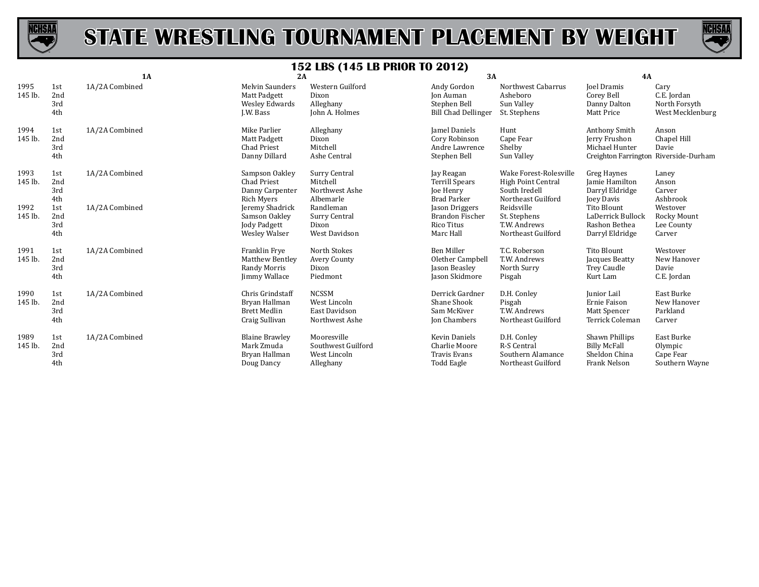



|                 |                          | 1A             | 2A                                                                         |                                                                 | 3A                                                                         |                                                                                            | 4A                                                                                        |                                                          |
|-----------------|--------------------------|----------------|----------------------------------------------------------------------------|-----------------------------------------------------------------|----------------------------------------------------------------------------|--------------------------------------------------------------------------------------------|-------------------------------------------------------------------------------------------|----------------------------------------------------------|
| 1995<br>145 lb. | 1st<br>2nd<br>3rd<br>4th | 1A/2A Combined | <b>Melvin Saunders</b><br>Matt Padgett<br>Wesley Edwards<br>J.W. Bass      | Western Guilford<br>Dixon<br>Alleghany<br>John A. Holmes        | Andy Gordon<br>Jon Auman<br>Stephen Bell<br><b>Bill Chad Dellinger</b>     | Northwest Cabarrus<br>Asheboro<br>Sun Valley<br>St. Stephens                               | <b>Joel Dramis</b><br>Corey Bell<br>Danny Dalton<br>Matt Price                            | Cary<br>C.E. Jordan<br>North Forsyth<br>West Mecklenburg |
| 1994<br>145 lb. | 1st<br>2nd<br>3rd<br>4th | 1A/2A Combined | Mike Parlier<br>Matt Padgett<br><b>Chad Priest</b><br>Danny Dillard        | Alleghany<br>Dixon<br>Mitchell<br>Ashe Central                  | Jamel Daniels<br>Cory Robinson<br>Andre Lawrence<br>Stephen Bell           | Hunt<br>Cape Fear<br>Shelby<br>Sun Valley                                                  | Anthony Smith<br>Jerry Frushon<br>Michael Hunter<br>Creighton Farrington Riverside-Durham | Anson<br>Chapel Hill<br>Davie                            |
| 1993<br>145 lb. | 1st<br>2nd<br>3rd<br>4th | 1A/2A Combined | Sampson Oakley<br><b>Chad Priest</b><br>Danny Carpenter<br>Rich Myers      | Surry Central<br>Mitchell<br>Northwest Ashe<br>Albemarle        | Jay Reagan<br><b>Terrill Spears</b><br>Joe Henry<br><b>Brad Parker</b>     | Wake Forest-Rolesville<br><b>High Point Central</b><br>South Iredell<br>Northeast Guilford | Greg Haynes<br>Jamie Hamilton<br>Darryl Eldridge<br>Joey Davis                            | Laney<br>Anson<br>Carver<br>Ashbrook                     |
| 1992<br>145 lb. | 1st<br>2nd<br>3rd<br>4th | 1A/2A Combined | Jeremy Shadrick<br>Samson Oakley<br>Jody Padgett<br><b>Wesley Walser</b>   | Randleman<br>Surry Central<br>Dixon<br>West Davidson            | Jason Driggers<br>Brandon Fischer<br><b>Rico Titus</b><br>Marc Hall        | Reidsville<br>St. Stephens<br>T.W. Andrews<br>Northeast Guilford                           | Tito Blount<br>LaDerrick Bullock<br>Rashon Bethea<br>Darryl Eldridge                      | Westover<br>Rocky Mount<br>Lee County<br>Carver          |
| 1991<br>145 lb. | 1st<br>2nd<br>3rd<br>4th | 1A/2A Combined | Franklin Frye<br>Matthew Bentley<br>Randy Morris<br>Jimmy Wallace          | North Stokes<br>Avery County<br>Dixon<br>Piedmont               | <b>Ben Miller</b><br>Olether Campbell<br>Jason Beasley<br>Jason Skidmore   | T.C. Roberson<br>T.W. Andrews<br>North Surry<br>Pisgah                                     | Tito Blount<br>Jacques Beatty<br><b>Trey Caudle</b><br>Kurt Lam                           | Westover<br>New Hanover<br>Davie<br>C.E. Jordan          |
| 1990<br>145 lb. | 1st<br>2nd<br>3rd<br>4th | 1A/2A Combined | Chris Grindstaff<br>Bryan Hallman<br><b>Brett Medlin</b><br>Craig Sullivan | <b>NCSSM</b><br>West Lincoln<br>East Davidson<br>Northwest Ashe | Derrick Gardner<br>Shane Shook<br>Sam McKiver<br>Jon Chambers              | D.H. Conley<br>Pisgah<br>T.W. Andrews<br>Northeast Guilford                                | Junior Lail<br>Ernie Faison<br>Matt Spencer<br>Terrick Coleman                            | East Burke<br>New Hanover<br>Parkland<br>Carver          |
| 1989<br>145 lb. | 1st<br>2nd<br>3rd<br>4th | 1A/2A Combined | <b>Blaine Brawley</b><br>Mark Zmuda<br>Bryan Hallman<br>Doug Dancy         | Mooresville<br>Southwest Guilford<br>West Lincoln<br>Alleghany  | <b>Kevin Daniels</b><br>Charlie Moore<br><b>Travis Evans</b><br>Todd Eagle | D.H. Conley<br><b>R-S Central</b><br>Southern Alamance<br>Northeast Guilford               | <b>Shawn Phillips</b><br><b>Billy McFall</b><br>Sheldon China<br>Frank Nelson             | East Burke<br>Olympic<br>Cape Fear<br>Southern Wayne     |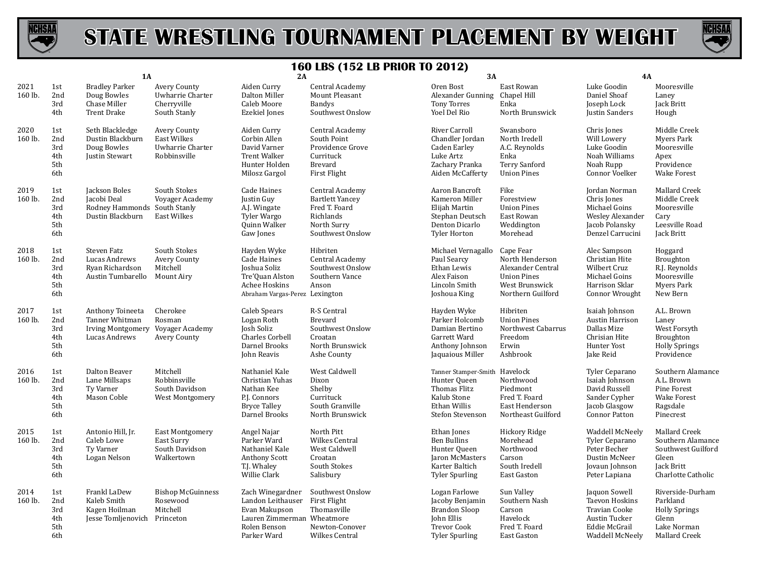



|                 |                                        | 1A                                                                                       |                                                                        | 2A                                                                                                                  |                                                                                                            | 3A                                                                                                               |                                                                                                                | 4A                                                                                                           |                                                                                                       |
|-----------------|----------------------------------------|------------------------------------------------------------------------------------------|------------------------------------------------------------------------|---------------------------------------------------------------------------------------------------------------------|------------------------------------------------------------------------------------------------------------|------------------------------------------------------------------------------------------------------------------|----------------------------------------------------------------------------------------------------------------|--------------------------------------------------------------------------------------------------------------|-------------------------------------------------------------------------------------------------------|
| 2021<br>160 lb. | 1st<br>2nd<br>3rd<br>4th               | <b>Bradley Parker</b><br>Doug Bowles<br>Chase Miller<br><b>Trent Drake</b>               | Avery County<br>Uwharrie Charter<br>Cherryville<br>South Stanly        | Aiden Curry<br>Dalton Miller<br>Caleb Moore<br><b>Ezekiel Jones</b>                                                 | Central Academy<br>Mount Pleasant<br>Bandys<br>Southwest Onslow                                            | Oren Bost<br>Alexander Gunning<br><b>Tony Torres</b><br>Yoel Del Rio                                             | East Rowan<br>Chapel Hill<br>Enka<br>North Brunswick                                                           | Luke Goodin<br>Daniel Shoaf<br>Joseph Lock<br>Justin Sanders                                                 | Mooresville<br>Laney<br>Jack Britt<br>Hough                                                           |
| 2020<br>160 lb. | 1st<br>2nd<br>3rd<br>4th<br>5th<br>6th | Seth Blackledge<br>Dustin Blackburn<br>Doug Bowles<br>Justin Stewart                     | Avery County<br><b>East Wilkes</b><br>Uwharrie Charter<br>Robbinsville | Aiden Curry<br>Corbin Allen<br>David Varner<br><b>Trent Walker</b><br>Hunter Holden<br>Milosz Gargol                | Central Academy<br>South Point<br>Providence Grove<br>Currituck<br>Brevard<br>First Flight                 | River Carroll<br>Chandler Jordan<br>Caden Earley<br>Luke Artz<br>Zachary Pranka<br>Aiden McCafferty              | Swansboro<br>North Iredell<br>A.C. Reynolds<br>Enka<br>Terry Sanford<br><b>Union Pines</b>                     | Chris Jones<br>Will Lowery<br>Luke Goodin<br>Noah Williams<br>Noah Rupp<br>Connor Voelker                    | Middle Creek<br>Myers Park<br>Mooresville<br>Apex<br>Providence<br><b>Wake Forest</b>                 |
| 2019<br>160 lb. | 1st<br>2nd<br>3rd<br>4th<br>5th<br>6th | Jackson Boles<br>Jacobi Deal<br>Rodney Hammonds South Stanly<br>Dustin Blackburn         | South Stokes<br>Voyager Academy<br><b>East Wilkes</b>                  | Cade Haines<br>Justin Guy<br>A.J. Wingate<br>Tyler Wargo<br>Quinn Walker<br>Gaw Jones                               | Central Academy<br><b>Bartlett Yancey</b><br>Fred T. Foard<br>Richlands<br>North Surry<br>Southwest Onslow | Aaron Bancroft<br>Kameron Miller<br>Elijah Martin<br>Stephan Deutsch<br>Denton Dicarlo<br><b>Tyler Horton</b>    | Fike<br>Forestview<br><b>Union Pines</b><br>East Rowan<br>Weddington<br>Morehead                               | Jordan Norman<br>Chris Jones<br>Michael Goins<br>Wesley Alexander<br>Jacob Polansky<br>Denzel Carrucini      | Mallard Creek<br>Middle Creek<br>Mooresville<br>Cary<br>Leesville Road<br>Jack Britt                  |
| 2018<br>160 lb. | 1st<br>2nd<br>3rd<br>4th<br>5th<br>6th | Steven Fatz<br>Lucas Andrews<br>Ryan Richardson<br>Austin Tumbarello                     | South Stokes<br>Avery County<br>Mitchell<br>Mount Airy                 | Hayden Wyke<br>Cade Haines<br>Joshua Soliz<br>Tre'Quan Alston<br>Achee Hoskins<br>Abraham Vargas-Perez Lexington    | Hibriten<br>Central Academy<br>Southwest Onslow<br>Southern Vance<br>Anson                                 | Michael Vernagallo<br>Paul Searcy<br>Ethan Lewis<br>Alex Faison<br>Lincoln Smith<br>Joshoua King                 | Cape Fear<br>North Henderson<br>Alexander Central<br><b>Union Pines</b><br>West Brunswick<br>Northern Guilford | Alec Sampson<br>Christian Hite<br>Wilbert Cruz<br>Michael Goins<br>Harrison Sklar<br>Connor Wrought          | Hoggard<br>Broughton<br>R.J. Reynolds<br>Mooresville<br>Myers Park<br>New Bern                        |
| 2017<br>160 lb. | 1st<br>2nd<br>3rd<br>4th<br>5th<br>6th | Anthony Toineeta<br>Tanner Whitman<br>Irving Montgomery Voyager Academy<br>Lucas Andrews | Cherokee<br>Rosman<br>Avery County                                     | Caleb Spears<br>Logan Roth<br>Josh Soliz<br><b>Charles Corbell</b><br>Darnel Brooks<br>John Reavis                  | R-S Central<br>Brevard<br>Southwest Onslow<br>Croatan<br>North Brunswick<br>Ashe County                    | Hayden Wyke<br>Parker Holcomb<br>Damian Bertino<br>Garrett Ward<br>Anthony Johnson<br>Jaquaious Miller           | Hibriten<br><b>Union Pines</b><br>Northwest Cabarrus<br>Freedom<br>Erwin<br>Ashbrook                           | Isaiah Johnson<br>Austin Harrison<br>Dallas Mize<br>Chrisian Hite<br>Hunter Yost<br>Jake Reid                | A.L. Brown<br>Laney<br>West Forsyth<br>Broughton<br><b>Holly Springs</b><br>Providence                |
| 2016<br>160 lb. | 1st<br>2nd<br>3rd<br>4th<br>5th<br>6th | Dalton Beaver<br>Lane Millsaps<br>Ty Varner<br>Mason Coble                               | Mitchell<br>Robbinsville<br>South Davidson<br>West Montgomery          | Nathaniel Kale<br>Christian Yuhas<br>Nathan Kee<br>P.J. Connors<br><b>Bryce Talley</b><br>Darnel Brooks             | West Caldwell<br>Dixon<br>Shelby<br>Currituck<br>South Granville<br>North Brunswick                        | Tanner Stamper-Smith Havelock<br>Hunter Queen<br>Thomas Flitz<br>Kalub Stone<br>Ethan Willis<br>Stefon Stevenson | Northwood<br>Piedmont<br>Fred T. Foard<br>East Henderson<br>Northeast Guilford                                 | Tyler Ceparano<br>Isaiah Johnson<br>David Russell<br>Sander Cypher<br>Jacob Glasgow<br><b>Connor Patton</b>  | Southern Alamance<br>A.L. Brown<br>Pine Forest<br><b>Wake Forest</b><br>Ragsdale<br>Pinecrest         |
| 2015<br>160 lb. | 1st<br>2nd<br>3rd<br>4th<br>5th<br>6th | Antonio Hill, Jr.<br>Caleb Lowe<br>Ty Varner<br>Logan Nelson                             | <b>East Montgomery</b><br>East Surry<br>South Davidson<br>Walkertown   | Angel Najar<br>Parker Ward<br>Nathaniel Kale<br><b>Anthony Scott</b><br>T.J. Whaley<br>Willie Clark                 | North Pitt<br>Wilkes Central<br>West Caldwell<br>Croatan<br>South Stokes<br>Salisbury                      | Ethan Jones<br><b>Ben Bullins</b><br>Hunter Queen<br>Jaron McMasters<br>Karter Baltich<br><b>Tyler Spurling</b>  | Hickory Ridge<br>Morehead<br>Northwood<br>Carson<br>South Iredell<br>East Gaston                               | Waddell McNeely<br>Tyler Ceparano<br>Peter Becher<br>Dustin McNeer<br>Jovaun Johnson<br>Peter Lapiana        | Mallard Creek<br>Southern Alamance<br>Southwest Guilford<br>Gleen<br>Jack Britt<br>Charlotte Catholic |
| 2014<br>160 lb. | 1st<br>2nd<br>3rd<br>4th<br>5th<br>6th | Frankl LaDew<br>Kaleb Smith<br>Kagen Hoilman<br>Jesse Tomljenovich Princeton             | <b>Bishop McGuinness</b><br>Rosewood<br>Mitchell                       | Zach Winegardner<br>Landon Leithauser<br>Evan Makupson<br>Lauren Zimmerman Wheatmore<br>Rolen Benson<br>Parker Ward | Southwest Onslow<br><b>First Flight</b><br>Thomasville<br>Newton-Conover<br>Wilkes Central                 | Logan Farlowe<br>Jacoby Benjamin<br>Brandon Sloop<br>John Ellis<br>Trevor Cook<br><b>Tyler Spurling</b>          | Sun Valley<br>Southern Nash<br>Carson<br>Havelock<br>Fred T. Foard<br>East Gaston                              | Jaquon Sowell<br><b>Taevon Hoskins</b><br>Travian Cooke<br>Austin Tucker<br>Eddie McGrail<br>Waddell McNeely | Riverside-Durham<br>Parkland<br><b>Holly Springs</b><br>Glenn<br>Lake Norman<br>Mallard Creek         |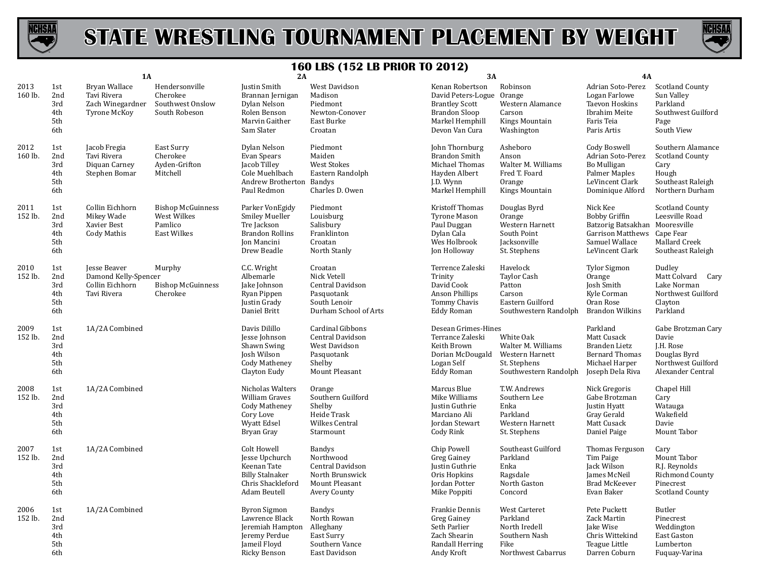



|                 |                                        | 1A                                                                            |                                                                          | 2A                                                                                                                 |                                                                                                   | 3A                                                                                                                          |                                                                                             | <b>4A</b>                                                                                                               |                                                                                                      |
|-----------------|----------------------------------------|-------------------------------------------------------------------------------|--------------------------------------------------------------------------|--------------------------------------------------------------------------------------------------------------------|---------------------------------------------------------------------------------------------------|-----------------------------------------------------------------------------------------------------------------------------|---------------------------------------------------------------------------------------------|-------------------------------------------------------------------------------------------------------------------------|------------------------------------------------------------------------------------------------------|
| 2013<br>160 lb. | 1st<br>2nd<br>3rd<br>4th<br>5th<br>6th | Bryan Wallace<br>Tavi Rivera<br>Zach Winegardner<br><b>Tyrone McKov</b>       | Hendersonville<br>Cherokee<br>Southwest Onslow<br>South Robeson          | Justin Smith<br>Brannan Jernigan<br>Dylan Nelson<br>Rolen Benson<br>Marvin Gaither<br>Sam Slater                   | West Davidson<br>Madison<br>Piedmont<br>Newton-Conover<br>East Burke<br>Croatan                   | Kenan Robertson<br>David Peters-Logue<br><b>Brantley Scott</b><br><b>Brandon Sloop</b><br>Markel Hemphill<br>Devon Van Cura | Robinson<br>Orange<br>Western Alamance<br>Carson<br>Kings Mountain<br>Washington            | Adrian Soto-Perez<br>Logan Farlowe<br>Taevon Hoskins<br>Ibrahim Meite<br>Faris Teia<br>Paris Artis                      | Scotland County<br>Sun Valley<br>Parkland<br>Southwest Guilford<br>Page<br>South View                |
| 2012<br>160 lb. | 1st<br>2nd<br>3rd<br>4th<br>5th<br>6th | Jacob Fregia<br>Tavi Rivera<br>Diquan Carney<br>Stephen Bomar                 | East Surry<br>Cherokee<br>Ayden-Grifton<br>Mitchell                      | Dylan Nelson<br>Evan Spears<br>Jacob Tilley<br>Cole Muehlbach<br>Andrew Brotherton<br>Paul Redmon                  | Piedmont<br>Maiden<br><b>West Stokes</b><br>Eastern Randolph<br>Bandys<br>Charles D. Owen         | John Thornburg<br>Brandon Smith<br>Michael Thomas<br>Hayden Albert<br>J.D. Wynn<br>Markel Hemphill                          | Asheboro<br>Anson<br>Walter M. Williams<br>Fred T. Foard<br>Orange<br>Kings Mountain        | Cody Boswell<br>Adrian Soto-Perez<br><b>Bo Mulligan</b><br>Palmer Maples<br>LeVincent Clark<br>Dominique Alford         | Southern Alamance<br><b>Scotland County</b><br>Cary<br>Hough<br>Southeast Raleigh<br>Northern Durham |
| 2011<br>152 lb. | 1st<br>2nd<br>3rd<br>4th<br>5th<br>6th | Collin Eichhorn<br>Mikey Wade<br>Xavier Best<br><b>Cody Mathis</b>            | <b>Bishop McGuinness</b><br>West Wilkes<br>Pamlico<br><b>East Wilkes</b> | Parker VonEgidy<br><b>Smiley Mueller</b><br>Tre Jackson<br><b>Brandon Rollins</b><br>Jon Mancini<br>Drew Beadle    | Piedmont<br>Louisburg<br>Salisbury<br>Franklinton<br>Croatan<br>North Stanly                      | <b>Kristoff Thomas</b><br><b>Tyrone Mason</b><br>Paul Duggan<br>Dylan Cala<br>Wes Holbrook<br>Jon Holloway                  | Douglas Byrd<br>Orange<br>Western Harnett<br>South Point<br>Jacksonville<br>St. Stephens    | Nick Kee<br><b>Bobby Griffin</b><br>Batzorig Batsakhan<br><b>Garrison Matthews</b><br>Samuel Wallace<br>LeVincent Clark | Scotland County<br>Leesville Road<br>Mooresville<br>Cape Fear<br>Mallard Creek<br>Southeast Raleigh  |
| 2010<br>152 lb. | 1st<br>2nd<br>3rd<br>4th<br>5th<br>6th | <b>Jesse Beaver</b><br>Damond Kelly-Spencer<br>Collin Eichhorn<br>Tavi Rivera | Murphy<br><b>Bishop McGuinness</b><br>Cherokee                           | C.C. Wright<br>Albemarle<br>Jake Johnson<br>Ryan Pippen<br>Justin Grady<br>Daniel Britt                            | Croatan<br>Nick Vetell<br>Central Davidson<br>Pasquotank<br>South Lenoir<br>Durham School of Arts | Terrence Zaleski<br>Trinity<br>David Cook<br>Anson Phillips<br>Tommy Chavis<br><b>Eddy Roman</b>                            | Havelock<br>Taylor Cash<br>Patton<br>Carson<br>Eastern Guilford<br>Southwestern Randolph    | <b>Tylor Sigmon</b><br>Orange<br>Josh Smith<br>Kyle Corman<br>Oran Rose<br><b>Brandon Wilkins</b>                       | Dudley<br>Matt Colvard Cary<br>Lake Norman<br>Northwest Guilford<br>Clayton<br>Parkland              |
| 2009<br>152 lb. | 1st<br>2nd<br>3rd<br>4th<br>5th<br>6th | 1A/2A Combined                                                                |                                                                          | Davis Dilillo<br>Jesse Johnson<br>Shawn Swing<br>Josh Wilson<br><b>Cody Matheney</b><br>Clayton Eudy               | Cardinal Gibbons<br>Central Davidson<br>West Davidson<br>Pasquotank<br>Shelby<br>Mount Pleasant   | Desean Grimes-Hines<br>Terrance Zaleski<br>Keith Brown<br>Dorian McDougald<br>Logan Self<br><b>Eddy Roman</b>               | White Oak<br>Walter M. Williams<br>Western Harnett<br>St. Stephens<br>Southwestern Randolph | Parkland<br>Matt Cusack<br>Branden Lietz<br><b>Bernard Thomas</b><br>Michael Harper<br>Joseph Dela Riva                 | Gabe Brotzman Cary<br>Davie<br>J.H. Rose<br>Douglas Byrd<br>Northwest Guilford<br>Alexander Central  |
| 2008<br>152 lb. | 1st<br>2nd<br>3rd<br>4th<br>5th<br>6th | 1A/2A Combined                                                                |                                                                          | Nicholas Walters<br>William Graves<br><b>Cody Matheney</b><br>Cory Love<br>Wyatt Edsel<br>Bryan Gray               | Orange<br>Southern Guilford<br>Shelby<br>Heide Trask<br>Wilkes Central<br>Starmount               | Marcus Blue<br>Mike Williams<br>Justin Guthrie<br>Marciano Ali<br><b>Jordan Stewart</b><br>Cody Rink                        | T.W. Andrews<br>Southern Lee<br>Enka<br>Parkland<br>Western Harnett<br>St. Stephens         | Nick Gregoris<br>Gabe Brotzman<br>Justin Hyatt<br>Gray Gerald<br>Matt Cusack<br>Daniel Paige                            | Chapel Hill<br>Cary<br>Watauga<br>Wakefield<br>Davie<br>Mount Tabor                                  |
| 2007<br>152 lb. | 1st<br>2nd<br>3rd<br>4th<br>5th<br>6th | 1A/2A Combined                                                                |                                                                          | <b>Colt Howell</b><br>Jesse Upchurch<br>Keenan Tate<br><b>Billy Stalnaker</b><br>Chris Shackleford<br>Adam Beutell | Bandys<br>Northwood<br>Central Davidson<br>North Brunswick<br>Mount Pleasant<br>Avery County      | Chip Powell<br>Greg Gainey<br>Justin Guthrie<br>Oris Hopkins<br>Jordan Potter<br>Mike Poppiti                               | Southeast Guilford<br>Parkland<br>Enka<br>Ragsdale<br>North Gaston<br>Concord               | Thomas Ferguson<br>Tim Paige<br>Jack Wilson<br>James McNeil<br>Brad McKeever<br>Evan Baker                              | Cary<br>Mount Tabor<br>R.J. Reynolds<br>Richmond County<br>Pinecrest<br><b>Scotland County</b>       |
| 2006<br>152 lb. | 1st<br>2nd<br>3rd<br>4th<br>5th<br>6th | 1A/2A Combined                                                                |                                                                          | <b>Byron Sigmon</b><br>Lawrence Black<br>Jeremiah Hampton<br>Jeremy Perdue<br>Jameil Floyd<br>Ricky Benson         | <b>Bandys</b><br>North Rowan<br>Alleghany<br>East Surry<br>Southern Vance<br>East Davidson        | Frankie Dennis<br>Greg Gainey<br>Seth Parlier<br>Zach Shearin<br>Randall Herring<br>Andy Kroft                              | West Carteret<br>Parkland<br>North Iredell<br>Southern Nash<br>Fike<br>Northwest Cabarrus   | Pete Puckett<br>Zack Martin<br>Jake Wise<br>Chris Wittekind<br>Teague Little<br>Darren Coburn                           | Butler<br>Pinecrest<br>Weddington<br>East Gaston<br>Lumberton<br>Fuquay-Varina                       |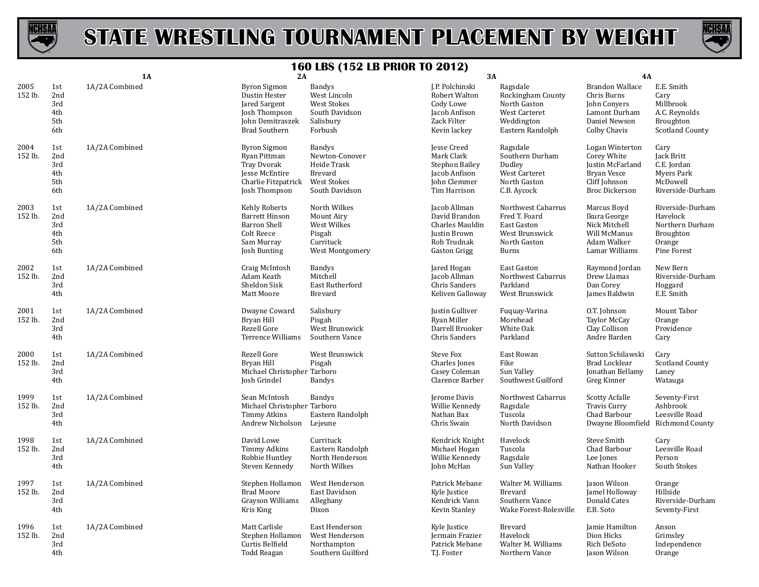



|                 |                                        | 1A             | 2A                                                                                                                  |                                                                                                          | 3A                                                                                                         |                                                                                                      | 4A                                                                                                                 |                                                                                         |
|-----------------|----------------------------------------|----------------|---------------------------------------------------------------------------------------------------------------------|----------------------------------------------------------------------------------------------------------|------------------------------------------------------------------------------------------------------------|------------------------------------------------------------------------------------------------------|--------------------------------------------------------------------------------------------------------------------|-----------------------------------------------------------------------------------------|
| 2005<br>152 lb. | 1st<br>2nd<br>3rd<br>4th<br>5th<br>6th | 1A/2A Combined | <b>Byron Sigmon</b><br>Dustin Hester<br>Jared Sargent<br>Josh Thompson<br>John Demitraszek<br><b>Brad Southern</b>  | <b>Bandys</b><br>West Lincoln<br><b>West Stokes</b><br>South Davidson<br>Salisbury<br>Forbush            | J.P. Polchinski<br>Robert Walton<br>Cody Lowe<br>Jacob Anfison<br>Zack Filter<br>Kevin lackev              | Ragsdale<br>Rockingham County<br>North Gaston<br>West Carteret<br>Weddington<br>Eastern Randolph     | <b>Brandon Wallace</b><br>Chris Burns<br>John Convers<br>Lamont Durham<br>Daniel Newson<br>Colby Chavis            | E.E. Smith<br>Cary<br>Millbrook<br>A.C. Reynolds<br>Broughton<br><b>Scotland County</b> |
| 2004<br>152 lb. | 1st<br>2nd<br>3rd<br>4th<br>5th<br>6th | 1A/2A Combined | <b>Byron Sigmon</b><br>Ryan Pittman<br><b>Tray Dvorak</b><br>Jesse McEntire<br>Charlie Fitzpatrick<br>Josh Thompson | <b>Bandys</b><br>Newton-Conover<br>Heide Trask<br><b>Brevard</b><br><b>West Stokes</b><br>South Davidson | <b>Jesse Creed</b><br>Mark Clark<br><b>Stephon Bailey</b><br>Jacob Anfison<br>John Clemmer<br>Tim Harrison | Ragsdale<br>Southern Durham<br>Dudley<br>West Carteret<br>North Gaston<br>C.B. Aycock                | Logan Winterton<br>Corey White<br>Justin McFarland<br><b>Bryan Vesce</b><br>Cliff Johnson<br><b>Broc Dickerson</b> | Cary<br>Jack Britt<br>C.E. Jordan<br>Myers Park<br>McDowell<br>Riverside-Durham         |
| 2003<br>152 lb. | 1st<br>2nd<br>3rd<br>4th<br>5th<br>6th | 1A/2A Combined | Kehly Roberts<br><b>Barrett Hinson</b><br><b>Barron Shell</b><br>Colt Reece<br>Sam Murray<br>Josh Bunting           | North Wilkes<br>Mount Airy<br>West Wilkes<br>Pisgah<br>Currituck<br>West Montgomery                      | Jacob Allman<br>David Brandon<br>Charles Mauldin<br>Justin Brown<br>Rob Trudnak<br>Gaston Grigg            | Northwest Cabarrus<br>Fred T. Foard<br>East Gaston<br>West Brunswick<br>North Gaston<br><b>Burns</b> | Marcus Boyd<br>Ikura George<br>Nick Mitchell<br>Will McManus<br>Adam Walker<br>Lamar Williams                      | Riverside-Durham<br>Havelock<br>Northern Durham<br>Broughton<br>Orange<br>Pine Forest   |
| 2002<br>152 lb. | 1st<br>2nd<br>3rd<br>4th               | 1A/2A Combined | Craig McIntosh<br>Adam Keath<br>Sheldon Sisk<br>Matt Moore                                                          | Bandys<br>Mitchell<br>East Rutherford<br><b>Brevard</b>                                                  | Jared Hogan<br>Jacob Allman<br>Chris Sanders<br>Keliven Galloway                                           | East Gaston<br>Northwest Cabarrus<br>Parkland<br>West Brunswick                                      | Raymond Jordan<br>Drew Llamas<br>Dan Corey<br>James Baldwin                                                        | New Bern<br>Riverside-Durham<br>Hoggard<br>E.E. Smith                                   |
| 2001<br>152 lb. | 1st<br>2nd<br>3rd<br>4th               | 1A/2A Combined | Dwayne Coward<br>Bryan Hill<br>Rezell Gore<br>Terrence Williams                                                     | Salisbury<br>Pisgah<br>West Brunswick<br>Southern Vance                                                  | Justin Gulliver<br>Ryan Miller<br>Darrell Brooker<br>Chris Sanders                                         | Fuquay-Varina<br>Morehead<br>White Oak<br>Parkland                                                   | O.T. Johnson<br><b>Taylor McCay</b><br>Clay Collison<br>Andre Barden                                               | Mount Tabor<br>Orange<br>Providence<br>Cary                                             |
| 2000<br>152 lb. | 1st<br>2nd<br>3rd<br>4th               | 1A/2A Combined | Rezell Gore<br>Bryan Hill<br>Michael Christopher Tarboro<br>Josh Grindel                                            | West Brunswick<br>Pisgah<br><b>Bandys</b>                                                                | Steve Fox<br>Charles Jones<br>Casey Coleman<br>Clarence Barber                                             | East Rowan<br>Fike<br>Sun Valley<br>Southwest Guilford                                               | Sutton Schilawski<br>Brad Locklear<br>Jonathan Bellamy<br>Greg Kinner                                              | Cary<br><b>Scotland County</b><br>Laney<br>Watauga                                      |
| 1999<br>152 lb. | 1st<br>2nd<br>3rd<br>4th               | 1A/2A Combined | Sean McIntosh<br>Michael Christopher Tarboro<br><b>Timmy Atkins</b><br>Andrew Nicholson                             | Bandys<br>Eastern Randolph<br>Lejeune                                                                    | Jerome Davis<br>Willie Kennedy<br>Nathan Bax<br>Chris Swain                                                | Northwest Cabarrus<br>Ragsdale<br>Tuscola<br>North Davidson                                          | <b>Scotty Acfalle</b><br><b>Travis Curry</b><br>Chad Barbour<br>Dwayne Bloomfield Richmond County                  | Seventy-First<br>Ashbrook<br>Leesville Road                                             |
| 1998<br>152 lb. | 1st<br>2nd<br>3rd<br>4th               | 1A/2A Combined | David Lowe<br><b>Timmy Adkins</b><br>Robbie Huntley<br>Steven Kennedy                                               | Currituck<br>Eastern Randolph<br>North Henderson<br>North Wilkes                                         | Kendrick Knight<br>Michael Hogan<br>Willie Kennedy<br>John McHan                                           | Havelock<br>Tuscola<br>Ragsdale<br>Sun Valley                                                        | <b>Steve Smith</b><br>Chad Barbour<br>Lee Jones<br>Nathan Hooker                                                   | Cary<br>Leesville Road<br>Person<br>South Stokes                                        |
| 1997<br>152 lb. | 1st<br>2nd<br>3rd<br>4th               | 1A/2A Combined | Stephen Hollamon<br><b>Brad Moore</b><br>Grayson Williams<br>Kris King                                              | West Henderson<br>East Davidson<br>Alleghany<br>Dixon                                                    | Patrick Mebane<br>Kyle Justice<br>Kendrick Vann<br>Kevin Stanley                                           | Walter M. Williams<br><b>Brevard</b><br>Southern Vance<br>Wake Forest-Rolesville                     | Jason Wilson<br>Jamel Holloway<br>Donald Cates<br>E.B. Soto                                                        | Orange<br>Hillside<br>Riverside-Durham<br>Seventy-First                                 |
| 1996<br>152 lb. | 1st<br>2nd<br>3rd<br>4th               | 1A/2A Combined | Matt Carlisle<br>Stephen Hollamon<br>Curtis Belfield<br>Todd Reagan                                                 | East Henderson<br>West Henderson<br>Northampton<br>Southern Guilford                                     | Kyle Justice<br>Jermain Frazier<br>Patrick Mebane<br>T.J. Foster                                           | Brevard<br>Havelock<br>Walter M. Williams<br>Northern Vance                                          | Jamie Hamilton<br>Dion Hicks<br>Rich DeSoto<br>Jason Wilson                                                        | Anson<br>Grimslev<br>Independence<br>Orange                                             |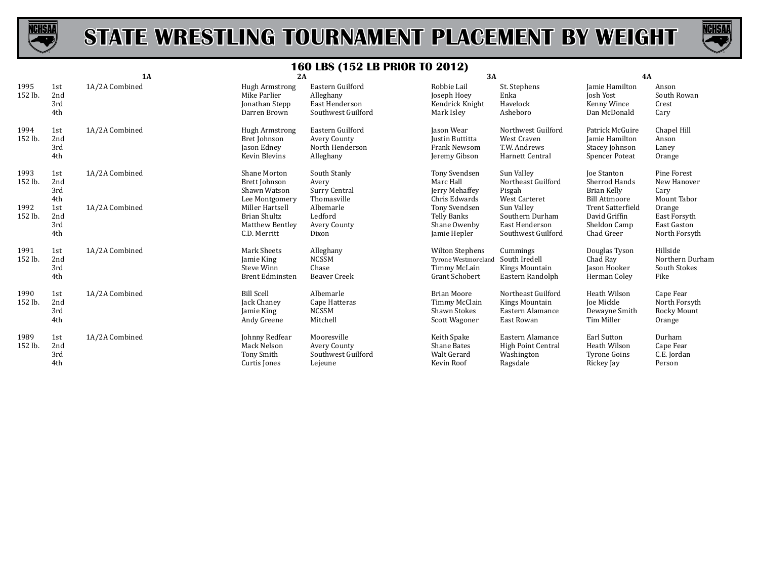



|                 |                          | 1A             | 2A                                                                               |                                                                       | 3A                                                                              |                                                                        | 4A                                                                           |                                                               |
|-----------------|--------------------------|----------------|----------------------------------------------------------------------------------|-----------------------------------------------------------------------|---------------------------------------------------------------------------------|------------------------------------------------------------------------|------------------------------------------------------------------------------|---------------------------------------------------------------|
| 1995<br>152 lb. | 1st<br>2nd<br>3rd<br>4th | 1A/2A Combined | <b>Hugh Armstrong</b><br>Mike Parlier<br>Jonathan Stepp<br>Darren Brown          | Eastern Guilford<br>Alleghany<br>East Henderson<br>Southwest Guilford | Robbie Lail<br>Joseph Hoey<br>Kendrick Knight<br>Mark Isley                     | St. Stephens<br>Enka<br>Havelock<br>Asheboro                           | Jamie Hamilton<br><b>Josh Yost</b><br>Kenny Wince<br>Dan McDonald            | Anson<br>South Rowan<br>Crest<br>Cary                         |
| 1994<br>152 lb. | 1st<br>2nd<br>3rd<br>4th | 1A/2A Combined | <b>Hugh Armstrong</b><br>Bret Johnson<br>Jason Edney<br>Kevin Blevins            | Eastern Guilford<br>Avery County<br>North Henderson<br>Alleghany      | Jason Wear<br><b>Justin Buttitta</b><br><b>Frank Newsom</b><br>Jeremy Gibson    | Northwest Guilford<br>West Craven<br>T.W. Andrews<br>Harnett Central   | Patrick McGuire<br>Jamie Hamilton<br>Stacey Johnson<br><b>Spencer Poteat</b> | Chapel Hill<br>Anson<br>Laney<br>Orange                       |
| 1993<br>152 lb. | 1st<br>2nd<br>3rd<br>4th | 1A/2A Combined | Shane Morton<br>Brett Johnson<br>Shawn Watson<br>Lee Montgomery                  | South Stanly<br>Avery<br>Surry Central<br>Thomasville                 | Tony Svendsen<br>Marc Hall<br>Jerry Mehaffey<br>Chris Edwards                   | Sun Valley<br>Northeast Guilford<br>Pisgah<br>West Carteret            | <b>Joe Stanton</b><br>Sherrod Hands<br>Brian Kelly<br><b>Bill Attmoore</b>   | Pine Forest<br>New Hanover<br>Cary<br>Mount Tabor             |
| 1992<br>152 lb. | 1st<br>2nd<br>3rd<br>4th | 1A/2A Combined | Miller Hartsell<br><b>Brian Shultz</b><br><b>Matthew Bentley</b><br>C.D. Merritt | Albemarle<br>Ledford<br>Avery County<br>Dixon                         | Tony Svendsen<br>Telly Banks<br>Shane Owenby<br>Jamie Hepler                    | Sun Valley<br>Southern Durham<br>East Henderson<br>Southwest Guilford  | <b>Trent Satterfield</b><br>David Griffin<br>Sheldon Camp<br>Chad Greer      | Orange<br>East Forsyth<br><b>East Gaston</b><br>North Forsyth |
| 1991<br>152 lb. | 1st<br>2nd<br>3rd<br>4th | 1A/2A Combined | Mark Sheets<br>Jamie King<br>Steve Winn<br><b>Brent Edminsten</b>                | Alleghany<br><b>NCSSM</b><br>Chase<br><b>Beaver Creek</b>             | <b>Wilton Stephens</b><br>Tyrone Westmoreland<br>Timmy McLain<br>Grant Schobert | Cummings<br>South Iredell<br>Kings Mountain<br>Eastern Randolph        | Douglas Tyson<br>Chad Ray<br>Jason Hooker<br>Herman Coley                    | Hillside<br>Northern Durham<br>South Stokes<br>Fike           |
| 1990<br>152 lb. | 1st<br>2nd<br>3rd<br>4th | 1A/2A Combined | <b>Bill Scell</b><br><b>Jack Chaney</b><br>Jamie King<br>Andy Greene             | Albemarle<br>Cape Hatteras<br><b>NCSSM</b><br>Mitchell                | <b>Brian Moore</b><br>Timmy McClain<br>Shawn Stokes<br>Scott Wagoner            | Northeast Guilford<br>Kings Mountain<br>Eastern Alamance<br>East Rowan | Heath Wilson<br>Joe Mickle<br>Dewayne Smith<br>Tim Miller                    | Cape Fear<br>North Forsyth<br>Rocky Mount<br>Orange           |
| 1989<br>152 lb. | 1st<br>2nd<br>3rd<br>4th | 1A/2A Combined | Johnny Redfear<br>Mack Nelson<br>Tony Smith<br>Curtis Jones                      | Mooresville<br>Avery County<br>Southwest Guilford<br>Lejeune          | Keith Spake<br>Shane Bates<br><b>Walt Gerard</b><br>Kevin Roof                  | Eastern Alamance<br>High Point Central<br>Washington<br>Ragsdale       | <b>Earl Sutton</b><br>Heath Wilson<br><b>Tyrone Goins</b><br>Rickey Jay      | Durham<br>Cape Fear<br>C.E. Jordan<br>Person                  |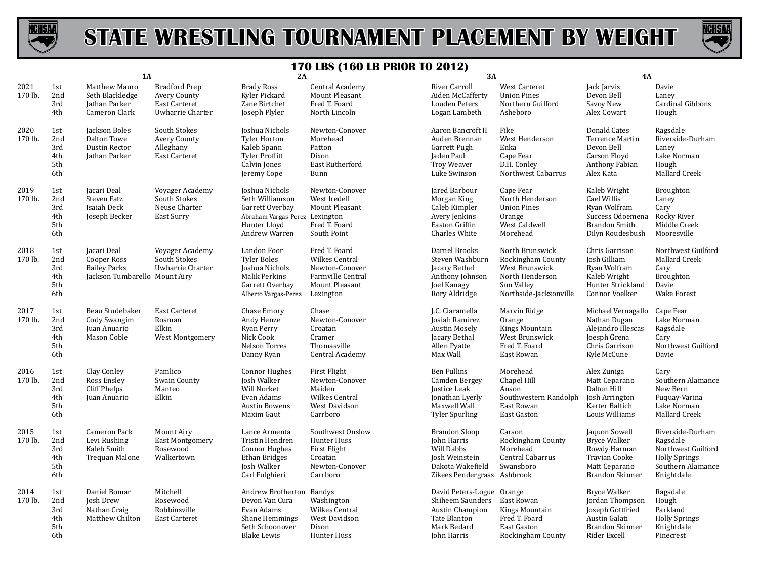



|                 |                                        | <b>1A</b>                                                                          |                                                                                  | 2A                                                                                                                      |                                                                                                              | 3A                                                                                                                     |                                                                                                                   | <b>4A</b>                                                                                                               |                                                                                                               |
|-----------------|----------------------------------------|------------------------------------------------------------------------------------|----------------------------------------------------------------------------------|-------------------------------------------------------------------------------------------------------------------------|--------------------------------------------------------------------------------------------------------------|------------------------------------------------------------------------------------------------------------------------|-------------------------------------------------------------------------------------------------------------------|-------------------------------------------------------------------------------------------------------------------------|---------------------------------------------------------------------------------------------------------------|
| 2021<br>170 lb. | 1st<br>2nd<br>3rd<br>4th               | Matthew Mauro<br>Seth Blackledge<br>Jathan Parker<br>Cameron Clark                 | <b>Bradford Prep</b><br>Avery County<br><b>East Carteret</b><br>Uwharrie Charter | <b>Brady Ross</b><br>Kyler Pickard<br>Zane Birtchet<br>Joseph Plyler                                                    | Central Academy<br>Mount Pleasant<br>Fred T. Foard<br>North Lincoln                                          | River Carroll<br>Aiden McCafferty<br>Louden Peters<br>Logan Lambeth                                                    | <b>West Carteret</b><br><b>Union Pines</b><br>Northern Guilford<br>Asheboro                                       | Jack Jarvis<br>Devon Bell<br>Savoy New<br>Alex Cowart                                                                   | Davie<br>Laney<br>Cardinal Gibbons<br>Hough                                                                   |
| 2020<br>170 lb. | 1st<br>2nd<br>3rd<br>4th<br>5th<br>6th | Jackson Boles<br>Dalton Towe<br>Dustin Rector<br>Jathan Parker                     | South Stokes<br>Avery County<br>Alleghany<br>East Carteret                       | Joshua Nichols<br><b>Tyler Horton</b><br>Kaleb Spann<br>Tyler Proffitt<br>Calvin Jones<br>Jeremy Cope                   | Newton-Conover<br>Morehead<br>Patton<br>Dixon<br>East Rutherford<br>Bunn                                     | Aaron Bancroft II<br>Auden Brennan<br>Garrett Pugh<br>Jaden Paul<br><b>Troy Weaver</b><br>Luke Swinson                 | Fike<br>West Henderson<br>Enka<br>Cape Fear<br>D.H. Conley<br>Northwest Cabarrus                                  | Donald Cates<br>Terrence Martin<br>Devon Bell<br>Carson Floyd<br>Anthony Fabian<br>Alex Kata                            | Ragsdale<br>Riverside-Durham<br>Laney<br>Lake Norman<br>Hough<br>Mallard Creek                                |
| 2019<br>170 lb. | 1st<br>2nd<br>3rd<br>4th<br>5th<br>6th | Jacari Deal<br>Steven Fatz<br>Isaiah Deck<br>Joseph Becker                         | Voyager Academy<br>South Stokes<br>Neuse Charter<br>East Surry                   | Joshua Nichols<br>Seth Williamson<br>Garrett Overbay<br>Abraham Vargas-Perez Lexington<br>Hunter Lloyd<br>Andrew Warren | Newton-Conover<br>West Iredell<br>Mount Pleasant<br>Fred T. Foard<br>South Point                             | Jared Barbour<br>Morgan King<br>Caleb Kimpler<br>Avery Jenkins<br>Easton Griffin<br><b>Charles White</b>               | Cape Fear<br>North Henderson<br><b>Union Pines</b><br>Orange<br>West Caldwell<br>Morehead                         | Kaleb Wright<br>Cael Willis<br>Ryan Wolfram<br>Success Odoemena<br><b>Brandon Smith</b><br>Dilyn Roudesbush             | <b>Broughton</b><br>Laney<br>Cary<br>Rocky River<br>Middle Creek<br>Mooresville                               |
| 2018<br>170 lb. | 1st<br>2nd<br>3rd<br>4th<br>5th<br>6th | Jacari Deal<br>Cooper Ross<br><b>Bailey Parks</b><br>Jackson Tumbarello Mount Airy | Voyager Academy<br>South Stokes<br>Uwharrie Charter                              | Landon Foor<br><b>Tyler Boles</b><br>Joshua Nichols<br>Malik Perkins<br>Garrett Overbay<br>Alberto Vargas-Perez         | Fred T. Foard<br>Wilkes Central<br>Newton-Conover<br><b>Farmville Central</b><br>Mount Pleasant<br>Lexington | Darnel Brooks<br>Steven Washburn<br>Jacary Bethel<br>Anthony Johnson<br>Joel Kanagy<br>Rory Aldridge                   | North Brunswick<br>Rockingham County<br>West Brunswick<br>North Henderson<br>Sun Valley<br>Northside-Jacksonville | Chris Garrison<br>Josh Gilliam<br>Ryan Wolfram<br>Kaleb Wright<br>Hunter Strickland<br>Connor Voelker                   | Northwest Guilford<br><b>Mallard Creek</b><br>Cary<br>Broughton<br>Davie<br><b>Wake Forest</b>                |
| 2017<br>170 lb. | 1st<br>2nd<br>3rd<br>4th<br>5th<br>6th | Beau Studebaker<br>Cody Swangim<br>Juan Anuario<br>Mason Coble                     | <b>East Carteret</b><br>Rosman<br>Elkin<br>West Montgomery                       | Chase Emory<br>Andy Henze<br>Ryan Perry<br>Nick Cook<br>Nelson Torres<br>Danny Ryan                                     | Chase<br>Newton-Conover<br>Croatan<br>Cramer<br>Thomasville<br>Central Academy                               | J.C. Ciaramella<br>Josiah Ramirez<br><b>Austin Mosely</b><br>Jacary Bethal<br>Allen Pyatte<br>Max Wall                 | Marvin Ridge<br>Orange<br>Kings Mountain<br>West Brunswick<br>Fred T. Foard<br>East Rowan                         | Michael Vernagallo<br>Nathan Dugan<br>Alejandro Illescas<br>Joesph Grena<br>Chris Garrison<br>Kyle McCune               | Cape Fear<br>Lake Norman<br>Ragsdale<br>Cary<br>Northwest Guilford<br>Davie                                   |
| 2016<br>170 lb. | 1st<br>2nd<br>3rd<br>4th<br>5th<br>6th | Clay Conley<br>Ross Ensley<br>Cliff Phelps<br>Juan Anuario                         | Pamlico<br>Swain County<br>Manteo<br>Elkin                                       | <b>Connor Hughes</b><br>Josh Walker<br>Will Norket<br>Evan Adams<br><b>Austin Bowens</b><br>Maxim Gaut                  | <b>First Flight</b><br>Newton-Conover<br>Maiden<br>Wilkes Central<br>West Davidson<br>Carrboro               | <b>Ben Fullins</b><br>Camden Bergey<br>Justice Leak<br>Jonathan Lyerly<br>Maxwell Wall<br><b>Tyler Spurling</b>        | Morehead<br>Chapel Hill<br>Anson<br>Southwestern Randolph<br>East Rowan<br>East Gaston                            | Alex Zuniga<br>Matt Ceparano<br>Dalton Hill<br>Josh Arrington<br>Karter Baltich<br>Louis Williams                       | Cary<br>Southern Alamance<br>New Bern<br>Fuquay-Varina<br>Lake Norman<br>Mallard Creek                        |
| 2015<br>170 lb. | 1st<br>2nd<br>3rd<br>4th<br>5th<br>6th | Cameron Pack<br>Levi Rushing<br>Kaleb Smith<br>Trequan Malone                      | Mount Airy<br>East Montgomery<br>Rosewood<br>Walkertown                          | Lance Armenta<br>Tristin Hendren<br><b>Connor Hughes</b><br><b>Ethan Bridges</b><br>Josh Walker<br>Carl Fulghieri       | Southwest Onslow<br>Hunter Huss<br>First Flight<br>Croatan<br>Newton-Conover<br>Carrboro                     | <b>Brandon Sloop</b><br>John Harris<br>Will Dabbs<br>Josh Weinstein<br>Dakota Wakefield<br>Zikees Pendergrass Ashbrook | Carson<br>Rockingham County<br>Morehead<br>Central Cabarrus<br>Swansboro                                          | Jaquon Sowell<br><b>Bryce Walker</b><br>Rowdy Harman<br><b>Travian Cooke</b><br>Matt Ceparano<br><b>Brandon Skinner</b> | Riverside-Durham<br>Ragsdale<br>Northwest Guilford<br><b>Holly Springs</b><br>Southern Alamance<br>Knightdale |
| 2014<br>170 lb. | 1st<br>2nd<br>3rd<br>4th<br>5th<br>6th | Daniel Bomar<br>Josh Drew<br>Nathan Craig<br>Matthew Chilton                       | Mitchell<br>Rosewood<br>Robbinsville<br>East Carteret                            | Andrew Brotherton Bandys<br>Devon Van Cura<br>Evan Adams<br>Shane Hemmings<br>Seth Schoonover<br><b>Blake Lewis</b>     | Washington<br>Wilkes Central<br>West Davidson<br>Dixon<br>Hunter Huss                                        | David Peters-Logue Orange<br>Shiheem Saunders<br>Austin Champion<br><b>Tate Blanton</b><br>Mark Bedard<br>John Harris  | East Rowan<br>Kings Mountain<br>Fred T. Foard<br>East Gaston<br>Rockingham County                                 | <b>Bryce Walker</b><br>Jordan Thompson<br>Joseph Gottfried<br>Austin Galati<br>Brandon Skinner<br>Rider Excell          | Ragsdale<br>Hough<br>Parkland<br><b>Holly Springs</b><br>Knightdale<br>Pinecrest                              |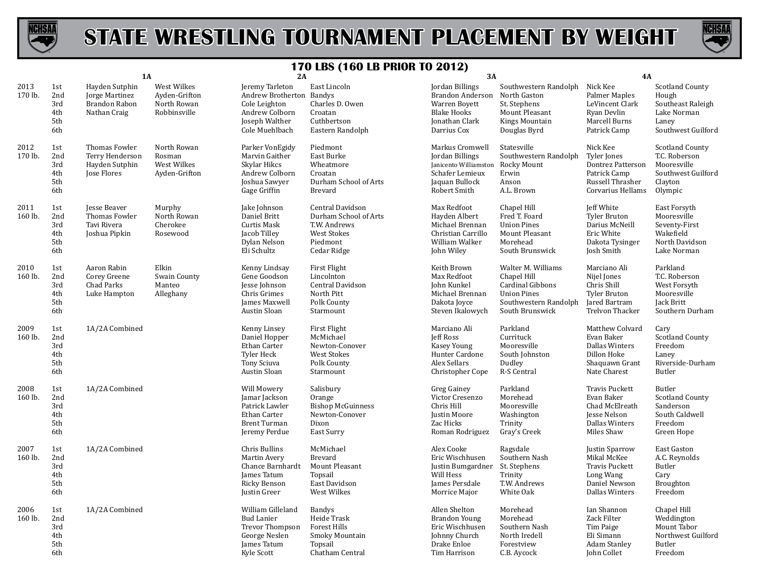



|                 |                                        | <b>1A</b>                                                         |                                                             | 2A                                                                                                                 |                                                                                                     | <b>3A</b>                                                                                                                |                                                                                                                         | 4A                                                                                                      |                                                                                                    |
|-----------------|----------------------------------------|-------------------------------------------------------------------|-------------------------------------------------------------|--------------------------------------------------------------------------------------------------------------------|-----------------------------------------------------------------------------------------------------|--------------------------------------------------------------------------------------------------------------------------|-------------------------------------------------------------------------------------------------------------------------|---------------------------------------------------------------------------------------------------------|----------------------------------------------------------------------------------------------------|
| 2013<br>170 lb. | 1st<br>2nd<br>3rd<br>4th<br>5th<br>6th | Hayden Sutphin<br>Jorge Martinez<br>Brandon Rabon<br>Nathan Craig | West Wilkes<br>Ayden-Grifton<br>North Rowan<br>Robbinsville | Jeremy Tarleton<br>Andrew Brotherton Bandys<br>Cole Leighton<br>Andrew Colborn<br>Joseph Walther<br>Cole Muehlbach | East Lincoln<br>Charles D. Owen<br>Croatan<br>Cuthbertson<br>Eastern Randolph                       | Jordan Billings<br>Brandon Anderson North Gaston<br>Warren Boyett<br><b>Blake Hooks</b><br>Jonathan Clark<br>Darrius Cox | Southwestern Randolph<br>St. Stephens<br>Mount Pleasant<br>Kings Mountain<br>Douglas Byrd                               | Nick Kee<br>Palmer Maples<br>LeVincent Clark<br>Ryan Devlin<br>Marcell Burns<br>Patrick Camp            | <b>Scotland County</b><br>Hough<br>Southeast Raleigh<br>Lake Norman<br>Laney<br>Southwest Guilford |
| 2012<br>170 lb. | 1st<br>2nd<br>3rd<br>4th<br>5th<br>6th | Thomas Fowler<br>Terry Henderson<br>Hayden Sutphin<br>Jose Flores | North Rowan<br>Rosman<br>West Wilkes<br>Ayden-Grifton       | Parker VonEgidy<br>Marvin Gaither<br>Skylar Hikcs<br>Andrew Colborn<br>Joshua Sawyer<br>Gage Griffin               | Piedmont<br>East Burke<br>Wheatmore<br>Croatan<br>Durham School of Arts<br><b>Brevard</b>           | Markus Cromwell<br>Jordan Billings<br>Janicento Williamston<br>Schafer Lemieux<br>Jaquan Bullock<br>Robert Smith         | Statesville<br>Southwestern Randolph<br>Rocky Mount<br>Erwin<br>Anson<br>A.L. Brown                                     | Nick Kee<br>Tyler Jones<br>Dontrez Patterson<br>Patrick Camp<br>Russell Thrasher<br>Corvarius Hellams   | <b>Scotland County</b><br>T.C. Roberson<br>Mooresville<br>Southwest Guilford<br>Clayton<br>Olympic |
| 2011<br>160 lb. | 1st<br>2nd<br>3rd<br>4th<br>5th<br>6th | Jesse Beaver<br>Thomas Fowler<br>Tavi Rivera<br>Joshua Pipkin     | Murphy<br>North Rowan<br>Cherokee<br>Rosewood               | Jake Johnson<br>Daniel Britt<br>Curtis Mask<br>Jacob Tilley<br>Dylan Nelson<br>Eli Schultz                         | Central Davidson<br>Durham School of Arts<br>T.W. Andrews<br>West Stokes<br>Piedmont<br>Cedar Ridge | Max Redfoot<br>Hayden Albert<br>Michael Brennan<br>Christian Carrillo<br>William Walker<br>John Wiley                    | Chapel Hill<br>Fred T. Foard<br><b>Union Pines</b><br>Mount Pleasant<br>Morehead<br>South Brunswick                     | Jeff White<br>Tyler Bruton<br>Darius McNeill<br>Eric White<br>Dakota Tysinger<br>Josh Smith             | East Forsyth<br>Mooresville<br>Seventy-First<br>Wakefield<br>North Davidson<br>Lake Norman         |
| 2010<br>160 lb. | 1st<br>2nd<br>3rd<br>4th<br>5th<br>6th | Aaron Rabin<br>Corey Greene<br>Chad Parks<br>Luke Hampton         | Elkin<br>Swain County<br>Manteo<br>Alleghany                | Kenny Lindsay<br>Gene Goodson<br>Jesse Johnson<br>Chris Grimes<br>James Maxwell<br>Austin Sloan                    | First Flight<br>Lincolnton<br>Central Davidson<br>North Pitt<br>Polk County<br>Starmount            | Keith Brown<br>Max Redfoot<br>John Kunkel<br>Michael Brennan<br>Dakota Joyce<br>Steven Ikalowych                         | Walter M. Williams<br>Chapel Hill<br>Cardinal Gibbons<br><b>Union Pines</b><br>Southwestern Randolph<br>South Brunswick | Marciano Ali<br>Nijel Jones<br>Chris Shill<br>Tyler Bruton<br>Jared Bartram<br>Trelvon Thacker          | Parkland<br>T.C. Roberson<br>West Forsyth<br>Mooresville<br>Jack Britt<br>Southern Durham          |
| 2009<br>160 lb. | 1st<br>2nd<br>3rd<br>4th<br>5th<br>6th | 1A/2A Combined                                                    |                                                             | Kenny Linsey<br>Daniel Hopper<br>Ethan Carter<br><b>Tyler Heck</b><br><b>Tony Sciuva</b><br>Austin Sloan           | First Flight<br>McMichael<br>Newton-Conover<br><b>West Stokes</b><br>Polk County<br>Starmount       | Marciano Ali<br><b>Jeff Ross</b><br>Kasey Young<br>Hunter Cardone<br>Alex Sellars<br>Christopher Cope                    | Parkland<br>Currituck<br>Mooresville<br>South Johnston<br>Dudley<br>R-S Central                                         | Matthew Colvard<br>Evan Baker<br><b>Dallas Winters</b><br>Dillon Hoke<br>Shaquawn Grant<br>Nate Charest | Cary<br><b>Scotland County</b><br>Freedom<br>Laney<br>Riverside-Durham<br>Butler                   |
| 2008<br>160 lb. | 1st<br>2nd<br>3rd<br>4th<br>5th<br>6th | 1A/2A Combined                                                    |                                                             | Will Mowery<br>Jamar Jackson<br>Patrick Lawler<br>Ethan Carter<br><b>Brent Turman</b><br>Jeremy Perdue             | Salisbury<br>Orange<br><b>Bishop McGuinness</b><br>Newton-Conover<br>Dixon<br>East Surry            | Greg Gainey<br>Victor Cresenzo<br>Chris Hill<br>Justin Moore<br>Zac Hicks<br>Roman Rodriguez                             | Parkland<br>Morehead<br>Mooresville<br>Washington<br>Trinity<br>Gray's Creek                                            | Travis Puckett<br>Evan Baker<br>Chad McElreath<br>Jesse Nelson<br><b>Dallas Winters</b><br>Miles Shaw   | Butler<br>Scotland County<br>Sanderson<br>South Caldwell<br>Freedom<br>Green Hope                  |
| 2007<br>160 lb. | 1st<br>2nd<br>3rd<br>4th<br>5th<br>6th | 1A/2A Combined                                                    |                                                             | Chris Bullins<br>Martin Avery<br>Chance Barnhardt<br>James Tatum<br>Ricky Benson<br>Justin Greer                   | McMichael<br><b>Brevard</b><br>Mount Pleasant<br>Topsail<br>East Davidson<br>West Wilkes            | Alex Cooke<br>Eric Wischhusen<br>Justin Bumgardner<br>Will Hess<br>James Persdale<br>Morrice Major                       | Ragsdale<br>Southern Nash<br>St. Stephens<br>Trinity<br>T.W. Andrews<br>White Oak                                       | Justin Sparrow<br>Mikal McKee<br><b>Travis Puckett</b><br>Long Wang<br>Daniel Newson<br>Dallas Winters  | East Gaston<br>A.C. Reynolds<br>Butler<br>Cary<br>Broughton<br>Freedom                             |
| 2006<br>160 lb. | 1st<br>2nd<br>3rd<br>4th<br>5th<br>6th | 1A/2A Combined                                                    |                                                             | William Gilleland<br><b>Bud Lanier</b><br>Trevor Thompson<br>George Neslen<br>James Tatum<br>Kyle Scott            | <b>Bandys</b><br>Heide Trask<br><b>Forest Hills</b><br>Smoky Mountain<br>Topsail<br>Chatham Central | Allen Shelton<br><b>Brandon Young</b><br>Eric Wischhusen<br>Johnny Church<br>Drake Enloe<br>Tim Harrison                 | Morehead<br>Morehead<br>Southern Nash<br>North Iredell<br>Forestview<br>C.B. Aycock                                     | Ian Shannon<br>Zack Filter<br>Tim Paige<br>Eli Simann<br><b>Adam Stanley</b><br>John Collet             | Chapel Hill<br>Weddington<br>Mount Tabor<br>Northwest Guilford<br>Butler<br>Freedom                |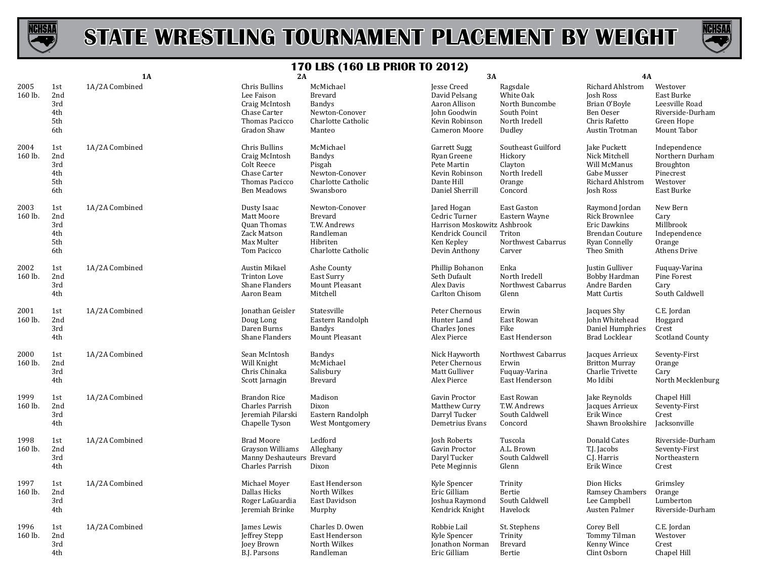



|                 |                                        | <b>1A</b>      | 2A                                                                                                    | --- 1 -<br><u> vv estimon tv evier</u>                                                    | <b>3A</b>                                                                                                      |                                                                                   | 4A                                                                                                       |                                                                                           |
|-----------------|----------------------------------------|----------------|-------------------------------------------------------------------------------------------------------|-------------------------------------------------------------------------------------------|----------------------------------------------------------------------------------------------------------------|-----------------------------------------------------------------------------------|----------------------------------------------------------------------------------------------------------|-------------------------------------------------------------------------------------------|
| 2005<br>160 lb. | 1st<br>2nd<br>3rd<br>4th<br>5th<br>6th | 1A/2A Combined | Chris Bullins<br>Lee Faison<br>Craig McIntosh<br>Chase Carter<br>Thomas Pacicco<br>Gradon Shaw        | McMichael<br>Brevard<br><b>Bandys</b><br>Newton-Conover<br>Charlotte Catholic<br>Manteo   | Jesse Creed<br>David Pelsang<br>Aaron Allison<br><b>John Goodwin</b><br>Kevin Robinson<br>Cameron Moore        | Ragsdale<br>White Oak<br>North Buncombe<br>South Point<br>North Iredell<br>Dudley | <b>Richard Ahlstrom</b><br>Josh Ross<br>Brian O'Boyle<br>Ben Oeser<br>Chris Rafetto<br>Austin Trotman    | Westover<br>East Burke<br>Leesville Road<br>Riverside-Durham<br>Green Hope<br>Mount Tabor |
| 2004<br>160 lb. | 1st<br>2nd<br>3rd<br>4th<br>5th<br>6th | 1A/2A Combined | Chris Bullins<br>Craig McIntosh<br>Colt Reece<br>Chase Carter<br>Thomas Pacicco<br><b>Ben Meadows</b> | McMichael<br><b>Bandys</b><br>Pisgah<br>Newton-Conover<br>Charlotte Catholic<br>Swansboro | <b>Garrett Sugg</b><br>Ryan Greene<br>Pete Martin<br>Kevin Robinson<br>Dante Hill<br>Daniel Sherrill           | Southeast Guilford<br>Hickory<br>Clayton<br>North Iredell<br>Orange<br>Concord    | Jake Puckett<br>Nick Mitchell<br>Will McManus<br>Gabe Musser<br>Richard Ahlstrom<br>Josh Ross            | Independence<br>Northern Durham<br>Broughton<br>Pinecrest<br>Westover<br>East Burke       |
| 2003<br>160 lb. | 1st<br>2nd<br>3rd<br>4th<br>5th<br>6th | 1A/2A Combined | Dusty Isaac<br>Matt Moore<br>Quan Thomas<br>Zack Matson<br>Max Multer<br>Tom Pacicco                  | Newton-Conover<br>Brevard<br>T.W. Andrews<br>Randleman<br>Hibriten<br>Charlotte Catholic  | Jared Hogan<br>Cedric Turner<br>Harrison Moskowitz Ashbrook<br>Kendrick Council<br>Ken Kepley<br>Devin Anthony | East Gaston<br>Eastern Wayne<br>Triton<br>Northwest Cabarrus<br>Carver            | Raymond Jordan<br><b>Rick Brownlee</b><br>Eric Dawkins<br>Brendan Couture<br>Ryan Connelly<br>Theo Smith | New Bern<br>Cary<br>Millbrook<br>Independence<br>Orange<br>Athens Drive                   |
| 2002<br>160 lb. | 1st<br>2nd<br>3rd<br>4th               | 1A/2A Combined | Austin Mikael<br><b>Trinton Love</b><br>Shane Flanders<br>Aaron Beam                                  | Ashe County<br>East Surry<br>Mount Pleasant<br>Mitchell                                   | Phillip Bohanon<br>Seth Dufault<br>Alex Davis<br>Carlton Chisom                                                | Enka<br>North Iredell<br>Northwest Cabarrus<br>Glenn                              | Justin Gulliver<br>Bobby Hardman<br>Andre Barden<br>Matt Curtis                                          | Fuguay-Varina<br>Pine Forest<br>Cary<br>South Caldwell                                    |
| 2001<br>160 lb. | 1st<br>2nd<br>3rd<br>4th               | 1A/2A Combined | Jonathan Geisler<br>Doug Long<br>Daren Burns<br>Shane Flanders                                        | Statesville<br>Eastern Randolph<br><b>Bandys</b><br>Mount Pleasant                        | Peter Chernous<br>Hunter Land<br>Charles Jones<br>Alex Pierce                                                  | Erwin<br>East Rowan<br>Fike<br>East Henderson                                     | Jacques Shy<br>John Whitehead<br>Daniel Humphries<br>Brad Locklear                                       | C.E. Jordan<br>Hoggard<br>Crest<br><b>Scotland County</b>                                 |
| 2000<br>160 lb. | 1st<br>2nd<br>3rd<br>4th               | 1A/2A Combined | Sean McIntosh<br>Will Knight<br>Chris Chinaka<br>Scott Jarnagin                                       | <b>Bandys</b><br>McMichael<br>Salisbury<br>Brevard                                        | Nick Hayworth<br>Peter Chernous<br>Matt Gulliver<br>Alex Pierce                                                | Northwest Cabarrus<br>Erwin<br>Fuquay-Varina<br>East Henderson                    | Jacques Arrieux<br><b>Britton Murray</b><br>Charlie Trivette<br>Mo Idibi                                 | Seventy-First<br>Orange<br>Cary<br>North Mecklenburg                                      |
| 1999<br>160 lb. | 1st<br>2nd<br>3rd<br>4th               | 1A/2A Combined | <b>Brandon Rice</b><br>Charles Parrish<br>Jeremiah Pilarski<br>Chapelle Tyson                         | Madison<br>Dixon<br>Eastern Randolph<br>West Montgomery                                   | Gavin Proctor<br>Matthew Curry<br>Darryl Tucker<br>Demetrius Evans                                             | East Rowan<br>T.W. Andrews<br>South Caldwell<br>Concord                           | Jake Reynolds<br>Jacques Arrieux<br>Erik Wince<br>Shawn Brookshire                                       | Chapel Hill<br>Seventy-First<br>Crest<br>Jacksonville                                     |
| 1998<br>160 lb. | 1st<br>2nd<br>3rd<br>4th               | 1A/2A Combined | <b>Brad Moore</b><br>Grayson Williams<br>Manny Deshauteurs Brevard<br>Charles Parrish                 | Ledford<br>Alleghany<br>Dixon                                                             | Josh Roberts<br>Gavin Proctor<br>Daryl Tucker<br>Pete Meginnis                                                 | Tuscola<br>A.L. Brown<br>South Caldwell<br>Glenn                                  | Donald Cates<br>T.J. Jacobs<br>C.J. Harris<br>Erik Wince                                                 | Riverside-Durham<br>Seventy-First<br>Northeastern<br>Crest                                |
| 1997<br>160 lb. | 1st<br>2nd<br>3rd<br>4th               | 1A/2A Combined | Michael Moyer<br>Dallas Hicks<br>Roger LaGuardia<br>Jeremiah Brinke                                   | East Henderson<br>North Wilkes<br>East Davidson<br>Murphy                                 | Kyle Spencer<br>Eric Gilliam<br>Joshua Raymond<br>Kendrick Knight                                              | Trinity<br>Bertie<br>South Caldwell<br>Havelock                                   | Dion Hicks<br>Ramsey Chambers<br>Lee Campbell<br>Austen Palmer                                           | Grimsley<br>Orange<br>Lumberton<br>Riverside-Durham                                       |
| 1996<br>160 lb. | 1st<br>2nd<br>3rd<br>4th               | 1A/2A Combined | James Lewis<br>Jeffrey Stepp<br>Joey Brown<br>B.J. Parsons                                            | Charles D. Owen<br>East Henderson<br>North Wilkes<br>Randleman                            | Robbie Lail<br>Kyle Spencer<br>Jonathon Norman<br>Eric Gilliam                                                 | St. Stephens<br>Trinity<br>Brevard<br>Bertie                                      | Corey Bell<br>Tommy Tilman<br>Kenny Wince<br>Clint Osborn                                                | C.E. Jordan<br>Westover<br>Crest<br>Chapel Hill                                           |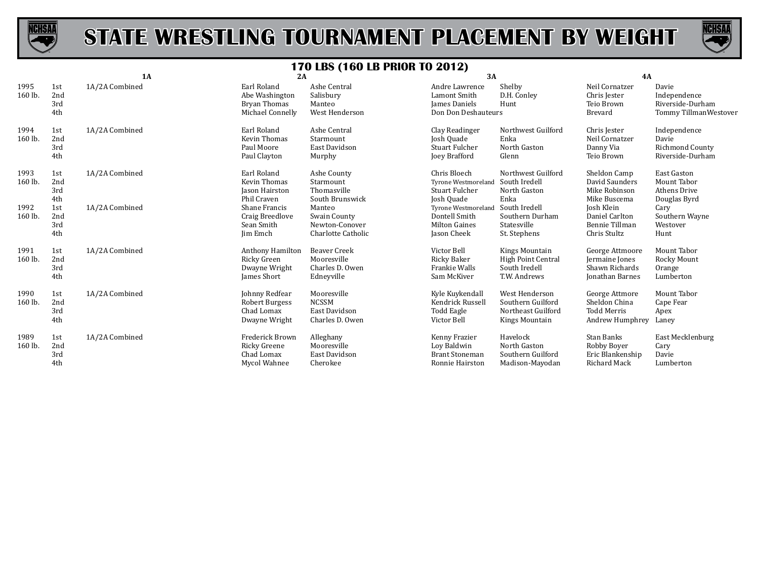



|                 |                          | <b>1A</b>      | 2A                                                                  |                                                                     | ╭<br>3A                                                                            |                                                                              | 4A                                                                     |                                                                     |
|-----------------|--------------------------|----------------|---------------------------------------------------------------------|---------------------------------------------------------------------|------------------------------------------------------------------------------------|------------------------------------------------------------------------------|------------------------------------------------------------------------|---------------------------------------------------------------------|
| 1995<br>160 lb. | 1st<br>2nd<br>3rd<br>4th | 1A/2A Combined | Earl Roland<br>Abe Washington<br>Bryan Thomas<br>Michael Connelly   | Ashe Central<br>Salisbury<br>Manteo<br>West Henderson               | Andre Lawrence<br>Lamont Smith<br>James Daniels<br>Don Don Deshauteurs             | Shelby<br>D.H. Conley<br>Hunt                                                | Neil Cornatzer<br>Chris Jester<br>Teio Brown<br>Brevard                | Davie<br>Independence<br>Riverside-Durham<br>Tommy Tillman Westover |
| 1994<br>160 lb. | 1st<br>2nd<br>3rd<br>4th | 1A/2A Combined | Earl Roland<br>Kevin Thomas<br>Paul Moore<br>Paul Clayton           | Ashe Central<br>Starmount<br>East Davidson<br>Murphy                | Clay Readinger<br>Josh Quade<br><b>Stuart Fulcher</b><br>Joey Brafford             | Northwest Guilford<br>Enka<br>North Gaston<br>Glenn                          | Chris Jester<br>Neil Cornatzer<br>Danny Via<br>Teio Brown              | Independence<br>Davie<br>Richmond County<br>Riverside-Durham        |
| 1993<br>160 lb. | 1st<br>2nd<br>3rd<br>4th | 1A/2A Combined | Earl Roland<br><b>Kevin Thomas</b><br>Jason Hairston<br>Phil Craven | Ashe County<br>Starmount<br>Thomasville<br>South Brunswick          | Chris Bloech<br><b>Tyrone Westmoreland</b><br><b>Stuart Fulcher</b><br>Josh Quade  | Northwest Guilford<br>South Iredell<br>North Gaston<br>Enka                  | Sheldon Camp<br>David Saunders<br>Mike Robinson<br>Mike Buscema        | East Gaston<br>Mount Tabor<br>Athens Drive<br>Douglas Byrd          |
| 1992<br>160 lb. | 1st<br>2nd<br>3rd<br>4th | 1A/2A Combined | Shane Francis<br>Craig Breedlove<br>Sean Smith<br>Jim Emch          | Manteo<br>Swain County<br>Newton-Conover<br>Charlotte Catholic      | <b>Tyrone Westmoreland</b><br>Dontell Smith<br><b>Milton Gaines</b><br>Jason Cheek | South Iredell<br>Southern Durham<br>Statesville<br>St. Stephens              | Josh Klein<br>Daniel Carlton<br>Bennie Tillman<br>Chris Stultz         | Cary<br>Southern Wayne<br>Westover<br>Hunt                          |
| 1991<br>160 lb. | 1st<br>2nd<br>3rd<br>4th | 1A/2A Combined | Anthony Hamilton<br>Ricky Green<br>Dwayne Wright<br>James Short     | <b>Beaver Creek</b><br>Mooresville<br>Charles D. Owen<br>Edneyville | Victor Bell<br>Ricky Baker<br>Frankie Walls<br>Sam McKiver                         | Kings Mountain<br><b>High Point Central</b><br>South Iredell<br>T.W. Andrews | George Attmoore<br>Jermaine Jones<br>Shawn Richards<br>Jonathan Barnes | Mount Tabor<br>Rocky Mount<br>Orange<br>Lumberton                   |
| 1990<br>160 lb. | 1st<br>2nd<br>3rd<br>4th | 1A/2A Combined | Johnny Redfear<br>Robert Burgess<br>Chad Lomax<br>Dwayne Wright     | Mooresville<br><b>NCSSM</b><br>East Davidson<br>Charles D. Owen     | Kyle Kuykendall<br>Kendrick Russell<br>Todd Eagle<br>Victor Bell                   | West Henderson<br>Southern Guilford<br>Northeast Guilford<br>Kings Mountain  | George Attmore<br>Sheldon China<br>Todd Merris<br>Andrew Humphrey      | Mount Tabor<br>Cape Fear<br>Apex<br>Laney                           |
| 1989<br>160 lb. | 1st<br>2nd<br>3rd<br>4th | 1A/2A Combined | Frederick Brown<br>Ricky Greene<br>Chad Lomax<br>Mycol Wahnee       | Alleghany<br>Mooresville<br>East Davidson<br>Cherokee               | Kenny Frazier<br>Loy Baldwin<br><b>Brant Stoneman</b><br>Ronnie Hairston           | Havelock<br>North Gaston<br>Southern Guilford<br>Madison-Mayodan             | Stan Banks<br>Robby Boyer<br>Eric Blankenship<br>Richard Mack          | East Mecklenburg<br>Cary<br>Davie<br>Lumberton                      |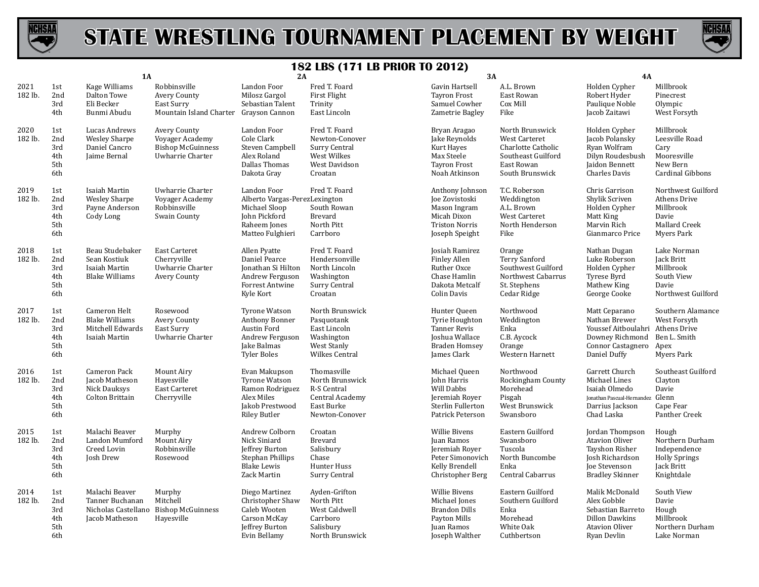



|                 |                                        | 1A                                                                         |                                                                                 | 2A                                                                                                                 |                                                                                                     | 3A                                                                                                             |                                                                                                               | <b>4A</b>                                                                                                                  |                                                                                                       |
|-----------------|----------------------------------------|----------------------------------------------------------------------------|---------------------------------------------------------------------------------|--------------------------------------------------------------------------------------------------------------------|-----------------------------------------------------------------------------------------------------|----------------------------------------------------------------------------------------------------------------|---------------------------------------------------------------------------------------------------------------|----------------------------------------------------------------------------------------------------------------------------|-------------------------------------------------------------------------------------------------------|
| 2021<br>182 lb. | 1st<br>2nd<br>3rd<br>4th               | Kage Williams<br>Dalton Towe<br>Eli Becker<br>Bunmi Abudu                  | Robbinsville<br>Avery County<br>East Surry<br>Mountain Island Charter           | Landon Foor<br>Milosz Gargol<br>Sebastian Talent<br>Grayson Cannon                                                 | Fred T. Foard<br><b>First Flight</b><br>Trinity<br>East Lincoln                                     | Gavin Hartsell<br><b>Tayron Frost</b><br>Samuel Cowher<br>Zametrie Bagley                                      | A.L. Brown<br>East Rowan<br>Cox Mill<br>Fike                                                                  | Holden Cypher<br>Robert Hyder<br>Paulique Noble<br>Jacob Zaitawi                                                           | Millbrook<br>Pinecrest<br>Olympic<br>West Forsyth                                                     |
| 2020<br>182 lb. | 1st<br>2nd<br>3rd<br>4th<br>5th<br>6th | Lucas Andrews<br><b>Wesley Sharpe</b><br>Daniel Cancro<br>Jaime Bernal     | Avery County<br>Voyager Academy<br><b>Bishop McGuinness</b><br>Uwharrie Charter | Landon Foor<br>Cole Clark<br>Steven Campbell<br>Alex Roland<br>Dallas Thomas<br>Dakota Gray                        | Fred T. Foard<br>Newton-Conover<br>Surry Central<br>West Wilkes<br>West Davidson<br>Croatan         | Bryan Aragao<br>Jake Reynolds<br>Kurt Hayes<br>Max Steele<br><b>Tayron Frost</b><br>Noah Atkinson              | North Brunswick<br>West Carteret<br>Charlotte Catholic<br>Southeast Guilford<br>East Rowan<br>South Brunswick | Holden Cypher<br>Jacob Polansky<br>Ryan Wolfram<br>Dilyn Roudesbush<br>Jaidon Bennett<br>Charles Davis                     | Millbrook<br>Leesville Road<br>Cary<br>Mooresville<br>New Bern<br>Cardinal Gibbons                    |
| 2019<br>182 lb. | 1st<br>2nd<br>3rd<br>4th<br>5th<br>6th | Isaiah Martin<br><b>Wesley Sharpe</b><br>Payne Anderson<br>Cody Long       | Uwharrie Charter<br>Voyager Academy<br>Robbinsville<br><b>Swain County</b>      | Landon Foor<br>Alberto Vargas-PerezLexington<br>Michael Sloop<br>John Pickford<br>Raheem Jones<br>Matteo Fulghieri | Fred T. Foard<br>South Rowan<br>Brevard<br>North Pitt<br>Carrboro                                   | Anthony Johnson<br>Joe Zovistoski<br>Mason Ingram<br>Micah Dixon<br><b>Triston Norris</b><br>Joseph Speight    | T.C. Roberson<br>Weddington<br>A.L. Brown<br>West Carteret<br>North Henderson<br>Fike                         | Chris Garrison<br>Shylik Scriven<br>Holden Cypher<br>Matt King<br>Marvin Rich<br>Gianmarco Price                           | Northwest Guilford<br><b>Athens Drive</b><br>Millbrook<br>Davie<br>Mallard Creek<br><b>Myers Park</b> |
| 2018<br>182 lb. | 1st<br>2nd<br>3rd<br>4th<br>5th<br>6th | Beau Studebaker<br>Sean Kostiuk<br>Isaiah Martin<br><b>Blake Williams</b>  | <b>East Carteret</b><br>Cherryville<br>Uwharrie Charter<br>Avery County         | Allen Pyatte<br>Daniel Pearce<br>Jonathan Si Hilton<br>Andrew Ferguson<br><b>Forrest Antwine</b><br>Kyle Kort      | Fred T. Foard<br>Hendersonville<br>North Lincoln<br>Washington<br>Surry Central<br>Croatan          | Josiah Ramirez<br><b>Finley Allen</b><br>Ruther Oxce<br>Chase Hamlin<br>Dakota Metcalf<br><b>Colin Davis</b>   | Orange<br>Terry Sanford<br>Southwest Guilford<br>Northwest Cabarrus<br>St. Stephens<br>Cedar Ridge            | Nathan Dugan<br>Luke Roberson<br>Holden Cypher<br>Tyrese Byrd<br>Mathew King<br>George Cooke                               | Lake Norman<br>Jack Britt<br>Millbrook<br>South View<br>Davie<br>Northwest Guilford                   |
| 2017<br>182 lb. | 1st<br>2nd<br>3rd<br>4th<br>5th<br>6th | Cameron Helt<br><b>Blake Williams</b><br>Mitchell Edwards<br>Isaiah Martin | Rosewood<br>Avery County<br>East Surry<br>Uwharrie Charter                      | <b>Tyrone Watson</b><br>Anthony Bonner<br>Austin Ford<br>Andrew Ferguson<br>Jake Balmas<br><b>Tyler Boles</b>      | North Brunswick<br>Pasquotank<br>East Lincoln<br>Washington<br>West Stanly<br><b>Wilkes Central</b> | Hunter Queen<br>Tyrie Houghton<br><b>Tanner Revis</b><br>Joshua Wallace<br><b>Braden Homsey</b><br>James Clark | Northwood<br>Weddington<br>Enka<br>C.B. Aycock<br>Orange<br>Western Harnett                                   | Matt Ceparano<br>Nathan Brewer<br>Youssef Aitboulahri Athens Drive<br>Downey Richmond<br>Connor Castagnero<br>Daniel Duffy | Southern Alamance<br>West Forsyth<br>Ben L. Smith<br>Apex<br>Myers Park                               |
| 2016<br>182 lb. | 1st<br>2nd<br>3rd<br>4th<br>5th<br>6th | Cameron Pack<br>Jacob Matheson<br>Nick Dauksys<br><b>Colton Brittain</b>   | Mount Airy<br>Havesville<br><b>East Carteret</b><br>Cherryville                 | Evan Makupson<br><b>Tyrone Watson</b><br>Ramon Rodriguez<br>Alex Miles<br>Jakob Prestwood<br><b>Riley Butler</b>   | Thomasville<br>North Brunswick<br>R-S Central<br>Central Academy<br>East Burke<br>Newton-Conover    | Michael Queen<br>John Harris<br>Will Dabbs<br>Jeremiah Royer<br>Sterlin Fullerton<br>Patrick Peterson          | Northwood<br>Rockingham County<br>Morehead<br>Pisgah<br>West Brunswick<br>Swansboro                           | Garrett Church<br>Michael Lines<br>Isaiah Olmedo<br>Jonathan Pascual-Hernandez<br>Darrius Jackson<br>Chad Laska            | Southeast Guilford<br>Clayton<br>Davie<br>Glenn<br>Cape Fear<br>Panther Creek                         |
| 2015<br>182 lb. | 1st<br>2nd<br>3rd<br>4th<br>5th<br>6th | Malachi Beaver<br>Landon Mumford<br>Creed Lovin<br>Josh Drew               | Murphy<br>Mount Airy<br>Robbinsville<br>Rosewood                                | Andrew Colborn<br>Nick Siniard<br>Jeffrey Burton<br>Stephan Phillips<br><b>Blake Lewis</b><br>Zack Martin          | Croatan<br><b>Brevard</b><br>Salisbury<br>Chase<br>Hunter Huss<br><b>Surry Central</b>              | <b>Willie Bivens</b><br>Juan Ramos<br>Jeremiah Royer<br>Peter Simonovich<br>Kelly Brendell<br>Christopher Berg | Eastern Guilford<br>Swansboro<br>Tuscola<br>North Buncombe<br>Enka<br>Central Cabarrus                        | Jordan Thompson<br><b>Atavion Oliver</b><br>Tayshon Risher<br>Josh Richardson<br>Joe Stevenson<br><b>Bradley Skinner</b>   | Hough<br>Northern Durham<br>Independence<br><b>Holly Springs</b><br>Jack Britt<br>Knightdale          |
| 2014<br>182 lb. | 1st<br>2nd<br>3rd<br>4th<br>5th<br>6th | Malachi Beaver<br>Tanner Buchanan<br>Nicholas Castellano<br>Jacob Matheson | Murphy<br>Mitchell<br><b>Bishop McGuinness</b><br>Hayesville                    | Diego Martinez<br>Christopher Shaw<br>Caleb Wooten<br>Carson McKay<br>Jeffrey Burton<br>Evin Bellamy               | Ayden-Grifton<br>North Pitt<br>West Caldwell<br>Carrboro<br>Salisbury<br>North Brunswick            | <b>Willie Bivens</b><br>Michael Jones<br><b>Brandon Dills</b><br>Payton Mills<br>Juan Ramos<br>Joseph Walther  | Eastern Guilford<br>Southern Guilford<br>Enka<br>Morehead<br>White Oak<br>Cuthbertson                         | Malik McDonald<br>Alex Gobble<br>Sebastian Barreto<br><b>Dillon Dawkins</b><br><b>Atavion Oliver</b><br>Ryan Devlin        | South View<br>Davie<br>Hough<br>Millbrook<br>Northern Durham<br>Lake Norman                           |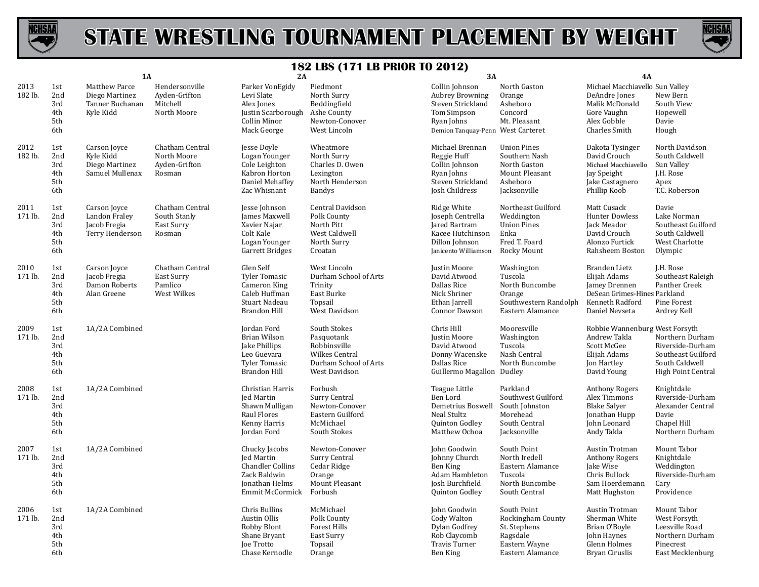



|                 |                                        | <b>1A</b>                                                              |                                                            | 2A                                                                                                                 |                                                                                                               | <b>3A</b>                                                                                                                       |                                                                                                   | 4A                                                                                                                       |                                                                                                          |
|-----------------|----------------------------------------|------------------------------------------------------------------------|------------------------------------------------------------|--------------------------------------------------------------------------------------------------------------------|---------------------------------------------------------------------------------------------------------------|---------------------------------------------------------------------------------------------------------------------------------|---------------------------------------------------------------------------------------------------|--------------------------------------------------------------------------------------------------------------------------|----------------------------------------------------------------------------------------------------------|
| 2013<br>182 lb. | 1st<br>2nd<br>3rd<br>4th<br>5th<br>6th | <b>Matthew Parce</b><br>Diego Martinez<br>Tanner Buchanan<br>Kyle Kidd | Hendersonville<br>Ayden-Grifton<br>Mitchell<br>North Moore | Parker VonEgidy<br>Levi Slate<br>Alex Jones<br>Justin Scarborough<br>Collin Minor<br>Mack George                   | Piedmont<br>North Surry<br>Beddingfield<br>Ashe County<br>Newton-Conover<br>West Lincoln                      | Collin Johnson<br><b>Aubrey Browning</b><br>Steven Strickland<br>Tom Simpson<br>Ryan Johns<br>Demion Tanquay-Penn West Carteret | North Gaston<br>Orange<br>Asheboro<br>Concord<br>Mt. Pleasant                                     | Michael Macchiavello Sun Valley<br>DeAndre Jones<br>Malik McDonald<br>Gore Vaughn<br>Alex Gobble<br><b>Charles Smith</b> | New Bern<br>South View<br>Hopewell<br>Davie<br>Hough                                                     |
| 2012<br>182 lb. | 1st<br>2nd<br>3rd<br>4th<br>5th<br>6th | Carson Joyce<br>Kyle Kidd<br>Diego Martinez<br>Samuel Mullenax         | Chatham Central<br>North Moore<br>Ayden-Grifton<br>Rosman  | Jesse Doyle<br>Logan Younger<br>Cole Leighton<br>Kabron Horton<br>Daniel Mehaffey<br>Zac Whisnant                  | Wheatmore<br>North Surry<br>Charles D. Owen<br>Lexington<br>North Henderson<br>Bandys                         | Michael Brennan<br>Reggie Huff<br>Collin Johnson<br>Ryan Johns<br>Steven Strickland<br>Josh Childress                           | <b>Union Pines</b><br>Southern Nash<br>North Gaston<br>Mount Pleasant<br>Asheboro<br>Jacksonville | Dakota Tysinger<br>David Crouch<br>Michael Macchiavello<br>Jay Speight<br>Jake Castagnero<br>Phillip Koob                | North Davidson<br>South Caldwell<br>Sun Valley<br>J.H. Rose<br>Apex<br>T.C. Roberson                     |
| 2011<br>171 lb. | 1st<br>2nd<br>3rd<br>4th<br>5th<br>6th | Carson Joyce<br>Landon Fraley<br>Jacob Fregia<br>Terry Henderson       | Chatham Central<br>South Stanly<br>East Surry<br>Rosman    | Jesse Johnson<br>James Maxwell<br>Xavier Najar<br>Colt Kale<br>Logan Younger<br><b>Garrett Bridges</b>             | Central Davidson<br>Polk County<br>North Pitt<br>West Caldwell<br>North Surry<br>Croatan                      | Ridge White<br>Joseph Centrella<br>Jared Bartram<br>Kacee Hutchinson<br>Dillon Johnson<br>Janicento Williamson                  | Northeast Guilford<br>Weddington<br><b>Union Pines</b><br>Enka<br>Fred T. Foard<br>Rocky Mount    | Matt Cusack<br><b>Hunter Dowless</b><br>Jack Meador<br>David Crouch<br>Alonzo Furtick<br>Rahsheem Boston                 | Davie<br>Lake Norman<br>Southeast Guilford<br>South Caldwell<br>West Charlotte<br>Olympic                |
| 2010<br>171 lb. | 1st<br>2nd<br>3rd<br>4th<br>5th<br>6th | Carson Joyce<br>Jacob Fregia<br>Damon Roberts<br>Alan Greene           | Chatham Central<br>East Surry<br>Pamlico<br>West Wilkes    | Glen Self<br><b>Tyler Tomasic</b><br>Cameron King<br>Caleb Huffman<br>Stuart Nadeau<br><b>Brandon Hill</b>         | West Lincoln<br>Durham School of Arts<br>Trinity<br>East Burke<br>Topsail<br>West Davidson                    | Justin Moore<br>David Atwood<br>Dallas Rice<br>Nick Shriner<br>Ethan Jarrell<br>Connor Dawson                                   | Washington<br>Tuscola<br>North Buncombe<br>Orange<br>Southwestern Randolph<br>Eastern Alamance    | Branden Lietz<br>Elijah Adams<br>Jamey Drennen<br>DeSean Grimes-Hines Parkland<br>Kenneth Radford<br>Daniel Nevseta      | J.H. Rose<br>Southeast Raleigh<br>Panther Creek<br>Pine Forest<br>Ardrey Kell                            |
| 2009<br>171 lb. | 1st<br>2nd<br>3rd<br>4th<br>5th<br>6th | 1A/2A Combined                                                         |                                                            | Jordan Ford<br><b>Brian Wilson</b><br>Jake Phillips<br>Leo Guevara<br><b>Tyler Tomasic</b><br><b>Brandon Hill</b>  | South Stokes<br>Pasquotank<br>Robbinsville<br><b>Wilkes Central</b><br>Durham School of Arts<br>West Davidson | Chris Hill<br>Justin Moore<br>David Atwood<br>Donny Wacenske<br>Dallas Rice<br>Guillermo Magallon Dudley                        | Mooresville<br>Washington<br>Tuscola<br>Nash Central<br>North Buncombe                            | Robbie Wannenburg West Forsyth<br>Andrew Takla<br>Scott McGee<br>Elijah Adams<br>Jon Hartley<br>David Young              | Northern Durham<br>Riverside-Durham<br>Southeast Guilford<br>South Caldwell<br><b>High Point Central</b> |
| 2008<br>171 lb. | 1st<br>2nd<br>3rd<br>4th<br>5th<br>6th | 1A/2A Combined                                                         |                                                            | Christian Harris<br>Jed Martin<br>Shawn Mulligan<br>Raul Flores<br>Kenny Harris<br>Jordan Ford                     | Forbush<br>Surry Central<br>Newton-Conover<br>Eastern Guilford<br>McMichael<br>South Stokes                   | Teague Little<br>Ben Lord<br>Demetrius Boswell<br><b>Neal Stultz</b><br>Quinton Godley<br>Matthew Ochoa                         | Parkland<br>Southwest Guilford<br>South Johnston<br>Morehead<br>South Central<br>Jacksonville     | <b>Anthony Rogers</b><br>Alex Timmons<br><b>Blake Salver</b><br>Jonathan Hupp<br>John Leonard<br>Andy Takla              | Knightdale<br>Riverside-Durham<br>Alexander Central<br>Davie<br>Chapel Hill<br>Northern Durham           |
| 2007<br>171 lb. | 1st<br>2nd<br>3rd<br>4th<br>5th<br>6th | 1A/2A Combined                                                         |                                                            | Chucky Jacobs<br><b>Jed Martin</b><br><b>Chandler Collins</b><br>Zack Baldwin<br>Jonathan Helms<br>Emmit McCormick | Newton-Conover<br>Surry Central<br>Cedar Ridge<br>Orange<br>Mount Pleasant<br>Forbush                         | John Goodwin<br>Johnny Church<br><b>Ben King</b><br>Adam Hambleton<br>Josh Burchfield<br>Quinton Godley                         | South Point<br>North Iredell<br>Eastern Alamance<br>Tuscola<br>North Buncombe<br>South Central    | Austin Trotman<br><b>Anthony Rogers</b><br>Jake Wise<br>Chris Bullock<br>Sam Hoerdemann<br>Matt Hughston                 | Mount Tabor<br>Knightdale<br>Weddington<br>Riverside-Durham<br>Cary<br>Providence                        |
| 2006<br>171 lb. | 1st<br>2nd<br>3rd<br>4th<br>5th<br>6th | 1A/2A Combined                                                         |                                                            | Chris Bullins<br>Austin Ollis<br>Robby Blont<br>Shane Bryant<br>Joe Trotto<br>Chase Kernodle                       | McMichael<br>Polk County<br><b>Forest Hills</b><br>East Surry<br>Topsail<br>Orange                            | John Goodwin<br>Cody Walton<br>Dylan Godfrey<br>Rob Claycomb<br><b>Travis Turner</b><br>Ben King                                | South Point<br>Rockingham County<br>St. Stephens<br>Ragsdale<br>Eastern Wayne<br>Eastern Alamance | Austin Trotman<br>Sherman White<br>Brian O'Boyle<br>John Haynes<br>Glenn Holmes<br>Bryan Ciruslis                        | Mount Tabor<br>West Forsyth<br>Leesville Road<br>Northern Durham<br>Pinecrest<br>East Mecklenburg        |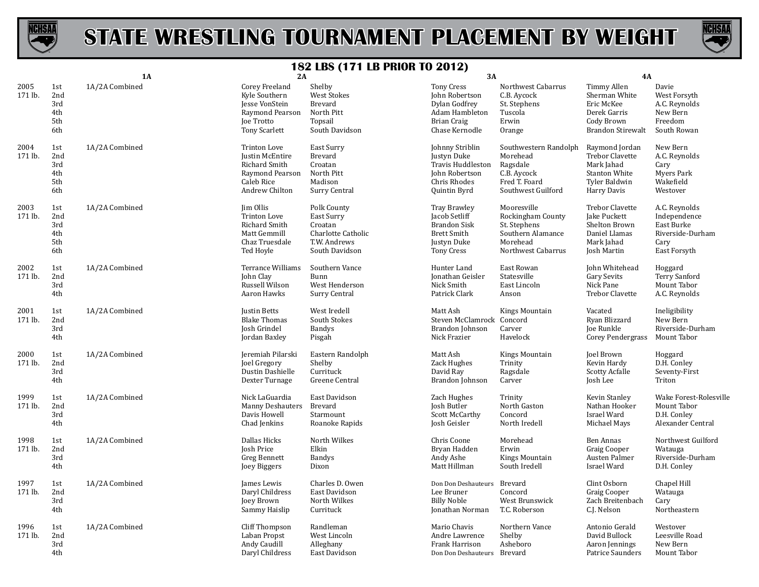



|                 |                                        | <b>1A</b>      | 2A                                                                                                                | -- 000                                                                                       | 3A                                                                                                                    |                                                                                                         | <b>4A</b>                                                                                                      |                                                                                         |
|-----------------|----------------------------------------|----------------|-------------------------------------------------------------------------------------------------------------------|----------------------------------------------------------------------------------------------|-----------------------------------------------------------------------------------------------------------------------|---------------------------------------------------------------------------------------------------------|----------------------------------------------------------------------------------------------------------------|-----------------------------------------------------------------------------------------|
| 2005<br>171 lb. | 1st<br>2nd<br>3rd<br>4th<br>5th<br>6th | 1A/2A Combined | Corey Freeland<br>Kyle Southern<br><b>Jesse VonStein</b><br>Raymond Pearson<br>Joe Trotto<br><b>Tony Scarlett</b> | Shelby<br>West Stokes<br>Brevard<br>North Pitt<br>Topsail<br>South Davidson                  | <b>Tony Cress</b><br>John Robertson<br>Dylan Godfrey<br>Adam Hambleton<br>Brian Craig<br>Chase Kernodle               | Northwest Cabarrus<br>C.B. Aycock<br>St. Stephens<br>Tuscola<br>Erwin<br>Orange                         | Timmy Allen<br>Sherman White<br>Eric McKee<br>Derek Garris<br>Cody Brown<br><b>Brandon Stirewalt</b>           | Davie<br>West Forsyth<br>A.C. Reynolds<br>New Bern<br>Freedom<br>South Rowan            |
| 2004<br>171 lb. | 1st<br>2nd<br>3rd<br>4th<br>5th<br>6th | 1A/2A Combined | Trinton Love<br>Justin McEntire<br><b>Richard Smith</b><br>Raymond Pearson<br>Caleb Rice<br>Andrew Chilton        | East Surry<br>Brevard<br>Croatan<br>North Pitt<br>Madison<br>Surry Central                   | Johnny Striblin<br>Justyn Duke<br>Travis Huddleston<br>John Robertson<br>Chris Rhodes<br>Quintin Byrd                 | Southwestern Randolph<br>Morehead<br>Ragsdale<br>C.B. Aycock<br>Fred T. Foard<br>Southwest Guilford     | Raymond Jordan<br><b>Trebor Clavette</b><br>Mark Jahad<br><b>Stanton White</b><br>Tyler Baldwin<br>Harry Davis | New Bern<br>A.C. Reynolds<br>Cary<br><b>Myers Park</b><br>Wakefield<br>Westover         |
| 2003<br>171 lb. | 1st<br>2nd<br>3rd<br>4th<br>5th<br>6th | 1A/2A Combined | Jim Ollis<br>Trinton Love<br><b>Richard Smith</b><br>Matt Gemmill<br>Chaz Truesdale<br>Ted Hoyle                  | Polk County<br>East Surry<br>Croatan<br>Charlotte Catholic<br>T.W. Andrews<br>South Davidson | <b>Tray Brawley</b><br>Jacob Setliff<br><b>Brandon Sisk</b><br><b>Brett Smith</b><br>Justyn Duke<br><b>Tony Cress</b> | Mooresville<br>Rockingham County<br>St. Stephens<br>Southern Alamance<br>Morehead<br>Northwest Cabarrus | <b>Trebor Clavette</b><br>Jake Puckett<br>Shelton Brown<br>Daniel Llamas<br>Mark Jahad<br><b>Josh Martin</b>   | A.C. Reynolds<br>Independence<br>East Burke<br>Riverside-Durham<br>Cary<br>East Forsyth |
| 2002<br>171 lb. | 1st<br>2nd<br>3rd<br>4th               | 1A/2A Combined | <b>Terrance Williams</b><br>John Clay<br>Russell Wilson<br>Aaron Hawks                                            | Southern Vance<br>Bunn<br>West Henderson<br>Surry Central                                    | Hunter Land<br>Jonathan Geisler<br>Nick Smith<br>Patrick Clark                                                        | East Rowan<br>Statesville<br>East Lincoln<br>Anson                                                      | John Whitehead<br>Gary Sevits<br>Nick Pane<br><b>Trebor Clavette</b>                                           | Hoggard<br><b>Terry Sanford</b><br>Mount Tabor<br>A.C. Reynolds                         |
| 2001<br>171 lb. | 1st<br>2nd<br>3rd<br>4th               | 1A/2A Combined | <b>Justin Betts</b><br><b>Blake Thomas</b><br>Josh Grindel<br>Jordan Baxley                                       | West Iredell<br>South Stokes<br><b>Bandys</b><br>Pisgah                                      | Matt Ash<br>Steven McClamrock Concord<br>Brandon Johnson<br>Nick Frazier                                              | Kings Mountain<br>Carver<br>Havelock                                                                    | Vacated<br>Ryan Blizzard<br>Joe Runkle<br><b>Corey Pendergrass</b>                                             | Ineligibility<br>New Bern<br>Riverside-Durham<br>Mount Tabor                            |
| 2000<br>171 lb. | 1st<br>2nd<br>3rd<br>4th               | 1A/2A Combined | Jeremiah Pilarski<br>Joel Gregory<br>Dustin Dashielle<br>Dexter Turnage                                           | Eastern Randolph<br>Shelby<br>Currituck<br>Greene Central                                    | Matt Ash<br>Zack Hughes<br>David Rav<br>Brandon Johnson                                                               | Kings Mountain<br>Trinity<br>Ragsdale<br>Carver                                                         | Joel Brown<br>Kevin Hardy<br><b>Scotty Acfalle</b><br>Josh Lee                                                 | Hoggard<br>D.H. Conley<br>Seventy-First<br>Triton                                       |
| 1999<br>171 lb. | 1st<br>2nd<br>3rd<br>4th               | 1A/2A Combined | Nick LaGuardia<br><b>Manny Deshauters</b><br>Davis Howell<br>Chad Jenkins                                         | East Davidson<br>Brevard<br>Starmount<br>Roanoke Rapids                                      | Zach Hughes<br>Josh Butler<br><b>Scott McCarthy</b><br>Josh Geisler                                                   | Trinity<br>North Gaston<br>Concord<br>North Iredell                                                     | Kevin Stanley<br>Nathan Hooker<br>Israel Ward<br>Michael Mays                                                  | Wake Forest-Rolesville<br>Mount Tabor<br>D.H. Conley<br>Alexander Central               |
| 1998<br>171 lb. | 1st<br>2nd<br>3rd<br>4th               | 1A/2A Combined | Dallas Hicks<br>Josh Price<br><b>Greg Bennett</b><br>Joey Biggers                                                 | North Wilkes<br>Elkin<br><b>Bandys</b><br>Dixon                                              | Chris Coone<br>Bryan Hadden<br>Andy Ashe<br>Matt Hillman                                                              | Morehead<br>Erwin<br>Kings Mountain<br>South Iredell                                                    | <b>Ben Annas</b><br><b>Graig Cooper</b><br>Austen Palmer<br>Israel Ward                                        | Northwest Guilford<br>Watauga<br>Riverside-Durham<br>D.H. Conley                        |
| 1997<br>171 lb. | 1st<br>2nd<br>3rd<br>4th               | 1A/2A Combined | James Lewis<br>Daryl Childress<br><b>Joey Brown</b><br>Sammy Haislip                                              | Charles D. Owen<br>East Davidson<br>North Wilkes<br>Currituck                                | Don Don Deshauteurs<br>Lee Bruner<br><b>Billy Noble</b><br>Jonathan Norman                                            | Brevard<br>Concord<br>West Brunswick<br>T.C. Roberson                                                   | Clint Osborn<br><b>Graig Cooper</b><br>Zach Breitenbach<br>C.J. Nelson                                         | Chapel Hill<br>Watauga<br>Cary<br>Northeastern                                          |
| 1996<br>171 lb. | 1st<br>2nd<br>3rd<br>4th               | 1A/2A Combined | Cliff Thompson<br>Laban Propst<br>Andy Caudill<br>Daryl Childress                                                 | Randleman<br>West Lincoln<br>Alleghany<br>East Davidson                                      | Mario Chavis<br>Andre Lawrence<br>Frank Harrison<br>Don Don Deshauteurs Brevard                                       | Northern Vance<br>Shelby<br>Asheboro                                                                    | Antonio Gerald<br>David Bullock<br>Aaron Jennings<br>Patrice Saunders                                          | Westover<br>Leesville Road<br>New Bern<br>Mount Tabor                                   |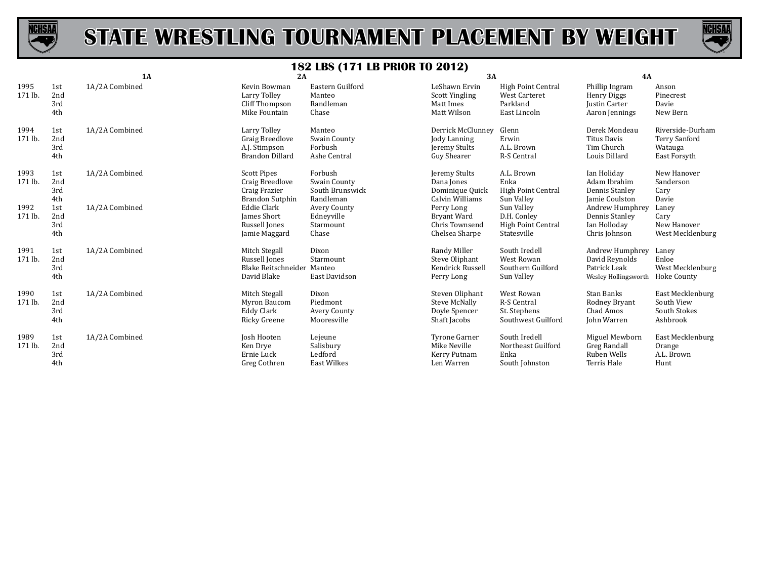



|                 |                          | <b>1A</b>      | 2A                                                                               |                                                         | 3A                                                                 |                                                                               | 4A                                                                             |                                                                     |
|-----------------|--------------------------|----------------|----------------------------------------------------------------------------------|---------------------------------------------------------|--------------------------------------------------------------------|-------------------------------------------------------------------------------|--------------------------------------------------------------------------------|---------------------------------------------------------------------|
| 1995<br>171 lb. | 1st<br>2nd<br>3rd<br>4th | 1A/2A Combined | Kevin Bowman<br>Larry Tolley<br>Cliff Thompson<br>Mike Fountain                  | Eastern Guilford<br>Manteo<br>Randleman<br>Chase        | LeShawn Ervin<br><b>Scott Yingling</b><br>Matt Imes<br>Matt Wilson | <b>High Point Central</b><br><b>West Carteret</b><br>Parkland<br>East Lincoln | Phillip Ingram<br><b>Henry Diggs</b><br><b>Justin Carter</b><br>Aaron Jennings | Anson<br>Pinecrest<br>Davie<br>New Bern                             |
| 1994<br>171 lb. | 1st<br>2nd<br>3rd<br>4th | 1A/2A Combined | Larry Tolley<br><b>Graig Breedlove</b><br>A.J. Stimpson<br>Brandon Dillard       | Manteo<br>Swain County<br>Forbush<br>Ashe Central       | Derrick McClunney<br>Jody Lanning<br>Jeremy Stults<br>Guy Shearer  | Glenn<br>Erwin<br>A.L. Brown<br>R-S Central                                   | Derek Mondeau<br>Titus Davis<br>Tim Church<br>Louis Dillard                    | Riverside-Durham<br><b>Terry Sanford</b><br>Watauga<br>East Forsyth |
| 1993<br>171 lb. | 1st<br>2nd<br>3rd<br>4th | 1A/2A Combined | <b>Scott Pipes</b><br>Craig Breedlove<br>Craig Frazier<br><b>Brandon Sutphin</b> | Forbush<br>Swain County<br>South Brunswick<br>Randleman | Jeremy Stults<br>Dana Jones<br>Dominique Quick<br>Calvin Williams  | A.L. Brown<br>Enka<br>High Point Central<br>Sun Valley                        | Ian Holiday<br>Adam Ibrahim<br>Dennis Stanley<br>Jamie Coulston                | New Hanover<br>Sanderson<br>Cary<br>Davie                           |
| 1992<br>171 lb. | 1st<br>2nd<br>3rd<br>4th | 1A/2A Combined | Eddie Clark<br><b>James Short</b><br>Russell Jones<br>Jamie Maggard              | Avery County<br>Edneyville<br>Starmount<br>Chase        | Perry Long<br>Bryant Ward<br>Chris Townsend<br>Chelsea Sharpe      | Sun Valley<br>D.H. Conley<br>High Point Central<br>Statesville                | Andrew Humphrey<br>Dennis Stanley<br>Ian Holloday<br>Chris Johnson             | Laney<br>Cary<br>New Hanover<br>West Mecklenburg                    |
| 1991<br>171 lb. | 1st<br>2nd<br>3rd<br>4th | 1A/2A Combined | Mitch Stegall<br>Russell Jones<br>Blake Reitschneider<br>David Blake             | Dixon<br>Starmount<br>Manteo<br>East Davidson           | Randy Miller<br>Steve Oliphant<br>Kendrick Russell<br>Perry Long   | South Iredell<br>West Rowan<br>Southern Guilford<br>Sun Valley                | Andrew Humphrey<br>David Reynolds<br>Patrick Leak<br>Wesley Hollingsworth      | Laney<br>Enloe<br>West Mecklenburg<br>Hoke County                   |
| 1990<br>171 lb. | 1st<br>2nd<br>3rd<br>4th | 1A/2A Combined | Mitch Stegall<br>Myron Baucom<br>Eddy Clark<br>Ricky Greene                      | Dixon<br>Piedmont<br>Avery County<br>Mooresville        | Steven Oliphant<br>Steve McNally<br>Doyle Spencer<br>Shaft Jacobs  | <b>West Rowan</b><br><b>R-S Central</b><br>St. Stephens<br>Southwest Guilford | Stan Banks<br>Rodney Bryant<br>Chad Amos<br>John Warren                        | East Mecklenburg<br>South View<br>South Stokes<br>Ashbrook          |
| 1989<br>171 lb. | 1st<br>2nd<br>3rd<br>4th | 1A/2A Combined | Josh Hooten<br>Ken Drye<br>Ernie Luck<br>Greg Cothren                            | Lejeune<br>Salisbury<br>Ledford<br><b>East Wilkes</b>   | Tyrone Garner<br>Mike Neville<br>Kerry Putnam<br>Len Warren        | South Iredell<br>Northeast Guilford<br>Enka<br>South Johnston                 | Miguel Mewborn<br><b>Greg Randall</b><br>Ruben Wells<br>Terris Hale            | East Mecklenburg<br>Orange<br>A.L. Brown<br>Hunt                    |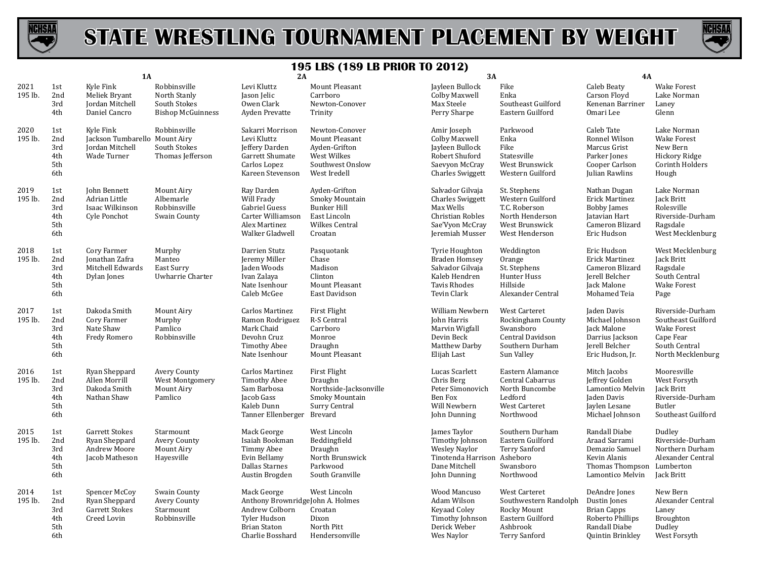



|                 |                                        | <b>1A</b>                                                                    |                                                                          | 2A                                                                                                                           |                                                                                                           | 3A                                                                                                                      |                                                                                                               | <b>4A</b>                                                                                                      |                                                                                                          |
|-----------------|----------------------------------------|------------------------------------------------------------------------------|--------------------------------------------------------------------------|------------------------------------------------------------------------------------------------------------------------------|-----------------------------------------------------------------------------------------------------------|-------------------------------------------------------------------------------------------------------------------------|---------------------------------------------------------------------------------------------------------------|----------------------------------------------------------------------------------------------------------------|----------------------------------------------------------------------------------------------------------|
| 2021<br>195 lb. | 1st<br>2nd<br>3rd<br>4th               | Kyle Fink<br>Meliek Bryant<br><b>Iordan Mitchell</b><br>Daniel Cancro        | Robbinsville<br>North Stanly<br>South Stokes<br><b>Bishop McGuinness</b> | Levi Kluttz<br>Jason Jelic<br>Owen Clark<br>Ayden Prevatte                                                                   | Mount Pleasant<br>Carrboro<br>Newton-Conover<br>Trinity                                                   | Jayleen Bullock<br>Colby Maxwell<br>Max Steele<br>Perry Sharpe                                                          | Fike<br>Enka<br>Southeast Guilford<br>Eastern Guilford                                                        | Caleb Beaty<br>Carson Floyd<br>Kenenan Barriner<br>Omari Lee                                                   | <b>Wake Forest</b><br>Lake Norman<br>Laney<br>Glenn                                                      |
| 2020<br>195 lb. | 1st<br>2nd<br>3rd<br>4th<br>5th<br>6th | Kyle Fink<br>Jackson Tumbarello Mount Airy<br>Jordan Mitchell<br>Wade Turner | Robbinsville<br>South Stokes<br>Thomas Jefferson                         | Sakarri Morrison<br>Levi Kluttz<br>Jeffery Darden<br>Garrett Shumate<br>Carlos Lopez<br>Kareen Stevenson                     | Newton-Conover<br>Mount Pleasant<br>Ayden-Grifton<br>West Wilkes<br>Southwest Onslow<br>West Iredell      | Amir Joseph<br>Colby Maxwell<br>Jayleen Bullock<br>Robert Shuford<br>Saevyon McCray<br><b>Charles Swiggett</b>          | Parkwood<br>Enka<br>Fike<br>Statesville<br>West Brunswick<br>Western Guilford                                 | Caleb Tate<br>Ronnel Wilson<br>Marcus Grist<br>Parker Jones<br>Cooper Carlson<br>Julian Rawlins                | Lake Norman<br><b>Wake Forest</b><br>New Bern<br>Hickory Ridge<br>Corinth Holders<br>Hough               |
| 2019<br>195 lb. | 1st<br>2nd<br>3rd<br>4th<br>5th<br>6th | John Bennett<br>Adrian Little<br>Isaac Wilkinson<br>Cyle Ponchot             | Mount Airy<br>Albemarle<br>Robbinsville<br>Swain County                  | Ray Darden<br>Will Frady<br>Gabriel Guess<br>Carter Williamson<br>Alex Martinez<br>Walker Gladwell                           | Ayden-Grifton<br>Smoky Mountain<br><b>Bunker Hill</b><br>East Lincoln<br><b>Wilkes Central</b><br>Croatan | Salvador Gilvaja<br><b>Charles Swiggett</b><br>Max Wells<br>Christian Robles<br>Sae'Vyon McCray<br>Jeremiah Musser      | St. Stephens<br>Western Guilford<br>T.C. Roberson<br>North Henderson<br>West Brunswick<br>West Henderson      | Nathan Dugan<br><b>Erick Martinez</b><br><b>Bobby James</b><br>Jatavian Hart<br>Cameron Blizard<br>Eric Hudson | Lake Norman<br>Jack Britt<br>Rolesville<br>Riverside-Durham<br>Ragsdale<br>West Mecklenburg              |
| 2018<br>195 lb. | 1st<br>2nd<br>3rd<br>4th<br>5th<br>6th | Cory Farmer<br>Jonathan Zafra<br>Mitchell Edwards<br>Dylan Jones             | Murphy<br>Manteo<br>East Surry<br>Uwharrie Charter                       | Darrien Stutz<br>Jeremy Miller<br>Jaden Woods<br>Ivan Zalaya<br>Nate Isenhour<br>Caleb McGee                                 | Pasquotank<br>Chase<br>Madison<br>Clinton<br>Mount Pleasant<br>East Davidson                              | Tyrie Houghton<br><b>Braden Homsey</b><br>Salvador Gilvaja<br>Kaleb Hendren<br><b>Tavis Rhodes</b><br>Tevin Clark       | Weddington<br>Orange<br>St. Stephens<br>Hunter Huss<br>Hillside<br>Alexander Central                          | Eric Hudson<br>Erick Martinez<br>Cameron Blizard<br>Jerell Belcher<br>Jack Malone<br>Mohamed Teia              | West Mecklenburg<br><b>Jack Britt</b><br>Ragsdale<br>South Central<br><b>Wake Forest</b><br>Page         |
| 2017<br>195 lb. | 1st<br>2nd<br>3rd<br>4th<br>5th<br>6th | Dakoda Smith<br>Cory Farmer<br>Nate Shaw<br>Fredy Romero                     | Mount Airy<br>Murphy<br>Pamlico<br>Robbinsville                          | Carlos Martinez<br>Ramon Rodriguez<br>Mark Chaid<br>Devohn Cruz<br><b>Timothy Abee</b><br>Nate Isenhour                      | <b>First Flight</b><br>R-S Central<br>Carrboro<br>Monroe<br>Draughn<br>Mount Pleasant                     | William Newbern<br>John Harris<br>Marvin Wigfall<br>Devin Beck<br>Matthew Darby<br>Elijah Last                          | West Carteret<br>Rockingham County<br>Swansboro<br>Central Davidson<br>Southern Durham<br>Sun Valley          | Jaden Davis<br>Michael Johnson<br>Jack Malone<br>Darrius Jackson<br>Jerell Belcher<br>Eric Hudson, Jr.         | Riverside-Durham<br>Southeast Guilford<br>Wake Forest<br>Cape Fear<br>South Central<br>North Mecklenburg |
| 2016<br>195 lb. | 1st<br>2nd<br>3rd<br>4th<br>5th<br>6th | Ryan Sheppard<br>Allen Morrill<br>Dakoda Smith<br>Nathan Shaw                | Avery County<br>West Montgomery<br>Mount Airy<br>Pamlico                 | Carlos Martinez<br><b>Timothy Abee</b><br>Sam Barbosa<br>Jacob Gass<br>Kaleb Dunn<br>Tanner Ellenberger Brevard              | First Flight<br>Draughn<br>Northside-Jacksonville<br>Smoky Mountain<br>Surry Central                      | Lucas Scarlett<br>Chris Berg<br>Peter Simonovich<br>Ben Fox<br>Will Newbern<br>John Dunning                             | Eastern Alamance<br>Central Cabarrus<br>North Buncombe<br>Ledford<br>West Carteret<br>Northwood               | Mitch Jacobs<br>Jeffrey Golden<br>Lamontico Melvin<br>Jaden Davis<br>Jaylen Lesane<br>Michael Johnson          | Mooresville<br>West Forsyth<br>Jack Britt<br>Riverside-Durham<br>Butler<br>Southeast Guilford            |
| 2015<br>195 lb. | 1st<br>2nd<br>3rd<br>4th<br>5th<br>6th | Garrett Stokes<br>Ryan Sheppard<br>Andrew Moore<br>Jacob Matheson            | Starmount<br>Avery County<br>Mount Airy<br>Havesville                    | Mack George<br>Isaiah Bookman<br>Timmy Abee<br>Evin Bellamy<br><b>Dallas Starnes</b><br>Austin Brogden                       | West Lincoln<br>Beddingfield<br>Draughn<br>North Brunswick<br>Parkwood<br>South Granville                 | James Taylor<br>Timothy Johnson<br><b>Wesley Naylor</b><br>Tinotenda Harrison Asheboro<br>Dane Mitchell<br>John Dunning | Southern Durham<br>Eastern Guilford<br><b>Terry Sanford</b><br>Swansboro<br>Northwood                         | Randall Diabe<br>Araad Sarrami<br>Demazio Samuel<br>Kevin Alanis<br>Thomas Thompson<br>Lamontico Melvin        | Dudley<br>Riverside-Durham<br>Northern Durham<br>Alexander Central<br>Lumberton<br>Jack Britt            |
| 2014<br>195 lb. | 1st<br>2nd<br>3rd<br>4th<br>5th<br>6th | Spencer McCoy<br>Ryan Sheppard<br><b>Garrett Stokes</b><br>Creed Lovin       | Swain County<br><b>Avery County</b><br>Starmount<br>Robbinsville         | Mack George<br>Anthony BrownridgeJohn A. Holmes<br>Andrew Colborn<br>Tyler Hudson<br><b>Brian Staton</b><br>Charlie Bosshard | West Lincoln<br>Croatan<br>Dixon<br>North Pitt<br>Hendersonville                                          | Wood Mancuso<br>Adam Wilson<br>Keyaad Coley<br>Timothy Johnson<br>Derick Weber<br>Wes Naylor                            | West Carteret<br>Southwestern Randolph<br>Rocky Mount<br>Eastern Guilford<br>Ashbrook<br><b>Terry Sanford</b> | DeAndre Jones<br>Dustin Jones<br><b>Brian Capps</b><br>Roberto Phillips<br>Randall Diabe<br>Quintin Brinkley   | New Bern<br>Alexander Central<br>Laney<br>Broughton<br>Dudley<br>West Forsyth                            |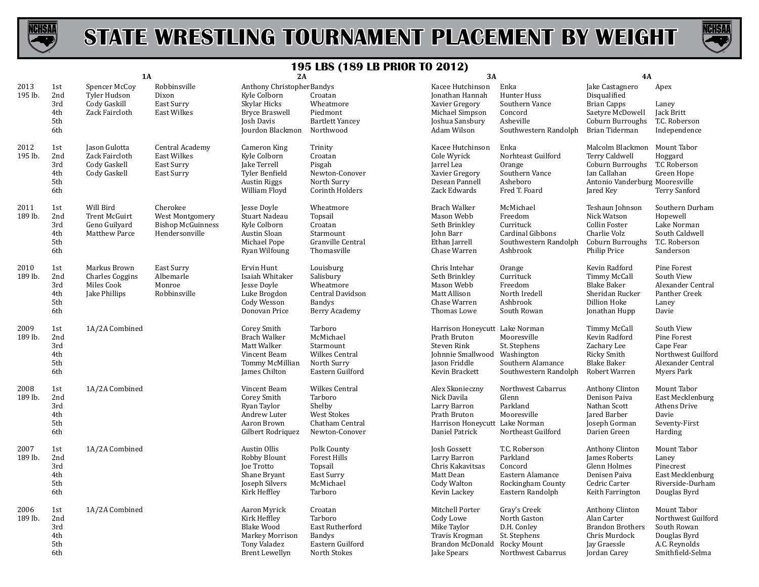



|                 |                                        | <b>1A</b>                                                             |                                                                           | 2A                                                                                                            |                                                                                                | <b>3A</b>                                                                                                             |                                                                                                   | <b>4A</b>                                                                                                                         |                                                                                                       |
|-----------------|----------------------------------------|-----------------------------------------------------------------------|---------------------------------------------------------------------------|---------------------------------------------------------------------------------------------------------------|------------------------------------------------------------------------------------------------|-----------------------------------------------------------------------------------------------------------------------|---------------------------------------------------------------------------------------------------|-----------------------------------------------------------------------------------------------------------------------------------|-------------------------------------------------------------------------------------------------------|
| 2013<br>195 lb. | 1st<br>2nd<br>3rd<br>4th<br>5th<br>6th | Spencer McCoy<br>Tyler Hudson<br>Cody Gaskill<br>Zack Faircloth       | Robbinsville<br>Dixon<br>East Surry<br><b>East Wilkes</b>                 | Anthony ChristopherBandys<br>Kyle Colborn<br>Skylar Hicks<br>Bryce Braswell<br>Josh Davis<br>Jourdon Blackmon | Croatan<br>Wheatmore<br>Piedmont<br><b>Bartlett Yancey</b><br>Northwood                        | Kacee Hutchinson<br>Jonathan Hannah<br>Xavier Gregory<br>Michael Simpson<br>Joshua Sansbury<br>Adam Wilson            | Enka<br>Hunter Huss<br>Southern Vance<br>Concord<br>Asheville<br>Southwestern Randolph            | Jake Castagnero<br>Disqualified<br><b>Brian Capps</b><br>Saetyre McDowell<br>Coburn Burroughs<br>Brian Tiderman                   | Apex<br>Laney<br>Jack Britt<br>T.C. Roberson<br>Independence                                          |
| 2012<br>195 lb. | 1st<br>2nd<br>3rd<br>4th<br>5th<br>6th | Jason Gulotta<br>Zack Faircloth<br>Cody Gaskell<br>Cody Gaskell       | Central Academy<br><b>East Wilkes</b><br>East Surry<br>East Surry         | Cameron King<br>Kyle Colborn<br>Jake Terrell<br>Tyler Benfield<br><b>Austin Riggs</b><br>William Floyd        | Trinity<br>Croatan<br>Pisgah<br>Newton-Conover<br>North Surry<br>Corinth Holders               | Kacee Hutchinson<br>Cole Wyrick<br>Jarrel Lea<br>Xavier Gregory<br>Desean Pannell<br>Zack Edwards                     | Enka<br>Norhteast Guilford<br>Orange<br>Southern Vance<br>Asheboro<br>Fred T. Foard               | Malcolm Blackmon Mount Tabor<br>Terry Caldwell<br>Coburn Burroughs<br>Ian Callahan<br>Antonio Vanderburg Mooresville<br>Jared Key | Hoggard<br>T.C Roberson<br>Green Hope<br><b>Terry Sanford</b>                                         |
| 2011<br>189 lb. | 1st<br>2nd<br>3rd<br>4th<br>5th<br>6th | Will Bird<br><b>Trent McGuirt</b><br>Geno Guilyard<br>Matthew Parce   | Cherokee<br>West Montgomery<br><b>Bishop McGuinness</b><br>Hendersonville | Jesse Doyle<br>Stuart Nadeau<br>Kyle Colborn<br>Austin Sloan<br>Michael Pope<br>Ryan Wilfoung                 | Wheatmore<br>Topsail<br>Croatan<br>Starmount<br>Granville Central<br>Thomasville               | <b>Brach Walker</b><br>Mason Webb<br>Seth Brinkley<br>John Barr<br>Ethan Jarrell<br>Chase Warren                      | McMichael<br>Freedom<br>Currituck<br><b>Cardinal Gibbons</b><br>Southwestern Randolph<br>Ashbrook | Teshaun Johnson<br>Nick Watson<br>Collin Foster<br>Charlie Volz<br>Coburn Burroughs<br>Philip Price                               | Southern Durham<br>Hopewell<br>Lake Norman<br>South Caldwell<br>T.C. Roberson<br>Sanderson            |
| 2010<br>189 lb. | 1st<br>2nd<br>3rd<br>4th<br>5th<br>6th | Markus Brown<br><b>Charles Coggins</b><br>Miles Cook<br>Jake Phillips | East Surry<br>Albemarle<br>Monroe<br>Robbinsville                         | Ervin Hunt<br>Isaiah Whitaker<br>Jesse Doyle<br>Luke Brogdon<br>Cody Wesson<br>Donovan Price                  | Louisburg<br>Salisbury<br>Wheatmore<br>Central Davidson<br><b>Bandys</b><br>Berry Academy      | Chris Intehar<br>Seth Brinkley<br>Mason Webb<br>Matt Allison<br>Chase Warren<br>Thomas Lowe                           | Orange<br>Currituck<br>Freedom<br>North Iredell<br>Ashbrook<br>South Rowan                        | Kevin Radford<br>Timmy McCall<br><b>Blake Baker</b><br>Sheridan Rucker<br>Dillion Hoke<br>Jonathan Hupp                           | Pine Forest<br>South View<br>Alexander Central<br>Panther Creek<br>Laney<br>Davie                     |
| 2009<br>189 lb. | 1st<br>2nd<br>3rd<br>4th<br>5th<br>6th | 1A/2A Combined                                                        |                                                                           | Corey Smith<br><b>Brach Walker</b><br>Matt Walker<br>Vincent Beam<br>Tommy McMillian<br>James Chilton         | Tarboro<br>McMichael<br>Starmount<br>Wilkes Central<br>North Surry<br>Eastern Guilford         | Harrison Honeycutt Lake Norman<br>Prath Bruton<br>Steven Rink<br>Johnnie Smallwood<br>Jason Friddle<br>Kevin Brackett | Mooresville<br>St. Stephens<br>Washington<br>Southern Alamance<br>Southwestern Randolph           | Timmy McCall<br>Kevin Radford<br>Zachary Lee<br>Ricky Smith<br><b>Blake Baker</b><br>Robert Warren                                | South View<br>Pine Forest<br>Cape Fear<br>Northwest Guilford<br>Alexander Central<br>Myers Park       |
| 2008<br>189 lb. | 1st<br>2nd<br>3rd<br>4th<br>5th<br>6th | 1A/2A Combined                                                        |                                                                           | Vincent Beam<br>Corey Smith<br>Ryan Taylor<br>Andrew Luter<br>Aaron Brown<br>Gilbert Rodriquez                | Wilkes Central<br>Tarboro<br>Shelby<br><b>West Stokes</b><br>Chatham Central<br>Newton-Conover | Alex Skonieczny<br>Nick Davila<br>Larry Barron<br>Prath Bruton<br>Harrison Honeycutt Lake Norman<br>Daniel Patrick    | Northwest Cabarrus<br>Glenn<br>Parkland<br>Mooresville<br>Northeast Guilford                      | Anthony Clinton<br>Denison Paiva<br>Nathan Scott<br>Jared Barber<br>Joseph Gorman<br>Darien Green                                 | Mount Tabor<br>East Mecklenburg<br>Athens Drive<br>Davie<br>Seventy-First<br>Harding                  |
| 2007<br>189 lb. | 1st<br>2nd<br>3rd<br>4th<br>5th<br>6th | 1A/2A Combined                                                        |                                                                           | Austin Ollis<br>Robby Blount<br><b>Joe Trotto</b><br>Shane Bryant<br>Joseph Silvers<br>Kirk Heffley           | Polk County<br>Forest Hills<br>Topsail<br>East Surry<br>McMichael<br>Tarboro                   | Josh Gossett<br>Larry Barron<br>Chris Kakavitsas<br>Matt Dean<br>Cody Walton<br>Kevin Lackey                          | T.C. Roberson<br>Parkland<br>Concord<br>Eastern Alamance<br>Rockingham County<br>Eastern Randolph | Anthony Clinton<br>James Roberts<br>Glenn Holmes<br>Denisen Paiva<br>Cedric Carter<br>Keith Farrington                            | Mount Tabor<br>Laney<br>Pinecrest<br>East Mecklenburg<br>Riverside-Durham<br>Douglas Byrd             |
| 2006<br>189 lb. | 1st<br>2nd<br>3rd<br>4th<br>5th<br>6th | 1A/2A Combined                                                        |                                                                           | Aaron Myrick<br>Kirk Heffley<br><b>Blake Wood</b><br>Markey Morrison<br>Tony Valadez<br>Brent Lewellyn        | Croatan<br>Tarboro<br>East Rutherford<br><b>Bandys</b><br>Eastern Guilford<br>North Stokes     | Mitchell Porter<br>Cody Lowe<br>Mike Taylor<br>Travis Krogman<br>Brandon McDonald Rocky Mount<br>Jake Spears          | Gray's Creek<br>North Gaston<br>D.H. Conley<br>St. Stephens<br>Northwest Cabarrus                 | Anthony Clinton<br>Alan Carter<br><b>Brandon Brothers</b><br>Chris Murdock<br>Jay Graessle<br>Jordan Carey                        | Mount Tabor<br>Northwest Guilford<br>South Rowan<br>Douglas Byrd<br>A.C. Reynolds<br>Smithfield-Selma |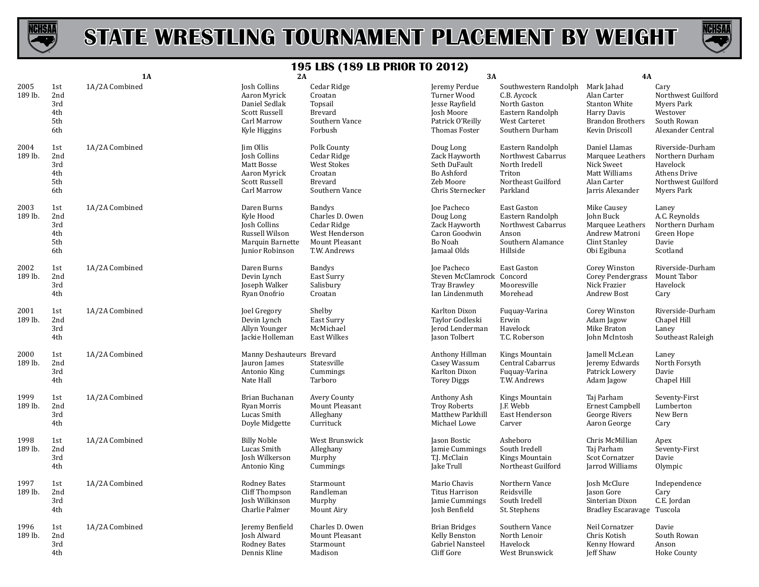



|                 |                                        | 1A             | 2A                                                                                                       |                                                                                                 | 3A                                                                                                |                                                                                                              | <b>4A</b>                                                                                                     |                                                                                                     |
|-----------------|----------------------------------------|----------------|----------------------------------------------------------------------------------------------------------|-------------------------------------------------------------------------------------------------|---------------------------------------------------------------------------------------------------|--------------------------------------------------------------------------------------------------------------|---------------------------------------------------------------------------------------------------------------|-----------------------------------------------------------------------------------------------------|
| 2005<br>189 lb. | 1st<br>2nd<br>3rd<br>4th<br>5th<br>6th | 1A/2A Combined | Josh Collins<br>Aaron Myrick<br>Daniel Sedlak<br>Scott Russell<br>Carl Marrow<br>Kyle Higgins            | Cedar Ridge<br>Croatan<br>Topsail<br><b>Brevard</b><br>Southern Vance<br>Forbush                | Jeremy Perdue<br>Turner Wood<br>Jesse Rayfield<br>Josh Moore<br>Patrick O'Reilly<br>Thomas Foster | Southwestern Randolph<br>C.B. Aycock<br>North Gaston<br>Eastern Randolph<br>West Carteret<br>Southern Durham | Mark Jahad<br>Alan Carter<br><b>Stanton White</b><br>Harry Davis<br><b>Brandon Brothers</b><br>Kevin Driscoll | Cary<br>Northwest Guilford<br>Myers Park<br>Westover<br>South Rowan<br>Alexander Central            |
| 2004<br>189 lb. | 1st<br>2nd<br>3rd<br>4th<br>5th<br>6th | 1A/2A Combined | Jim Ollis<br><b>Josh Collins</b><br>Matt Bosse<br>Aaron Myrick<br>Scott Russell<br>Carl Marrow           | Polk County<br>Cedar Ridge<br><b>West Stokes</b><br>Croatan<br><b>Brevard</b><br>Southern Vance | Doug Long<br>Zack Hayworth<br>Seth DuFault<br>Bo Ashford<br>Zeb Moore<br>Chris Sternecker         | Eastern Randolph<br>Northwest Cabarrus<br>North Iredell<br>Triton<br>Northeast Guilford<br>Parkland          | Daniel Llamas<br>Marquee Leathers<br>Nick Sweet<br>Matt Williams<br>Alan Carter<br>Jarris Alexander           | Riverside-Durham<br>Northern Durham<br>Havelock<br>Athens Drive<br>Northwest Guilford<br>Myers Park |
| 2003<br>189 lb. | 1st<br>2nd<br>3rd<br>4th<br>5th<br>6th | 1A/2A Combined | Daren Burns<br>Kyle Hood<br><b>Josh Collins</b><br>Russell Wilson<br>Marquin Barnette<br>Junior Robinson | Bandys<br>Charles D. Owen<br>Cedar Ridge<br>West Henderson<br>Mount Pleasant<br>T.W. Andrews    | Joe Pacheco<br>Doug Long<br>Zack Hayworth<br>Caron Goodwin<br>Bo Noah<br>Jamaal Olds              | East Gaston<br>Eastern Randolph<br>Northwest Cabarrus<br>Anson<br>Southern Alamance<br>Hillside              | Mike Causey<br>John Buck<br>Marquee Leathers<br>Andrew Matroni<br>Clint Stanley<br>Obi Egibuna                | Laney<br>A.C. Reynolds<br>Northern Durham<br>Green Hope<br>Davie<br>Scotland                        |
| 2002<br>189 lb. | 1st<br>2nd<br>3rd<br>4th               | 1A/2A Combined | Daren Burns<br>Devin Lynch<br>Joseph Walker<br>Ryan Onofrio                                              | Bandys<br>East Surry<br>Salisbury<br>Croatan                                                    | Joe Pacheco<br>Steven McClamrock Concord<br><b>Tray Brawley</b><br>Ian Lindenmuth                 | East Gaston<br>Mooresville<br>Morehead                                                                       | Corey Winston<br>Corey Pendergrass<br>Nick Frazier<br><b>Andrew Bost</b>                                      | Riverside-Durham<br>Mount Tabor<br>Havelock<br>Cary                                                 |
| 2001<br>189 lb. | 1st<br>2nd<br>3rd<br>4th               | 1A/2A Combined | Joel Gregory<br>Devin Lynch<br>Allyn Younger<br>Jackie Holleman                                          | Shelby<br>East Surry<br>McMichael<br>East Wilkes                                                | Karlton Dixon<br>Taylor Godleski<br>Jerod Lenderman<br>Jason Tolbert                              | Fuquay-Varina<br>Erwin<br>Havelock<br>T.C. Roberson                                                          | Corey Winston<br>Adam Jagow<br>Mike Braton<br>John McIntosh                                                   | Riverside-Durham<br>Chapel Hill<br>Laney<br>Southeast Raleigh                                       |
| 2000<br>189 lb. | 1st<br>2nd<br>3rd<br>4th               | 1A/2A Combined | Manny Deshauteurs Brevard<br>Jauron James<br>Antonio King<br>Nate Hall                                   | Statesville<br>Cummings<br>Tarboro                                                              | Anthony Hillman<br>Casey Wassum<br>Karlton Dixon<br><b>Torey Diggs</b>                            | Kings Mountain<br>Central Cabarrus<br>Fuquay-Varina<br>T.W. Andrews                                          | Jamell McLean<br>Jeremy Edwards<br>Patrick Lowery<br>Adam Jagow                                               | Laney<br>North Forsyth<br>Davie<br>Chapel Hill                                                      |
| 1999<br>189 lb. | 1st<br>2nd<br>3rd<br>4th               | 1A/2A Combined | Brian Buchanan<br>Ryan Morris<br>Lucas Smith<br>Doyle Midgette                                           | <b>Avery County</b><br>Mount Pleasant<br>Alleghany<br>Currituck                                 | Anthony Ash<br><b>Troy Roberts</b><br>Matthew Parkhill<br>Michael Lowe                            | Kings Mountain<br>J.F. Webb<br>East Henderson<br>Carver                                                      | Taj Parham<br><b>Ernest Campbell</b><br>George Rivers<br>Aaron George                                         | Seventy-First<br>Lumberton<br>New Bern<br>Cary                                                      |
| 1998<br>189 lb. | 1st<br>2nd<br>3rd<br>4th               | 1A/2A Combined | <b>Billy Noble</b><br>Lucas Smith<br>Josh Wilkerson<br>Antonio King                                      | West Brunswick<br>Alleghany<br>Murphy<br>Cummings                                               | Jason Bostic<br>Jamie Cummings<br>T.J. McClain<br>Jake Trull                                      | Asheboro<br>South Iredell<br>Kings Mountain<br>Northeast Guilford                                            | Chris McMillian<br>Taj Parham<br>Scot Cornatzer<br>Jarrod Williams                                            | Apex<br>Seventy-First<br>Davie<br>Olympic                                                           |
| 1997<br>189 lb. | 1st<br>2nd<br>3rd<br>4th               | 1A/2A Combined | <b>Rodney Bates</b><br>Cliff Thompson<br>Josh Wilkinson<br>Charlie Palmer                                | Starmount<br>Randleman<br>Murphy<br>Mount Airy                                                  | Mario Chavis<br>Titus Harrison<br>Jamie Cummings<br>Josh Benfield                                 | Northern Vance<br>Reidsville<br>South Iredell<br>St. Stephens                                                | Josh McClure<br>Jason Gore<br>Sinterian Dixon<br><b>Bradley Escaravage</b>                                    | Independence<br>Cary<br>C.E. Jordan<br>Tuscola                                                      |
| 1996<br>189 lb. | 1st<br>2nd<br>3rd<br>4th               | 1A/2A Combined | Jeremy Benfield<br>Josh Alward<br>Rodney Bates<br>Dennis Kline                                           | Charles D. Owen<br>Mount Pleasant<br>Starmount<br>Madison                                       | <b>Brian Bridges</b><br>Kelly Benston<br>Gabriel Nansteel<br>Cliff Gore                           | Southern Vance<br>North Lenoir<br>Havelock<br>West Brunswick                                                 | Neil Cornatzer<br>Chris Kotish<br>Kenny Howard<br>Jeff Shaw                                                   | Davie<br>South Rowan<br>Anson<br>Hoke County                                                        |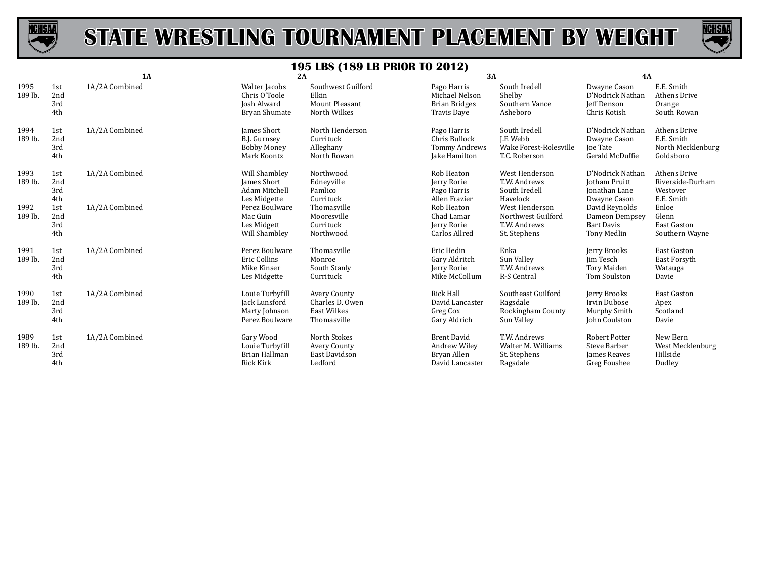



|                 | 1A                       |                | 2A                                                                  |                                                                      | 3A                                                                    |                                                                       | <b>4A</b>                                                                   |                                                                     |
|-----------------|--------------------------|----------------|---------------------------------------------------------------------|----------------------------------------------------------------------|-----------------------------------------------------------------------|-----------------------------------------------------------------------|-----------------------------------------------------------------------------|---------------------------------------------------------------------|
| 1995<br>189 lb. | 1st<br>2nd<br>3rd<br>4th | 1A/2A Combined | Walter Jacobs<br>Chris O'Toole<br>Josh Alward<br>Bryan Shumate      | Southwest Guilford<br>Elkin<br><b>Mount Pleasant</b><br>North Wilkes | Pago Harris<br>Michael Nelson<br><b>Brian Bridges</b><br>Travis Daye  | South Iredell<br>Shelby<br>Southern Vance<br>Asheboro                 | Dwayne Cason<br>D'Nodrick Nathan<br>Jeff Denson<br>Chris Kotish             | E.E. Smith<br>Athens Drive<br>Orange<br>South Rowan                 |
| 1994<br>189 lb. | 1st<br>2nd<br>3rd<br>4th | 1A/2A Combined | James Short<br>B.J. Gurnsey<br><b>Bobby Money</b><br>Mark Koontz    | North Henderson<br>Currituck<br>Alleghany<br>North Rowan             | Pago Harris<br>Chris Bullock<br><b>Tommy Andrews</b><br>Jake Hamilton | South Iredell<br>J.F. Webb<br>Wake Forest-Rolesville<br>T.C. Roberson | D'Nodrick Nathan<br>Dwayne Cason<br><b>Joe Tate</b><br>Gerald McDuffie      | <b>Athens Drive</b><br>E.E. Smith<br>North Mecklenburg<br>Goldsboro |
| 1993<br>189 lb. | 1st<br>2nd<br>3rd<br>4th | 1A/2A Combined | Will Shambley<br>James Short<br>Adam Mitchell<br>Les Midgette       | Northwood<br>Edneyville<br>Pamlico<br>Currituck                      | Rob Heaton<br>Jerry Rorie<br>Pago Harris<br>Allen Frazier             | West Henderson<br>T.W. Andrews<br>South Iredell<br>Havelock           | D'Nodrick Nathan<br><b>Jotham Pruitt</b><br>Ionathan Lane<br>Dwayne Cason   | <b>Athens Drive</b><br>Riverside-Durham<br>Westover<br>E.E. Smith   |
| 1992<br>189 lb. | 1st<br>2nd<br>3rd<br>4th | 1A/2A Combined | Perez Boulware<br>Mac Guin<br>Les Midgett<br>Will Shambley          | Thomasville<br>Mooresville<br>Currituck<br>Northwood                 | Rob Heaton<br>Chad Lamar<br>Jerry Rorie<br>Carlos Allred              | West Henderson<br>Northwest Guilford<br>T.W. Andrews<br>St. Stephens  | David Reynolds<br>Dameon Dempsey<br><b>Bart Davis</b><br>Tony Medlin        | Enloe<br>Glenn<br><b>East Gaston</b><br>Southern Wayne              |
| 1991<br>189 lb. | 1st<br>2nd<br>3rd<br>4th | 1A/2A Combined | Perez Boulware<br>Eric Collins<br>Mike Kinser<br>Les Midgette       | Thomasville<br>Monroe<br>South Stanly<br>Currituck                   | Eric Hedin<br>Gary Aldritch<br>Jerry Rorie<br>Mike McCollum           | Enka<br>Sun Valley<br>T.W. Andrews<br>R-S Central                     | Jerry Brooks<br>Jim Tesch<br>Tory Maiden<br>Tom Soulston                    | East Gaston<br>East Forsyth<br>Watauga<br>Davie                     |
| 1990<br>189 lb. | 1st<br>2nd<br>3rd<br>4th | 1A/2A Combined | Louie Turbyfill<br>Jack Lunsford<br>Marty Johnson<br>Perez Boulware | Avery County<br>Charles D. Owen<br><b>East Wilkes</b><br>Thomasville | Rick Hall<br>David Lancaster<br>Greg Cox<br>Gary Aldrich              | Southeast Guilford<br>Ragsdale<br>Rockingham County<br>Sun Valley     | Jerry Brooks<br>Irvin Dubose<br>Murphy Smith<br>John Coulston               | East Gaston<br>Apex<br>Scotland<br>Davie                            |
| 1989<br>189 lb. | 1st<br>2nd<br>3rd<br>4th | 1A/2A Combined | Gary Wood<br>Louie Turbyfill<br>Brian Hallman<br><b>Rick Kirk</b>   | North Stokes<br>Avery County<br>East Davidson<br>Ledford             | <b>Brent David</b><br>Andrew Wiley<br>Bryan Allen<br>David Lancaster  | T.W. Andrews<br>Walter M. Williams<br>St. Stephens<br>Ragsdale        | <b>Robert Potter</b><br><b>Steve Barber</b><br>James Reaves<br>Greg Foushee | New Bern<br>West Mecklenburg<br>Hillside<br>Dudley                  |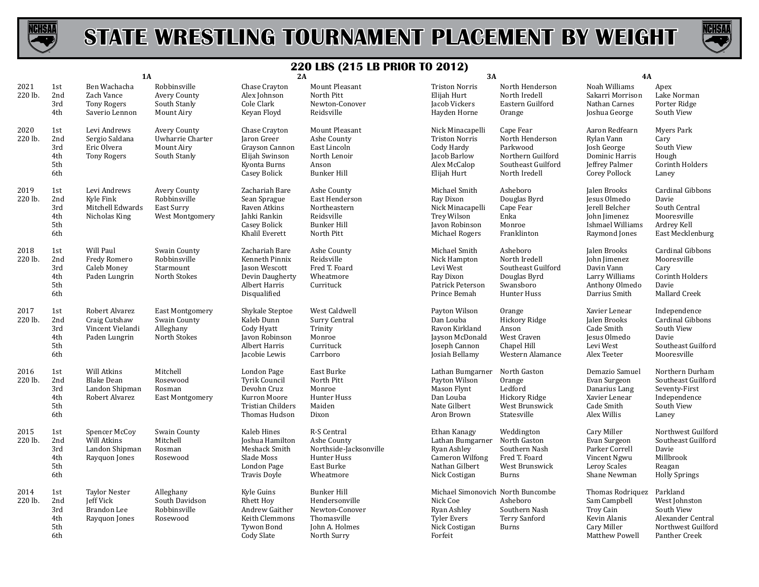



|                 |                                        | 1A                                                                   |                                                                       | 2A                                                                                                              |                                                                                                        | 3A                                                                                                                        |                                                                                                      | 4A                                                                                                      |                                                                                                     |
|-----------------|----------------------------------------|----------------------------------------------------------------------|-----------------------------------------------------------------------|-----------------------------------------------------------------------------------------------------------------|--------------------------------------------------------------------------------------------------------|---------------------------------------------------------------------------------------------------------------------------|------------------------------------------------------------------------------------------------------|---------------------------------------------------------------------------------------------------------|-----------------------------------------------------------------------------------------------------|
| 2021<br>220 lb. | 1st<br>2nd<br>3rd<br>4th               | Ben Wachacha<br>Zach Vance<br><b>Tony Rogers</b><br>Saverio Lennon   | Robbinsville<br>Avery County<br>South Stanly<br>Mount Airy            | Chase Crayton<br>Alex Johnson<br>Cole Clark<br>Keyan Floyd                                                      | Mount Pleasant<br>North Pitt<br>Newton-Conover<br>Reidsville                                           | <b>Triston Norris</b><br>Elijah Hurt<br>Jacob Vickers<br>Hayden Horne                                                     | North Henderson<br>North Iredell<br>Eastern Guilford<br>Orange                                       | Noah Williams<br>Sakarri Morrison<br>Nathan Carnes<br>Joshua George                                     | Apex<br>Lake Norman<br>Porter Ridge<br>South View                                                   |
| 2020<br>220 lb. | 1st<br>2nd<br>3rd<br>4th<br>5th<br>6th | Levi Andrews<br>Sergio Saldana<br>Eric Olvera<br><b>Tony Rogers</b>  | <b>Avery County</b><br>Uwharrie Charter<br>Mount Airy<br>South Stanly | Chase Crayton<br>Jaron Greer<br>Grayson Cannon<br>Elijah Swinson<br>Kyonta Burns<br>Casey Bolick                | Mount Pleasant<br>Ashe County<br>East Lincoln<br>North Lenoir<br>Anson<br><b>Bunker Hill</b>           | Nick Minacapelli<br><b>Triston Norris</b><br>Cody Hardy<br>Jacob Barlow<br>Alex McCalop<br>Elijah Hurt                    | Cape Fear<br>North Henderson<br>Parkwood<br>Northern Guilford<br>Southeast Guilford<br>North Iredell | Aaron Redfearn<br>Rylan Vann<br>Josh George<br>Dominic Harris<br><b>Jeffrey Palmer</b><br>Corey Pollock | Myers Park<br>Cary<br>South View<br>Hough<br>Corinth Holders<br>Laney                               |
| 2019<br>220 lb. | 1st<br>2nd<br>3rd<br>4th<br>5th<br>6th | Levi Andrews<br>Kyle Fink<br>Mitchell Edwards<br>Nicholas King       | Avery County<br>Robbinsville<br>East Surry<br>West Montgomery         | Zachariah Bare<br>Sean Sprague<br>Raven Atkins<br>Jahki Rankin<br>Casey Bolick<br>Khalil Everett                | Ashe County<br>East Henderson<br>Northeastern<br>Reidsville<br><b>Bunker Hill</b><br>North Pitt        | Michael Smith<br>Ray Dixon<br>Nick Minacapelli<br>Trey Wilson<br>Javon Robinson<br>Michael Rogers                         | Asheboro<br>Douglas Byrd<br>Cape Fear<br>Enka<br>Monroe<br>Franklinton                               | Jalen Brooks<br>Jesus Olmedo<br>Jerell Belcher<br>John Jimenez<br>Ishmael Williams<br>Raymond Jones     | Cardinal Gibbons<br>Davie<br>South Central<br>Mooresville<br>Ardrey Kell<br>East Mecklenburg        |
| 2018<br>220 lb. | 1st<br>2nd<br>3rd<br>4th<br>5th<br>6th | Will Paul<br>Fredy Romero<br>Caleb Money<br>Paden Lungrin            | Swain County<br>Robbinsville<br>Starmount<br>North Stokes             | Zachariah Bare<br>Kenneth Pinnix<br>Jason Wescott<br>Devin Daugherty<br>Albert Harris<br>Disqualified           | Ashe County<br>Reidsville<br>Fred T. Foard<br>Wheatmore<br>Currituck                                   | Michael Smith<br>Nick Hampton<br>Levi West<br>Ray Dixon<br>Patrick Peterson<br>Prince Bemah                               | Asheboro<br>North Iredell<br>Southeast Guilford<br>Douglas Byrd<br>Swansboro<br>Hunter Huss          | Jalen Brooks<br>John Jimenez<br>Davin Vann<br>Larry Williams<br>Anthony Olmedo<br>Darrius Smith         | Cardinal Gibbons<br>Mooresville<br>Cary<br>Corinth Holders<br>Davie<br>Mallard Creek                |
| 2017<br>220 lb. | 1st<br>2nd<br>3rd<br>4th<br>5th<br>6th | Robert Alvarez<br>Craig Cutshaw<br>Vincent Vielandi<br>Paden Lungrin | East Montgomery<br>Swain County<br>Alleghany<br>North Stokes          | Shykale Steptoe<br>Kaleb Dunn<br>Cody Hyatt<br>Javon Robinson<br>Albert Harris<br>Jacobie Lewis                 | West Caldwell<br>Surry Central<br>Trinity<br>Monroe<br>Currituck<br>Carrboro                           | Payton Wilson<br>Dan Louba<br>Ravon Kirkland<br>Jayson McDonald<br>Joseph Cannon<br>Josiah Bellamy                        | Orange<br>Hickory Ridge<br>Anson<br>West Craven<br>Chapel Hill<br>Western Alamance                   | Xavier Lenear<br>Jalen Brooks<br>Cade Smith<br>Jesus Olmedo<br>Levi West<br>Alex Teeter                 | Independence<br>Cardinal Gibbons<br>South View<br>Davie<br>Southeast Guilford<br>Mooresville        |
| 2016<br>220 lb. | 1st<br>2nd<br>3rd<br>4th<br>5th<br>6th | Will Atkins<br><b>Blake Dean</b><br>Landon Shipman<br>Robert Alvarez | Mitchell<br>Rosewood<br>Rosman<br><b>East Montgomery</b>              | London Page<br><b>Tyrik Council</b><br>Devohn Cruz<br>Kurron Moore<br><b>Tristian Childers</b><br>Thomas Hudson | East Burke<br>North Pitt<br>Monroe<br>Hunter Huss<br>Maiden<br>Dixon                                   | Lathan Bumgarner<br>Payton Wilson<br>Mason Flynt<br>Dan Louba<br>Nate Gilbert<br>Aron Brown                               | North Gaston<br>Orange<br>Ledford<br>Hickory Ridge<br>West Brunswick<br>Statesville                  | Demazio Samuel<br>Evan Surgeon<br>Danarius Lang<br>Xavier Lenear<br>Cade Smith<br>Alex Willis           | Northern Durham<br>Southeast Guilford<br>Seventy-First<br>Independence<br>South View<br>Laney       |
| 2015<br>220 lb. | 1st<br>2nd<br>3rd<br>4th<br>5th<br>6th | Spencer McCoy<br>Will Atkins<br>Landon Shipman<br>Rayquon Jones      | Swain County<br>Mitchell<br>Rosman<br>Rosewood                        | Kaleb Hines<br>Joshua Hamilton<br>Meshack Smith<br>Slade Moss<br>London Page<br><b>Travis Doyle</b>             | R-S Central<br>Ashe County<br>Northside-Jacksonville<br>Hunter Huss<br>East Burke<br>Wheatmore         | Ethan Kanagy<br>Lathan Bumgarner North Gaston<br>Ryan Ashley<br><b>Cameron Wilfong</b><br>Nathan Gilbert<br>Nick Costigan | Weddington<br>Southern Nash<br>Fred T. Foard<br>West Brunswick<br>Burns                              | Cary Miller<br>Evan Surgeon<br>Parker Correll<br>Vincent Ngwu<br>Leroy Scales<br>Shane Newman           | Northwest Guilford<br>Southeast Guilford<br>Davie<br>Millbrook<br>Reagan<br><b>Holly Springs</b>    |
| 2014<br>220 lb. | 1st<br>2nd<br>3rd<br>4th<br>5th<br>6th | <b>Taylor Nester</b><br>Jeff Vick<br>Brandon Lee<br>Rayquon Jones    | Alleghany<br>South Davidson<br>Robbinsville<br>Rosewood               | Kyle Guins<br><b>Rhett Hoy</b><br>Andrew Gaither<br>Keith Clemmons<br>Tywon Bond<br>Cody Slate                  | <b>Bunker Hill</b><br>Hendersonville<br>Newton-Conover<br>Thomasville<br>John A. Holmes<br>North Surry | Michael Simonovich North Buncombe<br>Nick Coe<br>Ryan Ashley<br>Tyler Evers<br>Nick Costigan<br>Forfeit                   | Asheboro<br>Southern Nash<br>Terry Sanford<br><b>Burns</b>                                           | Thomas Rodriquez<br>Sam Campbell<br>Troy Cain<br>Kevin Alanis<br>Cary Miller<br>Matthew Powell          | Parkland<br>West Johnston<br>South View<br>Alexander Central<br>Northwest Guilford<br>Panther Creek |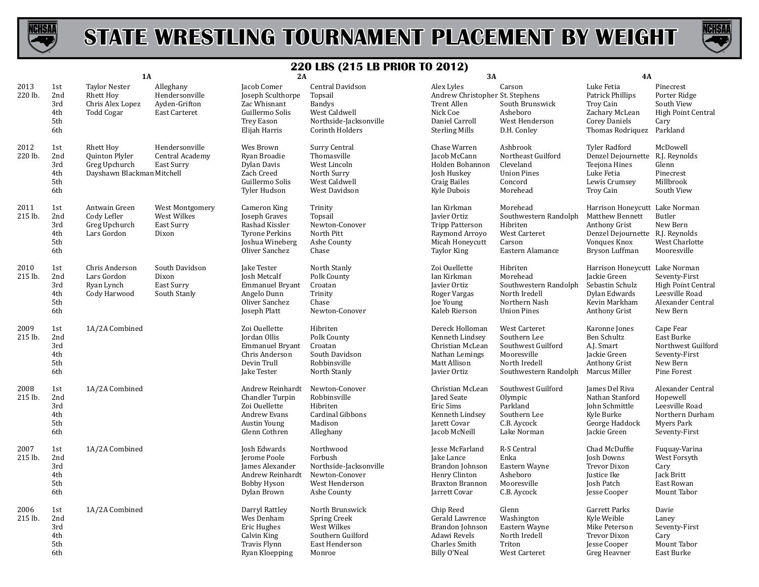



|                 |                                        | 1A                                                                                       |                                                               | 2A                                                                                                              |                                                                                                                   | 3A                                                                                                                      |                                                                                                              | 4A                                                                                                                                              |                                                                                                   |
|-----------------|----------------------------------------|------------------------------------------------------------------------------------------|---------------------------------------------------------------|-----------------------------------------------------------------------------------------------------------------|-------------------------------------------------------------------------------------------------------------------|-------------------------------------------------------------------------------------------------------------------------|--------------------------------------------------------------------------------------------------------------|-------------------------------------------------------------------------------------------------------------------------------------------------|---------------------------------------------------------------------------------------------------|
| 2013<br>220 lb. | 1st<br>2nd<br>3rd<br>4th<br>5th<br>6th | <b>Taylor Nester</b><br><b>Rhett Hov</b><br>Chris Alex Lopez<br><b>Todd Cogar</b>        | Alleghany<br>Hendersonville<br>Ayden-Grifton<br>East Carteret | Jacob Comer<br>Joseph Sculthorpe<br>Zac Whisnant<br>Guillermo Solis<br><b>Trey Eason</b><br>Elijah Harris       | Central Davidson<br>Topsail<br><b>Bandys</b><br>West Caldwell<br>Northside-Jacksonville<br><b>Corinth Holders</b> | Alex Lyles<br>Andrew Christopher St. Stephens<br>Trent Allen<br>Nick Coe<br>Daniel Carroll<br><b>Sterling Mills</b>     | Carson<br>South Brunswick<br>Asheboro<br>West Henderson<br>D.H. Conley                                       | Luke Fetia<br>Patrick Phillips<br>Troy Cain<br>Zachary McLean<br><b>Corey Daniels</b><br>Thomas Rodriquez                                       | Pinecrest<br>Porter Ridge<br>South View<br><b>High Point Central</b><br>Cary<br>Parkland          |
| 2012<br>220 lb. | 1st<br>2nd<br>3rd<br>4th<br>5th<br>6th | <b>Rhett Hoy</b><br><b>Quinton Plyler</b><br>Greg Upchurch<br>Dayshawn Blackman Mitchell | Hendersonville<br>Central Academy<br>East Surry               | Wes Brown<br>Ryan Broadie<br>Dylan Davis<br>Zach Creed<br>Guillermo Solis<br>Tyler Hudson                       | Surry Central<br>Thomasville<br>West Lincoln<br>North Surry<br>West Caldwell<br>West Davidson                     | Chase Warren<br>Jacob McCann<br>Holden Bohannon<br>Josh Huskey<br><b>Craig Bailes</b><br>Kyle Dubois                    | Ashbrook<br>Northeast Guilford<br>Cleveland<br><b>Union Pines</b><br>Concord<br>Morehead                     | <b>Tyler Radford</b><br>Denzel Dejournette R.J. Reynolds<br>Teejona Hines<br>Luke Fetia<br>Lewis Crumsey<br>Troy Cain                           | McDowell<br>Glenn<br>Pinecrest<br>Millbrook<br>South View                                         |
| 2011<br>215 lb. | 1st<br>2nd<br>3rd<br>4th<br>5th<br>6th | Antwain Green<br>Cody Lefler<br>Greg Upchurch<br>Lars Gordon                             | West Montgomery<br>West Wilkes<br>East Surry<br>Dixon         | Cameron King<br>Joseph Graves<br>Rashad Kissler<br><b>Tyrone Perkins</b><br>Joshua Wineberg<br>Oliver Sanchez   | Trinity<br>Topsail<br>Newton-Conover<br>North Pitt<br>Ashe County<br>Chase                                        | Ian Kirkman<br><b>Javier Ortiz</b><br><b>Tripp Patterson</b><br>Raymond Arroyo<br>Micah Honeycutt<br><b>Taylor King</b> | Morehead<br>Southwestern Randolph<br>Hibriten<br>West Carteret<br>Carson<br>Eastern Alamance                 | Harrison Honeycutt Lake Norman<br><b>Matthew Bennett</b><br>Anthony Grist<br>Denzel Dejournette R.J. Reynolds<br>Vonques Knox<br>Bryson Luffman | Butler<br>New Bern<br>West Charlotte<br>Mooresville                                               |
| 2010<br>215 lb. | 1st<br>2nd<br>3rd<br>4th<br>5th<br>6th | Chris Anderson<br>Lars Gordon<br>Ryan Lynch<br>Cody Harwood                              | South Davidson<br>Dixon<br>East Surry<br>South Stanly         | Jake Tester<br><b>Josh Metcalf</b><br>Emmanuel Bryant<br>Angelo Dunn<br>Oliver Sanchez<br>Joseph Platt          | North Stanly<br>Polk County<br>Croatan<br>Trinity<br>Chase<br>Newton-Conover                                      | Zoi Ouellette<br>Ian Kirkman<br>Javier Ortiz<br>Roger Vargas<br>Joe Young<br>Kaleb Rierson                              | Hibriten<br>Morehead<br>Southwestern Randolph<br>North Iredell<br>Northern Nash<br><b>Union Pines</b>        | Harrison Honeycutt Lake Norman<br>Jackie Green<br>Sebastin Schulz<br>Dylan Edwards<br>Kevin Markham<br>Anthony Grist                            | Seventy-First<br>High Point Central<br>Leesville Road<br>Alexander Central<br>New Bern            |
| 2009<br>215 lb. | 1st<br>2nd<br>3rd<br>4th<br>5th<br>6th | 1A/2A Combined                                                                           |                                                               | Zoi Ouellette<br>Jordan Ollis<br><b>Emmanuel Bryant</b><br>Chris Anderson<br>Devin Trull<br>Jake Tester         | Hibriten<br>Polk County<br>Croatan<br>South Davidson<br>Robbinsville<br>North Stanly                              | Dereck Holloman<br>Kenneth Lindsey<br>Christian McLean<br>Nathan Lemings<br>Matt Allison<br>Javier Ortiz                | West Carteret<br>Southern Lee<br>Southwest Guilford<br>Mooresville<br>North Iredell<br>Southwestern Randolph | Karonne Jones<br>Ben Schultz<br>A.J. Smart<br>Jackie Green<br>Anthony Grist<br>Marcus Miller                                                    | Cape Fear<br>East Burke<br>Northwest Guilford<br>Seventy-First<br>New Bern<br>Pine Forest         |
| 2008<br>215 lb. | 1st<br>2nd<br>3rd<br>4th<br>5th<br>6th | 1A/2A Combined                                                                           |                                                               | Andrew Reinhardt<br>Chandler Turpin<br>Zoi Ouellette<br>Andrew Evans<br><b>Austin Young</b><br>Glenn Cothren    | Newton-Conover<br>Robbinsville<br>Hibriten<br>Cardinal Gibbons<br>Madison<br>Alleghany                            | Christian McLean<br>Jared Seate<br>Eric Sims<br>Kenneth Lindsev<br>Jarett Covar<br>Jacob McNeill                        | Southwest Guilford<br>Olympic<br>Parkland<br>Southern Lee<br>C.B. Aycock<br>Lake Norman                      | James Del Riva<br>Nathan Stanford<br>John Schmittle<br>Kyle Burke<br>George Haddock<br>Jackie Green                                             | Alexander Central<br>Hopewell<br>Leesville Road<br>Northern Durham<br>Myers Park<br>Seventy-First |
| 2007<br>215 lb. | 1st<br>2nd<br>3rd<br>4th<br>5th<br>6th | 1A/2A Combined                                                                           |                                                               | <b>Josh Edwards</b><br>Jerome Poole<br>James Alexander<br>Andrew Reinhardt<br><b>Bobby Hyson</b><br>Dylan Brown | Northwood<br>Forbush<br>Northside-Jacksonville<br>Newton-Conover<br>West Henderson<br>Ashe County                 | Jesse McFarland<br>Jake Lance<br>Brandon Johnson<br>Henry Clinton<br><b>Braxton Brannon</b><br>Jarrett Covar            | R-S Central<br>Enka<br>Eastern Wayne<br>Asheboro<br>Mooresville<br>C.B. Aycock                               | Chad McDuffie<br>Josh Downs<br>Trevor Dixon<br>Justice Ike<br>Josh Patch<br>Jesse Cooper                                                        | Fuguay-Varina<br>West Forsyth<br>Cary<br>Jack Britt<br>East Rowan<br>Mount Tabor                  |
| 2006<br>215 lb. | 1st<br>2nd<br>3rd<br>4th<br>5th<br>6th | 1A/2A Combined                                                                           |                                                               | Darryl Rattley<br>Wes Denham<br>Eric Hughes<br>Calvin King<br><b>Travis Flynn</b><br>Ryan Kloepping             | North Brunswick<br>Spring Creek<br>West Wilkes<br>Southern Guilford<br>East Henderson<br>Monroe                   | Chip Reed<br>Gerald Lawrence<br>Brandon Johnson<br>Adawi Revels<br>Charles Smith<br>Billy O'Neal                        | Glenn<br>Washington<br>Eastern Wayne<br>North Iredell<br>Triton<br>West Carteret                             | Garrett Parks<br>Kyle Weible<br>Mike Peterson<br><b>Trevor Dixon</b><br>Jesse Cooper<br>Greg Heavner                                            | Davie<br>Laney<br>Seventy-First<br>Cary<br>Mount Tabor<br>East Burke                              |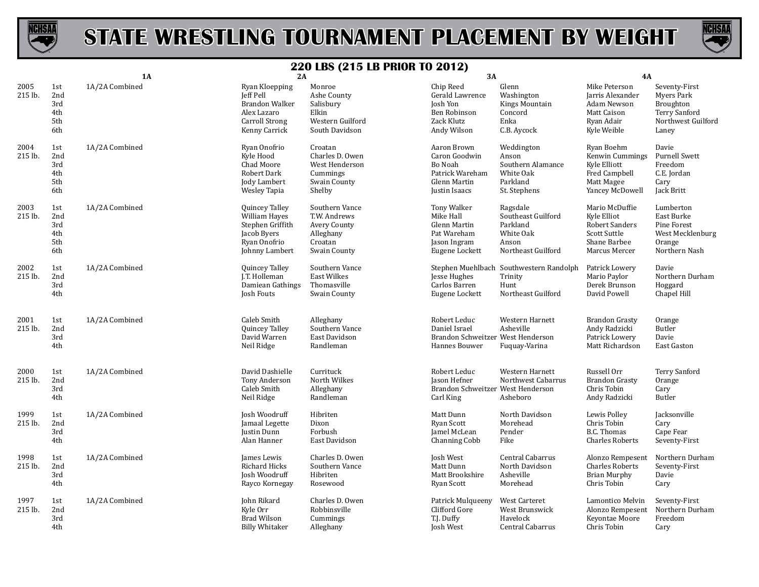



|                 |                                        | 1A             | 2A                                                                                                            |                                                                                        | 3A                                                                                          |                                                                                        | 4A                                                                                                      |                                                                                          |
|-----------------|----------------------------------------|----------------|---------------------------------------------------------------------------------------------------------------|----------------------------------------------------------------------------------------|---------------------------------------------------------------------------------------------|----------------------------------------------------------------------------------------|---------------------------------------------------------------------------------------------------------|------------------------------------------------------------------------------------------|
| 2005<br>215 lb. | 1st<br>2nd<br>3rd<br>4th<br>5th<br>6th | 1A/2A Combined | Ryan Kloepping<br>Jeff Pell<br><b>Brandon Walker</b><br>Alex Lazaro<br><b>Carroll Strong</b><br>Kenny Carrick | Monroe<br>Ashe County<br>Salisbury<br>Elkin<br>Western Guilford<br>South Davidson      | Chip Reed<br>Gerald Lawrence<br>Josh Yon<br>Ben Robinson<br>Zack Klutz<br>Andy Wilson       | Glenn<br>Washington<br>Kings Mountain<br>Concord<br>Enka<br>C.B. Aycock                | Mike Peterson<br>Jarris Alexander<br>Adam Newson<br>Matt Caison<br>Ryan Adair<br>Kyle Weible            | Seventy-First<br>Myers Park<br>Broughton<br>Terry Sanford<br>Northwest Guilford<br>Laney |
| 2004<br>215 lb. | 1st<br>2nd<br>3rd<br>4th<br>5th<br>6th | 1A/2A Combined | Ryan Onofrio<br>Kyle Hood<br>Chad Moore<br>Robert Dark<br>Jody Lambert<br>Wesley Tapia                        | Croatan<br>Charles D. Owen<br>West Henderson<br>Cummings<br>Swain County<br>Shelby     | Aaron Brown<br>Caron Goodwin<br>Bo Noah<br>Patrick Wareham<br>Glenn Martin<br>Justin Isaacs | Weddington<br>Anson<br>Southern Alamance<br>White Oak<br>Parkland<br>St. Stephens      | Ryan Boehm<br>Kenwin Cummings<br>Kyle Elliott<br>Fred Campbell<br>Matt Magee<br>Yancey McDowell         | Davie<br><b>Purnell Swett</b><br>Freedom<br>C.E. Jordan<br>Cary<br>Jack Britt            |
| 2003<br>215 lb. | 1st<br>2nd<br>3rd<br>4th<br>5th<br>6th | 1A/2A Combined | Quincey Talley<br><b>William Hayes</b><br>Stephen Griffith<br>Jacob Byers<br>Ryan Onofrio<br>Johnny Lambert   | Southern Vance<br>T.W. Andrews<br>Avery County<br>Alleghany<br>Croatan<br>Swain County | Tony Walker<br>Mike Hall<br>Glenn Martin<br>Pat Wareham<br>Jason Ingram<br>Eugene Lockett   | Ragsdale<br>Southeast Guilford<br>Parkland<br>White Oak<br>Anson<br>Northeast Guilford | Mario McDuffie<br>Kyle Elliot<br>Robert Sanders<br><b>Scott Suttle</b><br>Shane Barbee<br>Marcus Mercer | Lumberton<br>East Burke<br>Pine Forest<br>West Mecklenburg<br>Orange<br>Northern Nash    |
| 2002<br>215 lb. | 1st<br>2nd<br>3rd<br>4th               | 1A/2A Combined | Quincey Talley<br>J.T. Holleman<br>Damiean Gathings<br>Josh Fouts                                             | Southern Vance<br><b>East Wilkes</b><br>Thomasville<br>Swain County                    | Jesse Hughes<br>Carlos Barren<br>Eugene Lockett                                             | Stephen Muehlbach Southwestern Randolph<br>Trinity<br>Hunt<br>Northeast Guilford       | Patrick Lowery<br>Mario Paylor<br>Derek Brunson<br>David Powell                                         | Davie<br>Northern Durham<br>Hoggard<br>Chapel Hill                                       |
| 2001<br>215 lb. | 1st<br>2nd<br>3rd<br>4th               | 1A/2A Combined | Caleb Smith<br>Quincey Talley<br>David Warren<br>Neil Ridge                                                   | Alleghany<br>Southern Vance<br>East Davidson<br>Randleman                              | Robert Leduc<br>Daniel Israel<br>Brandon Schweitzer West Henderson<br>Hannes Bouwer         | Western Harnett<br>Asheville<br>Fuquay-Varina                                          | <b>Brandon Grasty</b><br>Andy Radzicki<br>Patrick Lowery<br>Matt Richardson                             | Orange<br>Butler<br>Davie<br>East Gaston                                                 |
| 2000<br>215 lb. | 1st<br>2nd<br>3rd<br>4th               | 1A/2A Combined | David Dashielle<br>Tony Anderson<br>Caleb Smith<br>Neil Ridge                                                 | Currituck<br>North Wilkes<br>Alleghany<br>Randleman                                    | Robert Leduc<br>Jason Hefner<br>Brandon Schweitzer West Henderson<br>Carl King              | Western Harnett<br>Northwest Cabarrus<br>Asheboro                                      | Russell Orr<br><b>Brandon Grasty</b><br>Chris Tobin<br>Andy Radzicki                                    | Terry Sanford<br>Orange<br>Cary<br>Butler                                                |
| 1999<br>215 lb. | 1st<br>2nd<br>3rd<br>4th               | 1A/2A Combined | Josh Woodruff<br>Jamaal Legette<br>Justin Dunn<br>Alan Hanner                                                 | Hibriten<br>Dixon<br>Forbush<br>East Davidson                                          | Matt Dunn<br>Ryan Scott<br>Jamel McLean<br>Channing Cobb                                    | North Davidson<br>Morehead<br>Pender<br>Fike                                           | Lewis Polley<br>Chris Tobin<br><b>B.C. Thomas</b><br><b>Charles Roberts</b>                             | Jacksonville<br>Cary<br>Cape Fear<br>Seventy-First                                       |
| 1998<br>215 lb. | 1st<br>2nd<br>3rd<br>4th               | 1A/2A Combined | James Lewis<br>Richard Hicks<br>Josh Woodruff<br>Rayco Kornegay                                               | Charles D. Owen<br>Southern Vance<br>Hibriten<br>Rosewood                              | Josh West<br>Matt Dunn<br>Matt Brookshire<br>Ryan Scott                                     | Central Cabarrus<br>North Davidson<br>Asheville<br>Morehead                            | Alonzo Rempesent<br><b>Charles Roberts</b><br><b>Brian Murphy</b><br>Chris Tobin                        | Northern Durham<br>Seventy-First<br>Davie<br>Cary                                        |
| 1997<br>215 lb. | 1st<br>2nd<br>3rd<br>4th               | 1A/2A Combined | John Rikard<br>Kyle Orr<br><b>Brad Wilson</b><br><b>Billy Whitaker</b>                                        | Charles D. Owen<br>Robbinsville<br>Cummings<br>Alleghany                               | Patrick Mulqueeny<br>Clifford Gore<br>T.J. Duffy<br>Josh West                               | West Carteret<br>West Brunswick<br>Havelock<br>Central Cabarrus                        | Lamontico Melvin<br>Alonzo Rempesent<br>Keyontae Moore<br>Chris Tobin                                   | Seventy-First<br>Northern Durham<br>Freedom<br>Cary                                      |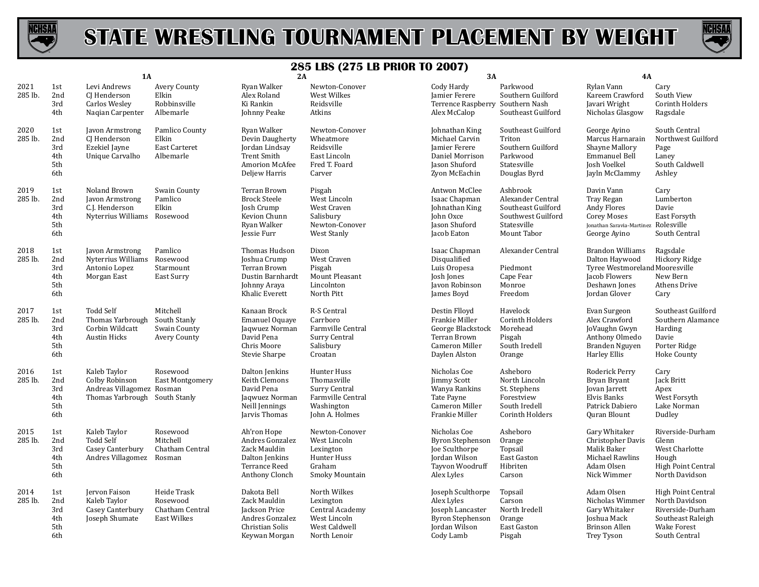



|                 | 1A                                     |                                                                                              | 2A                                                        |                                                                                                           | 3A                                                                                               |                                                                                                               | <b>4A</b>                                                                                               |                                                                                                                                |                                                                                                                             |
|-----------------|----------------------------------------|----------------------------------------------------------------------------------------------|-----------------------------------------------------------|-----------------------------------------------------------------------------------------------------------|--------------------------------------------------------------------------------------------------|---------------------------------------------------------------------------------------------------------------|---------------------------------------------------------------------------------------------------------|--------------------------------------------------------------------------------------------------------------------------------|-----------------------------------------------------------------------------------------------------------------------------|
| 2021<br>285 lb. | 1st<br>2nd<br>3rd<br>4th               | Levi Andrews<br>CJ Henderson<br>Carlos Wesley<br>Nagian Carpenter                            | Avery County<br>Elkin<br>Robbinsville<br>Albemarle        | Ryan Walker<br>Alex Roland<br>Ki Rankin<br>Johnny Peake                                                   | Newton-Conover<br>West Wilkes<br>Reidsville<br>Atkins                                            | Cody Hardy<br>Jamier Ferere<br>Terrence Raspberry Southern Nash<br>Alex McCalop                               | Parkwood<br>Southern Guilford<br>Southeast Guilford                                                     | Rylan Vann<br>Kareem Crawford<br>Javari Wright<br>Nicholas Glasgow                                                             | Cary<br>South View<br><b>Corinth Holders</b><br>Ragsdale                                                                    |
| 2020<br>285 lb. | 1st<br>2nd<br>3rd<br>4th<br>5th<br>6th | Javon Armstrong<br>CJ Henderson<br>Ezekiel Jayne<br>Unique Carvalho                          | Pamlico County<br>Elkin<br>East Carteret<br>Albemarle     | Ryan Walker<br>Devin Daugherty<br>Jordan Lindsay<br><b>Trent Smith</b><br>Amorion McAfee<br>Deljew Harris | Newton-Conover<br>Wheatmore<br>Reidsville<br>East Lincoln<br>Fred T. Foard<br>Carver             | Johnathan King<br>Michael Carvin<br><b>Jamier Ferere</b><br>Daniel Morrison<br>Jason Shuford<br>Zyon McEachin | Southeast Guilford<br>Triton<br>Southern Guilford<br>Parkwood<br>Statesville<br>Douglas Byrd            | George Ayino<br>Marcus Harnarain<br>Shayne Mallory<br>Emmanuel Bell<br>Josh Voelkel<br>Jayln McClammy                          | South Central<br>Northwest Guilford<br>Page<br>Laney<br>South Caldwell<br>Ashley                                            |
| 2019<br>285 lb. | 1st<br>2nd<br>3rd<br>4th<br>5th<br>6th | Noland Brown<br>Javon Armstrong<br>C.J. Henderson<br>Nyterrius Williams Rosewood             | Swain County<br>Pamlico<br>Elkin                          | Terran Brown<br><b>Brock Steele</b><br>Josh Crump<br>Kevion Chunn<br>Ryan Walker<br>Jessie Furr           | Pisgah<br>West Lincoln<br>West Craven<br>Salisbury<br>Newton-Conover<br>West Stanly              | Antwon McClee<br>Isaac Chapman<br>Johnathan King<br>John Oxce<br>Jason Shuford<br>Jacob Eaton                 | Ashbrook<br>Alexander Central<br>Southeast Guilford<br>Southwest Guilford<br>Statesville<br>Mount Tabor | Davin Vann<br>Tray Regan<br>Andy Flores<br><b>Corey Moses</b><br>Jonathan Saravia-Martinez Rolesville<br>George Ayino          | Cary<br>Lumberton<br>Davie<br>East Forsyth<br>South Central                                                                 |
| 2018<br>285 lb. | 1st<br>2nd<br>3rd<br>4th<br>5th<br>6th | Javon Armstrong<br>Nyterrius Williams<br>Antonio Lopez<br>Morgan East                        | Pamlico<br>Rosewood<br>Starmount<br>East Surry            | Thomas Hudson<br>Joshua Crump<br>Terran Brown<br>Dustin Barnhardt<br>Johnny Araya<br>Khalic Everett       | Dixon<br>West Craven<br>Pisgah<br>Mount Pleasant<br>Lincolnton<br>North Pitt                     | Isaac Chapman<br>Disqualified<br>Luis Oropesa<br>Josh Jones<br>Javon Robinson<br>James Boyd                   | Alexander Central<br>Piedmont<br>Cape Fear<br>Monroe<br>Freedom                                         | <b>Brandon Williams</b><br>Dalton Haywood<br>Tyree Westmoreland Mooresville<br>Jacob Flowers<br>Deshawn Jones<br>Jordan Glover | Ragsdale<br>Hickory Ridge<br>New Bern<br>Athens Drive<br>Cary                                                               |
| 2017<br>285 lb. | 1st<br>2nd<br>3rd<br>4th<br>5th<br>6th | <b>Todd Self</b><br>Thomas Yarbrough<br>Corbin Wildcatt<br><b>Austin Hicks</b>               | Mitchell<br>South Stanly<br>Swain County<br>Avery County  | Kanaan Brock<br><b>Emanuel Oquaye</b><br>Jaqwuez Norman<br>David Pena<br>Chris Moore<br>Stevie Sharpe     | R-S Central<br>Carrboro<br>Farmville Central<br>Surry Central<br>Salisbury<br>Croatan            | Destin Flloyd<br>Frankie Miller<br>George Blackstock<br>Terran Brown<br>Cameron Miller<br>Daylen Alston       | Havelock<br>Corinth Holders<br>Morehead<br>Pisgah<br>South Iredell<br>Orange                            | Evan Surgeon<br>Alex Crawford<br>JoVaughn Gwyn<br>Anthony Olmedo<br>Branden Nguyen<br>Harley Ellis                             | Southeast Guilford<br>Southern Alamance<br>Harding<br>Davie<br>Porter Ridge<br><b>Hoke County</b>                           |
| 2016<br>285 lb. | 1st<br>2nd<br>3rd<br>4th<br>5th<br>6th | Kaleb Taylor<br>Colby Robinson<br>Andreas Villagomez Rosman<br>Thomas Yarbrough South Stanly | Rosewood<br><b>East Montgomery</b>                        | Dalton Jenkins<br>Keith Clemons<br>David Pena<br>Jagwuez Norman<br>Neill Jennings<br>Jarvis Thomas        | Hunter Huss<br>Thomasville<br>Surry Central<br>Farmville Central<br>Washington<br>John A. Holmes | Nicholas Coe<br><b>Jimmy Scott</b><br>Wanya Rankins<br>Tate Payne<br>Cameron Miller<br>Frankie Miller         | Asheboro<br>North Lincoln<br>St. Stephens<br>Forestview<br>South Iredell<br>Corinth Holders             | Roderick Perry<br>Bryan Bryant<br>Jovan Jarrett<br>Elvis Banks<br>Patrick Dabiero<br><b>Quran Blount</b>                       | Cary<br>Jack Britt<br>Apex<br>West Forsyth<br>Lake Norman<br>Dudley                                                         |
| 2015<br>285 lb. | 1st<br>2nd<br>3rd<br>4th<br>5th<br>6th | Kaleb Taylor<br><b>Todd Self</b><br>Casey Canterbury<br>Andres Villagomez                    | Rosewood<br>Mitchell<br>Chatham Central<br>Rosman         | Ah'ron Hope<br>Andres Gonzalez<br>Zack Mauldin<br>Dalton Jenkins<br>Terrance Reed<br>Anthony Clonch       | Newton-Conover<br>West Lincoln<br>Lexington<br>Hunter Huss<br>Graham<br>Smoky Mountain           | Nicholas Coe<br><b>Byron Stephenson</b><br>Joe Sculthorpe<br>Jordan Wilson<br>Tayvon Woodruff<br>Alex Lyles   | Asheboro<br>Orange<br>Topsail<br>East Gaston<br>Hibriten<br>Carson                                      | Gary Whitaker<br>Christopher Davis<br>Malik Baker<br>Michael Rawlins<br>Adam Olsen<br>Nick Wimmer                              | Riverside-Durham<br>Glenn<br>West Charlotte<br>Hough<br><b>High Point Central</b><br>North Davidson                         |
| 2014<br>285 lb. | 1st<br>2nd<br>3rd<br>4th<br>5th<br>6th | Jervon Faison<br>Kaleb Taylor<br>Casey Canterbury<br>Joseph Shumate                          | Heide Trask<br>Rosewood<br>Chatham Central<br>East Wilkes | Dakota Bell<br>Zack Mauldin<br>Jackson Price<br>Andres Gonzalez<br>Christian Solis<br>Keywan Morgan       | North Wilkes<br>Lexington<br>Central Academy<br>West Lincoln<br>West Caldwell<br>North Lenoir    | Joseph Sculthorpe<br>Alex Lyles<br>Joseph Lancaster<br>Byron Stephenson<br>Jordan Wilson<br>Cody Lamb         | Topsail<br>Carson<br>North Iredell<br>Orange<br>East Gaston<br>Pisgah                                   | Adam Olsen<br>Nicholas Wimmer<br>Gary Whitaker<br>Joshua Mack<br>Brinson Allen<br>Trey Tyson                                   | <b>High Point Central</b><br>North Davidson<br>Riverside-Durham<br>Southeast Raleigh<br><b>Wake Forest</b><br>South Central |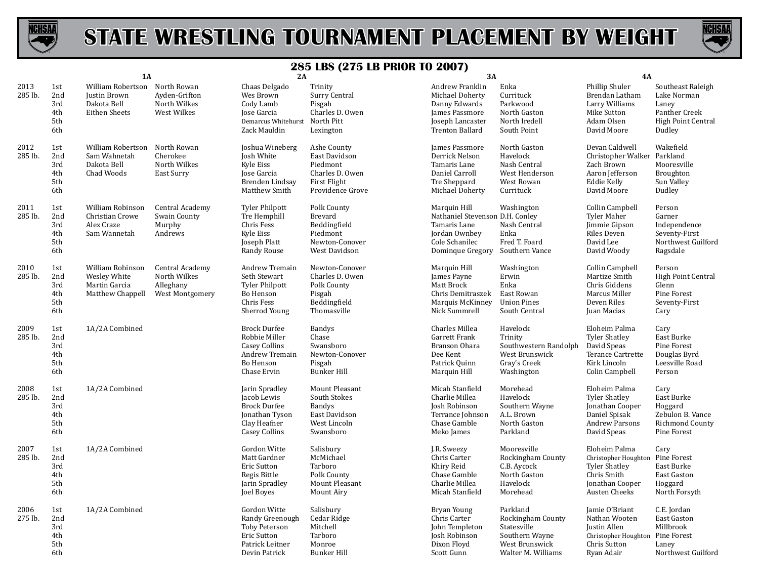



|                 |                                        | <b>1A</b>                                                                |                                                                 | 2A                                                                                                             |                                                                                                        | $\cdots$ avvii<br>3A                                                                                                   |                                                                                                        | 4A                                                                                                                           |                                                                                                   |
|-----------------|----------------------------------------|--------------------------------------------------------------------------|-----------------------------------------------------------------|----------------------------------------------------------------------------------------------------------------|--------------------------------------------------------------------------------------------------------|------------------------------------------------------------------------------------------------------------------------|--------------------------------------------------------------------------------------------------------|------------------------------------------------------------------------------------------------------------------------------|---------------------------------------------------------------------------------------------------|
| 2013<br>285 lb. | 1st<br>2nd<br>3rd<br>4th<br>5th<br>6th | William Robertson<br>Justin Brown<br>Dakota Bell<br><b>Eithen Sheets</b> | North Rowan<br>Ayden-Grifton<br>North Wilkes<br>West Wilkes     | Chaas Delgado<br>Wes Brown<br>Cody Lamb<br>Jose Garcia<br>Demarcus Whitehurst<br>Zack Mauldin                  | Trinity<br>Surry Central<br>Pisgah<br>Charles D. Owen<br>North Pitt<br>Lexington                       | Andrew Franklin<br>Michael Doherty<br>Danny Edwards<br>James Passmore<br>Joseph Lancaster<br>Trenton Ballard           | Enka<br>Currituck<br>Parkwood<br>North Gaston<br>North Iredell<br>South Point                          | Phillip Shuler<br>Brendan Latham<br>Larry Williams<br>Mike Sutton<br>Adam Olsen<br>David Moore                               | Southeast Raleigh<br>Lake Norman<br>Laney<br>Panther Creek<br><b>High Point Central</b><br>Dudley |
| 2012<br>285 lb. | 1st<br>2nd<br>3rd<br>4th<br>5th<br>6th | William Robertson<br>Sam Wahnetah<br>Dakota Bell<br>Chad Woods           | North Rowan<br>Cherokee<br>North Wilkes<br>East Surry           | Joshua Wineberg<br>Josh White<br>Kyle Eiss<br>Jose Garcia<br>Brenden Lindsay<br>Matthew Smith                  | Ashe County<br>East Davidson<br>Piedmont<br>Charles D. Owen<br><b>First Flight</b><br>Providence Grove | James Passmore<br>Derrick Nelson<br>Tamaris Lane<br>Daniel Carroll<br>Tre Sheppard<br>Michael Doherty                  | North Gaston<br>Havelock<br>Nash Central<br>West Henderson<br>West Rowan<br>Currituck                  | Devan Caldwell<br>Christopher Walker Parkland<br>Zach Brown<br>Aaron Jefferson<br>Eddie Kelly<br>David Moore                 | Wakefield<br>Mooresville<br>Broughton<br>Sun Valley<br>Dudley                                     |
| 2011<br>285 lb. | 1st<br>2nd<br>3rd<br>4th<br>5th<br>6th | William Robinson<br>Christian Crowe<br>Alex Craze<br>Sam Wannetah        | Central Academy<br>Swain County<br>Murphy<br>Andrews            | <b>Tyler Philpott</b><br>Tre Hemphill<br>Chris Fess<br><b>Kyle Eiss</b><br>Joseph Platt<br>Randy Rouse         | Polk County<br>Brevard<br>Beddingfield<br>Piedmont<br>Newton-Conover<br>West Davidson                  | Marquin Hill<br>Nathaniel Stevenson D.H. Conley<br>Tamaris Lane<br>Jordan Ownbey<br>Cole Schanilec<br>Dominque Gregory | Washington<br>Nash Central<br>Enka<br>Fred T. Foard<br>Southern Vance                                  | Collin Campbell<br>Tyler Maher<br>Jimmie Gipson<br>Riles Deven<br>David Lee<br>David Woody                                   | Person<br>Garner<br>Independence<br>Seventy-First<br>Northwest Guilford<br>Ragsdale               |
| 2010<br>285 lb. | 1st<br>2nd<br>3rd<br>4th<br>5th<br>6th | William Robinson<br>Wesley White<br>Martin Garcia<br>Matthew Chappell    | Central Academy<br>North Wilkes<br>Alleghany<br>West Montgomery | Andrew Tremain<br>Seth Stewart<br><b>Tyler Philpott</b><br>Bo Henson<br>Chris Fess<br>Sherrod Young            | Newton-Conover<br>Charles D. Owen<br>Polk County<br>Pisgah<br>Beddingfield<br>Thomasville              | Marquin Hill<br>James Payne<br>Matt Brock<br>Chris Demitraszek<br>Marquis McKinney<br>Nick Summrell                    | Washington<br>Erwin<br>Enka<br>East Rowan<br><b>Union Pines</b><br>South Central                       | Collin Campbell<br>Martize Smith<br>Chris Giddens<br>Marcus Miller<br>Deven Riles<br>Juan Macias                             | Person<br><b>High Point Central</b><br>Glenn<br>Pine Forest<br>Seventy-First<br>Cary              |
| 2009<br>285 lb. | 1st<br>2nd<br>3rd<br>4th<br>5th<br>6th | 1A/2A Combined                                                           |                                                                 | <b>Brock Durfee</b><br>Robbie Miller<br><b>Casey Collins</b><br>Andrew Tremain<br>Bo Henson<br>Chase Ervin     | <b>Bandys</b><br>Chase<br>Swansboro<br>Newton-Conover<br>Pisgah<br><b>Bunker Hill</b>                  | Charles Millea<br>Garrett Frank<br>Branson Ohara<br>Dee Kent<br>Patrick Quinn<br>Marquin Hill                          | Havelock<br>Trinity<br>Southwestern Randolph<br>West Brunswick<br>Gray's Creek<br>Washington           | Eloheim Palma<br><b>Tyler Shatley</b><br>David Speas<br>Terance Cartrette<br>Kirk Lincoln<br>Colin Campbell                  | Cary<br>East Burke<br>Pine Forest<br>Douglas Byrd<br>Leesville Road<br>Person                     |
| 2008<br>285 lb. | 1st<br>2nd<br>3rd<br>4th<br>5th<br>6th | 1A/2A Combined                                                           |                                                                 | Jarin Spradley<br>Jacob Lewis<br><b>Brock Durfee</b><br>Jonathan Tyson<br>Clay Heafner<br><b>Casey Collins</b> | Mount Pleasant<br>South Stokes<br><b>Bandys</b><br>East Davidson<br>West Lincoln<br>Swansboro          | Micah Stanfield<br>Charlie Millea<br>Josh Robinson<br>Terrance Johnson<br>Chase Gamble<br>Meko James                   | Morehead<br>Havelock<br>Southern Wayne<br>A.L. Brown<br>North Gaston<br>Parkland                       | Eloheim Palma<br><b>Tyler Shatley</b><br>Jonathan Cooper<br>Daniel Spisak<br><b>Andrew Parsons</b><br>David Speas            | Cary<br>East Burke<br>Hoggard<br>Zebulon B. Vance<br>Richmond County<br>Pine Forest               |
| 2007<br>285 lb. | 1st<br>2nd<br>3rd<br>4th<br>5th<br>6th | 1A/2A Combined                                                           |                                                                 | Gordon Witte<br>Matt Gardner<br><b>Eric Sutton</b><br>Regis Bittle<br>Jarin Spradley<br>Joel Boyes             | Salisbury<br>McMichael<br>Tarboro<br>Polk County<br>Mount Pleasant<br>Mount Airy                       | J.R. Sweezy<br>Chris Carter<br>Khiry Reid<br>Chase Gamble<br>Charlie Millea<br>Micah Stanfield                         | Mooresville<br>Rockingham County<br>C.B. Aycock<br>North Gaston<br>Havelock<br>Morehead                | Eloheim Palma<br>Christopher Houghton Pine Forest<br><b>Tyler Shatley</b><br>Chris Smith<br>Jonathan Cooper<br>Austen Cheeks | Cary<br>East Burke<br>East Gaston<br>Hoggard<br>North Forsyth                                     |
| 2006<br>275 lb. | 1st<br>2nd<br>3rd<br>4th<br>5th<br>6th | 1A/2A Combined                                                           |                                                                 | Gordon Witte<br>Randy Greenough<br>Toby Peterson<br><b>Eric Sutton</b><br>Patrick Leitner<br>Devin Patrick     | Salisbury<br>Cedar Ridge<br>Mitchell<br>Tarboro<br>Monroe<br>Bunker Hill                               | Bryan Young<br>Chris Carter<br>John Templeton<br>Josh Robinson<br>Dixon Floyd<br>Scott Gunn                            | Parkland<br>Rockingham County<br>Statesville<br>Southern Wayne<br>West Brunswick<br>Walter M. Williams | Jamie O'Briant<br>Nathan Wooten<br>Justin Allen<br>Christopher Houghton Pine Forest<br>Chris Sutton<br>Ryan Adair            | C.E. Jordan<br>East Gaston<br>Millbrook<br>Laney<br>Northwest Guilford                            |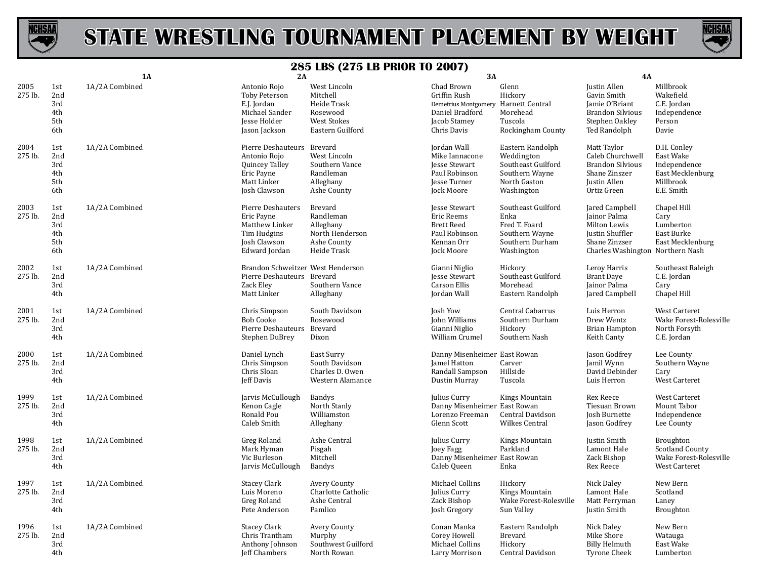



|                 |                                        | <b>1A</b>      | 2A                                                                                                        |                                                                                               | 3A                                                                                                                   |                                                                                                      | <b>4A</b>                                                                                                                     |                                                                                         |
|-----------------|----------------------------------------|----------------|-----------------------------------------------------------------------------------------------------------|-----------------------------------------------------------------------------------------------|----------------------------------------------------------------------------------------------------------------------|------------------------------------------------------------------------------------------------------|-------------------------------------------------------------------------------------------------------------------------------|-----------------------------------------------------------------------------------------|
| 2005<br>275 lb. | 1st<br>2nd<br>3rd<br>4th<br>5th<br>6th | 1A/2A Combined | Antonio Rojo<br>Toby Peterson<br>E.J. Jordan<br>Michael Sander<br><b>Iesse Holder</b><br>Jason Jackson    | West Lincoln<br>Mitchell<br>Heide Trask<br>Rosewood<br><b>West Stokes</b><br>Eastern Guilford | Chad Brown<br>Griffin Rush<br>Demetrius Montgomery Harnett Central<br>Daniel Bradford<br>Jacob Stamey<br>Chris Davis | Glenn<br>Hickory<br>Morehead<br>Tuscola<br>Rockingham County                                         | Justin Allen<br>Gavin Smith<br>Jamie O'Briant<br><b>Brandon Silvious</b><br>Stephen Oakley<br>Ted Randolph                    | Millbrook<br>Wakefield<br>C.E. Jordan<br>Independence<br>Person<br>Davie                |
| 2004<br>275 lb. | 1st<br>2nd<br>3rd<br>4th<br>5th<br>6th | 1A/2A Combined | Pierre Deshauteurs Brevard<br>Antonio Rojo<br>Quincey Talley<br>Eric Payne<br>Matt Linker<br>Josh Clawson | West Lincoln<br>Southern Vance<br>Randleman<br>Alleghany<br>Ashe County                       | Jordan Wall<br>Mike Iannacone<br>Jesse Stewart<br>Paul Robinson<br><b>Jesse Turner</b><br>Jock Moore                 | Eastern Randolph<br>Weddington<br>Southeast Guilford<br>Southern Wayne<br>North Gaston<br>Washington | Matt Taylor<br>Caleb Churchwell<br><b>Brandon Silvious</b><br>Shane Zinszer<br><b>Justin Allen</b><br>Ortiz Green             | D.H. Conley<br>East Wake<br>Independence<br>East Mecklenburg<br>Millbrook<br>E.E. Smith |
| 2003<br>275 lb. | 1st<br>2nd<br>3rd<br>4th<br>5th<br>6th | 1A/2A Combined | Pierre Deshauters<br>Eric Payne<br>Matthew Linker<br>Tim Hudgins<br>Josh Clawson<br>Edward Jordan         | <b>Brevard</b><br>Randleman<br>Alleghany<br>North Henderson<br>Ashe County<br>Heide Trask     | Jesse Stewart<br>Eric Reems<br><b>Brett Reed</b><br>Paul Robinson<br>Kennan Orr<br>Jock Moore                        | Southeast Guilford<br>Enka<br>Fred T. Foard<br>Southern Wayne<br>Southern Durham<br>Washington       | Jared Campbell<br>Jainor Palma<br>Milton Lewis<br><b>Justin Shuffler</b><br>Shane Zinzser<br>Charles Washington Northern Nash | Chapel Hill<br>Cary<br>Lumberton<br>East Burke<br>East Mecklenburg                      |
| 2002<br>275 lb. | 1st<br>2nd<br>3rd<br>4th               | 1A/2A Combined | Brandon Schweitzer West Henderson<br>Pierre Deshauteurs Brevard<br>Zack Eley<br>Matt Linker               | Southern Vance<br>Alleghany                                                                   | Gianni Niglio<br><b>Jesse Stewart</b><br>Carson Ellis<br>Jordan Wall                                                 | Hickory<br>Southeast Guilford<br>Morehead<br>Eastern Randolph                                        | Leroy Harris<br><b>Brant Daye</b><br>Jainor Palma<br>Jared Campbell                                                           | Southeast Raleigh<br>C.E. Jordan<br>Cary<br>Chapel Hill                                 |
| 2001<br>275 lb. | 1st<br>2nd<br>3rd<br>4th               | 1A/2A Combined | Chris Simpson<br><b>Bob Cooke</b><br>Pierre Deshauteurs Brevard<br>Stephen DuBrey                         | South Davidson<br>Rosewood<br>Dixon                                                           | Josh Yow<br>John Williams<br>Gianni Niglio<br>William Crumel                                                         | Central Cabarrus<br>Southern Durham<br>Hickory<br>Southern Nash                                      | Luis Herron<br>Drew Wentz<br><b>Brian Hampton</b><br>Keith Canty                                                              | West Carteret<br>Wake Forest-Rolesville<br>North Forsyth<br>C.E. Jordan                 |
| 2000<br>275 lb. | 1st<br>2nd<br>3rd<br>4th               | 1A/2A Combined | Daniel Lynch<br>Chris Simpson<br>Chris Sloan<br>Jeff Davis                                                | East Surry<br>South Davidson<br>Charles D. Owen<br>Western Alamance                           | Danny Misenheimer East Rowan<br>Jamel Hatton<br>Randall Sampson<br>Dustin Murray                                     | Carver<br>Hillside<br>Tuscola                                                                        | Jason Godfrey<br>Jamil Wynn<br>David Debinder<br>Luis Herron                                                                  | Lee County<br>Southern Wayne<br>Cary<br>West Carteret                                   |
| 1999<br>275 lb. | 1st<br>2nd<br>3rd<br>4th               | 1A/2A Combined | Jarvis McCullough<br>Kenon Cagle<br>Ronald Pou<br>Caleb Smith                                             | <b>Bandys</b><br>North Stanly<br>Williamston<br>Alleghany                                     | Julius Curry<br>Danny Misenheimer East Rowan<br>Lorenzo Freeman<br>Glenn Scott                                       | Kings Mountain<br>Central Davidson<br>Wilkes Central                                                 | <b>Rex Reece</b><br>Tiesuan Brown<br>Josh Burnette<br>Jason Godfrey                                                           | West Carteret<br>Mount Tabor<br>Independence<br>Lee County                              |
| 1998<br>275 lb. | 1st<br>2nd<br>3rd<br>4th               | 1A/2A Combined | Greg Roland<br>Mark Hyman<br>Vic Burleson<br>Jarvis McCullough                                            | Ashe Central<br>Pisgah<br>Mitchell<br><b>Bandys</b>                                           | Julius Curry<br>Joey Fagg<br>Danny Misenheimer East Rowan<br>Caleb Queen                                             | Kings Mountain<br>Parkland<br>Enka                                                                   | Justin Smith<br>Lamont Hale<br>Zack Bishop<br>Rex Reece                                                                       | Broughton<br><b>Scotland County</b><br>Wake Forest-Rolesville<br><b>West Carteret</b>   |
| 1997<br>275 lb. | 1st<br>2nd<br>3rd<br>4th               | 1A/2A Combined | <b>Stacey Clark</b><br>Luis Moreno<br>Greg Roland<br>Pete Anderson                                        | <b>Avery County</b><br>Charlotte Catholic<br>Ashe Central<br>Pamlico                          | Michael Collins<br>Julius Curry<br>Zack Bishop<br>Josh Gregory                                                       | Hickory<br>Kings Mountain<br>Wake Forest-Rolesville<br>Sun Valley                                    | Nick Daley<br>Lamont Hale<br>Matt Perryman<br>Justin Smith                                                                    | New Bern<br>Scotland<br>Laney<br>Broughton                                              |
| 1996<br>275 lb. | 1st<br>2nd<br>3rd<br>4th               | 1A/2A Combined | <b>Stacey Clark</b><br>Chris Trantham<br>Anthony Johnson<br>Jeff Chambers                                 | Avery County<br>Murphy<br>Southwest Guilford<br>North Rowan                                   | Conan Manka<br>Corey Howell<br>Michael Collins<br>Larry Morrison                                                     | Eastern Randolph<br><b>Brevard</b><br>Hickory<br>Central Davidson                                    | Nick Daley<br>Mike Shore<br><b>Billy Helmuth</b><br><b>Tyrone Cheek</b>                                                       | New Bern<br>Watauga<br>East Wake<br>Lumberton                                           |